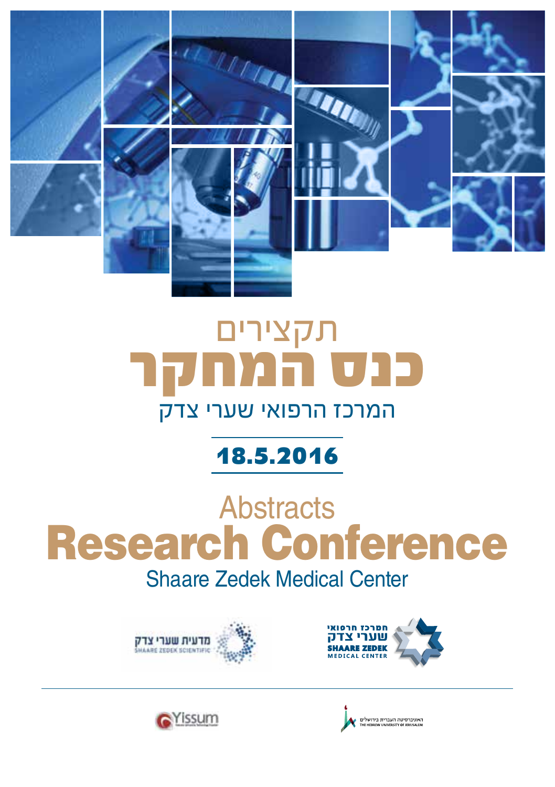

# תקצירים **כנס המחקר** המרכז הרפואי שערי צדק

# **18.5.2016**

# **Abstracts** Research Conference Shaare Zedek Medical Center







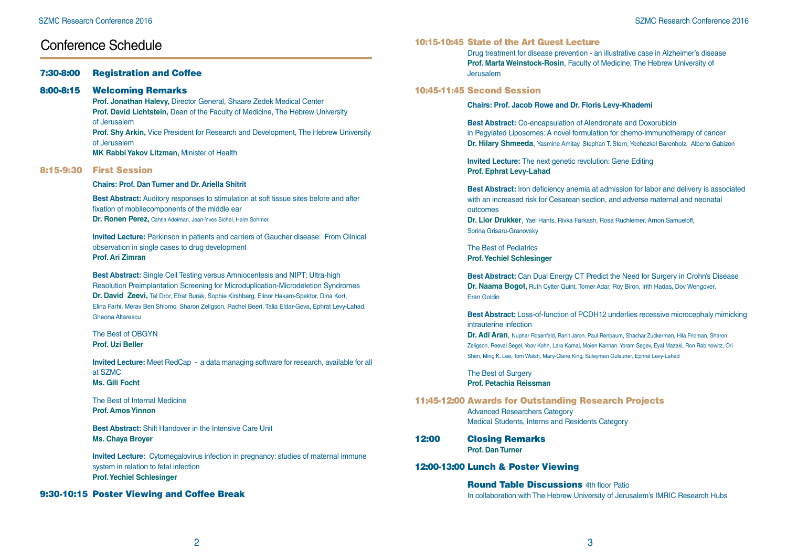### Conference Schedule

#### 7:30-8:00 Registration and Coffee

#### 8:00-8:15 Welcoming Remarks

**Prof. Jonathan Halevy,** Director General, Shaare Zedek Medical Center **Prof. David Lichtstein,** Dean of the Faculty of Medicine, The Hebrew University of Jerusalem **Prof. Shy Arkin,** Vice President for Research and Development, The Hebrew University of Jerusalem **MK Rabbi Yakov Litzman,** Minister of Health

#### 8:15-9:30 First Session

#### **Chairs: Prof. Dan Turner and Dr. Ariella Shitrit**

**Best Abstract:** Auditory responses to stimulation at soft tissue sites before and after fixation of mobilecomponents of the middle ear **Dr. Ronen Perez,** Cahtia Adelman, Jean-Yves Sichel, Haim Sohmer

**Invited Lecture:** Parkinson in patients and carriers of Gaucher disease: From Clinical observation in single cases to drug development **Prof. Ari Zimran**

**Best Abstract:** Single Cell Testing versus Amniocentesis and NIPT: Ultra-high Resolution Preimplantation Screening for Microduplication-Microdeletion Syndromes **Dr. David Zeevi,** Tal Dror, Efrat Burak, Sophie Kirshberg, Elinor Hakam-Spektor, Dina Kort, Elina Farhi, Merav Ben Shlomo, Sharon Zeligson, Rachel Beeri, Talia Eldar-Geva, Ephrat Levy-Lahad, Gheona Altarescu

#### The Best of OBGYN **Prof. Uzi Beller**

**Invited Lecture:** Meet RedCap - a data managing software for research, available for all at SZMC **Ms. Gili Focht**

The Best of Internal Medicine **Prof. Amos Yinnon**

**Best Abstract:** Shift Handover in the Intensive Care Unit **Ms. Chaya Broyer**

**Invited Lecture:** Cytomegalovirus infection in pregnancy: studies of maternal immune system in relation to fetal infection **Prof. Yechiel Schlesinger**

#### 9:30-10:15 Poster Viewing and Coffee Break

#### 10:15-10:45 State of the Art Guest Lecture

Drug treatment for disease prevention - an illustrative case in Alzheimer's disease **Prof. Marta Weinstock-Rosin**, Faculty of Medicine, The Hebrew University of Jerusalem

#### 10:45-11:45 Second Session

**Chairs: Prof. Jacob Rowe and Dr. Floris Levy-Khademi**

**Best Abstract:** Co-encapsulation of Alendronate and Doxorubicin in Pegylated Liposomes: A novel formulation for chemo-immunotherapy of cancer **Dr. Hilary Shmeeda**, Yasmine Amitay, Stephan T. Stern, Yechezkel Barenholz, Alberto Gabizon

**Invited Lecture:** The next genetic revolution: Gene Editing **Prof. Ephrat Levy-Lahad**

**Best Abstract:** Iron deficiency anemia at admission for labor and delivery is associated with an increased risk for Cesarean section, and adverse maternal and neonatal outcomes **Dr. Lior Drukker**, Yael Hants, Rivka Farkash, Rosa Ruchlemer, Arnon Samueloff,

Sorina Grisaru-Granovsky

The Best of Pediatrics **Prof. Yechiel Schlesinger**

**Best Abstract:** Can Dual Energy CT Predict the Need for Surgery in Crohn's Disease **Dr. Naama Bogot,** Ruth Cytter-Quint, Tomer Adar, Roy Biron, Irith Hadas, Dov Wengover, Eran Goldin

**Best Abstract:** Loss-of-function of PCDH12 underlies recessive microcephaly mimicking intrauterine infection

**Dr. Adi Aran**, Nuphar Rosenfeld, Ranit Jaron, Paul Renbaum, Shachar Zuckerman, Hila Fridman, Sharon Zeligson, Reeval Segel, Yoav Kohn, Lara Kamal, Moien Kannan, Yoram Segev, Eyal Mazaki, Ron Rabinowitz, Ori Shen, Ming K. Lee, Tom Walsh, Mary-Claire King, Suleyman Gulsuner, Ephrat Levy-Lahad

The Best of Surgery **Prof. Petachia Reissman**

11:45-12:00 Awards for Outstanding Research Projects Advanced Researchers Category Medical Students, Interns and Residents Category

#### 12:00 Closing Remarks **Prof. Dan Turner**

12:00-13:00 Lunch & Poster Viewing

**Round Table Discussions** 4th floor Patio In collaboration with The Hebrew University of Jerusalem's IMRIC Research Hubs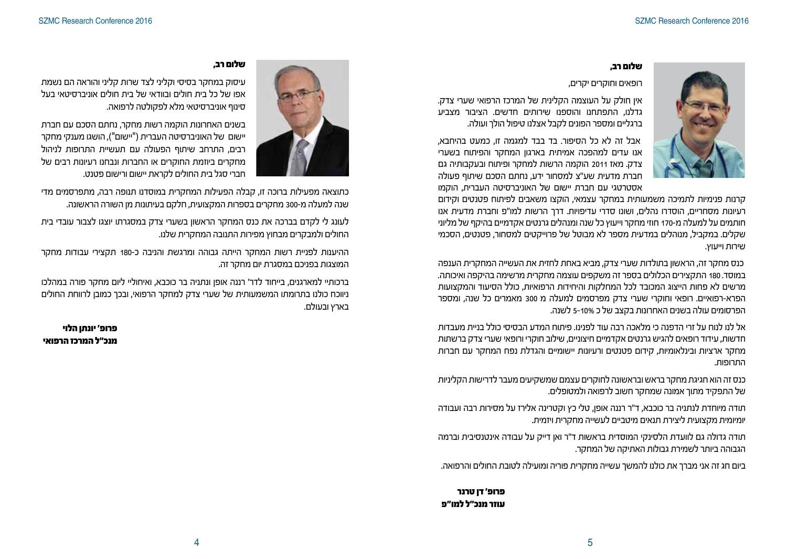

#### **שלום רב,**

רופאים וחוקרים יקרים,

אין חולק על העוצמה הקלינית של המרכז הרפואי שערי צדק. גדלנו, התפתחנו והוספנו שירותים חדשים. הציבור מצביע ברגליים ומספר הפונים לקבל אצלנו טיפול הולך ועולה.

אבל זה לא כל הסיפור. בד בבד למגמה זו, כמעט בהיחבא, אנו עדים למהפכה אמיתית בארגון המחקר והפיתוח בשערי צדק. מאז 2011 הוקמה הרשות למחקר ופיתוח ובעקבותיה גם חברת מדעית שע"צ למסחור ידע, נחתם הסכם שיתוף פעולה אסטרטגי עם חברת יישום של האוניברסיטה העברית, הוקמו

קרנות פנימיות לתמיכה משמעותית במחקר עצמאי, הוקצו משאבים לפיתוח פטנטים וקידום רעיונות מסחריים, הוסדרו נהלים, ושונו סדרי עדיפויות. דרך הרשות למו"פ וחברת מדעית אנו חותמים על למעלה מ170- חוזי מחקר וייעוץ כל שנה ומנהלים גרנטים אקדמיים בהיקף של מליוני שקלים. במקביל, מנוהלים במדעית מספר לא מבוטל של פרוייקטים למסחור, פטנטים, הסכמי שירות וייעוץ.

כנס מחקר זה, הראשון בתולדות שערי צדק, מביא באחת לחזית את העשייה המחקרית הענפה במוסד. 180 התקצירים הכלולים בספר זה משקפים עוצמה מחקרית מרשימה בהיקפה ואיכותה. מרשים לא פחות הייצוג המכובד לכל המחלקות והיחידות הרפואיות, כולל הסיעוד והמקצועות הפרא-רפואיים. רופאי וחוקרי שערי צדק מפרסמים למעלה מ 300 מאמרים כל שנה, ומספר הפרסומים עולה בשנים האחרונות בקצב של כ 5-10% לשנה.

אל לנו לנוח על זרי הדפנה כי מלאכה רבה עוד לפנינו. פיתוח המדע הבסיסי כולל בניית מעבדות חדשות, עידוד רופאים להגיש גרנטים אקדמיים חיצוניים, שילוב חוקרי ורופאי שערי צדק ברשתות מחקר ארציות ובינלאומיות, קידום פטנטים ורעיונות יישומיים והגדלת נפח המחקר עם חברות התרופות.

כנס זה הוא חגיגת מחקר בראש ובראשונה לחוקרים עצמם שמשקיעים מעבר לדרישות הקליניות של התפקיד מתוך אמונה שמחקר חשוב לרפואה ולמטופלים.

תודה מיוחדת לנתניה בר כוכבא, ד"ר רננה אופן, טלי כץ וקטרינה אלירז על מסירות רבה ועבודה יומיומית מקצועית ליצירת תנאים מיטביים לעשייה מחקרית ויזמית.

תודה גדולה גם לוועדת הלסינקי המוסדית בראשות ד"ר ואן דייק על עבודה אינטנסיבית וברמה הגבוהה ביותר לשמירת גבולות האתיקה של המחקר.

ביום חג זה אני מברך את כולנו להמשך עשייה מחקרית פוריה ומועילה לטובת החולים והרפואה.

#### **פרופ' דן טרנר עוזר מנכ"ל למו"פ**



#### **שלום רב,**

עיסוק במחקר בסיסי וקליני לצד שרות קליני והוראה הם נשמת אפו של כל בית חולים ובוודאי של בית חולים אוניברסיטאי בעל סינוף אוניברסיטאי מלא לפקולטה לרפואה.

בשנים האחרונות הוקמה רשות מחקר, נחתם הסכם עם חברת יישום של האוניברסיטה העברית )"יישום"(, הושגו מענקי מחקר רבים, התרחב שיתוף הפעולה עם תעשיית התרופות לניהול מחקרים ביוזמת החוקרים או החברות ונבחנו רעיונות רבים של חברי סגל בית החולים לקראת יישום ורישום פטנט.

כתוצאה מפעילות ברוכה זו, קבלה הפעילות המחקרית במוסדנו תנופה רבה, מתפרסמים מדי שנה למעלה מ300- מחקרים בספרות המקצועית, חלקם בעיתונות מן השורה הראשונה.

לעונג לי לקדם בברכה את כנס המחקר הראשון בשערי צדק במסגרתו יוצגו לצבור עובדי בית החולים ולמבקרים מבחוץ מפירות התנובה המחקרית שלנו.

ההיענות לפניית רשות המחקר הייתה גבוהה ומרגשת והניבה כ180- תקצירי עבודות מחקר המוצגות בפניכם במסגרת יום מחקר זה.

ברכותיי למארגנים, בייחוד לדר' רננה אופן ונתניה בר כוכבא, ואיחוליי ליום מחקר פורה במהלכו ניווכח כולנו בתרומתו המשמעותית של שערי צדק למחקר הרפואי, ובכך כמובן לרווחת החולים בארץ ובעולם.

**פרופ' יונתן הלוי מנכ"ל המרכז הרפואי**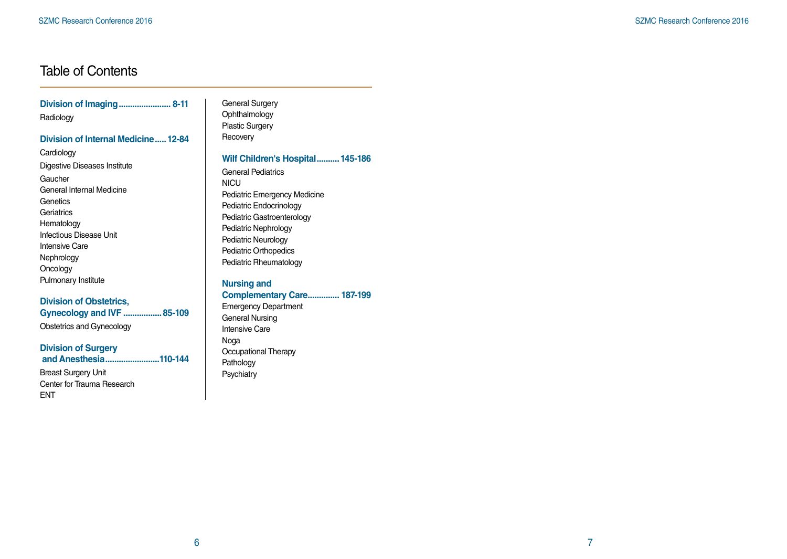# Table of Contents

| Division of Imaging 8-11<br>Radiology                                                                                                                                          | General Sur<br>Ophthalmol<br><b>Plastic Surg</b>                                                                                                 |
|--------------------------------------------------------------------------------------------------------------------------------------------------------------------------------|--------------------------------------------------------------------------------------------------------------------------------------------------|
| Division of Internal Medicine 12-84                                                                                                                                            | Recovery                                                                                                                                         |
| Cardiology                                                                                                                                                                     | <b>Wilf Child</b>                                                                                                                                |
| Digestive Diseases Institute<br>Gaucher<br>General Internal Medicine<br>Genetics<br>Geriatrics<br>Hematology<br>Infectious Disease Unit<br><b>Intensive Care</b><br>Nephrology | General Pe<br><b>NICU</b><br>Pediatric En<br>Pediatric Er<br><b>Pediatric Ga</b><br>Pediatric Ne<br>Pediatric Ne<br>Pediatric Or<br>Pediatric Rh |
| Oncology<br>Pulmonary Institute                                                                                                                                                |                                                                                                                                                  |
| <b>Division of Obstetrics,</b><br>Gynecology and IVF  85-109<br>Obstetrics and Gynecology                                                                                      | <b>Nursing a</b><br><b>Complem</b><br>Emergency<br>General Nu<br><b>Intensive Ca</b>                                                             |
| <b>Division of Surgery</b><br>and Anesthesia110-144<br><b>Rreast Surgen Linit</b>                                                                                              | Noga<br>Occupation<br>Pathology<br>Dovobiotru                                                                                                    |

Breast Surgery Unit Center for Trauma Research ENT

rgery logy yery

#### **Pren's Hospital.......... 145-186**

diatrics nergency Medicine ndocrinology astroenterology ephrology eurology rthopedics heumatology

# **nd**

**Complementary Care.............. 187-199**

**Department** ursing are nal Therapy Psychiatry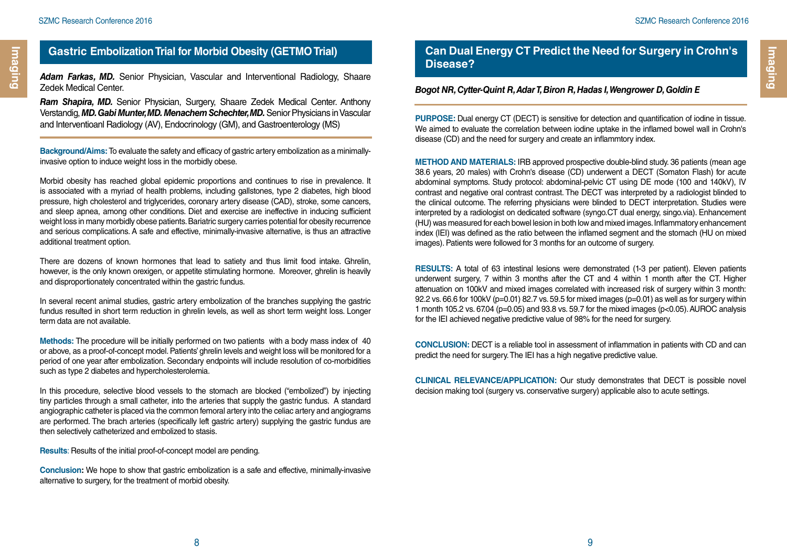**Imaging**

### **Gastric Embolization Trial for Morbid Obesity (GETMO Trial)**

*Adam Farkas, MD.* Senior Physician, Vascular and Interventional Radiology, Shaare Zedek Medical Center.

*Ram Shapira, MD.* Senior Physician, Surgery, Shaare Zedek Medical Center. Anthony Verstandig, *MD. Gabi Munter, MD. Menachem Schechter, MD.* Senior Physicians in Vascular and Interventioanl Radiology (AV), Endocrinology (GM), and Gastroenterology (MS)

**Background/Aims:** To evaluate the safety and efficacy of gastric artery embolization as a minimallyinvasive option to induce weight loss in the morbidly obese.

Morbid obesity has reached global epidemic proportions and continues to rise in prevalence. It is associated with a myriad of health problems, including gallstones, type 2 diabetes, high blood pressure, high cholesterol and triglycerides, coronary artery disease (CAD), stroke, some cancers, and sleep apnea, among other conditions. Diet and exercise are ineffective in inducing sufficient weight loss in many morbidly obese patients. Bariatric surgery carries potential for obesity recurrence and serious complications. A safe and effective, minimally-invasive alternative, is thus an attractive additional treatment option.

There are dozens of known hormones that lead to satiety and thus limit food intake. Ghrelin, however, is the only known orexigen, or appetite stimulating hormone. Moreover, ghrelin is heavily and disproportionately concentrated within the gastric fundus.

In several recent animal studies, gastric artery embolization of the branches supplying the gastric fundus resulted in short term reduction in ghrelin levels, as well as short term weight loss. Longer term data are not available.

**Methods:** The procedure will be initially performed on two patients with a body mass index of 40 or above, as a proof-of-concept model. Patients' ghrelin levels and weight loss will be monitored for a period of one year after embolization. Secondary endpoints will include resolution of co-morbidities such as type 2 diabetes and hypercholesterolemia.

In this procedure, selective blood vessels to the stomach are blocked ("embolized") by injecting tiny particles through a small catheter, into the arteries that supply the gastric fundus. A standard angiographic catheter is placed via the common femoral artery into the celiac artery and angiograms are performed. The brach arteries (specifically left gastric artery) supplying the gastric fundus are then selectively catheterized and embolized to stasis.

**Results**: Results of the initial proof-of-concept model are pending.

**Conclusion:** We hope to show that gastric embolization is a safe and effective, minimally-invasive alternative to surgery, for the treatment of morbid obesity.

### **Can Dual Energy CT Predict the Need for Surgery in Crohn's Disease?**

#### *Bogot NR, Cytter-Quint R, Adar T, Biron R, Hadas I, Wengrower D, Goldin E*

**PURPOSE:** Dual energy CT (DECT) is sensitive for detection and quantification of iodine in tissue. We aimed to evaluate the correlation between iodine uptake in the inflamed bowel wall in Crohn's disease (CD) and the need for surgery and create an inflammtory index.

**METHOD AND MATERIALS:** IRB approved prospective double-blind study. 36 patients (mean age 38.6 years, 20 males) with Crohn's disease (CD) underwent a DECT (Somaton Flash) for acute abdominal symptoms. Study protocol: abdominal-pelvic CT using DE mode (100 and 140kV), IV contrast and negative oral contrast contrast. The DECT was interpreted by a radiologist blinded to the clinical outcome. The referring physicians were blinded to DECT interpretation. Studies were interpreted by a radiologist on dedicated software (syngo.CT dual energy, singo.via). Enhancement (HU) was measured for each bowel lesion in both low and mixed images. Inflammatory enhancement index (IEI) was defined as the ratio between the inflamed segment and the stomach (HU on mixed images). Patients were followed for 3 months for an outcome of surgery.

**RESULTS:** A total of 63 intestinal lesions were demonstrated (1-3 per patient). Eleven patients underwent surgery, 7 within 3 months after the CT and 4 within 1 month after the CT. Higher attenuation on 100kV and mixed images correlated with increased risk of surgery within 3 month: 92.2 vs. 66.6 for 100kV (p=0.01) 82.7 vs. 59.5 for mixed images (p=0.01) as well as for surgery within 1 month 105.2 vs. 67.04 (p=0.05) and 93.8 vs. 59.7 for the mixed images (p<0.05). AUROC analysis for the IEI achieved negative predictive value of 98% for the need for surgery.

**CONCLUSION:** DECT is a reliable tool in assessment of inflammation in patients with CD and can predict the need for surgery. The IEI has a high negative predictive value.

**CLINICAL RELEVANCE/APPLICATION:** Our study demonstrates that DECT is possible novel decision making tool (surgery vs. conservative surgery) applicable also to acute settings.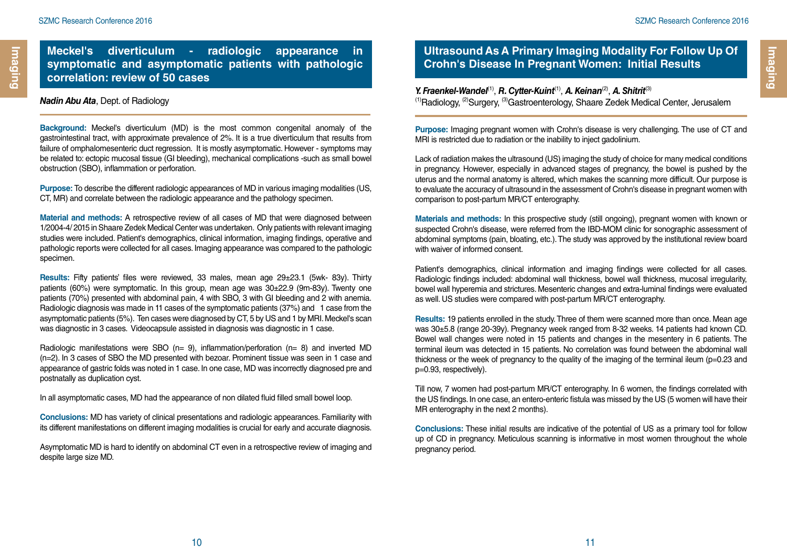### **Meckel's diverticulum - radiologic appearance in symptomatic and asymptomatic patients with pathologic correlation: review of 50 cases**

#### *Nadin Abu Ata*, Dept. of Radiology

**Background:** Meckel's diverticulum (MD) is the most common congenital anomaly of the gastrointestinal tract, with approximate prevalence of 2%. It is a true diverticulum that results from failure of omphalomesenteric duct regression. It is mostly asymptomatic. However - symptoms may be related to: ectopic mucosal tissue (GI bleeding), mechanical complications -such as small bowel obstruction (SBO), inflammation or perforation.

**Purpose:** To describe the different radiologic appearances of MD in various imaging modalities (US, CT, MR) and correlate between the radiologic appearance and the pathology specimen.

**Material and methods:** A retrospective review of all cases of MD that were diagnosed between 1/2004-4/ 2015 in Shaare Zedek Medical Center was undertaken. Only patients with relevant imaging studies were included. Patient's demographics, clinical information, imaging findings, operative and pathologic reports were collected for all cases. Imaging appearance was compared to the pathologic specimen.

**Results:** Fifty patients' files were reviewed, 33 males, mean age 29±23.1 (5wk- 83y). Thirty patients (60%) were symptomatic. In this group, mean age was 30±22.9 (9m-83y). Twenty one patients (70%) presented with abdominal pain, 4 with SBO, 3 with GI bleeding and 2 with anemia. Radiologic diagnosis was made in 11 cases of the symptomatic patients (37%) and 1 case from the asymptomatic patients (5%). Ten cases were diagnosed by CT, 5 by US and 1 by MRI. Meckel's scan was diagnostic in 3 cases. Videocapsule assisted in diagnosis was diagnostic in 1 case.

Radiologic manifestations were SBO ( $n= 9$ ), inflammation/perforation ( $n= 8$ ) and inverted MD (n=2). In 3 cases of SBO the MD presented with bezoar. Prominent tissue was seen in 1 case and appearance of gastric folds was noted in 1 case. In one case, MD was incorrectly diagnosed pre and postnatally as duplication cyst.

In all asymptomatic cases, MD had the appearance of non dilated fluid filled small bowel loop.

**Conclusions:** MD has variety of clinical presentations and radiologic appearances. Familiarity with its different manifestations on different imaging modalities is crucial for early and accurate diagnosis.

Asymptomatic MD is hard to identify on abdominal CT even in a retrospective review of imaging and despite large size MD.

### **Ultrasound As A Primary Imaging Modality For Follow Up Of Crohn's Disease In Pregnant Women: Initial Results**

*Y. Fraenkel-Wandel*(1), *R. Cytter-Kuint*(1), *A. Keinan*(2), *A. Shitrit*(3) (1)Radiology, (2)Surgery, (3)Gastroenterology, Shaare Zedek Medical Center, Jerusalem

**Purpose:** Imaging pregnant women with Crohn's disease is very challenging. The use of CT and MRI is restricted due to radiation or the inability to inject gadolinium.

Lack of radiation makes the ultrasound (US) imaging the study of choice for many medical conditions in pregnancy. However, especially in advanced stages of pregnancy, the bowel is pushed by the uterus and the normal anatomy is altered, which makes the scanning more difficult. Our purpose is to evaluate the accuracy of ultrasound in the assessment of Crohn's disease in pregnant women with comparison to post-partum MR/CT enterography.

**Materials and methods:** In this prospective study (still ongoing), pregnant women with known or suspected Crohn's disease, were referred from the IBD-MOM clinic for sonographic assessment of abdominal symptoms (pain, bloating, etc.). The study was approved by the institutional review board with waiver of informed consent.

Patient's demographics, clinical information and imaging findings were collected for all cases. Radiologic findings included: abdominal wall thickness, bowel wall thickness, mucosal irregularity, bowel wall hyperemia and strictures. Mesenteric changes and extra-luminal findings were evaluated as well. US studies were compared with post-partum MR/CT enterography.

**Results:** 19 patients enrolled in the study. Three of them were scanned more than once. Mean age was 30±5.8 (range 20-39y). Pregnancy week ranged from 8-32 weeks. 14 patients had known CD. Bowel wall changes were noted in 15 patients and changes in the mesentery in 6 patients. The terminal ileum was detected in 15 patients. No correlation was found between the abdominal wall thickness or the week of pregnancy to the quality of the imaging of the terminal ileum (p=0.23 and p=0.93, respectively).

Till now, 7 women had post-partum MR/CT enterography. In 6 women, the findings correlated with the US findings. In one case, an entero-enteric fistula was missed by the US (5 women will have their MR enterography in the next 2 months).

**Conclusions:** These initial results are indicative of the potential of US as a primary tool for follow up of CD in pregnancy. Meticulous scanning is informative in most women throughout the whole pregnancy period.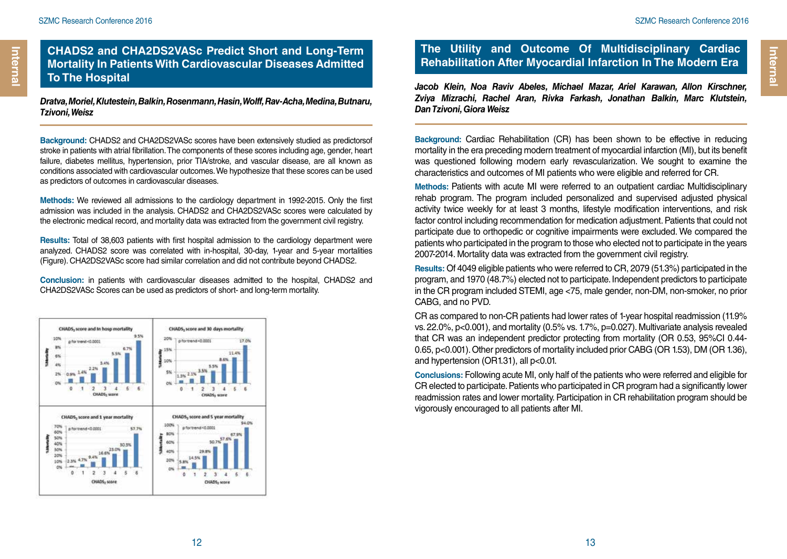### **CHADS2 and CHA2DS2VASc Predict Short and Long-Term Mortality In Patients With Cardiovascular Diseases Admitted To The Hospital**

*Dratva, Moriel, Klutestein, Balkin, Rosenmann, Hasin, Wolff, Rav-Acha, Medina, Butnaru, Tzivoni, Weisz* 

**Background:** CHADS2 and CHA2DS2VASc scores have been extensively studied as predictorsof stroke in patients with atrial fibrillation. The components of these scores including age, gender, heart failure, diabetes mellitus, hypertension, prior TIA/stroke, and vascular disease, are all known as conditions associated with cardiovascular outcomes. We hypothesize that these scores can be used as predictors of outcomes in cardiovascular diseases.

**Methods:** We reviewed all admissions to the cardiology department in 1992-2015. Only the first admission was included in the analysis. CHADS2 and CHA2DS2VASc scores were calculated by the electronic medical record, and mortality data was extracted from the government civil registry.

**Results:** Total of 38,603 patients with first hospital admission to the cardiology department were analyzed. CHADS2 score was correlated with in-hospital, 30-day, 1-year and 5-year mortalities (Figure). CHA2DS2VASc score had similar correlation and did not contribute beyond CHADS2.

**Conclusion:** in patients with cardiovascular diseases admitted to the hospital, CHADS2 and CHA2DS2VASc Scores can be used as predictors of short- and long-term mortality.



### **The Utility and Outcome Of Multidisciplinary Cardiac Rehabilitation After Myocardial Infarction In The Modern Era**

*Jacob Klein, Noa Raviv Abeles, Michael Mazar, Ariel Karawan, Allon Kirschner, Zviya Mizrachi, Rachel Aran, Rivka Farkash, Jonathan Balkin, Marc Klutstein, Dan Tzivoni, Giora Weisz*

**Background:** Cardiac Rehabilitation (CR) has been shown to be effective in reducing mortality in the era preceding modern treatment of myocardial infarction (MI), but its benefit was questioned following modern early revascularization. We sought to examine the characteristics and outcomes of MI patients who were eligible and referred for CR.

**Methods:** Patients with acute MI were referred to an outpatient cardiac Multidisciplinary rehab program. The program included personalized and supervised adjusted physical activity twice weekly for at least 3 months, lifestyle modification interventions, and risk factor control including recommendation for medication adjustment. Patients that could not participate due to orthopedic or cognitive impairments were excluded. We compared the patients who participated in the program to those who elected not to participate in the years 2007-2014. Mortality data was extracted from the government civil registry.

**Results:** Of 4049 eligible patients who were referred to CR, 2079 (51.3%) participated in the program, and 1970 (48.7%) elected not to participate. Independent predictors to participate in the CR program included STEMI, age <75, male gender, non-DM, non-smoker, no prior CABG, and no PVD.

CR as compared to non-CR patients had lower rates of 1-year hospital readmission (11.9% vs. 22.0%, p<0.001), and mortality (0.5% vs. 1.7%, p=0.027). Multivariate analysis revealed that CR was an independent predictor protecting from mortality (OR 0.53, 95%CI 0.44- 0.65, p<0.001). Other predictors of mortality included prior CABG (OR 1.53), DM (OR 1.36), and hypertension (OR1.31), all p<0.01.

**Conclusions:** Following acute MI, only half of the patients who were referred and eligible for CR elected to participate. Patients who participated in CR program had a significantly lower readmission rates and lower mortality. Participation in CR rehabilitation program should be vigorously encouraged to all patients after MI.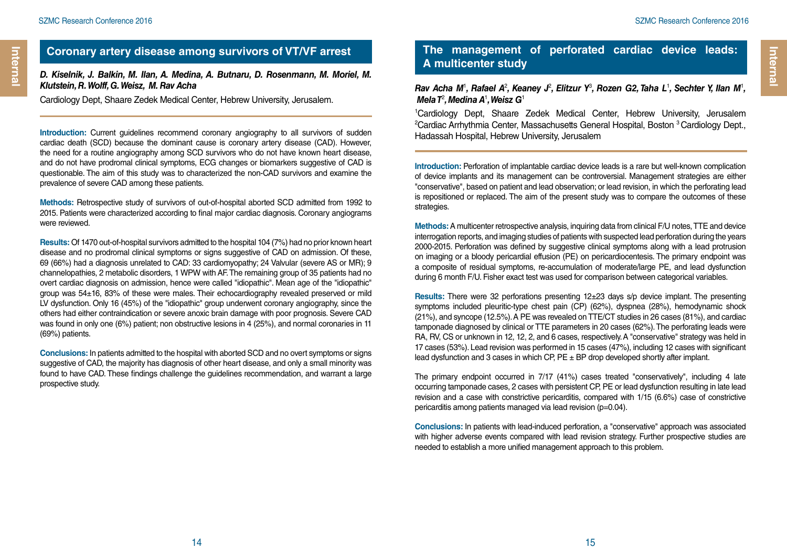### **Coronary artery disease among survivors of VT/VF arrest**

#### *D. Kiselnik, J. Balkin, M. Ilan, A. Medina, A. Butnaru, D. Rosenmann, M. Moriel, M. Klutstein, R. Wolff, G. Weisz, M. Rav Acha*

Cardiology Dept, Shaare Zedek Medical Center, Hebrew University, Jerusalem.

**Introduction:** Current guidelines recommend coronary angiography to all survivors of sudden cardiac death (SCD) because the dominant cause is coronary artery disease (CAD). However, the need for a routine angiography among SCD survivors who do not have known heart disease, and do not have prodromal clinical symptoms. ECG changes or biomarkers suggestive of CAD is questionable. The aim of this study was to characterized the non-CAD survivors and examine the prevalence of severe CAD among these patients.

**Methods:** Retrospective study of survivors of out-of-hospital aborted SCD admitted from 1992 to 2015. Patients were characterized according to final major cardiac diagnosis. Coronary angiograms were reviewed.

**Results:** Of 1470 out-of-hospital survivors admitted to the hospital 104 (7%) had no prior known heart disease and no prodromal clinical symptoms or signs suggestive of CAD on admission. Of these, 69 (66%) had a diagnosis unrelated to CAD: 33 cardiomyopathy; 24 Valvular (severe AS or MR); 9 channelopathies, 2 metabolic disorders, 1 WPW with AF. The remaining group of 35 patients had no overt cardiac diagnosis on admission, hence were called "idiopathic". Mean age of the "idiopathic" group was 54±16, 83% of these were males. Their echocardiography revealed preserved or mild LV dysfunction. Only 16 (45%) of the "idiopathic" group underwent coronary angiography, since the others had either contraindication or severe anoxic brain damage with poor prognosis. Severe CAD was found in only one (6%) patient; non obstructive lesions in 4 (25%), and normal coronaries in 11 (69%) patients.

**Conclusions:** In patients admitted to the hospital with aborted SCD and no overt symptoms or signs suggestive of CAD, the majority has diagnosis of other heart disease, and only a small minority was found to have CAD. These findings challenge the guidelines recommendation, and warrant a large prospective study.

### **The management of perforated cardiac device leads: A multicenter study**

#### Rav Acha M<sup>1</sup>, Rafael A<sup>2</sup>, Keaney J<sup>2</sup>, Elitzur Y<sup>3</sup>, Rozen G2, Taha L<sup>1</sup>, Sechter Y, Ilan M<sup>1</sup>, *Mela T<sup>2</sup>, Medina A*<sup>1</sup>, Weisz G<sup>1</sup>

1 Cardiology Dept, Shaare Zedek Medical Center, Hebrew University, Jerusalem <sup>2</sup>Cardiac Arrhythmia Center, Massachusetts General Hospital, Boston <sup>3</sup> Cardiology Dept., Hadassah Hospital, Hebrew University, Jerusalem

**Introduction:** Perforation of implantable cardiac device leads is a rare but well-known complication of device implants and its management can be controversial. Management strategies are either "conservative", based on patient and lead observation; or lead revision, in which the perforating lead is repositioned or replaced. The aim of the present study was to compare the outcomes of these strategies.

**Methods:** A multicenter retrospective analysis, inquiring data from clinical F/U notes, TTE and device interrogation reports, and imaging studies of patients with suspected lead perforation during the years 2000-2015. Perforation was defined by suggestive clinical symptoms along with a lead protrusion on imaging or a bloody pericardial effusion (PE) on pericardiocentesis. The primary endpoint was a composite of residual symptoms, re-accumulation of moderate/large PE, and lead dysfunction during 6 month F/U. Fisher exact test was used for comparison between categorical variables.

**Results:** There were 32 perforations presenting 12±23 days s/p device implant. The presenting symptoms included pleuritic-type chest pain (CP) (62%), dyspnea (28%), hemodynamic shock (21%), and syncope (12.5%). A PE was revealed on TTE/CT studies in 26 cases (81%), and cardiac tamponade diagnosed by clinical or TTE parameters in 20 cases (62%). The perforating leads were RA, RV, CS or unknown in 12, 12, 2, and 6 cases, respectively. A "conservative" strategy was held in 17 cases (53%). Lead revision was performed in 15 cases (47%), including 12 cases with significant lead dysfunction and 3 cases in which CP,  $PE \pm BP$  drop developed shortly after implant.

The primary endpoint occurred in 7/17 (41%) cases treated "conservatively", including 4 late occurring tamponade cases, 2 cases with persistent CP, PE or lead dysfunction resulting in late lead revision and a case with constrictive pericarditis, compared with 1/15 (6.6%) case of constrictive pericarditis among patients managed via lead revision (p=0.04).

**Conclusions:** In patients with lead-induced perforation, a "conservative" approach was associated with higher adverse events compared with lead revision strategy. Further prospective studies are needed to establish a more unified management approach to this problem.

**Internal** 

**Internal**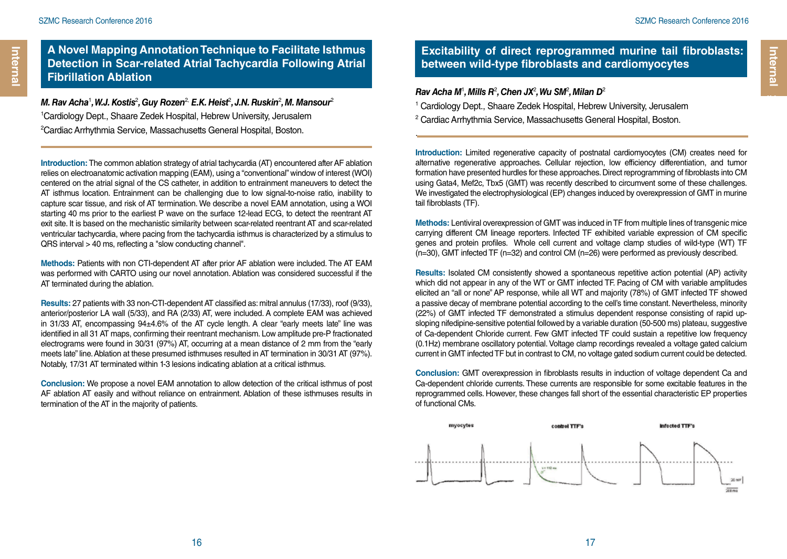Internal **Internal** 

### **A Novel Mapping Annotation Technique to Facilitate Isthmus Detection in Scar-related Atrial Tachycardia Following Atrial Fibrillation Ablation**

*M. Rav Acha<sup>1</sup>, W.J. Kostis<sup>2</sup>, Guy Rozen<sup>2,</sup> E.K. Heist<sup>2</sup>, J.N. Ruskin<sup>2</sup>, M. Mansour<sup>2</sup>* 1 Cardiology Dept., Shaare Zedek Hospital, Hebrew University, Jerusalem <sup>2</sup>Cardiac Arrhythmia Service, Massachusetts General Hospital, Boston.

**Introduction:** The common ablation strategy of atrial tachycardia (AT) encountered after AF ablation relies on electroanatomic activation mapping (EAM), using a "conventional" window of interest (WOI) centered on the atrial signal of the CS catheter, in addition to entrainment maneuvers to detect the AT isthmus location. Entrainment can be challenging due to low signal-to-noise ratio, inability to capture scar tissue, and risk of AT termination. We describe a novel EAM annotation, using a WOI starting 40 ms prior to the earliest P wave on the surface 12-lead ECG, to detect the reentrant AT exit site. It is based on the mechanistic similarity between scar-related reentrant AT and scar-related ventricular tachycardia, where pacing from the tachycardia isthmus is characterized by a stimulus to QRS interval > 40 ms, reflecting a "slow conducting channel".

**Methods:** Patients with non CTI-dependent AT after prior AF ablation were included. The AT EAM was performed with CARTO using our novel annotation. Ablation was considered successful if the AT terminated during the ablation.

**Results:** 27 patients with 33 non-CTI-dependent AT classified as: mitral annulus (17/33), roof (9/33), anterior/posterior LA wall (5/33), and RA (2/33) AT, were included. A complete EAM was achieved in 31/33 AT, encompassing 94±4.6% of the AT cycle length. A clear "early meets late" line was identified in all 31 AT maps, confirming their reentrant mechanism. Low amplitude pre-P fractionated electrograms were found in 30/31 (97%) AT, occurring at a mean distance of 2 mm from the "early meets late" line. Ablation at these presumed isthmuses resulted in AT termination in 30/31 AT (97%). Notably, 17/31 AT terminated within 1-3 lesions indicating ablation at a critical isthmus.

**Conclusion:** We propose a novel EAM annotation to allow detection of the critical isthmus of post AF ablation AT easily and without reliance on entrainment. Ablation of these isthmuses results in termination of the AT in the majority of patients.

### **Excitability of direct reprogrammed murine tail fibroblasts: between wild-type fibroblasts and cardiomyocytes**

#### *Rav Acha M*<sup>1</sup> *, Mills R*<sup>2</sup> *, Chen JX*<sup>2</sup> *, Wu SM*<sup>2</sup> *, Milan D*<sup>2</sup>

.

<sup>1</sup> Cardiology Dept., Shaare Zedek Hospital, Hebrew University, Jerusalem

2 Cardiac Arrhythmia Service, Massachusetts General Hospital, Boston.

**Introduction:** Limited regenerative capacity of postnatal cardiomyocytes (CM) creates need for alternative regenerative approaches. Cellular rejection, low efficiency differentiation, and tumor formation have presented hurdles for these approaches. Direct reprogramming of fibroblasts into CM using Gata4, Mef2c, Tbx5 (GMT) was recently described to circumvent some of these challenges. We investigated the electrophysiological (EP) changes induced by overexpression of GMT in murine tail fibroblasts (TF).

**Methods:** Lentiviral overexpression of GMT was induced in TF from multiple lines of transgenic mice carrying different CM lineage reporters. Infected TF exhibited variable expression of CM specific genes and protein profiles. Whole cell current and voltage clamp studies of wild-type (WT) TF (n=30), GMT infected TF (n=32) and control CM (n=26) were performed as previously described.

**Results:** Isolated CM consistently showed a spontaneous repetitive action potential (AP) activity which did not appear in any of the WT or GMT infected TF. Pacing of CM with variable amplitudes elicited an "all or none" AP response, while all WT and majority (78%) of GMT infected TF showed a passive decay of membrane potential according to the cell's time constant. Nevertheless, minority (22%) of GMT infected TF demonstrated a stimulus dependent response consisting of rapid upsloping nifedipine-sensitive potential followed by a variable duration (50-500 ms) plateau, suggestive of Ca-dependent Chloride current. Few GMT infected TF could sustain a repetitive low frequency (0.1Hz) membrane oscillatory potential. Voltage clamp recordings revealed a voltage gated calcium current in GMT infected TF but in contrast to CM, no voltage gated sodium current could be detected.

**Conclusion:** GMT overexpression in fibroblasts results in induction of voltage dependent Ca and Ca-dependent chloride currents. These currents are responsible for some excitable features in the reprogrammed cells. However, these changes fall short of the essential characteristic EP properties of functional CMs.

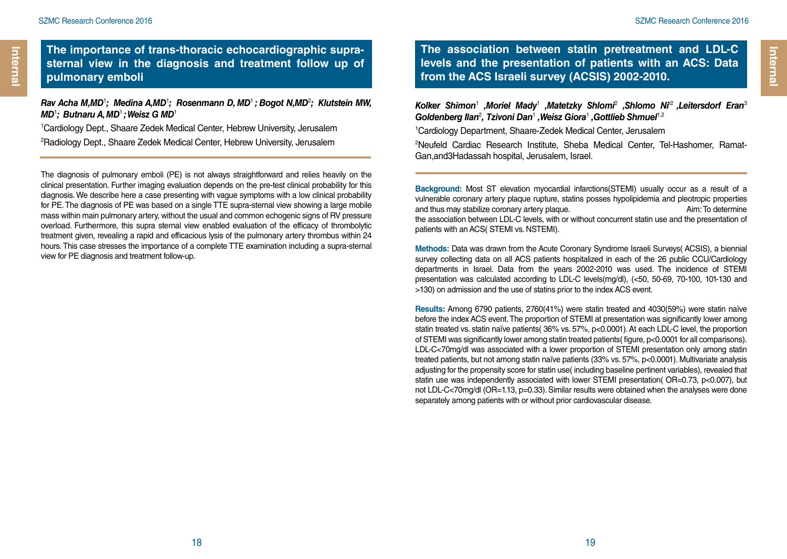**Internal Internal**

**The importance of trans-thoracic echocardiographic suprasternal view in the diagnosis and treatment follow up of pulmonary emboli**

#### *Rav Acha M,MD*<sup>1</sup> *; Medina A,MD*<sup>1</sup> *; Rosenmann D, MD*<sup>1</sup>*; Bogot N,MD*<sup>2</sup> *; Klutstein MW, MD*<sup>1</sup> *; Butnaru A, MD*<sup>1</sup>*; Weisz G MD*<sup>1</sup>

1 Cardiology Dept., Shaare Zedek Medical Center, Hebrew University, Jerusalem 2 Radiology Dept., Shaare Zedek Medical Center, Hebrew University, Jerusalem

The diagnosis of pulmonary emboli (PE) is not always straightforward and relies heavily on the clinical presentation. Further imaging evaluation depends on the pre-test clinical probability for this diagnosis. We describe here a case presenting with vague symptoms with a low clinical probability for PE. The diagnosis of PE was based on a single TTE supra-sternal view showing a large mobile mass within main pulmonary artery, without the usual and common echogenic signs of RV pressure overload. Furthermore, this supra sternal view enabled evaluation of the efficacy of thrombolytic treatment given, revealing a rapid and efficacious lysis of the pulmonary artery thrombus within 24 hours. This case stresses the importance of a complete TTE examination including a supra-sternal view for PE diagnosis and treatment follow-up.

**The association between statin pretreatment and LDL-C levels and the presentation of patients with an ACS: Data from the ACS Israeli survey (ACSIS) 2002-2010.** 

*Kolker Shimon*<sup>1</sup>  *,Moriel Mady*<sup>1</sup>  *,Matetzky Shlomi*<sup>2</sup>  *,Shlomo Ni*r2 *,Leitersdorf Eran*<sup>3</sup> Goldenberg Ilan<sup>2</sup>, Tzivoni Dan<sup>1</sup>, Weisz Giora<sup>1</sup>, Gottlieb Shmuel<sup>1,2</sup>

1 Cardiology Department, Shaare-Zedek Medical Center, Jerusalem

2 Neufeld Cardiac Research Institute, Sheba Medical Center, Tel-Hashomer, Ramat-Gan,and3Hadassah hospital, Jerusalem, Israel.

**Background:** Most ST elevation myocardial infarctions(STEMI) usually occur as a result of a vulnerable coronary artery plaque rupture, statins posses hypolipidemia and pleotropic properties and thus may stabilize coronary artery plaque. Aim: To determine the association between LDL-C levels, with or without concurrent statin use and the presentation of patients with an ACS( STEMI vs. NSTEMI).

**Methods:** Data was drawn from the Acute Coronary Syndrome Israeli Surveys( ACSIS), a biennial survey collecting data on all ACS patients hospitalized in each of the 26 public CCU/Cardiology departments in Israel. Data from the years 2002-2010 was used. The incidence of STEMI presentation was calculated according to LDL-C levels(mg/dl), (<50, 50-69, 70-100, 101-130 and >130) on admission and the use of statins prior to the index ACS event.

**Results:** Among 6790 patients, 2760(41%) were statin treated and 4030(59%) were statin naïve before the index ACS event. The proportion of STEMI at presentation was significantly lower among statin treated vs. statin naïve patients( 36% vs. 57%, p<0.0001). At each LDL-C level, the proportion of STEMI was significantly lower among statin treated patients( figure, p<0.0001 for all comparisons). LDL-C<70mg/dl was associated with a lower proportion of STEMI presentation only among statin treated patients, but not among statin naïve patients (33% vs. 57%, p<0.0001). Multivariate analysis adjusting for the propensity score for statin use( including baseline pertinent variables), revealed that statin use was independently associated with lower STEMI presentation( OR=0.73, p<0.007), but not LDL-C<70mg/dl (OR=1.13, p=0.33). Similar results were obtained when the analyses were done separately among patients with or without prior cardiovascular disease.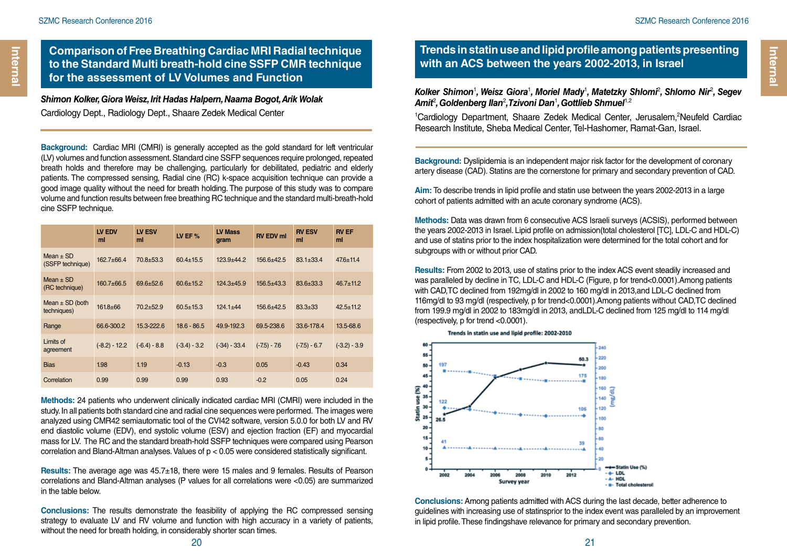**Comparison of Free Breathing Cardiac MRI Radial technique to the Standard Multi breath-hold cine SSFP CMR technique for the assessment of LV Volumes and Function**

*Shimon Kolker, Giora Weisz, Irit Hadas Halpern, Naama Bogot, Arik Wolak*  Cardiology Dept., Radiology Dept., Shaare Zedek Medical Center

**Background:** Cardiac MRI (CMRI) is generally accepted as the gold standard for left ventricular (LV) volumes and function assessment. Standard cine SSFP sequences require prolonged, repeated breath holds and therefore may be challenging, particularly for debilitated, pediatric and elderly patients. The compressed sensing, Radial cine (RC) k-space acquisition technique can provide a good image quality without the need for breath holding. The purpose of this study was to compare volume and function results between free breathing RC technique and the standard multi-breath-hold cine SSFP technique.

|                                    | LV EDV<br>ml    | LV ESV<br>ml    | LV EF $%$       | <b>LV Mass</b><br>qram | <b>RV EDV ml</b> | <b>RV ESV</b><br>ml | <b>RV EF</b><br>ml |
|------------------------------------|-----------------|-----------------|-----------------|------------------------|------------------|---------------------|--------------------|
| $Mean + SD$<br>(SSFP technique)    | $162.7 + 66.4$  | $70.8 + 53.3$   | $60.4 \pm 15.5$ | $123.9 + 44.2$         | $156.6 + 42.5$   | $83.1 \pm 33.4$     | $476 + 11.4$       |
| Mean $\pm$ SD<br>(RC technique)    | 160.7±66.5      | $69.6 \pm 52.6$ | $60.6 + 15.2$   | $124.3 + 45.9$         | $156.5 \pm 43.3$ | 83.6±33.3           | $46.7 + 11.2$      |
| Mean $\pm$ SD (both<br>techniques) | $161.8 + 66$    | $70.2 + 52.9$   | $60.5 + 15.3$   | $124.1 + 44$           | $156.6 + 42.5$   | $83.3 \pm 33$       | $42.5 + 11.2$      |
| Range                              | 66.6-300.2      | 15.3-222.6      | $18.6 - 86.5$   | 49.9-192.3             | 69.5-238.6       | 33.6-178.4          | 13.5-68.6          |
| Limits of<br>agreement             | $(-8.2) - 12.2$ | $(-6.4) - 8.8$  | $(-3.4) - 3.2$  | $(-34) - 33.4$         | $(-7.5) - 7.6$   | $(-7.5) - 6.7$      | $(-3.2) - 3.9$     |
| <b>Bias</b>                        | 1.98            | 1.19            | $-0.13$         | $-0.3$                 | 0.05             | $-0.43$             | 0.34               |
| Correlation                        | 0.99            | 0.99            | 0.99            | 0.93                   | $-0.2$           | 0.05                | 0.24               |

**Methods:** 24 patients who underwent clinically indicated cardiac MRI (CMRI) were included in the study. In all patients both standard cine and radial cine sequences were performed. The images were analyzed using CMR42 semiautomatic tool of the CVI42 software, version 5.0.0 for both LV and RV end diastolic volume (EDV), end systolic volume (ESV) and ejection fraction (EF) and myocardial mass for LV. The RC and the standard breath-hold SSFP techniques were compared using Pearson correlation and Bland-Altman analyses. Values of p < 0.05 were considered statistically significant.

**Results:** The average age was 45.7±18, there were 15 males and 9 females. Results of Pearson correlations and Bland-Altman analyses (P values for all correlations were <0.05) are summarized in the table below.

**Conclusions:** The results demonstrate the feasibility of applying the RC compressed sensing strategy to evaluate LV and RV volume and function with high accuracy in a variety of patients, without the need for breath holding, in considerably shorter scan times.

### **Trends in statin use and lipid profile among patients presenting with an ACS between the years 2002-2013, in Israel**

Kolker Shimon<sup>1</sup>, Weisz Giora<sup>1</sup>, Moriel Mady<sup>1</sup>, Matetzky Shlomi<sup>2</sup>, Shlomo Nir<sup>2</sup>, Segev *Amit*<sup>2</sup> *, Goldenberg Ilan*<sup>2</sup> *, Tzivoni Dan*<sup>1</sup> *, Gottlieb Shmuel*1,2

<sup>1</sup>Cardiology Department, Shaare Zedek Medical Center, Jerusalem,<sup>2</sup>Neufeld Cardiac Research Institute, Sheba Medical Center, Tel-Hashomer, Ramat-Gan, Israel.

**Background:** Dyslipidemia is an independent major risk factor for the development of coronary artery disease (CAD). Statins are the cornerstone for primary and secondary prevention of CAD.

**Aim:** To describe trends in lipid profile and statin use between the years 2002-2013 in a large cohort of patients admitted with an acute coronary syndrome (ACS).

**Methods:** Data was drawn from 6 consecutive ACS Israeli surveys (ACSIS), performed between the years 2002-2013 in Israel. Lipid profile on admission(total cholesterol [TC], LDL-C and HDL-C) and use of statins prior to the index hospitalization were determined for the total cohort and for subgroups with or without prior CAD.

**Results:** From 2002 to 2013, use of statins prior to the index ACS event steadily increased and was paralleled by decline in TC, LDL-C and HDL-C (Figure, p for trend<0.0001).Among patients with CAD,TC declined from 192mg/dl in 2002 to 160 mg/dl in 2013,and LDL-C declined from 116mg/dl to 93 mg/dl (respectively, p for trend<0.0001).Among patients without CAD,TC declined from 199.9 mg/dl in 2002 to 183mg/dl in 2013, andLDL-C declined from 125 mg/dl to 114 mg/dl (respectively, p for trend <0.0001).



**Conclusions:** Among patients admitted with ACS during the last decade, better adherence to guidelines with increasing use of statinsprior to the index event was paralleled by an improvement in lipid profile. These findingshave relevance for primary and secondary prevention.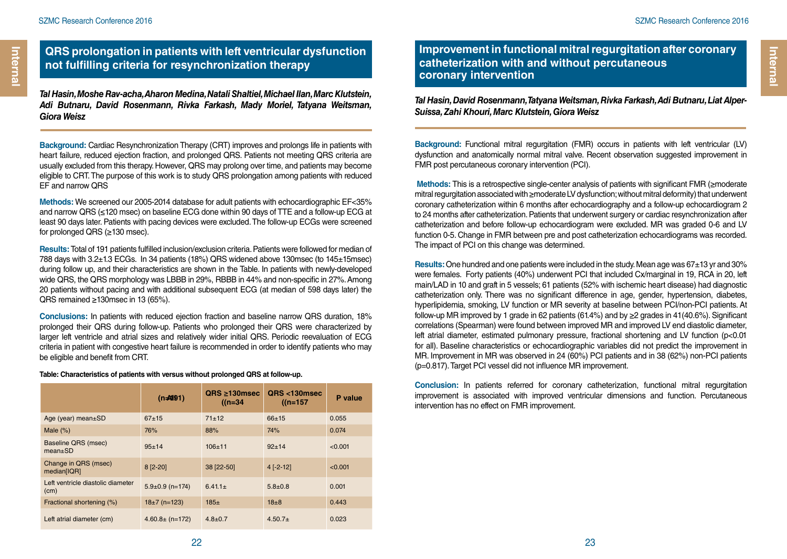### **QRS prolongation in patients with left ventricular dysfunction not fulfilling criteria for resynchronization therapy**

*Tal Hasin, Moshe Rav-acha, Aharon Medina, Natali Shaltiel, Michael Ilan, Marc Klutstein, Adi Butnaru, David Rosenmann, Rivka Farkash, Mady Moriel, Tatyana Weitsman, Giora Weisz*

**Background:** Cardiac Resynchronization Therapy (CRT) improves and prolongs life in patients with heart failure, reduced ejection fraction, and prolonged QRS. Patients not meeting QRS criteria are usually excluded from this therapy. However, QRS may prolong over time, and patients may become eligible to CRT. The purpose of this work is to study QRS prolongation among patients with reduced EF and narrow QRS

**Methods:** We screened our 2005-2014 database for adult patients with echocardiographic EF<35% and narrow QRS (≤120 msec) on baseline ECG done within 90 days of TTE and a follow-up ECG at least 90 days later. Patients with pacing devices were excluded. The follow-up ECGs were screened for prolonged QRS (≥130 msec).

**Results:** Total of 191 patients fulfilled inclusion/exclusion criteria. Patients were followed for median of 788 days with 3.2±1.3 ECGs. In 34 patients (18%) QRS widened above 130msec (to 145±15msec) during follow up, and their characteristics are shown in the Table. In patients with newly-developed wide QRS, the QRS morphology was LBBB in 29%, RBBB in 44% and non-specific in 27%. Among 20 patients without pacing and with additional subsequent ECG (at median of 598 days later) the QRS remained ≥130msec in 13 (65%).

**Conclusions:** In patients with reduced ejection fraction and baseline narrow QRS duration, 18% prolonged their QRS during follow-up. Patients who prolonged their QRS were characterized by larger left ventricle and atrial sizes and relatively wider initial QRS. Periodic reevaluation of ECG criteria in patient with congestive heart failure is recommended in order to identify patients who may be eligible and benefit from CRT.

|                                           | $(n=191)$             | $QRS \geq 130$ msec<br>$(n=34)$ | QRS <130msec<br>$(n=157)$ | P value |
|-------------------------------------------|-----------------------|---------------------------------|---------------------------|---------|
| Age (year) mean±SD                        | $67 + 15$             | $71 + 12$                       | $66 + 15$                 | 0.055   |
| Male $(\%)$                               | 76%                   | 88%                             | 74%                       | 0.074   |
| Baseline QRS (msec)<br>$mean \pm SD$      | $95+14$               | $106+11$                        | $92+14$                   | < 0.001 |
| Change in QRS (msec)<br>median[IQR]       | $8 [2 - 20]$          | 38 [22-50]                      | $4$ [-2-12]               | < 0.001 |
| Left ventricle diastolic diameter<br>(cm) | $5.9 \pm 0.9$ (n=174) | $6.41.1 \pm$                    | $5.8 + 0.8$               | 0.001   |
| Fractional shortening (%)                 | $18\pm7$ (n=123)      | $185+$                          | $18\pm8$                  | 0.443   |
| Left atrial diameter (cm)                 | $4.60.8\pm(n=172)$    | $4.8 + 0.7$                     | $4.50.7+$                 | 0.023   |

#### **Table: Characteristics of patients with versus without prolonged QRS at follow-up.**

**Improvement in functional mitral regurgitation after coronary catheterization with and without percutaneous coronary intervention**

*Tal Hasin, David Rosenmann, Tatyana Weitsman, Rivka Farkash, Adi Butnaru, Liat Alper-Suissa, Zahi Khouri, Marc Klutstein, Giora Weisz*

**Background:** Functional mitral regurgitation (FMR) occurs in patients with left ventricular (LV) dysfunction and anatomically normal mitral valve. Recent observation suggested improvement in FMR post percutaneous coronary intervention (PCI).

**Methods:** This is a retrospective single-center analysis of patients with significant FMR (≥moderate mitral regurgitation associated with ≥moderate LV dysfunction; without mitral deformity) that underwent coronary catheterization within 6 months after echocardiography and a follow-up echocardiogram 2 to 24 months after catheterization. Patients that underwent surgery or cardiac resynchronization after catheterization and before follow-up echocardiogram were excluded. MR was graded 0-6 and LV function 0-5. Change in FMR between pre and post catheterization echocardiograms was recorded. The impact of PCI on this change was determined.

**Results:** One hundred and one patients were included in the study. Mean age was 67±13 yr and 30% were females. Forty patients (40%) underwent PCI that included Cx/marginal in 19, RCA in 20, left main/LAD in 10 and graft in 5 vessels; 61 patients (52% with ischemic heart disease) had diagnostic catheterization only. There was no significant difference in age, gender, hypertension, diabetes, hyperlipidemia, smoking, LV function or MR severity at baseline between PCI/non-PCI patients. At follow-up MR improved by 1 grade in 62 patients (61.4%) and by  $\geq$  grades in 41(40.6%). Significant correlations (Spearman) were found between improved MR and improved LV end diastolic diameter, left atrial diameter, estimated pulmonary pressure, fractional shortening and LV function (p<0.01 for all). Baseline characteristics or echocardiographic variables did not predict the improvement in MR. Improvement in MR was observed in 24 (60%) PCI patients and in 38 (62%) non-PCI patients (p=0.817). Target PCI vessel did not influence MR improvement.

**Conclusion:** In patients referred for coronary catheterization, functional mitral regurgitation improvement is associated with improved ventricular dimensions and function. Percutaneous intervention has no effect on FMR improvement.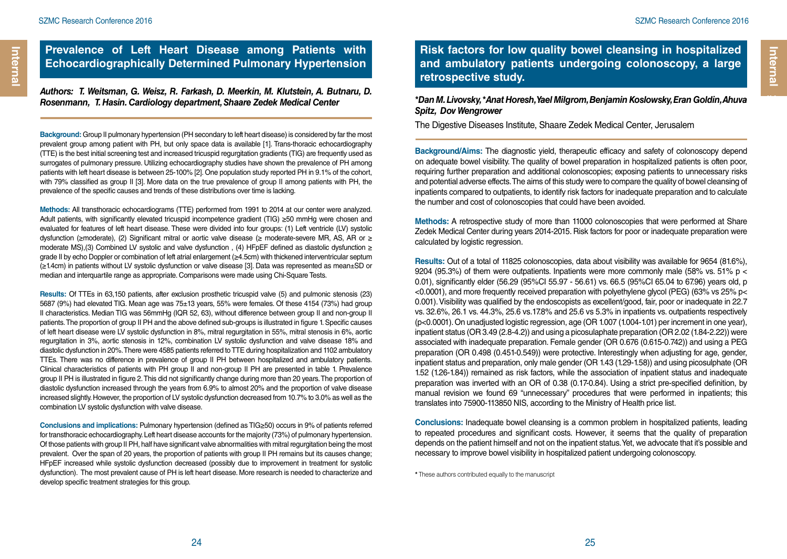### **Prevalence of Left Heart Disease among Patients with Echocardiographically Determined Pulmonary Hypertension**

*Authors: T. Weitsman, G. Weisz, R. Farkash, D. Meerkin, M. Klutstein, A. Butnaru, D. Rosenmann, T. Hasin. Cardiology department, Shaare Zedek Medical Center*

**Background:** Group II pulmonary hypertension (PH secondary to left heart disease) is considered by far the most prevalent group among patient with PH, but only space data is available [1]. Trans-thoracic echocardiography (TTE) is the best initial screening test and increased tricuspid regurgitation gradients (TIG) are frequently used as surrogates of pulmonary pressure. Utilizing echocardiography studies have shown the prevalence of PH among patients with left heart disease is between 25-100% [2]. One population study reported PH in 9.1% of the cohort, with 79% classified as group II [3]. More data on the true prevalence of group II among patients with PH, the prevalence of the specific causes and trends of these distributions over time is lacking.

**Methods:** All transthoracic echocardiograms (TTE) performed from 1991 to 2014 at our center were analyzed. Adult patients, with significantly elevated tricuspid incompetence gradient (TIG) ≥50 mmHg were chosen and evaluated for features of left heart disease. These were divided into four groups: (1) Left ventricle (LV) systolic dysfunction (≥moderate), (2) Significant mitral or aortic valve disease (≥ moderate-severe MR, AS, AR or ≥ moderate MS),(3) Combined LV systolic and valve dysfunction , (4) HFpEF defined as diastolic dysfunction ≥ grade II by echo Doppler or combination of left atrial enlargement (≥4.5cm) with thickened interventricular septum (≥1.4cm) in patients without LV systolic dysfunction or valve disease [3]. Data was represented as mean±SD or median and interquartile range as appropriate. Comparisons were made using Chi-Square Tests.

**Results:** Of TTEs in 63,150 patients, after exclusion prosthetic tricuspid valve (5) and pulmonic stenosis (23) 5687 (9%) had elevated TIG. Mean age was 75±13 years, 55% were females. Of these 4154 (73%) had group II characteristics. Median TIG was 56mmHg (IQR 52, 63), without difference between group II and non-group II patients. The proportion of group II PH and the above defined sub-groups is illustrated in figure 1. Specific causes of left heart disease were LV systolic dysfunction in 8%, mitral regurgitation in 55%, mitral stenosis in 6%, aortic regurgitation in 3%, aortic stenosis in 12%, combination LV systolic dysfunction and valve disease 18% and diastolic dysfunction in 20%. There were 4585 patients referred to TTE during hospitalization and 1102 ambulatory TTEs. There was no difference in prevalence of group II PH between hospitalized and ambulatory patients. Clinical characteristics of patients with PH group II and non-group II PH are presented in table 1. Prevalence group II PH is illustrated in figure 2. This did not significantly change during more than 20 years. The proportion of diastolic dysfunction increased through the years from 6.9% to almost 20% and the proportion of valve disease increased slightly. However, the proportion of LV systolic dysfunction decreased from 10.7% to 3.0% as well as the combination LV systolic dysfunction with valve disease.

**Conclusions and implications:** Pulmonary hypertension (defined as TIG≥50) occurs in 9% of patients referred for transthoracic echocardiography. Left heart disease accounts for the majority (73%) of pulmonary hypertension. Of those patients with group II PH, half have significant valve abnormalities with mitral regurgitation being the most prevalent. Over the span of 20 years, the proportion of patients with group II PH remains but its causes change; HFpEF increased while systolic dysfunction decreased (possibly due to improvement in treatment for systolic dysfunction). The most prevalent cause of PH is left heart disease. More research is needed to characterize and develop specific treatment strategies for this group.

**Risk factors for low quality bowel cleansing in hospitalized and ambulatory patients undergoing colonoscopy, a large retrospective study.**

*\*Dan M. Livovsky, \*Anat Horesh, Yael Milgrom, Benjamin Koslowsky, Eran Goldin, Ahuva Spitz, Dov Wengrower*

The Digestive Diseases Institute, Shaare Zedek Medical Center, Jerusalem

**Background/Aims:** The diagnostic yield, therapeutic efficacy and safety of colonoscopy depend on adequate bowel visibility. The quality of bowel preparation in hospitalized patients is often poor, requiring further preparation and additional colonoscopies; exposing patients to unnecessary risks and potential adverse effects. The aims of this study were to compare the quality of bowel cleansing of inpatients compared to outpatients, to identify risk factors for inadequate preparation and to calculate the number and cost of colonoscopies that could have been avoided.

**Methods:** A retrospective study of more than 11000 colonoscopies that were performed at Share Zedek Medical Center during years 2014-2015. Risk factors for poor or inadequate preparation were calculated by logistic regression.

**Results:** Out of a total of 11825 colonoscopies, data about visibility was available for 9654 (81.6%), 9204 (95.3%) of them were outpatients. Inpatients were more commonly male (58% vs. 51% p  $<$ 0.01), significantly elder (56.29 (95%CI 55.97 - 56.61) vs. 66.5 (95%CI 65.04 to 67.96) years old, p <0.0001), and more frequently received preparation with polyethylene glycol (PEG) (63% vs 25% p< 0.001). Visibility was qualified by the endoscopists as excellent/good, fair, poor or inadequate in 22.7 vs. 32.6%, 26.1 vs. 44.3%, 25.6 vs.17.8% and 25.6 vs 5.3% in inpatients vs. outpatients respectively (p<0.0001). On unadjusted logistic regression, age (OR 1.007 (1.004-1.01) per increment in one year), inpatient status (OR 3.49 (2.8-4.2)) and using a picosulaphate preparation (OR 2.02 (1.84-2.22)) were associated with inadequate preparation. Female gender (OR 0.676 (0.615-0.742)) and using a PEG preparation (OR 0.498 (0.451-0.549)) were protective. Interestingly when adjusting for age, gender, inpatient status and preparation, only male gender (OR 1.43 (1.29-1.58)) and using picosulphate (OR 1.52 (1.26-1.84)) remained as risk factors, while the association of inpatient status and inadequate preparation was inverted with an OR of 0.38 (0.17-0.84). Using a strict pre-specified definition, by manual revision we found 69 "unnecessary" procedures that were performed in inpatients; this translates into 75900-113850 NIS, according to the Ministry of Health price list.

**Conclusions:** Inadequate bowel cleansing is a common problem in hospitalized patients, leading to repeated procedures and significant costs. However, it seems that the quality of preparation depends on the patient himself and not on the inpatient status. Yet, we advocate that it's possible and necessary to improve bowel visibility in hospitalized patient undergoing colonoscopy.

*\** These authors contributed equally to the manuscript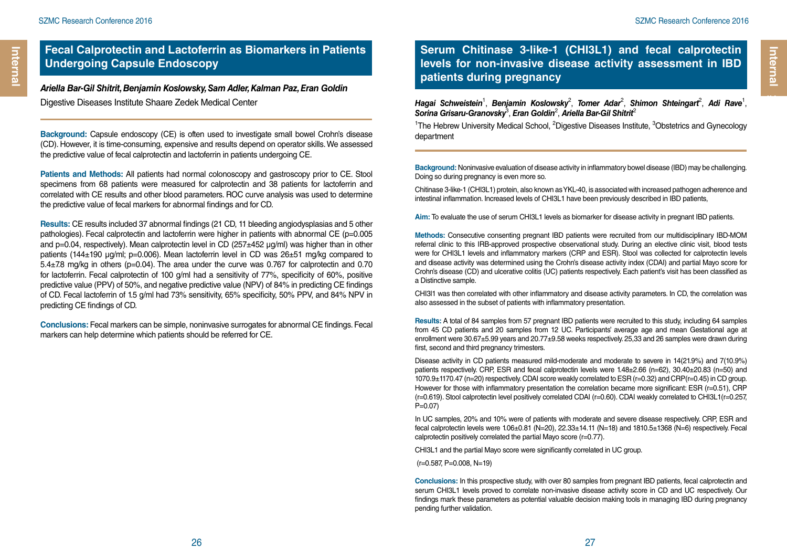**Internal Internal**

*Ariella Bar-Gil Shitrit, Benjamin Koslowsky, Sam Adler, Kalman Paz, Eran Goldin* Digestive Diseases Institute Shaare Zedek Medical Center

**Background:** Capsule endoscopy (CE) is often used to investigate small bowel Crohn's disease (CD). However, it is time-consuming, expensive and results depend on operator skills. We assessed the predictive value of fecal calprotectin and lactoferrin in patients undergoing CE.

**Patients and Methods:** All patients had normal colonoscopy and gastroscopy prior to CE. Stool specimens from 68 patients were measured for calprotectin and 38 patients for lactoferrin and correlated with CE results and other blood parameters. ROC curve analysis was used to determine the predictive value of fecal markers for abnormal findings and for CD.

**Results:** CE results included 37 abnormal findings (21 CD, 11 bleeding angiodysplasias and 5 other pathologies). Fecal calprotectin and lactoferrin were higher in patients with abnormal CE (p=0.005 and p=0.04, respectively). Mean calprotectin level in CD (257±452 µg/ml) was higher than in other patients (144 $\pm$ 190 µg/ml; p=0.006). Mean lactoferrin level in CD was  $26\pm51$  mg/kg compared to 5.4±7.8 mg/kg in others (p=0.04). The area under the curve was 0.767 for calprotectin and 0.70 for lactoferrin. Fecal calprotectin of 100 g/ml had a sensitivity of 77%, specificity of 60%, positive predictive value (PPV) of 50%, and negative predictive value (NPV) of 84% in predicting CE findings of CD. Fecal lactoferrin of 1.5 g/ml had 73% sensitivity, 65% specificity, 50% PPV, and 84% NPV in predicting CE findings of CD.

**Conclusions:** Fecal markers can be simple, noninvasive surrogates for abnormal CE findings. Fecal markers can help determine which patients should be referred for CE.

# **Serum Chitinase 3-like-1 (CHI3L1) and fecal calprotectin levels for non-invasive disease activity assessment in IBD patients during pregnancy Internal Chitinese 3-IIKe-1 (CHI3L1) and fecal calprotectin<br>
levels for non-invasive disease activity assessment in IBD<br>
patients during pregnancy<br>
Hagai Schweistein<sup>1</sup>, Benjamin Koslowsky<sup>2</sup>, Tomer Adar<sup>2</sup>, Shimon Shtein**

, *Benjamin Koslowsky*<sup>2</sup> , *Tomer Adar*<sup>2</sup> , *Shimon Shteingart*<sup>2</sup> , *Adi Rave*<sup>1</sup> , *Sorina Grisaru-Granovsky*<sup>3</sup> , *Eran Goldin*<sup>2</sup> , *Ariella Bar-Gil Shitrit*<sup>2</sup>

<sup>1</sup>The Hebrew University Medical School, <sup>2</sup>Digestive Diseases Institute, <sup>3</sup>Obstetrics and Gynecology department

**Background:** Noninvasive evaluation of disease activity in inflammatory bowel disease (IBD) may be challenging. Doing so during pregnancy is even more so.

Chitinase 3-like-1 (CHI3L1) protein, also known as YKL-40, is associated with increased pathogen adherence and intestinal inflammation. Increased levels of CHI3L1 have been previously described in IBD patients,

**Aim:** To evaluate the use of serum CHI3L1 levels as biomarker for disease activity in pregnant IBD patients.

**Methods:** Consecutive consenting pregnant IBD patients were recruited from our multidisciplinary IBD-MOM referral clinic to this IRB-approved prospective observational study. During an elective clinic visit, blood tests were for CHI3L1 levels and inflammatory markers (CRP and ESR). Stool was collected for calprotectin levels and disease activity was determined using the Crohn's disease activity index (CDAI) and partial Mayo score for Crohn's disease (CD) and ulcerative colitis (UC) patients respectively. Each patient's visit has been classified as a Distinctive sample.

CHI3l1 was then correlated with other inflammatory and disease activity parameters. In CD, the correlation was also assessed in the subset of patients with inflammatory presentation.

**Results:** A total of 84 samples from 57 pregnant IBD patients were recruited to this study, including 64 samples from 45 CD patients and 20 samples from 12 UC. Participants' average age and mean Gestational age at enrollment were 30.67±5.99 years and 20.77±9.58 weeks respectively. 25,33 and 26 samples were drawn during first, second and third pregnancy trimesters.

Disease activity in CD patients measured mild-moderate and moderate to severe in 14(21.9%) and 7(10.9%) patients respectively. CRP, ESR and fecal calprotectin levels were 1.48±2.66 (n=62), 30.40±20.83 (n=50) and 1070.9±1170.47 (n=20) respectively. CDAI score weakly correlated to ESR (r=0.32) and CRP(r=0.45) in CD group. However for those with inflammatory presentation the correlation became more significant: ESR (r=0.51), CRP (r=0.619). Stool calprotectin level positively correlated CDAI (r=0.60). CDAI weakly correlated to CHI3L1(r=0.257, P=0.07)

In UC samples, 20% and 10% were of patients with moderate and severe disease respectively. CRP, ESR and fecal calprotectin levels were 1.06±0.81 (N=20), 22.33±14.11 (N=18) and 1810.5±1368 (N=6) respectively. Fecal calprotectin positively correlated the partial Mayo score (r=0.77).

CHI3L1 and the partial Mayo score were significantly correlated in UC group.

 $(r=0.587, P=0.008, N=19)$ 

**Conclusions:** In this prospective study, with over 80 samples from pregnant IBD patients, fecal calprotectin and serum CHI3L1 levels proved to correlate non-invasive disease activity score in CD and UC respectively. Our findings mark these parameters as potential valuable decision making tools in managing IBD during pregnancy pending further validation.

**Internal**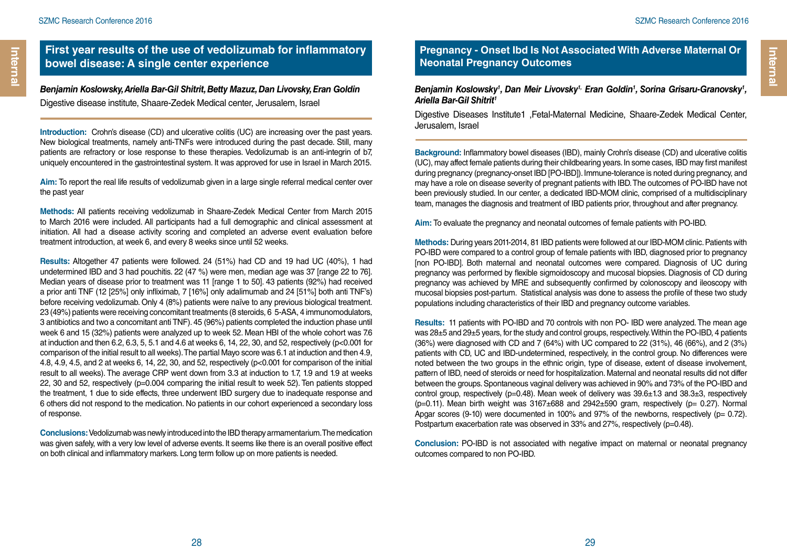### **First year results of the use of vedolizumab for inflammatory bowel disease: A single center experience**

*Benjamin Koslowsky, Ariella Bar-Gil Shitrit, Betty Mazuz, Dan Livovsky, Eran Goldin*  Digestive disease institute, Shaare-Zedek Medical center, Jerusalem, Israel

**Introduction:** Crohn's disease (CD) and ulcerative colitis (UC) are increasing over the past years. New biological treatments, namely anti-TNFs were introduced during the past decade. Still, many patients are refractory or lose response to these therapies. Vedolizumab is an anti-integrin of b7, uniquely encountered in the gastrointestinal system. It was approved for use in Israel in March 2015.

**Aim:** To report the real life results of vedolizumab given in a large single referral medical center over the past year

**Methods:** All patients receiving vedolizumab in Shaare-Zedek Medical Center from March 2015 to March 2016 were included. All participants had a full demographic and clinical assessment at initiation. All had a disease activity scoring and completed an adverse event evaluation before treatment introduction, at week 6, and every 8 weeks since until 52 weeks.

**Results:** Altogether 47 patients were followed. 24 (51%) had CD and 19 had UC (40%), 1 had undetermined IBD and 3 had pouchitis. 22 (47 %) were men, median age was 37 [range 22 to 76]. Median years of disease prior to treatment was 11 [range 1 to 50]. 43 patients (92%) had received a prior anti TNF (12 [25%] only infliximab, 7 [16%] only adalimumab and 24 [51%] both anti TNF's) before receiving vedolizumab. Only 4 (8%) patients were naïve to any previous biological treatment. 23 (49%) patients were receiving concomitant treatments (8 steroids, 6 5-ASA, 4 immunomodulators, 3 antibiotics and two a concomitant anti TNF). 45 (96%) patients completed the induction phase until week 6 and 15 (32%) patients were analyzed up to week 52. Mean HBI of the whole cohort was 7.6 at induction and then 6.2, 6.3, 5, 5.1 and 4.6 at weeks 6, 14, 22, 30, and 52, respectively (p<0.001 for comparison of the initial result to all weeks). The partial Mayo score was 6.1 at induction and then 4.9, 4.8, 4.9, 4.5, and 2 at weeks 6, 14, 22, 30, and 52, respectively (p<0.001 for comparison of the initial result to all weeks). The average CRP went down from 3.3 at induction to 1.7, 1.9 and 1.9 at weeks 22, 30 and 52, respectively (p=0.004 comparing the initial result to week 52). Ten patients stopped the treatment, 1 due to side effects, three underwent IBD surgery due to inadequate response and 6 others did not respond to the medication. No patients in our cohort experienced a secondary loss of response.

**Conclusions:** Vedolizumab was newly introduced into the IBD therapy armamentarium. The medication was given safely, with a very low level of adverse events. It seems like there is an overall positive effect on both clinical and inflammatory markers. Long term follow up on more patients is needed.

#### **Pregnancy - Onset Ibd Is Not Associated With Adverse Maternal Or Neonatal Pregnancy Outcomes**

#### *Benjamin Koslowsky1 , Dan Meir Livovsky1, Eran Goldin1 , Sorina Grisaru-Granovsky1 , Ariella Bar-Gil Shitrit1*

Digestive Diseases Institute1 ,Fetal-Maternal Medicine, Shaare-Zedek Medical Center, Jerusalem, Israel

**Background:** Inflammatory bowel diseases (IBD), mainly Crohn's disease (CD) and ulcerative colitis (UC), may affect female patients during their childbearing years. In some cases, IBD may first manifest during pregnancy (pregnancy-onset IBD [PO-IBD]). Immune-tolerance is noted during pregnancy, and may have a role on disease severity of pregnant patients with IBD. The outcomes of PO-IBD have not been previously studied. In our center, a dedicated IBD-MOM clinic, comprised of a multidisciplinary team, manages the diagnosis and treatment of IBD patients prior, throughout and after pregnancy.

**Aim:** To evaluate the pregnancy and neonatal outcomes of female patients with PO-IBD.

**Methods:** During years 2011-2014, 81 IBD patients were followed at our IBD-MOM clinic. Patients with PO-IBD were compared to a control group of female patients with IBD, diagnosed prior to pregnancy [non PO-IBD]. Both maternal and neonatal outcomes were compared. Diagnosis of UC during pregnancy was performed by flexible sigmoidoscopy and mucosal biopsies. Diagnosis of CD during pregnancy was achieved by MRE and subsequently confirmed by colonoscopy and ileoscopy with mucosal biopsies post-partum. Statistical analysis was done to assess the profile of these two study populations including characteristics of their IBD and pregnancy outcome variables.

**Results:** 11 patients with PO-IBD and 70 controls with non PO- IBD were analyzed. The mean age was 28±5 and 29±5 years, for the study and control groups, respectively. Within the PO-IBD, 4 patients (36%) were diagnosed with CD and 7 (64%) with UC compared to 22 (31%), 46 (66%), and 2 (3%) patients with CD, UC and IBD-undetermined, respectively, in the control group. No differences were noted between the two groups in the ethnic origin, type of disease, extent of disease involvement, pattern of IBD, need of steroids or need for hospitalization. Maternal and neonatal results did not differ between the groups. Spontaneous vaginal delivery was achieved in 90% and 73% of the PO-IBD and control group, respectively (p=0.48). Mean week of delivery was 39.6±1.3 and 38.3±3, respectively ( $p=0.11$ ). Mean birth weight was  $3167\pm688$  and  $2942\pm590$  gram, respectively ( $p= 0.27$ ). Normal Apgar scores  $(9-10)$  were documented in 100% and 97% of the newborns, respectively  $(p= 0.72)$ . Postpartum exacerbation rate was observed in 33% and 27%, respectively (p=0.48).

**Conclusion:** PO-IBD is not associated with negative impact on maternal or neonatal pregnancy outcomes compared to non PO-IBD.

**Internal** 

Internal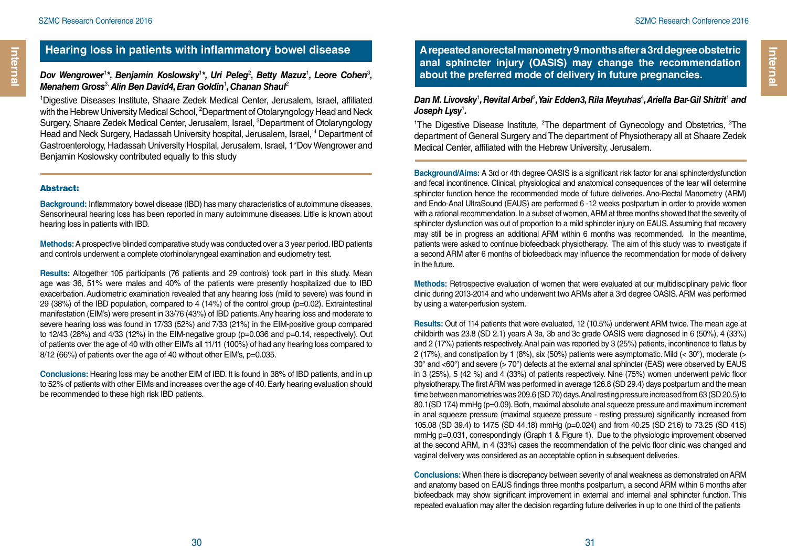### **Hearing loss in patients with inflammatory bowel disease**

#### Dov Wengrower<sup>1\*</sup>, Benjamin Koslowsky<sup>1\*</sup>, Uri Peleg<sup>2</sup>, Betty Mazuz<sup>1</sup>, Leore Cohen<sup>3</sup>, *Menahem Gross*3, *Alin Ben David4, Eran Goldin*<sup>1</sup> *, Chanan Shaul*<sup>2</sup>

1 Digestive Diseases Institute, Shaare Zedek Medical Center, Jerusalem, Israel, affiliated with the Hebrew University Medical School, <sup>2</sup>Department of Otolaryngology Head and Neck Surgery, Shaare Zedek Medical Center, Jerusalem, Israel, <sup>3</sup>Department of Otolaryngology Head and Neck Surgery, Hadassah University hospital, Jerusalem, Israel, <sup>4</sup> Department of Gastroenterology, Hadassah University Hospital, Jerusalem, Israel, 1\*Dov Wengrower and Benjamin Koslowsky contributed equally to this study

#### Abstract:

**Background:** Inflammatory bowel disease (IBD) has many characteristics of autoimmune diseases. Sensorineural hearing loss has been reported in many autoimmune diseases. Little is known about hearing loss in patients with IBD.

**Methods:** A prospective blinded comparative study was conducted over a 3 year period. IBD patients and controls underwent a complete otorhinolaryngeal examination and eudiometry test.

**Results:** Altogether 105 participants (76 patients and 29 controls) took part in this study. Mean age was 36, 51% were males and 40% of the patients were presently hospitalized due to IBD exacerbation. Audiometric examination revealed that any hearing loss (mild to severe) was found in 29 (38%) of the IBD population, compared to 4 (14%) of the control group (p=0.02). Extraintestinal manifestation (EIM's) were present in 33/76 (43%) of IBD patients. Any hearing loss and moderate to severe hearing loss was found in 17/33 (52%) and 7/33 (21%) in the EIM-positive group compared to  $12/43$  (28%) and  $4/33$  (12%) in the EIM-negative group (p=0.036 and p=0.14, respectively). Out of patients over the age of 40 with other EIM's all 11/11 (100%) of had any hearing loss compared to 8/12 (66%) of patients over the age of 40 without other EIM's, p=0.035.

**Conclusions:** Hearing loss may be another EIM of IBD. It is found in 38% of IBD patients, and in up to 52% of patients with other EIMs and increases over the age of 40. Early hearing evaluation should be recommended to these high risk IBD patients.

**A repeated anorectal manometry 9 months after a 3rd degree obstetric anal sphincter injury (OASIS) may change the recommendation about the preferred mode of delivery in future pregnancies.**

#### Dan M. Livovsky<sup>1</sup>, Revital Arbel<sup>2</sup>, Yair Edden3, Rila Meyuhas<sup>4</sup>, Ariella Bar-Gil Shitrit<sup>1</sup> and *Joseph Lysy*<sup>1</sup> *.*

<sup>1</sup>The Digestive Disease Institute,  ${}^{2}$ The department of Gynecology and Obstetrics,  ${}^{3}$ The department of General Surgery and The department of Physiotherapy all at Shaare Zedek Medical Center, affiliated with the Hebrew University, Jerusalem.

**Background/Aims:** A 3rd or 4th degree OASIS is a significant risk factor for anal sphincterdysfunction and fecal incontinence. Clinical, physiological and anatomical consequences of the tear will determine sphincter function hence the recommended mode of future deliveries. Ano-Rectal Manometry (ARM) and Endo-Anal UltraSound (EAUS) are performed 6 -12 weeks postpartum in order to provide women with a rational recommendation. In a subset of women, ARM at three months showed that the severity of sphincter dysfunction was out of proportion to a mild sphincter injury on EAUS. Assuming that recovery may still be in progress an additional ARM within 6 months was recommended. In the meantime, patients were asked to continue biofeedback physiotherapy. The aim of this study was to investigate if a second ARM after 6 months of biofeedback may influence the recommendation for mode of delivery in the future.

**Methods:** Retrospective evaluation of women that were evaluated at our multidisciplinary pelvic floor clinic during 2013-2014 and who underwent two ARMs after a 3rd degree OASIS. ARM was performed by using a water-perfusion system.

**Results:** Out of 114 patients that were evaluated, 12 (10.5%) underwent ARM twice. The mean age at childbirth was 23.8 (SD 2.1) years A 3a, 3b and 3c grade OASIS were diagnosed in 6 (50%), 4 (33%) and 2 (17%) patients respectively. Anal pain was reported by 3 (25%) patients, incontinence to flatus by 2 (17%), and constipation by 1 (8%), six (50%) patients were asymptomatic. Mild (< 30°), moderate (> 30° and <60°) and severe (> 70°) defects at the external anal sphincter (EAS) were observed by EAUS in 3 (25%), 5 (42 %) and 4 (33%) of patients respectively. Nine (75%) women underwent pelvic floor physiotherapy. The first ARM was performed in average 126.8 (SD 29.4) days postpartum and the mean time between manometries was 209.6 (SD 70) days. Anal resting pressure increased from 63 (SD 20.5) to 80.1(SD 17.4) mmHg (p=0.09). Both, maximal absolute anal squeeze pressure and maximum increment in anal squeeze pressure (maximal squeeze pressure - resting pressure) significantly increased from 105.08 (SD 39.4) to 147.5 (SD 44.18) mmHg (p=0.024) and from 40.25 (SD 21.6) to 73.25 (SD 41.5) mmHg p=0.031, correspondingly (Graph 1 & Figure 1). Due to the physiologic improvement observed at the second ARM, in 4 (33%) cases the recommendation of the pelvic floor clinic was changed and vaginal delivery was considered as an acceptable option in subsequent deliveries.

**Conclusions:** When there is discrepancy between severity of anal weakness as demonstrated on ARM and anatomy based on EAUS findings three months postpartum, a second ARM within 6 months after biofeedback may show significant improvement in external and internal anal sphincter function. This repeated evaluation may alter the decision regarding future deliveries in up to one third of the patients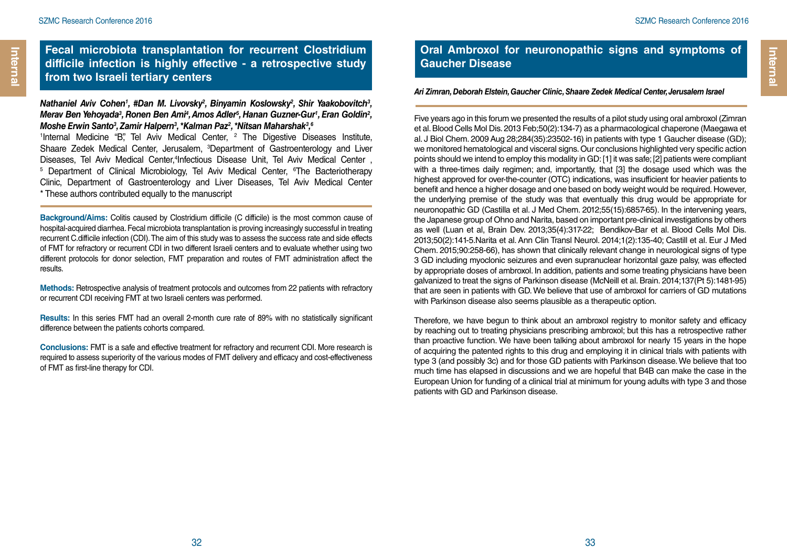Internal

### **Fecal microbiota transplantation for recurrent Clostridium difficile infection is highly effective - a retrospective study from two Israeli tertiary centers**

#### Nathaniel Aviv Cohen<sup>1</sup>, #Dan M. Livovsky<sup>2</sup>, Binyamin Koslowsky<sup>2</sup>, Shir Yaakobovitch<sup>3</sup>, *Merav Ben Yehoyada3 , Ronen Ben Ami4 , Amos Adler5 , Hanan Guzner-Gur1 , Eran Goldin2 ,*  Moshe Erwin Santo<sup>3</sup>, Zamir Halpern<sup>3</sup>, \*Kalman Paz<sup>2</sup>, \*Nitsan Maharshak<sup>3</sup>,<sup>6</sup>

<sup>1</sup>Internal Medicine "B", Tel Aviv Medical Center, <sup>2</sup> The Digestive Diseases Institute, Shaare Zedek Medical Center, Jerusalem, 3 Department of Gastroenterology and Liver Diseases, Tel Aviv Medical Center, <sup>4</sup>Infectious Disease Unit. Tel Aviv Medical Center Diseases, Tel Aviv Medical Center,<sup>4</sup>Infectious Disease Unit, Tel Aviv Medical Center ,<br><sup>5</sup> Department of Clinical Microbiology, Tel Aviv Medical Center, <sup>e</sup>The Bacteriotherapy Clinic, Department of Gastroenterology and Liver Diseases, Tel Aviv Medical Center \* These authors contributed equally to the manuscript

**Background/Aims:** Colitis caused by Clostridium difficile (C difficile) is the most common cause of hospital-acquired diarrhea. Fecal microbiota transplantation is proving increasingly successful in treating recurrent C.difficile infection (CDI). The aim of this study was to assess the success rate and side effects of FMT for refractory or recurrent CDI in two different Israeli centers and to evaluate whether using two different protocols for donor selection, FMT preparation and routes of FMT administration affect the results.

**Methods:** Retrospective analysis of treatment protocols and outcomes from 22 patients with refractory or recurrent CDI receiving FMT at two Israeli centers was performed.

**Results:** In this series FMT had an overall 2-month cure rate of 89% with no statistically significant difference between the patients cohorts compared.

**Conclusions:** FMT is a safe and effective treatment for refractory and recurrent CDI. More research is required to assess superiority of the various modes of FMT delivery and efficacy and cost-effectiveness of FMT as first-line therapy for CDI.

### **Oral Ambroxol for neuronopathic signs and symptoms of Gaucher Disease**

#### *Ari Zimran, Deborah Elstein, Gaucher Clinic, Shaare Zedek Medical Center, Jerusalem Israel*

Five years ago in this forum we presented the results of a pilot study using oral ambroxol (Zimran et al. Blood Cells Mol Dis. 2013 Feb;50(2):134-7) as a pharmacological chaperone (Maegawa et al. J Biol Chem. 2009 Aug 28;284(35):23502-16) in patients with type 1 Gaucher disease (GD); we monitored hematological and visceral signs. Our conclusions highlighted very specific action points should we intend to employ this modality in GD: [1] it was safe; [2] patients were compliant with a three-times daily regimen; and, importantly, that [3] the dosage used which was the highest approved for over-the-counter (OTC) indications, was insufficient for heavier patients to benefit and hence a higher dosage and one based on body weight would be required. However, the underlying premise of the study was that eventually this drug would be appropriate for neuronopathic GD (Castilla et al. J Med Chem. 2012;55(15):6857-65). In the intervening years, the Japanese group of Ohno and Narita, based on important pre-clinical investigations by others as well (Luan et al, Brain Dev. 2013;35(4):317-22; Bendikov-Bar et al. Blood Cells Mol Dis. 2013;50(2):141-5.Narita et al. Ann Clin Transl Neurol. 2014;1(2):135-40; Castill et al. Eur J Med Chem. 2015;90:258-66), has shown that clinically relevant change in neurological signs of type 3 GD including myoclonic seizures and even supranuclear horizontal gaze palsy, was effected by appropriate doses of ambroxol. In addition, patients and some treating physicians have been galvanized to treat the signs of Parkinson disease (McNeill et al. Brain. 2014;137(Pt 5):1481-95) that are seen in patients with GD. We believe that use of ambroxol for carriers of GD mutations with Parkinson disease also seems plausible as a therapeutic option.

Therefore, we have begun to think about an ambroxol registry to monitor safety and efficacy by reaching out to treating physicians prescribing ambroxol; but this has a retrospective rather than proactive function. We have been talking about ambroxol for nearly 15 years in the hope of acquiring the patented rights to this drug and employing it in clinical trials with patients with type 3 (and possibly 3c) and for those GD patients with Parkinson disease. We believe that too much time has elapsed in discussions and we are hopeful that B4B can make the case in the European Union for funding of a clinical trial at minimum for young adults with type 3 and those patients with GD and Parkinson disease.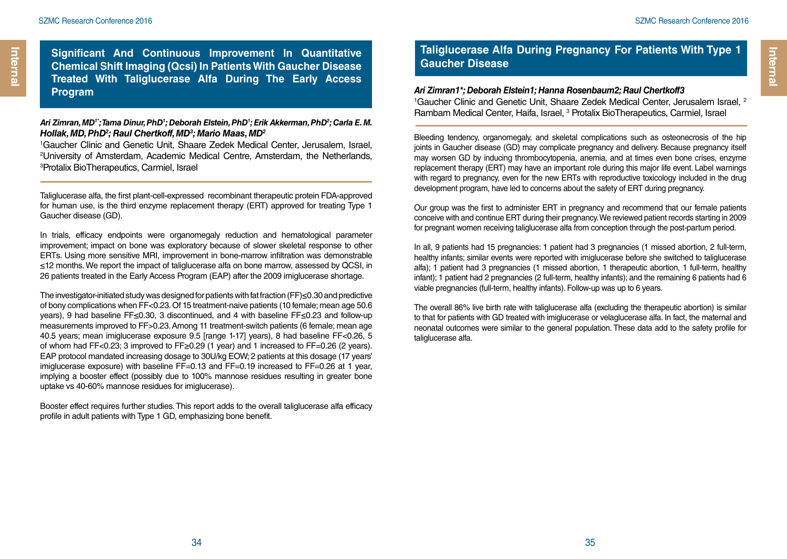**Significant And Continuous Improvement In Quantitative Chemical Shift Imaging (Qcsi) In Patients With Gaucher Disease Treated With Taliglucerase Alfa During The Early Access Program**

#### *Ari Zimran, MD1\*; Tama Dinur, PhD1 ; Deborah Elstein, PhD1 ; Erik Akkerman, PhD2 ; Carla E. M. Hollak, MD, PhD2 ; Raul Chertkoff, MD3 ; Mario Maas, MD2*

1 Gaucher Clinic and Genetic Unit, Shaare Zedek Medical Center, Jerusalem, Israel, 2 University of Amsterdam, Academic Medical Centre, Amsterdam, the Netherlands, 3 Protalix BioTherapeutics, Carmiel, Israel

Taliglucerase alfa, the first plant-cell-expressed recombinant therapeutic protein FDA-approved for human use, is the third enzyme replacement therapy (ERT) approved for treating Type 1 Gaucher disease (GD).

In trials, efficacy endpoints were organomegaly reduction and hematological parameter improvement; impact on bone was exploratory because of slower skeletal response to other ERTs. Using more sensitive MRI, improvement in bone-marrow infiltration was demonstrable ≤12 months. We report the impact of taliglucerase alfa on bone marrow, assessed by QCSI, in 26 patients treated in the Early Access Program (EAP) after the 2009 imiglucerase shortage.

The investigator-initiated study was designed for patients with fat fraction (FF)≤0.30 and predictive of bony complications when FF<0.23. Of 15 treatment-naive patients (10 female; mean age 50.6 years), 9 had baseline FF≤0.30, 3 discontinued, and 4 with baseline FF≤0.23 and follow-up measurements improved to FF>0.23. Among 11 treatment-switch patients (6 female; mean age 40.5 years; mean imiglucerase exposure 9.5 [range 1-17] years), 8 had baseline FF<0.26, 5 of whom had FF<0.23; 3 improved to FF≥0.29 (1 year) and 1 increased to FF=0.26 (2 years). EAP protocol mandated increasing dosage to 30U/kg EOW; 2 patients at this dosage (17 years' imiglucerase exposure) with baseline FF=0.13 and FF=0.19 increased to FF=0.26 at 1 year, implying a booster effect (possibly due to 100% mannose residues resulting in greater bone uptake vs 40-60% mannose residues for imiglucerase).

Booster effect requires further studies. This report adds to the overall taliglucerase alfa efficacy profile in adult patients with Type 1 GD, emphasizing bone benefit.

### **Taliglucerase Alfa During Pregnancy For Patients With Type 1 Gaucher Disease**

#### *Ari Zimran1\*; Deborah Elstein1; Hanna Rosenbaum2; Raul Chertkoff3*

<sup>1</sup>Gaucher Clinic and Genetic Unit, Shaare Zedek Medical Center, Jerusalem Israel, <sup>2</sup> Rambam Medical Center, Haifa, Israel, <sup>3</sup> Protalix BioTherapeutics, Carmiel, Israel

Bleeding tendency, organomegaly, and skeletal complications such as osteonecrosis of the hip joints in Gaucher disease (GD) may complicate pregnancy and delivery. Because pregnancy itself may worsen GD by inducing thrombocytopenia, anemia, and at times even bone crises, enzyme replacement therapy (ERT) may have an important role during this major life event. Label warnings with regard to pregnancy, even for the new ERTs with reproductive toxicology included in the drug development program, have led to concerns about the safety of ERT during pregnancy.

Our group was the first to administer ERT in pregnancy and recommend that our female patients conceive with and continue ERT during their pregnancy. We reviewed patient records starting in 2009 for pregnant women receiving taliglucerase alfa from conception through the post-partum period.

In all, 9 patients had 15 pregnancies: 1 patient had 3 pregnancies (1 missed abortion, 2 full-term, healthy infants; similar events were reported with imiglucerase before she switched to taliglucerase alfa); 1 patient had 3 pregnancies (1 missed abortion, 1 therapeutic abortion, 1 full-term, healthy infant); 1 patient had 2 pregnancies (2 full-term, healthy infants); and the remaining 6 patients had 6 viable pregnancies (full-term, healthy infants). Follow-up was up to 6 years.

The overall 86% live birth rate with taliglucerase alfa (excluding the therapeutic abortion) is similar to that for patients with GD treated with imiglucerase or velaglucerase alfa. In fact, the maternal and neonatal outcomes were similar to the general population. These data add to the safety profile for taliglucerase alfa.

**Internal** 

Internal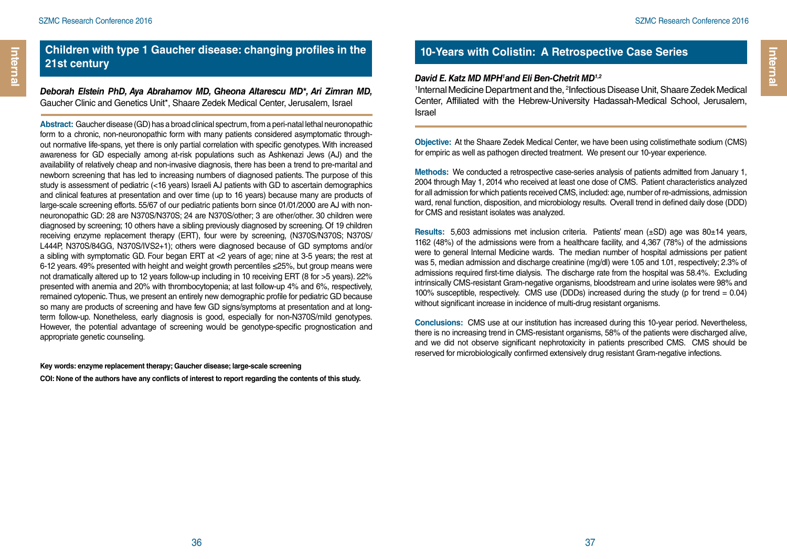### **Children with type 1 Gaucher disease: changing profiles in the 21st century**

*Deborah Elstein PhD, Aya Abrahamov MD, Gheona Altarescu MD\*, Ari Zimran MD,*  Gaucher Clinic and Genetics Unit\*, Shaare Zedek Medical Center, Jerusalem, Israel

**Abstract:** Gaucher disease (GD) has a broad clinical spectrum, from a peri-natal lethal neuronopathic form to a chronic, non-neuronopathic form with many patients considered asymptomatic throughout normative life-spans, yet there is only partial correlation with specific genotypes. With increased awareness for GD especially among at-risk populations such as Ashkenazi Jews (AJ) and the availability of relatively cheap and non-invasive diagnosis, there has been a trend to pre-marital and newborn screening that has led to increasing numbers of diagnosed patients. The purpose of this study is assessment of pediatric (<16 years) Israeli AJ patients with GD to ascertain demographics and clinical features at presentation and over time (up to 16 years) because many are products of large-scale screening efforts. 55/67 of our pediatric patients born since 01/01/2000 are AJ with nonneuronopathic GD: 28 are N370S/N370S; 24 are N370S/other; 3 are other/other. 30 children were diagnosed by screening; 10 others have a sibling previously diagnosed by screening. Of 19 children receiving enzyme replacement therapy (ERT), four were by screening, (N370S/N370S; N370S/ L444P, N370S/84GG, N370S/IVS2+1); others were diagnosed because of GD symptoms and/or a sibling with symptomatic GD. Four began ERT at <2 years of age; nine at 3-5 years; the rest at 6-12 years. 49% presented with height and weight growth percentiles ≤25%, but group means were not dramatically altered up to 12 years follow-up including in 10 receiving ERT (8 for >5 years). 22% presented with anemia and 20% with thrombocytopenia; at last follow-up 4% and 6%, respectively, remained cytopenic. Thus, we present an entirely new demographic profile for pediatric GD because so many are products of screening and have few GD signs/symptoms at presentation and at longterm follow-up. Nonetheless, early diagnosis is good, especially for non-N370S/mild genotypes. However, the potential advantage of screening would be genotype-specific prognostication and appropriate genetic counseling.

#### **Key words: enzyme replacement therapy; Gaucher disease; large-scale screening**

**COI: None of the authors have any conflicts of interest to report regarding the contents of this study.**

### **10-Years with Colistin: A Retrospective Case Series**

#### *David E. Katz MD MPH1 and Eli Ben-Chetrit MD1,2*

<sup>1</sup>Internal Medicine Department and the, <sup>2</sup>Infectious Disease Unit, Shaare Zedek Medical Center, Affiliated with the Hebrew-University Hadassah-Medical School, Jerusalem, Israel

**Objective:** At the Shaare Zedek Medical Center, we have been using colistimethate sodium (CMS) for empiric as well as pathogen directed treatment. We present our 10-year experience.

**Methods:** We conducted a retrospective case-series analysis of patients admitted from January 1, 2004 through May 1, 2014 who received at least one dose of CMS. Patient characteristics analyzed for all admission for which patients received CMS, included: age, number of re-admissions, admission ward, renal function, disposition, and microbiology results. Overall trend in defined daily dose (DDD) for CMS and resistant isolates was analyzed.

**Results:** 5,603 admissions met inclusion criteria. Patients' mean (±SD) age was 80±14 years, 1162 (48%) of the admissions were from a healthcare facility, and 4,367 (78%) of the admissions were to general Internal Medicine wards. The median number of hospital admissions per patient was 5, median admission and discharge creatinine (mg/dl) were 1.05 and 1.01, respectively; 2.3% of admissions required first-time dialysis. The discharge rate from the hospital was 58.4%. Excluding intrinsically CMS-resistant Gram-negative organisms, bloodstream and urine isolates were 98% and 100% susceptible, respectively. CMS use (DDDs) increased during the study (p for trend = 0.04) without significant increase in incidence of multi-drug resistant organisms.

**Conclusions:** CMS use at our institution has increased during this 10-year period. Nevertheless, there is no increasing trend in CMS-resistant organisms, 58% of the patients were discharged alive, and we did not observe significant nephrotoxicity in patients prescribed CMS. CMS should be reserved for microbiologically confirmed extensively drug resistant Gram-negative infections.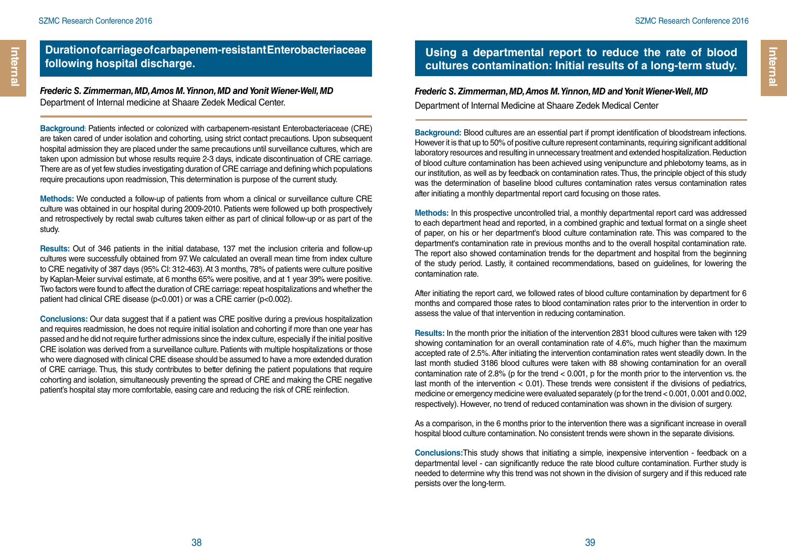### **Duration of carriage of carbapenem-resistant Enterobacteriaceae following hospital discharge.**

*Frederic S. Zimmerman, MD, Amos M. Yinnon, MD and Yonit Wiener-Well, MD* Department of Internal medicine at Shaare Zedek Medical Center.

**Background**ֿ: Patients infected or colonized with carbapenem-resistant Enterobacteriaceae (CRE) are taken cared of under isolation and cohorting, using strict contact precautions. Upon subsequent hospital admission they are placed under the same precautions until surveillance cultures, which are taken upon admission but whose results require 2-3 days, indicate discontinuation of CRE carriage. There are as of yet few studies investigating duration of CRE carriage and defining which populations require precautions upon readmission, This determination is purpose of the current study.

**Methods:** We conducted a follow-up of patients from whom a clinical or surveillance culture CRE culture was obtained in our hospital during 2009-2010. Patients were followed up both prospectively and retrospectively by rectal swab cultures taken either as part of clinical follow-up or as part of the study.

**Results:** Out of 346 patients in the initial database, 137 met the inclusion criteria and follow-up cultures were successfully obtained from 97. We calculated an overall mean time from index culture to CRE negativity of 387 days (95% CI: 312-463). At 3 months, 78% of patients were culture positive by Kaplan-Meier survival estimate, at 6 months 65% were positive, and at 1 year 39% were positive. Two factors were found to affect the duration of CRE carriage: repeat hospitalizations and whether the patient had clinical CRE disease (p<0.001) or was a CRE carrier (p<0.002).

**Conclusions:** Our data suggest that if a patient was CRE positive during a previous hospitalization and requires readmission, he does not require initial isolation and cohorting if more than one year has passed and he did not require further admissions since the index culture, especially if the initial positive CRE isolation was derived from a surveillance culture. Patients with multiple hospitalizations or those who were diagnosed with clinical CRE disease should be assumed to have a more extended duration of CRE carriage. Thus, this study contributes to better defining the patient populations that require cohorting and isolation, simultaneously preventing the spread of CRE and making the CRE negative patient's hospital stay more comfortable, easing care and reducing the risk of CRE reinfection.

### **Using a departmental report to reduce the rate of blood cultures contamination: Initial results of a long-term study.**

## *Frederic S. Zimmerman, MD, Amos M. Yinnon, MD and Yonit Wiener-Well, MD*

Department of Internal Medicine at Shaare Zedek Medical Center

**Background:** Blood cultures are an essential part if prompt identification of bloodstream infections. However it is that up to 50% of positive culture represent contaminants, requiring significant additional laboratory resources and resulting in unnecessary treatment and extended hospitalization. Reduction of blood culture contamination has been achieved using venipuncture and phlebotomy teams, as in our institution, as well as by feedback on contamination rates. Thus, the principle object of this study was the determination of baseline blood cultures contamination rates versus contamination rates after initiating a monthly departmental report card focusing on those rates.

**Methods:** In this prospective uncontrolled trial, a monthly departmental report card was addressed to each department head and reported, in a combined graphic and textual format on a single sheet of paper, on his or her department's blood culture contamination rate. This was compared to the department's contamination rate in previous months and to the overall hospital contamination rate. The report also showed contamination trends for the department and hospital from the beginning of the study period. Lastly, it contained recommendations, based on guidelines, for lowering the contamination rate.

After initiating the report card, we followed rates of blood culture contamination by department for 6 months and compared those rates to blood contamination rates prior to the intervention in order to assess the value of that intervention in reducing contamination.

**Results:** In the month prior the initiation of the intervention 2831 blood cultures were taken with 129 showing contamination for an overall contamination rate of 4.6%, much higher than the maximum accepted rate of 2.5%. After initiating the intervention contamination rates went steadily down. In the last month studied 3186 blood cultures were taken with 88 showing contamination for an overall contamination rate of 2.8% (p for the trend < 0.001, p for the month prior to the intervention vs. the last month of the intervention < 0.01). These trends were consistent if the divisions of pediatrics, medicine or emergency medicine were evaluated separately (p for the trend < 0.001, 0.001 and 0.002, respectively). However, no trend of reduced contamination was shown in the division of surgery.

As a comparison, in the 6 months prior to the intervention there was a significant increase in overall hospital blood culture contamination. No consistent trends were shown in the separate divisions.

**Conclusions:**This study shows that initiating a simple, inexpensive intervention - feedback on a departmental level - can significantly reduce the rate blood culture contamination. Further study is needed to determine why this trend was not shown in the division of surgery and if this reduced rate persists over the long-term.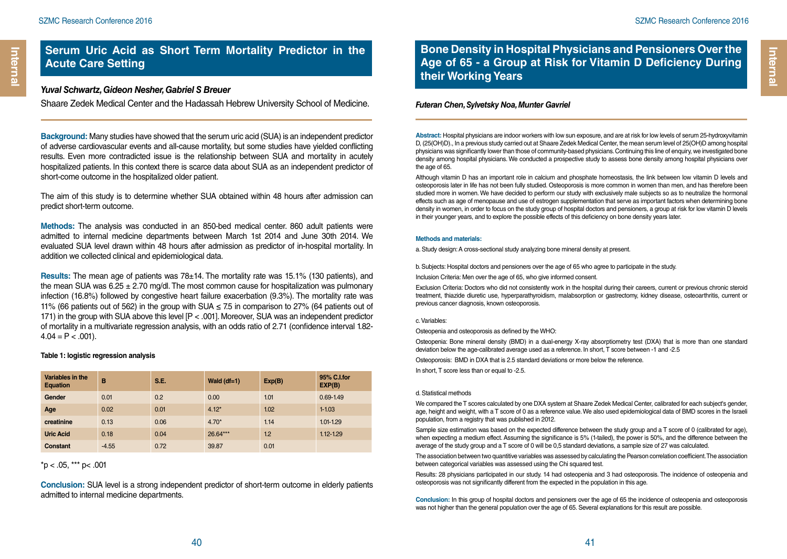### **Serum Uric Acid as Short Term Mortality Predictor in the Acute Care Setting**

#### *Yuval Schwartz, Gideon Nesher, Gabriel S Breuer*

Shaare Zedek Medical Center and the Hadassah Hebrew University School of Medicine.

**Background:** Many studies have showed that the serum uric acid (SUA) is an independent predictor of adverse cardiovascular events and all-cause mortality, but some studies have yielded conflicting results. Even more contradicted issue is the relationship between SUA and mortality in acutely hospitalized patients. In this context there is scarce data about SUA as an independent predictor of short-come outcome in the hospitalized older patient.

The aim of this study is to determine whether SUA obtained within 48 hours after admission can predict short-term outcome.

**Methods:** The analysis was conducted in an 850-bed medical center. 860 adult patients were admitted to internal medicine departments between March 1st 2014 and June 30th 2014. We evaluated SUA level drawn within 48 hours after admission as predictor of in-hospital mortality. In addition we collected clinical and epidemiological data.

**Results:** The mean age of patients was 78±14. The mortality rate was 15.1% (130 patients), and the mean SUA was  $6.25 \pm 2.70$  mg/dl. The most common cause for hospitalization was pulmonary infection (16.8%) followed by congestive heart failure exacerbation (9.3%). The mortality rate was 11% (66 patients out of 562) in the group with SUA  $\leq$  7.5 in comparison to 27% (64 patients out of 171) in the group with SUA above this level  $[P < .001]$ . Moreover, SUA was an independent predictor of mortality in a multivariate regression analysis, with an odds ratio of 2.71 (confidence interval 1.82-  $4.04 = P < .001$ ).

#### **Table 1: logistic regression analysis**

| Variables in the<br><b>Equation</b> | B       | S.E. | Wald $(df=1)$ | Exp(B) | 95% C.I.for<br>EXP(B) |
|-------------------------------------|---------|------|---------------|--------|-----------------------|
| Gender                              | 0.01    | 0.2  | 0.00          | 1.01   | $0.69 - 1.49$         |
| Age                                 | 0.02    | 0.01 | $4.12*$       | 1.02   | $1 - 1.03$            |
| creatinine                          | 0.13    | 0.06 | $4.70*$       | 1.14   | $1.01 - 1.29$         |
| <b>Uric Acid</b>                    | 0.18    | 0.04 | 26.64***      | 1.2    | $1.12 - 1.29$         |
| Constant                            | $-4.55$ | 0.72 | 39.87         | 0.01   |                       |

#### $*$ p < .05,  $**$  p < .001

**Conclusion:** SUA level is a strong independent predictor of short-term outcome in elderly patients admitted to internal medicine departments.

**Bone Density in Hospital Physicians and Pensioners Over the Age of 65 - a Group at Risk for Vitamin D Deficiency During their Working Years**

#### *Futeran Chen, Sylvetsky Noa, Munter Gavriel*

**Abstract:** Hospital physicians are indoor workers with low sun exposure, and are at risk for low levels of serum 25-hydroxyvitamin D, (25(OH)D)., In a previous study carried out at Shaare Zedek Medical Center, the mean serum level of 25(OH)D among hospital physicians was significantly lower than those of community-based physicians. Continuing this line of enquiry, we investigated bone density among hospital physicians. We conducted a prospective study to assess bone density among hospital physicians over the age of 65.

Although vitamin D has an important role in calcium and phosphate homeostasis, the link between low vitamin D levels and osteoporosis later in life has not been fully studied. Osteoporosis is more common in women than men, and has therefore been studied more in women. We have decided to perform our study with exclusively male subjects so as to neutralize the hormonal effects such as age of menopause and use of estrogen supplementation that serve as important factors when determining bone density in women, in order to focus on the study group of hospital doctors and pensioners, a group at risk for low vitamin D levels in their younger years, and to explore the possible effects of this deficiency on bone density years later.

#### **Methods and materials:**

a. Study design: A cross-sectional study analyzing bone mineral density at present.

b. Subjects: Hospital doctors and pensioners over the age of 65 who agree to participate in the study.

Inclusion Criteria: Men over the age of 65, who give informed consent.

Exclusion Criteria: Doctors who did not consistently work in the hospital during their careers, current or previous chronic steroid treatment, thiazide diuretic use, hyperparathyroidism, malabsorption or gastrectomy, kidney disease, osteoarthritis, current or previous cancer diagnosis, known osteoporosis.

#### c. Variables:

Osteopenia and osteoporosis as defined by the WHO:

Osteopenia: Bone mineral density (BMD) in a dual-energy X-ray absorptiometry test (DXA) that is more than one standard deviation below the age-calibrated average used as a reference. In short, T score between -1 and -2.5

Osteoporosis: BMD in DXA that is 2.5 standard deviations or more below the reference.

In short, T score less than or equal to -2.5.

#### d. Statistical methods

We compared the T scores calculated by one DXA system at Shaare Zedek Medical Center, calibrated for each subject's gender, age, height and weight, with a T score of 0 as a reference value. We also used epidemiological data of BMD scores in the Israeli population, from a registry that was published in 2012.

Sample size estimation was based on the expected difference between the study group and a T score of 0 (calibrated for age), when expecting a medium effect. Assuming the significance is 5% (1-tailed), the power is 50%, and the difference between the average of the study group and a T score of 0 will be 0,5 standard deviations, a sample size of 27 was calculated.

The association between two quantitive variables was assessed by calculating the Pearson correlation coefficient. The association between categorical variables was assessed using the Chi squared test.

Results: 28 physicians participated in our study. 14 had osteopenia and 3 had osteoporosis. The incidence of osteopenia and osteoporosis was not significantly different from the expected in the population in this age.

**Conclusion:** In this group of hospital doctors and pensioners over the age of 65 the incidence of osteopenia and osteoporosis was not higher than the general population over the age of 65. Several explanations for this result are possible.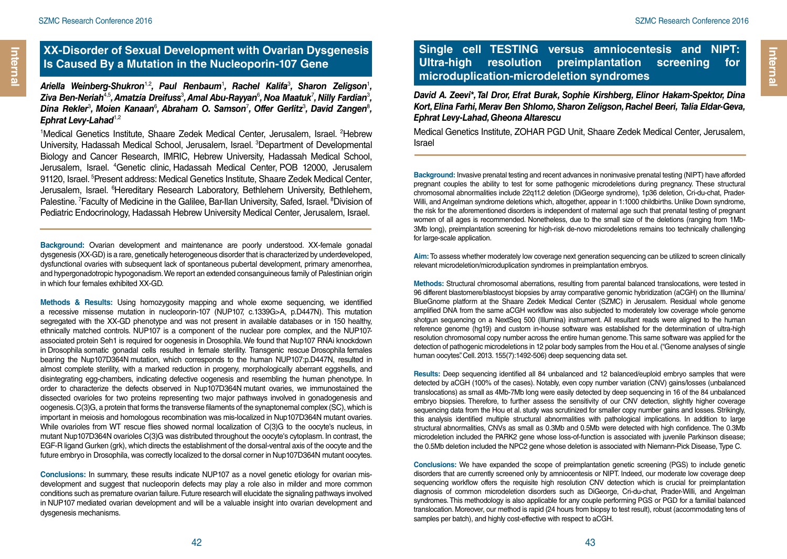### **XX-Disorder of Sexual Development with Ovarian Dysgenesis Is Caused By a Mutation in the Nucleoporin-107 Gene**

Ariella Weinberg-Shukron<sup>1,2</sup>, Paul Renbaum<sup>1</sup>, Rachel Kalifa<sup>3</sup>, Sharon Zeligson<sup>1</sup>, Ziva Ben-Neriah<sup>4,5</sup>, Amatzia Dreifuss<sup>3</sup>, Amal Abu-Rayyan<sup>6</sup>, Noa Maatuk<sup>7</sup>, Nilly Fardian<sup>3</sup>, Dina Rekler<sup>3</sup>, Moien Kanaan<sup>6</sup>, Abraham O. Samson<sup>7</sup>, Offer Gerlitz<sup>3</sup>, David Zangen<sup>8</sup>, *Ephrat Levy-Lahad<sup>1,2</sup></sup>* 

<sup>1</sup>Medical Genetics Institute, Shaare Zedek Medical Center, Jerusalem, Israel. <sup>2</sup>Hebrew University, Hadassah Medical School, Jerusalem, Israel. <sup>3</sup>Department of Developmental Biology and Cancer Research, IMRIC, Hebrew University, Hadassah Medical School, Jerusalem, Israel. 4 Genetic clinic, Hadassah Medical Center, POB 12000, Jerusalem 91120, Israel. <sup>5</sup>Present address: Medical Genetics Institute, Shaare Zedek Medical Center, Jerusalem, Israel. <sup>6</sup>Hereditary Research Laboratory, Bethlehem University, Bethlehem, Palestine. <sup>7</sup> Faculty of Medicine in the Galilee, Bar-Ilan University, Safed, Israel. <sup>8</sup> Division of Pediatric Endocrinology, Hadassah Hebrew University Medical Center, Jerusalem, Israel.

**Background:** Ovarian development and maintenance are poorly understood. XX-female gonadal dysgenesis (XX-GD) is a rare, genetically heterogeneous disorder that is characterized by underdeveloped, dysfunctional ovaries with subsequent lack of spontaneous pubertal development, primary amenorrhea, and hypergonadotropic hypogonadism. We report an extended consanguineous family of Palestinian origin in which four females exhibited XX-GD.

**Methods & Results:** Using homozygosity mapping and whole exome sequencing, we identified a recessive missense mutation in nucleoporin-107 (NUP107, c.1339G>A, p.D447N). This mutation segregated with the XX-GD phenotype and was not present in available databases or in 150 healthy, ethnically matched controls. NUP107 is a component of the nuclear pore complex, and the NUP107 associated protein Seh1 is required for oogenesis in Drosophila. We found that Nup107 RNAi knockdown in Drosophila somatic gonadal cells resulted in female sterility. Transgenic rescue Drosophila females bearing the Nup107D364N mutation, which corresponds to the human NUP107:p.D447N, resulted in almost complete sterility, with a marked reduction in progeny, morphologically aberrant eggshells, and disintegrating egg-chambers, indicating defective oogenesis and resembling the human phenotype. In order to characterize the defects observed in Nup107D364N mutant ovaries, we immunostained the dissected ovarioles for two proteins representing two major pathways involved in gonadogenesis and oogenesis. C(3)G, a protein that forms the transverse filaments of the synaptonemal complex (SC), which is important in meiosis and homologous recombination was mis-localized in Nup107D364N mutant ovaries. While ovarioles from WT rescue flies showed normal localization of C(3)G to the oocyte's nucleus, in mutant Nup107D364N ovarioles C(3)G was distributed throughout the oocyte's cytoplasm. In contrast, the EGF-R ligand Gurken (grk), which directs the establishment of the dorsal-ventral axis of the oocyte and the future embryo in Drosophila, was correctly localized to the dorsal corner in Nup107D364N mutant oocytes.

**Conclusions:** In summary, these results indicate NUP107 as a novel genetic etiology for ovarian misdevelopment and suggest that nucleoporin defects may play a role also in milder and more common conditions such as premature ovarian failure. Future research will elucidate the signaling pathways involved in NUP107 mediated ovarian development and will be a valuable insight into ovarian development and dysgenesis mechanisms.

### **Single cell TESTING versus amniocentesis and NIPT: Ultra-high resolution preimplantation screening for microduplication-microdeletion syndromes**

*David A. Zeevi\*, Tal Dror, Efrat Burak, Sophie Kirshberg, Elinor Hakam-Spektor, Dina Kort, Elina Farhi, Merav Ben Shlomo, Sharon Zeligson, Rachel Beeri, Talia Eldar-Geva, Ephrat Levy-Lahad, Gheona Altarescu*

Medical Genetics Institute, ZOHAR PGD Unit, Shaare Zedek Medical Center, Jerusalem, Israel

**Background:** Invasive prenatal testing and recent advances in noninvasive prenatal testing (NIPT) have afforded pregnant couples the ability to test for some pathogenic microdeletions during pregnancy. These structural chromosomal abnormalities include 22q11.2 deletion (DiGeorge syndrome), 1p36 deletion, Cri-du-chat, Prader-Willi, and Angelman syndrome deletions which, altogether, appear in 1:1000 childbirths. Unlike Down syndrome, the risk for the aforementioned disorders is independent of maternal age such that prenatal testing of pregnant women of all ages is recommended. Nonetheless, due to the small size of the deletions (ranging from 1Mb-3Mb long), preimplantation screening for high-risk de-novo microdeletions remains too technically challenging for large-scale application.

**Aim:** To assess whether moderately low coverage next generation sequencing can be utilized to screen clinically relevant microdeletion/microduplication syndromes in preimplantation embryos.

**Methods:** Structural chromosomal aberrations, resulting from parental balanced translocations, were tested in 96 different blastomere/blastocyst biopsies by array comparative genomic hybridization (aCGH) on the Illumina/ BlueGnome platform at the Shaare Zedek Medical Center (SZMC) in Jerusalem. Residual whole genome amplified DNA from the same aCGH workflow was also subjected to moderately low coverage whole genome shotgun sequencing on a NextSeq 500 (Illumina) instrument. All resultant reads were aligned to the human reference genome (hg19) and custom in-house software was established for the determination of ultra-high resolution chromosomal copy number across the entire human genome. This same software was applied for the detection of pathogenic microdeletions in 12 polar body samples from the Hou et al. ("Genome analyses of single human oocytes". Cell. 2013. 155(7):1492-506) deep sequencing data set.

**Results:** Deep sequencing identified all 84 unbalanced and 12 balanced/euploid embryo samples that were detected by aCGH (100% of the cases). Notably, even copy number variation (CNV) gains/losses (unbalanced translocations) as small as 4Mb-7Mb long were easily detected by deep sequencing in 16 of the 84 unbalanced embryo biopsies. Therefore, to further assess the sensitivity of our CNV detection, slightly higher coverage sequencing data from the Hou et al. study was scrutinized for smaller copy number gains and losses. Strikingly, this analysis identified multiple structural abnormalities with pathological implications. In addition to large structural abnormalities, CNVs as small as 0.3Mb and 0.5Mb were detected with high confidence. The 0.3Mb microdeletion included the PARK2 gene whose loss-of-function is associated with juvenile Parkinson disease; the 0.5Mb deletion included the NPC2 gene whose deletion is associated with Niemann-Pick Disease, Type C.

**Conclusions:** We have expanded the scope of preimplantation genetic screening (PGS) to include genetic disorders that are currently screened only by amniocentesis or NIPT. Indeed, our moderate low coverage deep sequencing workflow offers the requisite high resolution CNV detection which is crucial for preimplantation diagnosis of common microdeletion disorders such as DiGeorge, Cri-du-chat, Prader-Willi, and Angelman syndromes. This methodology is also applicable for any couple performing PGS or PGD for a familial balanced translocation. Moreover, our method is rapid (24 hours from biopsy to test result), robust (accommodating tens of samples per batch), and highly cost-effective with respect to aCGH.

**Internal** 

Interna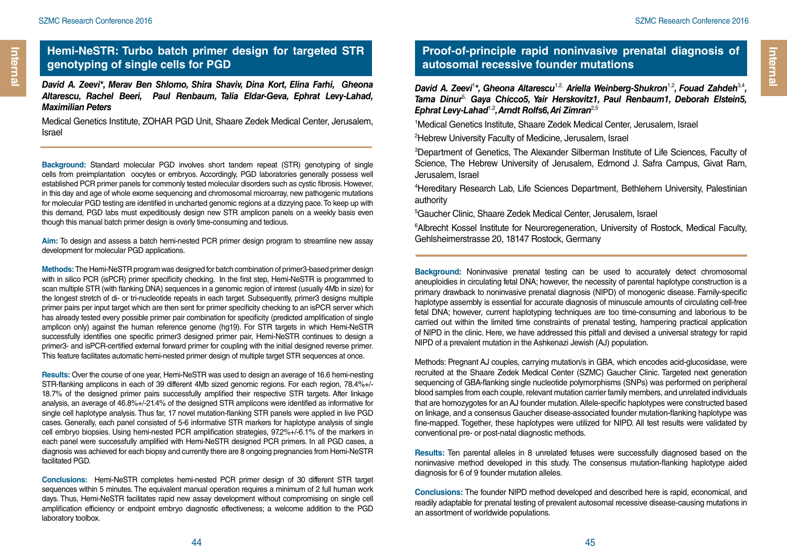### **Hemi-NeSTR: Turbo batch primer design for targeted STR genotyping of single cells for PGD**

*David A. Zeevi\*, Merav Ben Shlomo, Shira Shaviv, Dina Kort, Elina Farhi, Gheona Altarescu, Rachel Beeri, Paul Renbaum, Talia Eldar-Geva, Ephrat Levy-Lahad, Maximilian Peters*

Medical Genetics Institute, ZOHAR PGD Unit, Shaare Zedek Medical Center, Jerusalem, Israel

**Background:** Standard molecular PGD involves short tandem repeat (STR) genotyping of single cells from preimplantation oocytes or embryos. Accordingly, PGD laboratories generally possess well established PCR primer panels for commonly tested molecular disorders such as cystic fibrosis. However, in this day and age of whole exome sequencing and chromosomal microarray, new pathogenic mutations for molecular PGD testing are identified in uncharted genomic regions at a dizzying pace. To keep up with this demand, PGD labs must expeditiously design new STR amplicon panels on a weekly basis even though this manual batch primer design is overly time-consuming and tedious.

**Aim:** To design and assess a batch hemi-nested PCR primer design program to streamline new assay development for molecular PGD applications.

**Methods:** The Hemi-NeSTR program was designed for batch combination of primer3-based primer design with in silico PCR (isPCR) primer specificity checking. In the first step, Hemi-NeSTR is programmed to scan multiple STR (with flanking DNA) sequences in a genomic region of interest (usually 4Mb in size) for the longest stretch of di- or tri-nucleotide repeats in each target. Subsequently, primer3 designs multiple primer pairs per input target which are then sent for primer specificity checking to an isPCR server which has already tested every possible primer pair combination for specificity (predicted amplification of single amplicon only) against the human reference genome (hg19). For STR targets in which Hemi-NeSTR successfully identifies one specific primer3 designed primer pair. Hemi-NeSTR continues to design a primer3- and isPCR-certified external forward primer for coupling with the initial designed reverse primer. This feature facilitates automatic hemi-nested primer design of multiple target STR sequences at once.

**Results:** Over the course of one year, Hemi-NeSTR was used to design an average of 16.6 hemi-nesting STR-flanking amplicons in each of 39 different 4Mb sized genomic regions. For each region, 78.4%+/- 18.7% of the designed primer pairs successfully amplified their respective STR targets. After linkage analysis, an average of 46.8%+/-21.4% of the designed STR amplicons were identified as informative for single cell haplotype analysis. Thus far, 17 novel mutation-flanking STR panels were applied in live PGD cases. Generally, each panel consisted of 5-6 informative STR markers for haplotype analysis of single cell embryo biopsies. Using hemi-nested PCR amplification strategies, 97.2%+/-6.1% of the markers in each panel were successfully amplified with Hemi-NeSTR designed PCR primers. In all PGD cases, a diagnosis was achieved for each biopsy and currently there are 8 ongoing pregnancies from Hemi-NeSTR facilitated PGD.

**Conclusions:** Hemi-NeSTR completes hemi-nested PCR primer design of 30 different STR target sequences within 5 minutes. The equivalent manual operation requires a minimum of 2 full human work days. Thus, Hemi-NeSTR facilitates rapid new assay development without compromising on single cell amplification efficiency or endpoint embryo diagnostic effectiveness; a welcome addition to the PGD laboratory toolbox.

### **Proof-of-principle rapid noninvasive prenatal diagnosis of autosomal recessive founder mutations**

David A. Zeevi<sup>1\*</sup>, Gheona Altarescu<sup>1,2,</sup> Ariella Weinberg-Shukron<sup>1,2</sup>, Fouad Zahdeh<sup>3,4</sup>, *Tama Dinur*5, *Gaya Chicco5, Yair Herskovitz1, Paul Renbaum1, Deborah Elstein5, Ephrat Levy-Lahad*1,2*, Arndt Rolfs6, Ari Zimran*2,5

1 Medical Genetics Institute, Shaare Zedek Medical Center, Jerusalem, Israel

2 Hebrew University Faculty of Medicine, Jerusalem, Israel

3 Department of Genetics, The Alexander Silberman Institute of Life Sciences, Faculty of Science, The Hebrew University of Jerusalem, Edmond J. Safra Campus, Givat Ram, Jerusalem, Israel

4 Hereditary Research Lab, Life Sciences Department, Bethlehem University, Palestinian authority

5 Gaucher Clinic, Shaare Zedek Medical Center, Jerusalem, Israel

<sup>6</sup>Albrecht Kossel Institute for Neuroregeneration, University of Rostock, Medical Faculty, Gehlsheimerstrasse 20, 18147 Rostock, Germany

**Background:** Noninvasive prenatal testing can be used to accurately detect chromosomal aneuploidies in circulating fetal DNA; however, the necessity of parental haplotype construction is a primary drawback to noninvasive prenatal diagnosis (NIPD) of monogenic disease. Family-specific haplotype assembly is essential for accurate diagnosis of minuscule amounts of circulating cell-free fetal DNA; however, current haplotyping techniques are too time-consuming and laborious to be carried out within the limited time constraints of prenatal testing, hampering practical application of NIPD in the clinic. Here, we have addressed this pitfall and devised a universal strategy for rapid NIPD of a prevalent mutation in the Ashkenazi Jewish (AJ) population.

Methods: Pregnant AJ couples, carrying mutation/s in GBA, which encodes acid-glucosidase, were recruited at the Shaare Zedek Medical Center (SZMC) Gaucher Clinic. Targeted next generation sequencing of GBA-flanking single nucleotide polymorphisms (SNPs) was performed on peripheral blood samples from each couple, relevant mutation carrier family members, and unrelated individuals that are homozygotes for an AJ founder mutation. Allele-specific haplotypes were constructed based on linkage, and a consensus Gaucher disease-associated founder mutation-flanking haplotype was fine-mapped. Together, these haplotypes were utilized for NIPD. All test results were validated by conventional pre- or post-natal diagnostic methods.

**Results:** Ten parental alleles in 8 unrelated fetuses were successfully diagnosed based on the noninvasive method developed in this study. The consensus mutation-flanking haplotype aided diagnosis for 6 of 9 founder mutation alleles.

**Conclusions:** The founder NIPD method developed and described here is rapid, economical, and readily adaptable for prenatal testing of prevalent autosomal recessive disease-causing mutations in an assortment of worldwide populations.

**Internal** 

Interna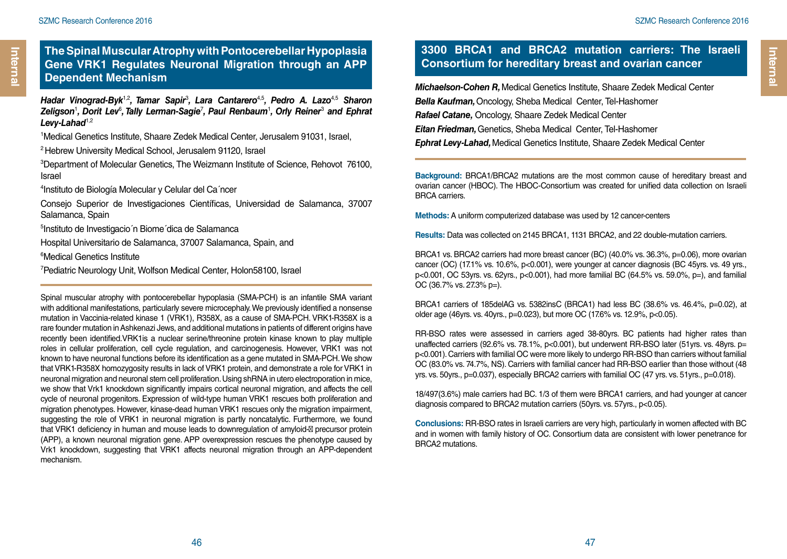## **The Spinal Muscular Atrophy with Pontocerebellar Hypoplasia Gene VRK1 Regulates Neuronal Migration through an APP Dependent Mechanism** *Michaelson-Cohen R,* Medical Genetics Institute, Shaare Zedek Medical Center

*Hadar Vinograd-Byk*1,2*, Tamar Sapir*<sup>3</sup> *, Lara Cantarero*4,5*, Pedro A. Lazo*4,5 *Sharon*  Zeligson<sup>1</sup>, Dorit Lev<sup>6</sup>, Tally Lerman-Sagie<sup>7</sup>, Paul Renbaum<sup>1</sup>, Orly Reiner<sup>3</sup> and Ephrat Levy-Lahad<sup>1,2</sup>

1 Medical Genetics Institute, Shaare Zedek Medical Center, Jerusalem 91031, Israel,

2 Hebrew University Medical School, Jerusalem 91120, Israel

3 Department of Molecular Genetics, The Weizmann Institute of Science, Rehovot 76100, Israel

4 Instituto de Biología Molecular y Celular del Ca´ncer

Consejo Superior de Investigaciones Científicas, Universidad de Salamanca, 37007 Salamanca, Spain

5 Instituto de Investigacio´n Biome´dica de Salamanca

Hospital Universitario de Salamanca, 37007 Salamanca, Spain, and

6 Medical Genetics Institute

<sup>7</sup> Pediatric Neurology Unit, Wolfson Medical Center, Holon58100, Israel

Spinal muscular atrophy with pontocerebellar hypoplasia (SMA-PCH) is an infantile SMA variant with additional manifestations, particularly severe microcephaly. We previously identified a nonsense mutation in Vaccinia-related kinase 1 (VRK1), R358X, as a cause of SMA-PCH. VRK1-R358X is a rare founder mutation in Ashkenazi Jews, and additional mutations in patients of different origins have recently been identified.VRK1is a nuclear serine/threonine protein kinase known to play multiple roles in cellular proliferation, cell cycle regulation, and carcinogenesis. However, VRK1 was not known to have neuronal functions before its identification as a gene mutated in SMA-PCH. We show that VRK1-R358X homozygosity results in lack of VRK1 protein, and demonstrate a role for VRK1 in neuronal migration and neuronal stem cell proliferation. Using shRNA in utero electroporation in mice, we show that Vrk1 knockdown significantly impairs cortical neuronal migration, and affects the cell cycle of neuronal progenitors. Expression of wild-type human VRK1 rescues both proliferation and migration phenotypes. However, kinase-dead human VRK1 rescues only the migration impairment, suggesting the role of VRK1 in neuronal migration is partly noncatalytic. Furthermore, we found that VRK1 deficiency in human and mouse leads to downregulation of amyloid- precursor protein (APP), a known neuronal migration gene. APP overexpression rescues the phenotype caused by Vrk1 knockdown, suggesting that VRK1 affects neuronal migration through an APP-dependent mechanism.

### **3300 BRCA1 and BRCA2 mutation carriers: The Israeli Consortium for hereditary breast and ovarian cancer**

*Bella Kaufman,* Oncology, Sheba Medical Center, Tel-Hashomer *Rafael Catane,* Oncology, Shaare Zedek Medical Center *Eitan Friedman,* Genetics, Sheba Medical Center, Tel-Hashomer *Ephrat Levy-Lahad,* Medical Genetics Institute, Shaare Zedek Medical Center

**Background:** BRCA1/BRCA2 mutations are the most common cause of hereditary breast and ovarian cancer (HBOC). The HBOC-Consortium was created for unified data collection on Israeli BRCA carriers.

**Methods:** A uniform computerized database was used by 12 cancer-centers

**Results:** Data was collected on 2145 BRCA1, 1131 BRCA2, and 22 double-mutation carriers.

BRCA1 vs. BRCA2 carriers had more breast cancer (BC) (40.0% vs. 36.3%, p=0.06), more ovarian cancer (OC) (17.1% vs. 10.6%, p<0.001), were younger at cancer diagnosis (BC 45yrs. vs. 49 yrs., p<0.001, OC 53yrs. vs. 62yrs., p<0.001), had more familial BC (64.5% vs. 59.0%, p=), and familial OC (36.7% vs. 27.3% p=).

BRCA1 carriers of 185delAG vs. 5382insC (BRCA1) had less BC (38.6% vs. 46.4%, p=0.02), at older age (46yrs. vs. 40yrs., p=0.023), but more OC (17.6% vs. 12.9%, p<0.05).

RR-BSO rates were assessed in carriers aged 38-80yrs. BC patients had higher rates than unaffected carriers (92.6% vs. 78.1%, p<0.001), but underwent RR-BSO later (51yrs. vs. 48yrs. p= p<0.001). Carriers with familial OC were more likely to undergo RR-BSO than carriers without familial OC (83.0% vs. 74.7%, NS). Carriers with familial cancer had RR-BSO earlier than those without (48 yrs. vs. 50yrs., p=0.037), especially BRCA2 carriers with familial OC (47 yrs. vs. 51yrs., p=0.018).

18/497(3.6%) male carriers had BC. 1/3 of them were BRCA1 carriers, and had younger at cancer diagnosis compared to BRCA2 mutation carriers (50yrs. vs. 57yrs., p<0.05).

**Conclusions:** RR-BSO rates in Israeli carriers are very high, particularly in women affected with BC and in women with family history of OC. Consortium data are consistent with lower penetrance for BRCA2 mutations.

**Internal** 

Internal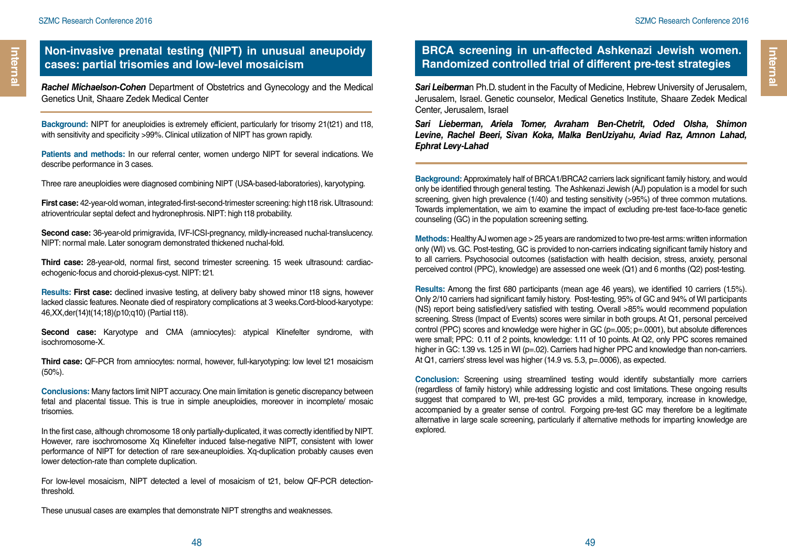*Rachel Michaelson-Cohen* Department of Obstetrics and Gynecology and the Medical Genetics Unit, Shaare Zedek Medical Center

**Background:** NIPT for aneuploidies is extremely efficient, particularly for trisomy 21(t21) and t18, with sensitivity and specificity >99%. Clinical utilization of NIPT has grown rapidly.

**Patients and methods:** In our referral center, women undergo NIPT for several indications. We describe performance in 3 cases.

Three rare aneuploidies were diagnosed combining NIPT (USA-based-laboratories), karyotyping.

**First case:** 42-year-old woman, integrated-first-second-trimester screening: high t18 risk. Ultrasound: atrioventricular septal defect and hydronephrosis. NIPT: high t18 probability.

**Second case:** 36-year-old primigravida, IVF-ICSI-pregnancy, mildly-increased nuchal-translucency. NIPT: normal male. Later sonogram demonstrated thickened nuchal-fold.

**Third case:** 28-year-old, normal first, second trimester screening. 15 week ultrasound: cardiacechogenic-focus and choroid-plexus-cyst. NIPT: t21.

**Results: First case:** declined invasive testing, at delivery baby showed minor t18 signs, however lacked classic features. Neonate died of respiratory complications at 3 weeks.Cord-blood-karyotype: 46,XX,der(14)t(14;18)(p10;q10) (Partial t18).

**Second case:** Karyotype and CMA (amniocytes): atypical Klinefelter syndrome, with isochromosome-X.

**Third case:** QF-PCR from amniocytes: normal, however, full-karyotyping: low level t21 mosaicism (50%).

**Conclusions:** Many factors limit NIPT accuracy. One main limitation is genetic discrepancy between fetal and placental tissue. This is true in simple aneuploidies, moreover in incomplete/ mosaic trisomies.

In the first case, although chromosome 18 only partially-duplicated, it was correctly identified by NIPT. However, rare isochromosome Xq Klinefelter induced false-negative NIPT, consistent with lower performance of NIPT for detection of rare sex-aneuploidies. Xq-duplication probably causes even lower detection-rate than complete duplication.

For low-level mosaicism, NIPT detected a level of mosaicism of t21, below QF-PCR detectionthreshold.

These unusual cases are examples that demonstrate NIPT strengths and weaknesses.

### **BRCA screening in un-affected Ashkenazi Jewish women. Randomized controlled trial of different pre-test strategies**

*Sari Leiberma*n Ph.D. student in the Faculty of Medicine, Hebrew University of Jerusalem, Jerusalem, Israel. Genetic counselor, Medical Genetics Institute, Shaare Zedek Medical Center, Jerusalem, Israel

*Sari Lieberman, Ariela Tomer, Avraham Ben-Chetrit, Oded Olsha, Shimon Levine, Rachel Beeri, Sivan Koka, Malka BenUziyahu, Aviad Raz, Amnon Lahad, Ephrat Levy-Lahad*

**Background:** Approximately half of BRCA1/BRCA2 carriers lack significant family history, and would only be identified through general testing. The Ashkenazi Jewish (AJ) population is a model for such screening, given high prevalence (1/40) and testing sensitivity (>95%) of three common mutations. Towards implementation, we aim to examine the impact of excluding pre-test face-to-face genetic counseling (GC) in the population screening setting.

**Methods:** Healthy AJ women age > 25 years are randomized to two pre-test arms: written information only (WI) vs. GC. Post-testing, GC is provided to non-carriers indicating significant family history and to all carriers. Psychosocial outcomes (satisfaction with health decision, stress, anxiety, personal perceived control (PPC), knowledge) are assessed one week (Q1) and 6 months (Q2) post-testing.

**Results:** Among the first 680 participants (mean age 46 years), we identified 10 carriers (1.5%). Only 2/10 carriers had significant family history. Post-testing, 95% of GC and 94% of WI participants (NS) report being satisfied/very satisfied with testing. Overall >85% would recommend population screening. Stress (Impact of Events) scores were similar in both groups. At Q1, personal perceived control (PPC) scores and knowledge were higher in GC (p=.005; p=.0001), but absolute differences were small; PPC: 0.11 of 2 points, knowledge: 1.11 of 10 points. At Q2, only PPC scores remained higher in GC: 1.39 vs. 1.25 in WI (p=.02). Carriers had higher PPC and knowledge than non-carriers. At Q1, carriers' stress level was higher (14.9 vs. 5.3, p=.0006), as expected.

**Conclusion:** Screening using streamlined testing would identify substantially more carriers (regardless of family history) while addressing logistic and cost limitations. These ongoing results suggest that compared to WI, pre-test GC provides a mild, temporary, increase in knowledge, accompanied by a greater sense of control. Forgoing pre-test GC may therefore be a legitimate alternative in large scale screening, particularly if alternative methods for imparting knowledge are explored.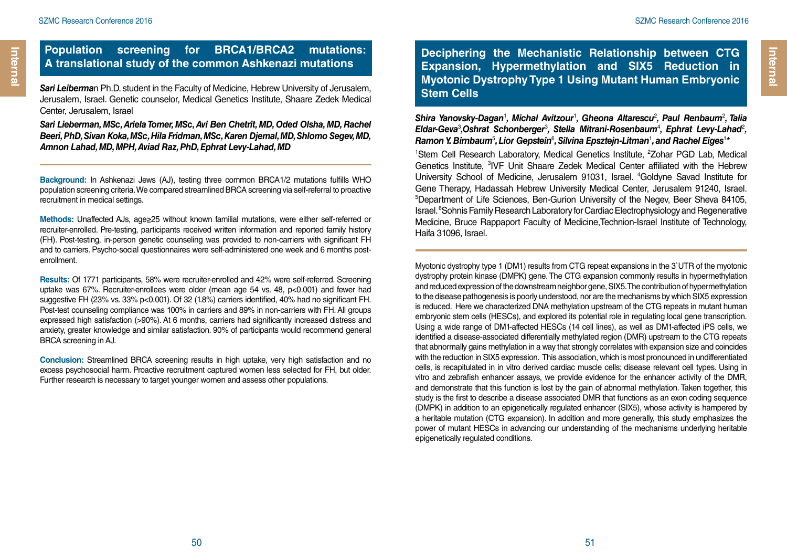Internal

### **Population screening for BRCA1/BRCA2 mutations: A translational study of the common Ashkenazi mutations**

*Sari Leiberma*n Ph.D. student in the Faculty of Medicine, Hebrew University of Jerusalem, Jerusalem, Israel. Genetic counselor, Medical Genetics Institute, Shaare Zedek Medical Center, Jerusalem, Israel

*Sari Lieberman, MSc, Ariela Tomer, MSc, Avi Ben Chetrit, MD, Oded Olsha, MD, Rachel Beeri, PhD, Sivan Koka, MSc, Hila Fridman, MSc, Karen Djemal, MD, Shlomo Segev, MD, Amnon Lahad, MD, MPH, Aviad Raz, PhD, Ephrat Levy-Lahad, MD*

**Background:** In Ashkenazi Jews (AJ), testing three common BRCA1/2 mutations fulfills WHO population screening criteria. We compared streamlined BRCA screening via self-referral to proactive recruitment in medical settings.

**Methods:** Unaffected AJs, age≥25 without known familial mutations, were either self-referred or recruiter-enrolled. Pre-testing, participants received written information and reported family history (FH). Post-testing, in-person genetic counseling was provided to non-carriers with significant FH and to carriers. Psycho-social questionnaires were self-administered one week and 6 months postenrollment.

**Results:** Of 1771 participants, 58% were recruiter-enrolled and 42% were self-referred. Screening uptake was 67%. Recruiter-enrollees were older (mean age 54 vs. 48, p<0.001) and fewer had suggestive FH (23% vs. 33% p<0.001). Of 32 (1.8%) carriers identified, 40% had no significant FH. Post-test counseling compliance was 100% in carriers and 89% in non-carriers with FH. All groups expressed high satisfaction (>90%). At 6 months, carriers had significantly increased distress and anxiety, greater knowledge and similar satisfaction. 90% of participants would recommend general BRCA screening in AJ.

**Conclusion:** Streamlined BRCA screening results in high uptake, very high satisfaction and no excess psychosocial harm. Proactive recruitment captured women less selected for FH, but older. Further research is necessary to target younger women and assess other populations.

**Deciphering the Mechanistic Relationship between CTG Expansion, Hypermethylation and SIX5 Reduction in Myotonic Dystrophy Type 1 Using Mutant Human Embryonic Stem Cells**

Shira Yanovsky-Dagan<sup>1</sup>, Michal Avitzour<sup>1</sup>, Gheona Altarescu<sup>2</sup>, Paul Renbaum<sup>2</sup>, Talia Eldar-Geva<sup>3</sup>,Oshrat Schonberger<sup>3</sup>, Stella Mitrani-Rosenbaum<sup>4</sup>, Ephrat Levy-Lahad<sup>2</sup>, Ramon Y. Birnbaum<sup>5</sup>, Lior Gepstein<sup>6</sup>, Silvina Epsztejn-Litman<sup>1</sup>, and Rachel Eiges<sup>1</sup>\*

<sup>1</sup>Stem Cell Research Laboratory, Medical Genetics Institute, <sup>2</sup>Zohar PGD Lab, Medical Genetics Institute, <sup>3</sup>IVF Unit Shaare Zedek Medical Center affiliated with the Hebrew University School of Medicine, Jerusalem 91031, Israel. <sup>4</sup>Goldyne Savad Institute for Gene Therapy, Hadassah Hebrew University Medical Center, Jerusalem 91240, Israel. 5 Department of Life Sciences, Ben-Gurion University of the Negev, Beer Sheva 84105, Israel. <sup>6</sup> Sohnis Family Research Laboratory for Cardiac Electrophysiology and Regenerative Medicine, Bruce Rappaport Faculty of Medicine,Technion-Israel Institute of Technology, Haifa 31096, Israel.

Myotonic dystrophy type 1 (DM1) results from CTG repeat expansions in the 3`UTR of the myotonic dystrophy protein kinase (DMPK) gene. The CTG expansion commonly results in hypermethylation and reduced expression of the downstream neighbor gene, SIX5. The contribution of hypermethylation to the disease pathogenesis is poorly understood, nor are the mechanisms by which SIX5 expression is reduced. Here we characterized DNA methylation upstream of the CTG repeats in mutant human embryonic stem cells (HESCs), and explored its potential role in regulating local gene transcription. Using a wide range of DM1-affected HESCs (14 cell lines), as well as DM1-affected iPS cells, we identified a disease-associated differentially methylated region (DMR) upstream to the CTG repeats that abnormally gains methylation in a way that strongly correlates with expansion size and coincides with the reduction in SIX5 expression. This association, which is most pronounced in undifferentiated cells, is recapitulated in in vitro derived cardiac muscle cells; disease relevant cell types. Using in vitro and zebrafish enhancer assays, we provide evidence for the enhancer activity of the DMR, and demonstrate that this function is lost by the gain of abnormal methylation. Taken together, this study is the first to describe a disease associated DMR that functions as an exon coding sequence (DMPK) in addition to an epigenetically regulated enhancer (SIX5), whose activity is hampered by a heritable mutation (CTG expansion). In addition and more generally, this study emphasizes the power of mutant HESCs in advancing our understanding of the mechanisms underlying heritable epigenetically regulated conditions.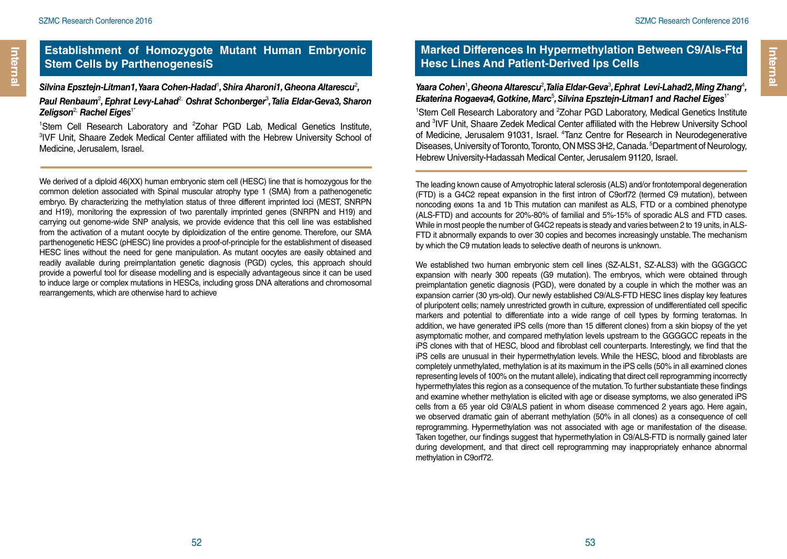#### Silvina Epsztejn-Litman1, Yaara Cohen-Hadad<sup>ı</sup>, Shira Aharoni1, Gheona Altarescu<sup>2</sup>, *Paul Renbaum*<sup>2</sup> *, Ephrat Levy-Lahad*2, *Oshrat Schonberger*<sup>3</sup> *, Talia Eldar-Geva3, Sharon*   $Zeligson<sup>2</sup>$ , Rachel Eiges<sup>1\*</sup>

<sup>1</sup>Stem Cell Research Laboratory and <sup>2</sup> 'Stem Cell Research Laboratory and <sup>2</sup>Zohar PGD Lab, Medical Genetics Institute,<br><sup>3</sup>IVF Unit, Shaare Zedek Medical Center affiliated with the Hebrew University School of Medicine, Jerusalem, Israel.

We derived of a diploid 46(XX) human embryonic stem cell (HESC) line that is homozygous for the common deletion associated with Spinal muscular atrophy type 1 (SMA) from a pathenogenetic embryo. By characterizing the methylation status of three different imprinted loci (MEST, SNRPN and H19), monitoring the expression of two parentally imprinted genes (SNRPN and H19) and carrying out genome-wide SNP analysis, we provide evidence that this cell line was established from the activation of a mutant oocyte by diploidization of the entire genome. Therefore, our SMA parthenogenetic HESC (pHESC) line provides a proof-of-principle for the establishment of diseased HESC lines without the need for gene manipulation. As mutant oocytes are easily obtained and readily available during preimplantation genetic diagnosis (PGD) cycles, this approach should provide a powerful tool for disease modelling and is especially advantageous since it can be used to induce large or complex mutations in HESCs, including gross DNA alterations and chromosomal rearrangements, which are otherwise hard to achieve

### **Marked Differences In Hypermethylation Between C9/Als-Ftd Hesc Lines And Patient-Derived Ips Cells**

#### Yaara Cohen<sup>1</sup>, Gheona Altarescu<sup>2</sup>, Talia Eldar-Geva<sup>3</sup>, Ephrat Levi-Lahad2, Ming Zhang<sup>4</sup>, Ekaterina Rogaeva4, Gotkine, Marc<sup>5</sup>, Silvina Epsztejn-Litman1 and Rachel Eiges<sup>1</sup>

<sup>1</sup>Stem Cell Research Laboratory and <sup>2</sup>Zohar PGD Laboratory, Medical Genetics Institute and <sup>3</sup>IVF Unit, Shaare Zedek Medical Center affiliated with the Hebrew University School of Medicine, Jerusalem 91031, Israel. <sup>4</sup>Tanz Centre for Research in Neurodegenerative Diseases, University of Toronto, Toronto, ON MSS 3H2, Canada.<sup>5</sup> Department of Neurology, Hebrew University-Hadassah Medical Center, Jerusalem 91120, Israel.

The leading known cause of Amyotrophic lateral sclerosis (ALS) and/or frontotemporal degeneration (FTD) is a G4C2 repeat expansion in the first intron of C9orf72 (termed C9 mutation), between noncoding exons 1a and 1b This mutation can manifest as ALS, FTD or a combined phenotype (ALS-FTD) and accounts for 20%-80% of familial and 5%-15% of sporadic ALS and FTD cases. While in most people the number of G4C2 repeats is steady and varies between 2 to 19 units, in ALS-FTD it abnormally expands to over 30 copies and becomes increasingly unstable. The mechanism by which the C9 mutation leads to selective death of neurons is unknown.

We established two human embryonic stem cell lines (SZ-ALS1, SZ-ALS3) with the GGGGCC expansion with nearly 300 repeats (G9 mutation). The embryos, which were obtained through preimplantation genetic diagnosis (PGD), were donated by a couple in which the mother was an expansion carrier (30 yrs-old). Our newly established C9/ALS-FTD HESC lines display key features of pluripotent cells; namely unrestricted growth in culture, expression of undifferentiated cell specific markers and potential to differentiate into a wide range of cell types by forming teratomas. In addition, we have generated iPS cells (more than 15 different clones) from a skin biopsy of the yet asymptomatic mother, and compared methylation levels upstream to the GGGGCC repeats in the iPS clones with that of HESC, blood and fibroblast cell counterparts. Interestingly, we find that the iPS cells are unusual in their hypermethylation levels. While the HESC, blood and fibroblasts are completely unmethylated, methylation is at its maximum in the iPS cells (50% in all examined clones representing levels of 100% on the mutant allele), indicating that direct cell reprogramming incorrectly hypermethylates this region as a consequence of the mutation. To further substantiate these findings and examine whether methylation is elicited with age or disease symptoms, we also generated iPS cells from a 65 year old C9/ALS patient in whom disease commenced 2 years ago. Here again, we observed dramatic gain of aberrant methylation (50% in all clones) as a consequence of cell reprogramming. Hypermethylation was not associated with age or manifestation of the disease. Taken together, our findings suggest that hypermethylation in C9/ALS-FTD is normally gained later during development, and that direct cell reprogramming may inappropriately enhance abnormal methylation in C9orf72.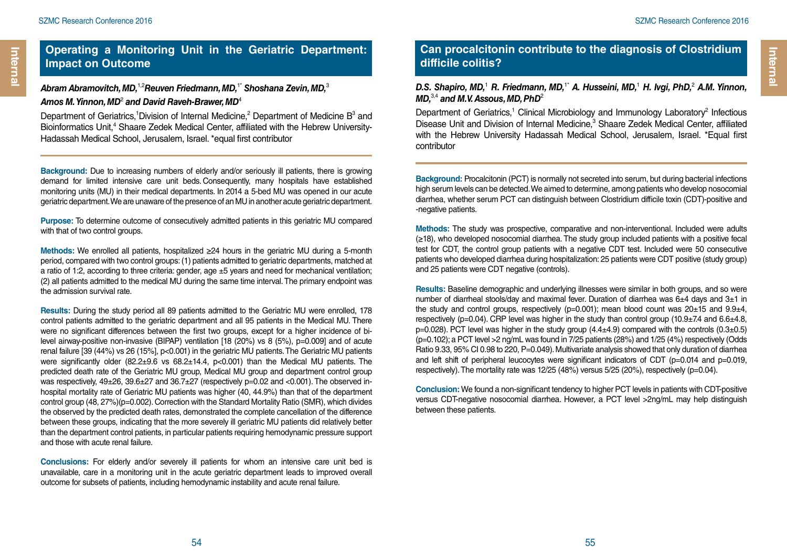Internal

### **Operating a Monitoring Unit in the Geriatric Department: Impact on Outcome**

### *Abram Abramovitch, MD,*1,2*Reuven Friedmann, MD,*1\* *Shoshana Zevin, MD,*<sup>3</sup> *Amos M. Yinnon, MD*<sup>2</sup>  *and David Raveh-Brawer, MD*<sup>4</sup>

Department of Geriatrics, <sup>1</sup>Division of Internal Medicine, <sup>2</sup> Department of Medicine  $B^3$  and Bioinformatics Unit,<sup>4</sup> Shaare Zedek Medical Center, affiliated with the Hebrew University-Hadassah Medical School, Jerusalem, Israel. \*equal first contributor

**Background:** Due to increasing numbers of elderly and/or seriously ill patients, there is growing demand for limited intensive care unit beds. Consequently, many hospitals have established monitoring units (MU) in their medical departments. In 2014 a 5-bed MU was opened in our acute geriatric department. We are unaware of the presence of an MU in another acute geriatric department.

**Purpose:** To determine outcome of consecutively admitted patients in this geriatric MU compared with that of two control groups.

**Methods:** We enrolled all patients, hospitalized ≥24 hours in the geriatric MU during a 5-month period, compared with two control groups: (1) patients admitted to geriatric departments, matched at a ratio of 1:2, according to three criteria: gender, age ±5 years and need for mechanical ventilation; (2) all patients admitted to the medical MU during the same time interval. The primary endpoint was the admission survival rate.

**Results:** During the study period all 89 patients admitted to the Geriatric MU were enrolled, 178 control patients admitted to the geriatric department and all 95 patients in the Medical MU. There were no significant differences between the first two groups, except for a higher incidence of bilevel airway-positive non-invasive (BIPAP) ventilation [18 (20%) vs 8 (5%), p=0.009] and of acute renal failure [39 (44%) vs 26 (15%], p<0.001) in the geriatric MU patients. The Geriatric MU patients were significantly older (82.2±9.6 vs 68.2±14.4, p<0.001) than the Medical MU patients. The predicted death rate of the Geriatric MU group, Medical MU group and department control group was respectively, 49±26, 39.6±27 and 36.7±27 (respectively p=0.02 and <0.001). The observed inhospital mortality rate of Geriatric MU patients was higher (40, 44.9%) than that of the department control group (48, 27%)(p=0.002). Correction with the Standard Mortality Ratio (SMR), which divides the observed by the predicted death rates, demonstrated the complete cancellation of the difference between these groups, indicating that the more severely ill geriatric MU patients did relatively better than the department control patients, in particular patients requiring hemodynamic pressure support and those with acute renal failure.

**Conclusions:** For elderly and/or severely ill patients for whom an intensive care unit bed is unavailable, care in a monitoring unit in the acute geriatric department leads to improved overall outcome for subsets of patients, including hemodynamic instability and acute renal failure.

### **Can procalcitonin contribute to the diagnosis of Clostridium difficile colitis?**

#### D.S. Shapiro, MD,<sup>1</sup> R. Friedmann, MD,<sup>1\*</sup> A. Husseini, MD,<sup>1</sup> H. Ivgi, PhD,<sup>2</sup> A.M. Yinnon, *MD*,<sup>3,4</sup> and *M.V. Assous, MD, PhD*<sup>2</sup>

Department of Geriatrics,<sup>1</sup> Clinical Microbiology and Immunology Laboratory<sup>2</sup> Infectious Disease Unit and Division of Internal Medicine,<sup>3</sup> Shaare Zedek Medical Center, affiliated with the Hebrew University Hadassah Medical School, Jerusalem, Israel. \*Equal first contributor

**Background:** Procalcitonin (PCT) is normally not secreted into serum, but during bacterial infections high serum levels can be detected. We aimed to determine, among patients who develop nosocomial diarrhea, whether serum PCT can distinguish between Clostridium difficile toxin (CDT)-positive and -negative patients.

**Methods:** The study was prospective, comparative and non-interventional. Included were adults (≥18), who developed nosocomial diarrhea. The study group included patients with a positive fecal test for CDT, the control group patients with a negative CDT test. Included were 50 consecutive patients who developed diarrhea during hospitalization: 25 patients were CDT positive (study group) and 25 patients were CDT negative (controls).

**Results:** Baseline demographic and underlying illnesses were similar in both groups, and so were number of diarrheal stools/day and maximal fever. Duration of diarrhea was 6±4 days and 3±1 in the study and control groups, respectively ( $p=0.001$ ); mean blood count was  $20±15$  and  $9.9±4$ , respectively (p=0.04). CRP level was higher in the study than control group (10.9 $\pm$ 7.4 and 6.6 $\pm$ 4.8,  $p=0.028$ ). PCT level was higher in the study group  $(4.4\pm4.9)$  compared with the controls  $(0.3\pm0.5)$ (p=0.102); a PCT level >2 ng/mL was found in 7/25 patients (28%) and 1/25 (4%) respectively (Odds Ratio 9.33, 95% CI 0.98 to 220, P=0.049). Multivariate analysis showed that only duration of diarrhea and left shift of peripheral leucocytes were significant indicators of CDT ( $p=0.014$  and  $p=0.019$ , respectively). The mortality rate was 12/25 (48%) versus 5/25 (20%), respectively (p=0.04).

**Conclusion:** We found a non-significant tendency to higher PCT levels in patients with CDT-positive versus CDT-negative nosocomial diarrhea. However, a PCT level >2ng/mL may help distinguish between these patients.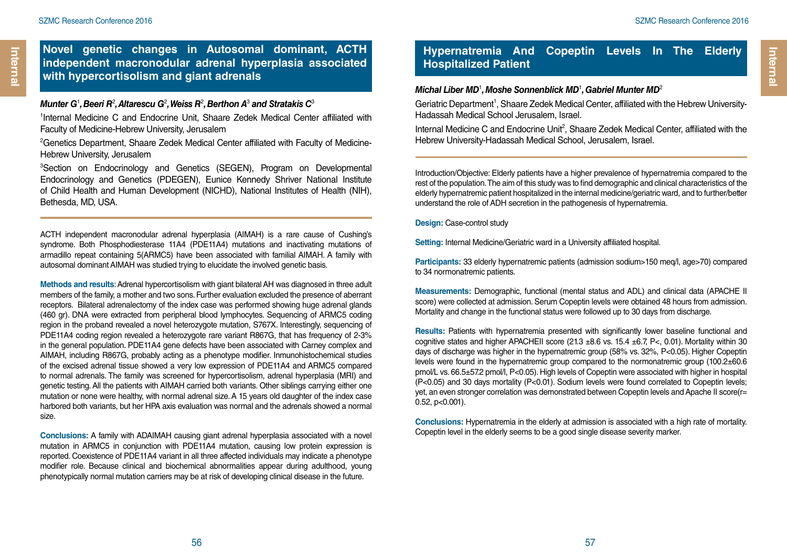### **Novel genetic changes in Autosomal dominant, ACTH independent macronodular adrenal hyperplasia associated with hypercortisolism and giant adrenals**

#### $\bm{\mathsf{M}}$ unter G<sup>1</sup>, Beeri R<sup>2</sup>, Altarescu G<sup>2</sup>, Weiss R<sup>2</sup>, Berthon A<sup>3</sup> and Stratakis C<sup>3</sup>

1 Internal Medicine C and Endocrine Unit, Shaare Zedek Medical Center affiliated with Faculty of Medicine-Hebrew University, Jerusalem

<sup>2</sup>Genetics Department, Shaare Zedek Medical Center affiliated with Faculty of Medicine-Hebrew University, Jerusalem

<sup>3</sup>Section on Endocrinology and Genetics (SEGEN), Program on Developmental Endocrinology and Genetics (PDEGEN), Eunice Kennedy Shriver National Institute of Child Health and Human Development (NICHD), National Institutes of Health (NIH), Bethesda, MD, USA.

ACTH independent macronodular adrenal hyperplasia (AIMAH) is a rare cause of Cushing's syndrome. Both Phosphodiesterase 11A4 (PDE11A4) mutations and inactivating mutations of armadillo repeat containing 5(ARMC5) have been associated with familial AIMAH. A family with autosomal dominant AIMAH was studied trying to elucidate the involved genetic basis.

**Methods and results**: Adrenal hypercortisolism with giant bilateral AH was diagnosed in three adult members of the family, a mother and two sons. Further evaluation excluded the presence of aberrant receptors. Bilateral adrenalectomy of the index case was performed showing huge adrenal glands (460 gr). DNA were extracted from peripheral blood lymphocytes. Sequencing of ARMC5 coding region in the proband revealed a novel heterozygote mutation, S767X. Interestingly, sequencing of PDE11A4 coding region revealed a heterozygote rare variant R867G, that has frequency of 2-3% in the general population. PDE11A4 gene defects have been associated with Carney complex and AIMAH, including R867G, probably acting as a phenotype modifier. Inmunohistochemical studies of the excised adrenal tissue showed a very low expression of PDE11A4 and ARMC5 compared to normal adrenals. The family was screened for hypercortisolism, adrenal hyperplasia (MRI) and genetic testing. All the patients with AIMAH carried both variants. Other siblings carrying either one mutation or none were healthy, with normal adrenal size. A 15 years old daughter of the index case harbored both variants, but her HPA axis evaluation was normal and the adrenals showed a normal size.

**Conclusions:** A family with ADAIMAH causing giant adrenal hyperplasia associated with a novel mutation in ARMC5 in conjunction with PDE11A4 mutation, causing low protein expression is reported. Coexistence of PDE11A4 variant in all three affected individuals may indicate a phenotype modifier role. Because clinical and biochemical abnormalities appear during adulthood, young phenotypically normal mutation carriers may be at risk of developing clinical disease in the future.

### **Hypernatremia And Copeptin Levels In The Elderly Hospitalized Patient**

#### *Michal Liber MD*<sup>1</sup> *, Moshe Sonnenblick MD*<sup>1</sup> *, Gabriel Munter MD*<sup>2</sup>

Geriatric Department<sup>1</sup>, Shaare Zedek Medical Center, affiliated with the Hebrew University-Hadassah Medical School Jerusalem, Israel.

Internal Medicine C and Endocrine Unit<sup>2</sup>, Shaare Zedek Medical Center, affiliated with the Hebrew University-Hadassah Medical School, Jerusalem, Israel.

Introduction/Objective: Elderly patients have a higher prevalence of hypernatremia compared to the rest of the population. The aim of this study was to find demographic and clinical characteristics of the elderly hypernatremic patient hospitalized in the internal medicine/geriatric ward, and to further/better understand the role of ADH secretion in the pathogenesis of hypernatremia.

**Design:** Case-control study

**Setting:** Internal Medicine/Geriatric ward in a University affiliated hospital.

Participants: 33 elderly hypernatremic patients (admission sodium>150 meq/l, age>70) compared to 34 normonatremic patients.

**Measurements:** Demographic, functional (mental status and ADL) and clinical data (APACHE II score) were collected at admission. Serum Copeptin levels were obtained 48 hours from admission. Mortality and change in the functional status were followed up to 30 days from discharge.

**Results:** Patients with hypernatremia presented with significantly lower baseline functional and cognitive states and higher APACHEII score  $(21.3 \pm 8.6 \text{ vs. } 15.4 \pm 6.7, P<sub>0.01</sub>)$ . Mortality within 30 days of discharge was higher in the hypernatremic group (58% vs. 32%, P<0.05). Higher Copeptin levels were found in the hypernatremic group compared to the normonatremic group (100.2±60.6 pmol/L vs. 66.5±57.2 pmol/l, P<0.05). High levels of Copeptin were associated with higher in hospital (P<0.05) and 30 days mortality (P<0.01). Sodium levels were found correlated to Copeptin levels; yet, an even stronger correlation was demonstrated between Copeptin levels and Apache II score(r= 0.52, p<0.001).

**Conclusions:** Hypernatremia in the elderly at admission is associated with a high rate of mortality. Copeptin level in the elderly seems to be a good single disease severity marker.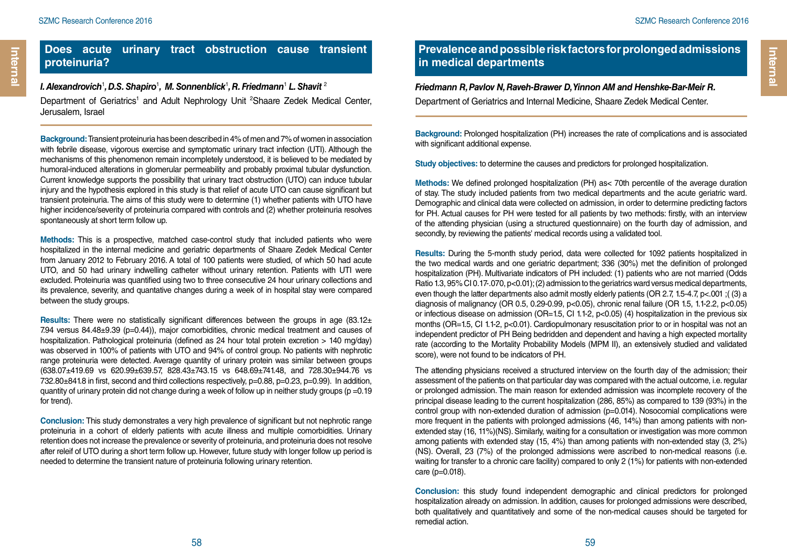### **Does acute urinary tract obstruction cause transient proteinuria?**

#### *I. Alexandrovich* $^1$ *, D.S. Shapiro* $^1$ *, M. Sonnenblick* $^1$ *, R. Friedmann* $^1$  *L. Shavit*  $^2$

Department of Geriatrics<sup>1</sup> and Adult Nephrology Unit <sup>2</sup>Shaare Zedek Medical Center, Jerusalem, Israel

**Background:** Transient proteinuria has been described in 4% of men and 7% of women in association with febrile disease, vigorous exercise and symptomatic urinary tract infection (UTI). Although the mechanisms of this phenomenon remain incompletely understood, it is believed to be mediated by humoral-induced alterations in glomerular permeability and probably proximal tubular dysfunction. Current knowledge supports the possibility that urinary tract obstruction (UTO) can induce tubular injury and the hypothesis explored in this study is that relief of acute UTO can cause significant but transient proteinuria. The aims of this study were to determine (1) whether patients with UTO have higher incidence/severity of proteinuria compared with controls and (2) whether proteinuria resolves spontaneously at short term follow up.

**Methods:** This is a prospective, matched case-control study that included patients who were hospitalized in the internal medicine and geriatric departments of Shaare Zedek Medical Center from January 2012 to February 2016. A total of 100 patients were studied, of which 50 had acute UTO, and 50 had urinary indwelling catheter without urinary retention. Patients with UTI were excluded. Proteinuria was quantified using two to three consecutive 24 hour urinary collections and its prevalence, severity, and quantative changes during a week of in hospital stay were compared between the study groups.

**Results:** There were no statistically significant differences between the groups in age (83.12± 7.94 versus 84.48±9.39 (p=0.44)), major comorbidities, chronic medical treatment and causes of hospitalization. Pathological proteinuria (defined as 24 hour total protein excretion > 140 mg/day) was observed in 100% of patients with UTO and 94% of control group. No patients with nephrotic range proteinuria were detected. Average quantity of urinary protein was similar between groups (638.07±419.69 vs 620.99±639.57, 828.43±743.15 vs 648.69±741.48, and 728.30±944.76 vs 732.80±841.8 in first, second and third collections respectively, p=0.88, p=0.23, p=0.99). In addition, quantity of urinary protein did not change during a week of follow up in neither study groups ( $p = 0.19$ ) for trend).

**Conclusion:** This study demonstrates a very high prevalence of significant but not nephrotic range proteinuria in a cohort of elderly patients with acute illness and multiple comorbidities. Urinary retention does not increase the prevalence or severity of proteinuria, and proteinuria does not resolve after releif of UTO during a short term follow up. However, future study with longer follow up period is needed to determine the transient nature of proteinuria following urinary retention.

### **Prevalence and possible risk factors for prolonged admissions in medical departments**

#### *Friedmann R, Pavlov N, Raveh-Brawer D, Yinnon AM and Henshke-Bar-Meir R.* Department of Geriatrics and Internal Medicine, Shaare Zedek Medical Center.

**Background:** Prolonged hospitalization (PH) increases the rate of complications and is associated with significant additional expense.

**Study objectives:** to determine the causes and predictors for prolonged hospitalization.

**Methods:** We defined prolonged hospitalization (PH) as< 70th percentile of the average duration of stay. The study included patients from two medical departments and the acute geriatric ward. Demographic and clinical data were collected on admission, in order to determine predicting factors for PH. Actual causes for PH were tested for all patients by two methods: firstly, with an interview of the attending physician (using a structured questionnaire) on the fourth day of admission, and secondly, by reviewing the patients' medical records using a validated tool.

**Results:** During the 5-month study period, data were collected for 1092 patients hospitalized in the two medical wards and one geriatric department; 336 (30%) met the definition of prolonged hospitalization (PH). Multivariate indicators of PH included: (1) patients who are not married (Odds Ratio 1.3, 95% CI 0.17-.070, p<0.01); (2) admission to the geriatrics ward versus medical departments, even though the latter departments also admit mostly elderly patients (OR 2.7, 1.5-4.7, p<.001 ;( (3) a diagnosis of malignancy (OR 0.5, 0.29-0.99, p<0.05), chronic renal failure (OR 1.5, 1.1-2.2, p<0.05) or infectious disease on admission (OR=1.5, CI 1.1-2, p<0.05) (4) hospitalization in the previous six months (OR=1.5, CI 1.1-2, p<0.01). Cardiopulmonary resuscitation prior to or in hospital was not an independent predictor of PH Being bedridden and dependent and having a high expected mortality rate (according to the Mortality Probability Models (MPM II), an extensively studied and validated score), were not found to be indicators of PH.

The attending physicians received a structured interview on the fourth day of the admission; their assessment of the patients on that particular day was compared with the actual outcome, i.e. regular or prolonged admission. The main reason for extended admission was incomplete recovery of the principal disease leading to the current hospitalization (286, 85%) as compared to 139 (93%) in the control group with non-extended duration of admission (p=0.014). Nosocomial complications were more frequent in the patients with prolonged admissions (46, 14%) than among patients with nonextended stay (16, 11%)(NS). Similarly, waiting for a consultation or investigation was more common among patients with extended stay (15, 4%) than among patients with non-extended stay (3, 2%) (NS). Overall, 23 (7%) of the prolonged admissions were ascribed to non-medical reasons (i.e. waiting for transfer to a chronic care facility) compared to only 2 (1%) for patients with non-extended care (p=0.018).

**Conclusion:** this study found independent demographic and clinical predictors for prolonged hospitalization already on admission. In addition, causes for prolonged admissions were described, both qualitatively and quantitatively and some of the non-medical causes should be targeted for remedial action.

**Internal** 

Internal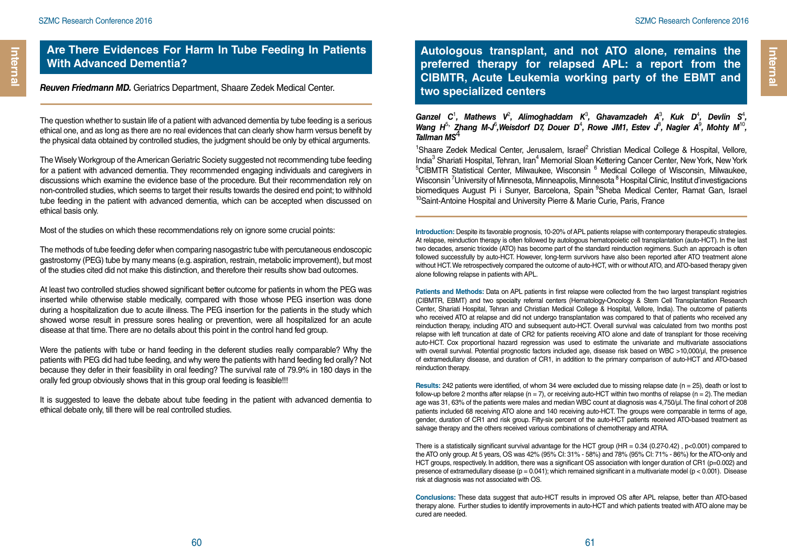### **Are There Evidences For Harm In Tube Feeding In Patients With Advanced Dementia?**

*Reuven Friedmann MD.* Geriatrics Department, Shaare Zedek Medical Center.

The question whether to sustain life of a patient with advanced dementia by tube feeding is a serious ethical one, and as long as there are no real evidences that can clearly show harm versus benefit by the physical data obtained by controlled studies, the judgment should be only by ethical arguments.

The Wisely Workgroup of the American Geriatric Society suggested not recommending tube feeding for a patient with advanced dementia. They recommended engaging individuals and caregivers in discussions which examine the evidence base of the procedure. But their recommendation rely on non-controlled studies, which seems to target their results towards the desired end point; to withhold tube feeding in the patient with advanced dementia, which can be accepted when discussed on ethical basis only.

Most of the studies on which these recommendations rely on ignore some crucial points:

The methods of tube feeding defer when comparing nasogastric tube with percutaneous endoscopic gastrostomy (PEG) tube by many means (e.g. aspiration, restrain, metabolic improvement), but most of the studies cited did not make this distinction, and therefore their results show bad outcomes.

At least two controlled studies showed significant better outcome for patients in whom the PEG was inserted while otherwise stable medically, compared with those whose PEG insertion was done during a hospitalization due to acute illness. The PEG insertion for the patients in the study which showed worse result in pressure sores healing or prevention, were all hospitalized for an acute disease at that time. There are no details about this point in the control hand fed group.

Were the patients with tube or hand feeding in the deferent studies really comparable? Why the patients with PEG did had tube feeding, and why were the patients with hand feeding fed orally? Not because they defer in their feasibility in oral feeding? The survival rate of 79.9% in 180 days in the orally fed group obviously shows that in this group oral feeding is feasible!!!

It is suggested to leave the debate about tube feeding in the patient with advanced dementia to ethical debate only, till there will be real controlled studies.

**Autologous transplant, and not ATO alone, remains the preferred therapy for relapsed APL: a report from the CIBMTR, Acute Leukemia working party of the EBMT and two specialized centers**

Ganzel C<sup>1</sup>, Mathews V<sup>2</sup>, Alimoghaddam K<sup>3</sup>, Ghavamzadeh A<sup>3</sup>, Kuk D<sup>4</sup>, Devlin S<sup>4</sup>, *Wang H*<sup>5, 2</sup>hang M-J<sup>6</sup>, Weisdorf D7, Douer D<sup>4</sup>, Rowe JM1, Estev J<sup>8</sup>, Nagler A<sup>9</sup>, Mohty M<sup>10</sup>, *Tallman MS*<sup>4</sup>

<sup>1</sup>Shaare Zedek Medical Center, Jerusalem, Israel<sup>2</sup> Christian Medical College & Hospital, Vellore, India<sup>3</sup> Shariati Hospital, Tehran, Iran<sup>4</sup> Memorial Sloan Kettering Cancer Center, New York, New York<br><sup>5</sup>CIBMTR Statistical Center, Milwaukee, Wisconsin, <sup>6</sup> Medical College of Wisconsin, Milwaukee CIBMTR Statistical Center, Milwaukee, Wisconsin <sup>6</sup> Medical College of Wisconsin, Milwaukee, Wisconsin<sup>7</sup>University of Minnesota, Minneapolis, Minnesota <sup>8</sup> Hospital Clinic, Institut d'investigacions biomediques August Pi i Sunyer, Barcelona, Spain <sup>9</sup>Sheba Medical Center, Ramat Gan, Israel <sup>10</sup>Saint-Antoine Hospital and University Pierre & Marie Curie, Paris, France

**Introduction:** Despite its favorable prognosis, 10-20% of APL patients relapse with contemporary therapeutic strategies. At relapse, reinduction therapy is often followed by autologous hematopoietic cell transplantation (auto-HCT). In the last two decades, arsenic trioxide (ATO) has become part of the standard reinduction regimens. Such an approach is often followed successfully by auto-HCT. However, long-term survivors have also been reported after ATO treatment alone without HCT. We retrospectively compared the outcome of auto-HCT, with or without ATO, and ATO-based therapy given alone following relapse in patients with APL.

**Patients and Methods:** Data on APL patients in first relapse were collected from the two largest transplant registries (CIBMTR, EBMT) and two specialty referral centers (Hematology-Oncology & Stem Cell Transplantation Research Center, Shariati Hospital, Tehran and Christian Medical College & Hospital, Vellore, India). The outcome of patients who received ATO at relapse and did not undergo transplantation was compared to that of patients who received any reinduction therapy, including ATO and subsequent auto-HCT. Overall survival was calculated from two months post relapse with left truncation at date of CR2 for patients receiving ATO alone and date of transplant for those receiving auto-HCT. Cox proportional hazard regression was used to estimate the univariate and multivariate associations with overall survival. Potential prognostic factors included age, disease risk based on WBC >10,000/µl, the presence of extramedullary disease, and duration of CR1, in addition to the primary comparison of auto-HCT and ATO-based reinduction therapy.

**Results:** 242 patients were identified, of whom 34 were excluded due to missing relapse date (n = 25), death or lost to follow-up before 2 months after relapse (n = 7), or receiving auto-HCT within two months of relapse (n = 2). The median age was 31, 63% of the patients were males and median WBC count at diagnosis was 4,750/µl. The final cohort of 208 patients included 68 receiving ATO alone and 140 receiving auto-HCT. The groups were comparable in terms of age, gender, duration of CR1 and risk group. Fifty-six percent of the auto-HCT patients received ATO-based treatment as salvage therapy and the others received various combinations of chemotherapy and ATRA.

There is a statistically significant survival advantage for the HCT group (HR =  $0.34$  (0.27-0.42),  $p<0.001$ ) compared to the ATO only group. At 5 years, OS was 42% (95% CI: 31% - 58%) and 78% (95% CI: 71% - 86%) for the ATO-only and HCT groups, respectively. In addition, there was a significant OS association with longer duration of CR1 (p=0.002) and presence of extramedullary disease ( $p = 0.041$ ); which remained significant in a multivariate model ( $p < 0.001$ ). Disease risk at diagnosis was not associated with OS.

**Conclusions:** These data suggest that auto-HCT results in improved OS after APL relapse, better than ATO-based therapy alone. Further studies to identify improvements in auto-HCT and which patients treated with ATO alone may be cured are needed.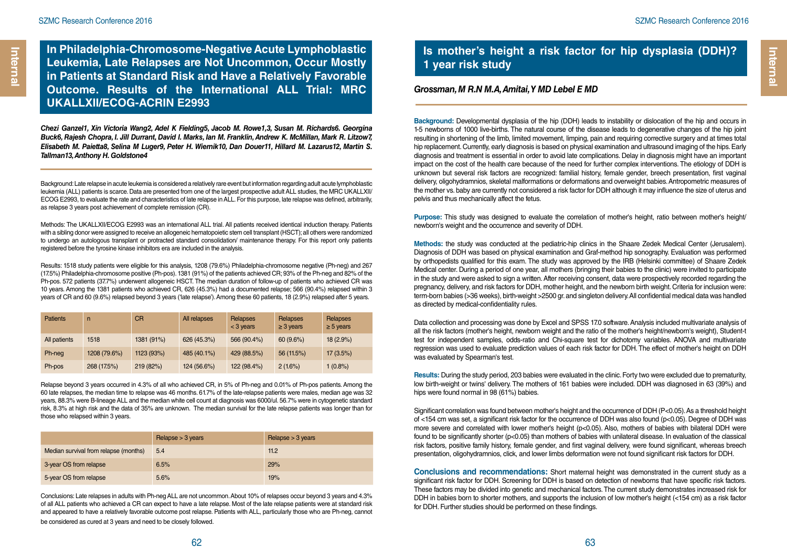**In Philadelphia-Chromosome-Negative Acute Lymphoblastic Leukemia, Late Relapses are Not Uncommon, Occur Mostly in Patients at Standard Risk and Have a Relatively Favorable Outcome. Results of the International ALL Trial: MRC UKALLXII/ECOG-ACRIN E2993**

*Chezi Ganzel1, Xin Victoria Wang2, Adel K Fielding5, Jacob M. Rowe1,3, Susan M. Richards6. Georgina Buck6, Rajesh Chopra, I. Jill Durrant, David I. Marks, Ian M. Franklin, Andrew K. McMillan, Mark R. Litzow7, Elisabeth M. Paietta8, Selina M Luger9, Peter H. Wiernik10, Dan Douer11, Hillard M. Lazarus12, Martin S. Tallman13, Anthony H. Goldstone4*

Background: Late relapse in acute leukemia is considered a relatively rare event but information regarding adult acute lymphoblastic leukemia (ALL) patients is scarce. Data are presented from one of the largest prospective adult ALL studies, the MRC UKALLXII/ ECOG E2993, to evaluate the rate and characteristics of late relapse in ALL. For this purpose, late relapse was defined, arbitrarily, as relapse 3 years post achievement of complete remission (CR).

Methods: The UKALLXII/ECOG E2993 was an international ALL trial. All patients received identical induction therapy. Patients with a sibling donor were assigned to receive an allogeneic hematopoietic stem cell transplant (HSCT); all others were randomized to undergo an autologous transplant or protracted standard consolidation/ maintenance therapy. For this report only patients registered before the tyrosine kinase inhibitors era are included in the analysis.

Results: 1518 study patients were eligible for this analysis, 1208 (79.6%) Philadelphia-chromosome negative (Ph-neg) and 267 (17.5%) Philadelphia-chromosome positive (Ph-pos). 1381 (91%) of the patients achieved CR; 93% of the Ph-neg and 82% of the Ph-pos. 572 patients (37.7%) underwent allogeneic HSCT. The median duration of follow-up of patients who achieved CR was 10 years. Among the 1381 patients who achieved CR, 626 (45.3%) had a documented relapse; 566 (90.4%) relapsed within 3 years of CR and 60 (9.6%) relapsed beyond 3 years ('late relapse'). Among these 60 patients, 18 (2.9%) relapsed after 5 years.

| <b>Patients</b> | n            | <b>CR</b>  | All relapses | <b>Relapses</b><br>$<$ 3 years | Relapses<br>$\geq$ 3 years | Relapses<br>$\geq$ 5 years |
|-----------------|--------------|------------|--------------|--------------------------------|----------------------------|----------------------------|
| All patients    | 1518         | 1381 (91%) | 626 (45.3%)  | 566 (90.4%)                    | 60(9.6%)                   | $18(2.9\%)$                |
| Ph-neg          | 1208 (79.6%) | 1123 (93%) | 485 (40.1%)  | 429 (88.5%)                    | 56 (11.5%)                 | $17(3.5\%)$                |
| Ph-pos          | 268 (17.5%)  | 219 (82%)  | 124 (56.6%)  | 122 (98.4%)                    | 2(1.6%)                    | $1(0.8\%)$                 |

Relapse beyond 3 years occurred in 4.3% of all who achieved CR, in 5% of Ph-neg and 0.01% of Ph-pos patients. Among the 60 late relapses, the median time to relapse was 46 months. 61.7% of the late-relapse patients were males, median age was 32 years, 88.3% were B-lineage ALL and the median white cell count at diagnosis was 6000/ul. 56.7% were in cytogenetic standard risk, 8.3% at high risk and the data of 35% are unknown. The median survival for the late relapse patients was longer than for those who relapsed within 3 years.

|                                       | Relapse $>$ 3 years | Relapse $>$ 3 years |
|---------------------------------------|---------------------|---------------------|
| Median survival from relapse (months) | 5.4                 | 11.2                |
| 3-year OS from relapse                | 6.5%                | 29%                 |
| 5-year OS from relapse                | 5.6%                | 19%                 |

Conclusions: Late relapses in adults with Ph-neg ALL are not uncommon. About 10% of relapses occur beyond 3 years and 4.3% of all ALL patients who achieved a CR can expect to have a late relapse. Most of the late relapse patients were at standard risk and appeared to have a relatively favorable outcome post relapse. Patients with ALL, particularly those who are Ph-neg, cannot be considered as cured at 3 years and need to be closely followed.

### **Is mother's height a risk factor for hip dysplasia (DDH)? 1 year risk study**

#### *Grossman, M R.N M.A, Amitai, Y MD Lebel E MD*

**Background:** Developmental dysplasia of the hip (DDH) leads to instability or dislocation of the hip and occurs in 1-5 newborns of 1000 live-births. The natural course of the disease leads to degenerative changes of the hip joint resulting in shortening of the limb, limited movement, limping, pain and requiring corrective surgery and at times total hip replacement. Currently, early diagnosis is based on physical examination and ultrasound imaging of the hips. Early diagnosis and treatment is essential in order to avoid late complications. Delay in diagnosis might have an important impact on the cost of the health care because of the need for further complex interventions. The etiology of DDH is unknown but several risk factors are recognized: familial history, female gender, breech presentation, first vaginal delivery, oligohydramnios, skeletal malformations or deformations and overweight babies. Antropometric measures of the mother vs. baby are currently not considered a risk factor for DDH although it may influence the size of uterus and pelvis and thus mechanically affect the fetus.

**Purpose:** This study was designed to evaluate the correlation of mother's height, ratio between mother's height/ newborn's weight and the occurrence and severity of DDH.

**Methods:** the study was conducted at the pediatric-hip clinics in the Shaare Zedek Medical Center (Jerusalem). Diagnosis of DDH was based on physical examination and Graf-method hip sonography. Evaluation was performed by orthopedists qualified for this exam. The study was approved by the IRB (Helsinki committee) of Shaare Zedek Medical center. During a period of one year, all mothers (bringing their babies to the clinic) were invited to participate in the study and were asked to sign a written. After receiving consent, data were prospectively recorded regarding the pregnancy, delivery, and risk factors for DDH, mother height, and the newborn birth weight. Criteria for inclusion were: term-born babies (>36 weeks), birth-weight >2500 gr. and singleton delivery. All confidential medical data was handled as directed by medical-confidentiality rules.

Data collection and processing was done by Excel and SPSS 17.0 software. Analysis included multivariate analysis of all the risk factors (mother's height, newborn weight and the ratio of the mother's height/newborn's weight), Student-t test for independent samples, odds-ratio and Chi-square test for dichotomy variables. ANOVA and multivariate regression was used to evaluate prediction values of each risk factor for DDH. The effect of mother's height on DDH was evaluated by Spearman's test.

**Results:** During the study period, 203 babies were evaluated in the clinic. Forty two were excluded due to prematurity, low birth-weight or twins' delivery. The mothers of 161 babies were included. DDH was diagnosed in 63 (39%) and hips were found normal in 98 (61%) babies.

Significant correlation was found between mother's height and the occurrence of DDH (P<0.05). As a threshold height of <154 cm was set, a significant risk factor for the occurrence of DDH was also found (p<0.05). Degree of DDH was more severe and correlated with lower mother's height (p<0.05). Also, mothers of babies with bilateral DDH were found to be significantly shorter (p<0.05) than mothers of babies with unilateral disease. In evaluation of the classical risk factors, positive family history, female gender, and first vaginal delivery, were found significant, whereas breech presentation, oligohydramnios, click, and lower limbs deformation were not found significant risk factors for DDH.

**Conclusions and recommendations:** Short maternal height was demonstrated in the current study as a significant risk factor for DDH. Screening for DDH is based on detection of newborns that have specific risk factors. These factors may be divided into genetic and mechanical factors. The current study demonstrates increased risk for DDH in babies born to shorter mothers, and supports the inclusion of low mother's height (<154 cm) as a risk factor for DDH. Further studies should be performed on these findings.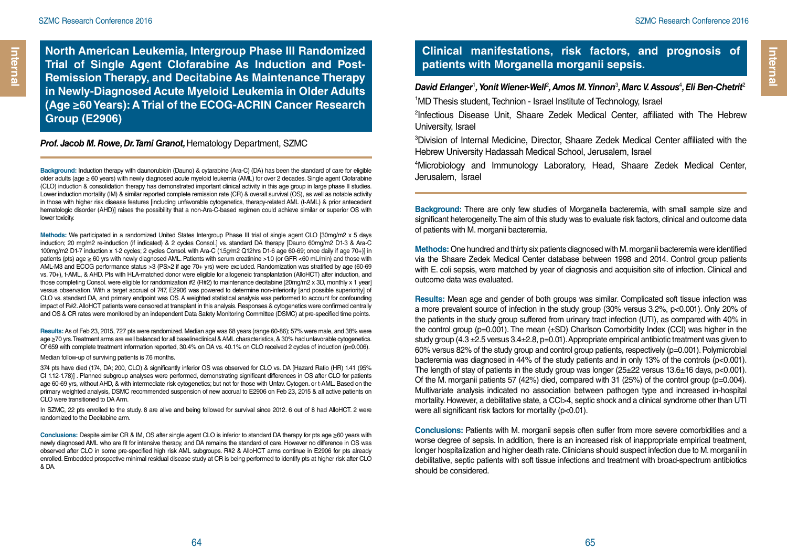**North American Leukemia, Intergroup Phase III Randomized Trial of Single Agent Clofarabine As Induction and Post-Remission Therapy, and Decitabine As Maintenance Therapy in Newly-Diagnosed Acute Myeloid Leukemia in Older Adults (Age ≥60 Years): A Trial of the ECOG-ACRIN Cancer Research Group (E2906)**

#### *Prof. Jacob M. Rowe, Dr. Tami Granot,* Hematology Department, SZMC

**Background:** Induction therapy with daunorubicin (Dauno) & cytarabine (Ara-C) (DA) has been the standard of care for eligible older adults (age ≥ 60 years) with newly diagnosed acute myeloid leukemia (AML) for over 2 decades. Single agent Clofarabine (CLO) induction & consolidation therapy has demonstrated important clinical activity in this age group in large phase II studies. Lower induction mortality (IM) & similar reported complete remission rate (CR) & overall survival (OS), as well as notable activity in those with higher risk disease features [including unfavorable cytogenetics, therapy-related AML (t-AML) & prior antecedent hematologic disorder (AHD)] raises the possibility that a non-Ara-C-based regimen could achieve similar or superior OS with lower toxicity.

**Methods:** We participated in a randomized United States Intergroup Phase III trial of single agent CLO [30mg/m2 x 5 days induction; 20 mg/m2 re-induction (if indicated) & 2 cycles Consol.] vs. standard DA therapy [Dauno 60mg/m2 D1-3 & Ara-C 100mg/m2 D1-7 induction x 1-2 cycles; 2 cycles Consol. with Ara-C (1.5g/m2 Q12hrs D1-6 age 60-69; once daily if age 70+)] in patients (pts) age ≥ 60 yrs with newly diagnosed AML. Patients with serum creatinine >1.0 (or GFR <60 mL/min) and those with AML-M3 and ECOG performance status >3 (PS>2 if age 70+ yrs) were excluded. Randomization was stratified by age (60-69 vs. 70+), t-AML, & AHD. Pts with HLA-matched donor were eligible for allogeneic transplantation (AlloHCT) after induction, and those completing Consol. were eligible for randomization #2 (R#2) to maintenance decitabine [20mg/m2 x 3D, monthly x 1 year] versus observation. With a target accrual of 747, E2906 was powered to determine non-inferiority [and possible superiority] of CLO vs. standard DA, and primary endpoint was OS. A weighted statistical analysis was performed to account for confounding impact of R#2. AlloHCT patients were censored at transplant in this analysis. Responses & cytogenetics were confirmed centrally and OS & CR rates were monitored by an independent Data Safety Monitoring Committee (DSMC) at pre-specified time points.

**Results:** As of Feb 23, 2015, 727 pts were randomized. Median age was 68 years (range 60-86); 57% were male, and 38% were age ≥70 yrs. Treatment arms are well balanced for all baselineclinical & AML characteristics, & 30% had unfavorable cytogenetics. Of 659 with complete treatment information reported, 30.4% on DA vs. 40.1% on CLO received 2 cycles of induction (p=0.006).

Median follow-up of surviving patients is 7.6 months.

374 pts have died (174, DA; 200, CLO) & significantly inferior OS was observed for CLO vs. DA [Hazard Ratio (HR) 1.41 (95% CI 1.12-1.78)] . Planned subgroup analyses were performed, demonstrating significant differences in OS after CLO for patients age 60-69 yrs, without AHD, & with intermediate risk cytogenetics; but not for those with Unfav. Cytogen. or t-AML. Based on the primary weighted analysis, DSMC recommended suspension of new accrual to E2906 on Feb 23, 2015 & all active patients on CLO were transitioned to DA Arm.

In SZMC, 22 pts enrolled to the study. 8 are alive and being followed for survival since 2012. 6 out of 8 had AlloHCT. 2 were randomized to the Decitabine arm.

**Conclusions:** Despite similar CR & IM, OS after single agent CLO is inferior to standard DA therapy for pts age ≥60 years with newly diagnosed AML who are fit for intensive therapy, and DA remains the standard of care. However no difference in OS was observed after CLO in some pre-specified high risk AML subgroups. R#2 & AlloHCT arms continue in E2906 for pts already enrolled. Embedded prospective minimal residual disease study at CR is being performed to identify pts at higher risk after CLO & DA.

### **Clinical manifestations, risk factors, and prognosis of patients with Morganella morganii sepsis.**

### David Erlanger<sup>1</sup>, Yonit Wiener-Well<sup>2</sup>, Amos M. Yinnon<sup>3</sup>, Marc V. Assous<sup>4</sup>, Eli Ben-Chetrit<sup>2</sup> 1 MD Thesis student, Technion - Israel Institute of Technology, Israel

<sup>2</sup>Infectious Disease Unit, Shaare Zedek Medical Center, affiliated with The Hebrew University, Israel

3 Division of Internal Medicine, Director, Shaare Zedek Medical Center affiliated with the Hebrew University Hadassah Medical School, Jerusalem, Israel

4 Microbiology and Immunology Laboratory, Head, Shaare Zedek Medical Center, Jerusalem, Israel

**Background:** There are only few studies of Morganella bacteremia, with small sample size and significant heterogeneity. The aim of this study was to evaluate risk factors, clinical and outcome data of patients with M. morganii bacteremia.

**Methods:** One hundred and thirty six patients diagnosed with M. morganii bacteremia were identified via the Shaare Zedek Medical Center database between 1998 and 2014. Control group patients with E. coli sepsis, were matched by year of diagnosis and acquisition site of infection. Clinical and outcome data was evaluated.

**Results:** Mean age and gender of both groups was similar. Complicated soft tissue infection was a more prevalent source of infection in the study group (30% versus 3.2%, p<0.001). Only 20% of the patients in the study group suffered from urinary tract infection (UTI), as compared with 40% in the control group (p=0.001). The mean  $(\pm SD)$  Charlson Comorbidity Index (CCI) was higher in the study group  $(4.3 \pm 2.5 \text{ versus } 3.4 \pm 2.8, \text{ p=0.01}).$  Appropriate empirical antibiotic treatment was given to 60% versus 82% of the study group and control group patients, respectively (p=0.001). Polymicrobial bacteremia was diagnosed in 44% of the study patients and in only 13% of the controls (p<0.001). The length of stay of patients in the study group was longer  $(25\pm22)$  versus  $13.6\pm16$  days, p<0.001). Of the M. morganii patients 57 (42%) died, compared with 31 (25%) of the control group (p=0.004). Multivariate analysis indicated no association between pathogen type and increased in-hospital mortality. However, a debilitative state, a CCI>4, septic shock and a clinical syndrome other than UTI were all significant risk factors for mortality (p<0.01).

**Conclusions:** Patients with M. morganii sepsis often suffer from more severe comorbidities and a worse degree of sepsis. In addition, there is an increased risk of inappropriate empirical treatment, longer hospitalization and higher death rate. Clinicians should suspect infection due to M. morganii in debilitative, septic patients with soft tissue infections and treatment with broad-spectrum antibiotics should be considered.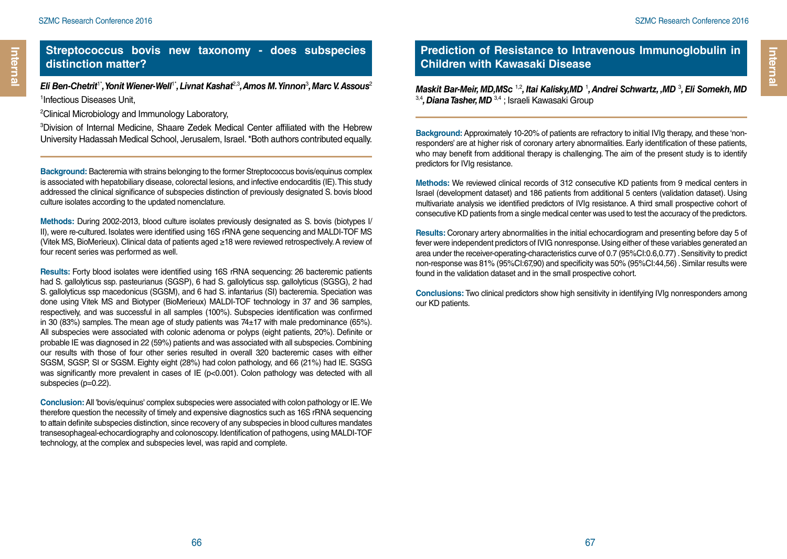*Eli Ben-Chetrit*1\**, Yonit Wiener-Well*1\**, Livnat Kashat*2,3*, Amos M. Yinnon*<sup>3</sup> *, Marc V. Assous*<sup>2</sup> 1 Infectious Diseases Unit,

2 Clinical Microbiology and Immunology Laboratory,

3 Division of Internal Medicine, Shaare Zedek Medical Center affiliated with the Hebrew University Hadassah Medical School, Jerusalem, Israel. \*Both authors contributed equally.

**Background:** Bacteremia with strains belonging to the former Streptococcus bovis/equinus complex is associated with hepatobiliary disease, colorectal lesions, and infective endocarditis (IE). This study addressed the clinical significance of subspecies distinction of previously designated S. bovis blood culture isolates according to the updated nomenclature.

**Methods:** During 2002-2013, blood culture isolates previously designated as S. bovis (biotypes I/ II), were re-cultured. Isolates were identified using 16S rRNA gene sequencing and MALDI-TOF MS (Vitek MS, BioMerieux). Clinical data of patients aged ≥18 were reviewed retrospectively. A review of four recent series was performed as well.

**Results:** Forty blood isolates were identified using 16S rRNA sequencing: 26 bacteremic patients had S. gallolyticus ssp. pasteurianus (SGSP), 6 had S. gallolyticus ssp. gallolyticus (SGSG), 2 had S. gallolyticus ssp macedonicus (SGSM), and 6 had S. infantarius (SI) bacteremia. Speciation was done using Vitek MS and Biotyper (BioMerieux) MALDI-TOF technology in 37 and 36 samples, respectively, and was successful in all samples (100%). Subspecies identification was confirmed in 30 (83%) samples. The mean age of study patients was  $74\pm17$  with male predominance (65%). All subspecies were associated with colonic adenoma or polyps (eight patients, 20%). Definite or probable IE was diagnosed in 22 (59%) patients and was associated with all subspecies. Combining our results with those of four other series resulted in overall 320 bacteremic cases with either SGSM, SGSP, SI or SGSM. Eighty eight (28%) had colon pathology, and 66 (21%) had IE. SGSG was significantly more prevalent in cases of IE (p<0.001). Colon pathology was detected with all subspecies (p=0.22).

**Conclusion:** All 'bovis/equinus' complex subspecies were associated with colon pathology or IE. We therefore question the necessity of timely and expensive diagnostics such as 16S rRNA sequencing to attain definite subspecies distinction, since recovery of any subspecies in blood cultures mandates transesophageal-echocardiography and colonoscopy. Identification of pathogens, using MALDI-TOF technology, at the complex and subspecies level, was rapid and complete.

### **Prediction of Resistance to Intravenous Immunoglobulin in Children with Kawasaki Disease**

Maskit Bar-Meir, MD,MSc<sup>1,2</sup>, Itai Kalisky,MD<sup>1</sup>, Andrei Schwartz, ,MD<sup>3</sup>, Eli Somekh, MD 3,4*, Diana Tasher, MD* 3,4 ; Israeli Kawasaki Group

**Background:** Approximately 10-20% of patients are refractory to initial IVIg therapy, and these 'nonresponders' are at higher risk of coronary artery abnormalities. Early identification of these patients, who may benefit from additional therapy is challenging. The aim of the present study is to identify predictors for IVIg resistance.

**Methods:** We reviewed clinical records of 312 consecutive KD patients from 9 medical centers in Israel (development dataset) and 186 patients from additional 5 centers (validation dataset). Using multivariate analysis we identified predictors of IVIg resistance. A third small prospective cohort of consecutive KD patients from a single medical center was used to test the accuracy of the predictors.

**Results:** Coronary artery abnormalities in the initial echocardiogram and presenting before day 5 of fever were independent predictors of IVIG nonresponse. Using either of these variables generated an area under the receiver-operating-characteristics curve of 0.7 (95%CI:0.6,0.77) . Sensitivity to predict non-response was 81% (95%CI:67,90) and specificity was 50% (95%CI:44,56) . Similar results were found in the validation dataset and in the small prospective cohort.

**Conclusions:** Two clinical predictors show high sensitivity in identifying IVIg nonresponders among our KD patients.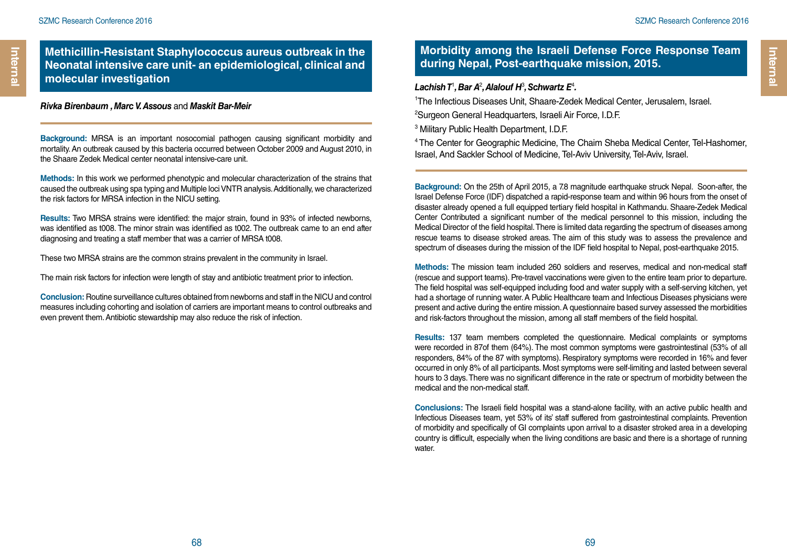### **Methicillin-Resistant Staphylococcus aureus outbreak in the Neonatal intensive care unit- an epidemiological, clinical and molecular investigation** *Lachish T*<sup>1</sup>

*Rivka Birenbaum , Marc V. Assous* and *Maskit Bar-Meir*

**Background:** MRSA is an important nosocomial pathogen causing significant morbidity and mortality. An outbreak caused by this bacteria occurred between October 2009 and August 2010, in the Shaare Zedek Medical center neonatal intensive-care unit.

**Methods:** In this work we performed phenotypic and molecular characterization of the strains that caused the outbreak using spa typing and Multiple loci VNTR analysis. Additionally, we characterized the risk factors for MRSA infection in the NICU setting.

**Results:** Two MRSA strains were identified: the major strain, found in 93% of infected newborns, was identified as t008. The minor strain was identified as t002. The outbreak came to an end after diagnosing and treating a staff member that was a carrier of MRSA t008.

These two MRSA strains are the common strains prevalent in the community in Israel.

The main risk factors for infection were length of stay and antibiotic treatment prior to infection.

**Conclusion:** Routine surveillance cultures obtained from newborns and staff in the NICU and control measures including cohorting and isolation of carriers are important means to control outbreaks and even prevent them. Antibiotic stewardship may also reduce the risk of infection.

### **Morbidity among the Israeli Defense Force Response Team during Nepal, Post-earthquake mission, 2015.**

#### *, Bar A*<sup>2</sup> *, Alalouf H*<sup>3</sup> *, Schwartz E*<sup>4</sup> *.*

1 The Infectious Diseases Unit, Shaare-Zedek Medical Center, Jerusalem, Israel.

2 Surgeon General Headquarters, Israeli Air Force, I.D.F.

3 Military Public Health Department, I.D.F.

4 The Center for Geographic Medicine, The Chaim Sheba Medical Center, Tel-Hashomer, Israel, And Sackler School of Medicine, Tel-Aviv University, Tel-Aviv, Israel.

**Background:** On the 25th of April 2015, a 7.8 magnitude earthquake struck Nepal. Soon-after, the Israel Defense Force (IDF) dispatched a rapid-response team and within 96 hours from the onset of disaster already opened a full equipped tertiary field hospital in Kathmandu. Shaare-Zedek Medical Center Contributed a significant number of the medical personnel to this mission, including the Medical Director of the field hospital. There is limited data regarding the spectrum of diseases among rescue teams to disease stroked areas. The aim of this study was to assess the prevalence and spectrum of diseases during the mission of the IDF field hospital to Nepal, post-earthquake 2015.

**Methods:** The mission team included 260 soldiers and reserves, medical and non-medical staff (rescue and support teams). Pre-travel vaccinations were given to the entire team prior to departure. The field hospital was self-equipped including food and water supply with a self-serving kitchen, yet had a shortage of running water. A Public Healthcare team and Infectious Diseases physicians were present and active during the entire mission. A questionnaire based survey assessed the morbidities and risk-factors throughout the mission, among all staff members of the field hospital.

**Results:** 137 team members completed the questionnaire. Medical complaints or symptoms were recorded in 87of them (64%). The most common symptoms were gastrointestinal (53% of all responders, 84% of the 87 with symptoms). Respiratory symptoms were recorded in 16% and fever occurred in only 8% of all participants. Most symptoms were self-limiting and lasted between several hours to 3 days. There was no significant difference in the rate or spectrum of morbidity between the medical and the non-medical staff.

**Conclusions:** The Israeli field hospital was a stand-alone facility, with an active public health and Infectious Diseases team, yet 53% of its' staff suffered from gastrointestinal complaints. Prevention of morbidity and specifically of GI complaints upon arrival to a disaster stroked area in a developing country is difficult, especially when the living conditions are basic and there is a shortage of running water.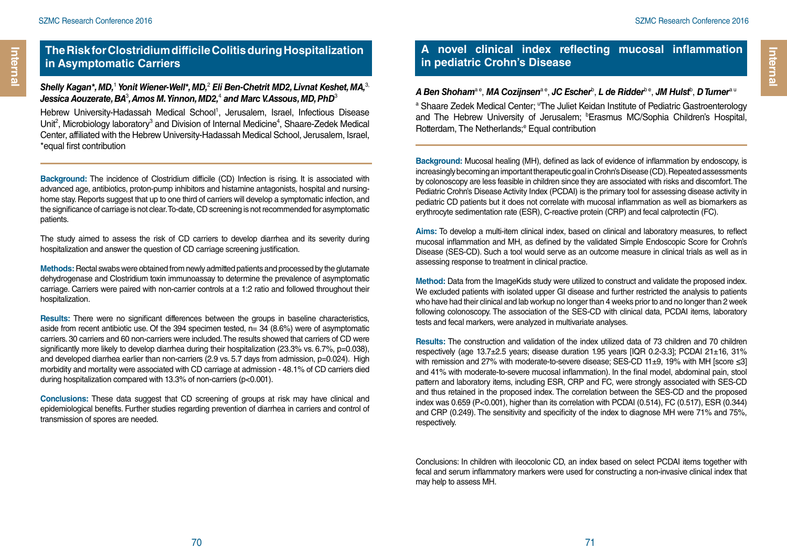Internal

### **The Risk for Clostridium difficile Colitis during Hospitalization in Asymptomatic Carriers**

#### *Shelly Kagan\*, MD,*<sup>1</sup>  *Yonit Wiener-Well\*, MD,*<sup>2</sup>  *Eli Ben-Chetrit MD2, Livnat Keshet, MA,*3, Jessica Aouzerate, BA<sup>3</sup>, Amos M. Yinnon, MD2,<sup>4</sup> and Marc V.Assous, MD, PhD<sup>3</sup>

Hebrew University-Hadassah Medical School<sup>1</sup>, Jerusalem, Israel, Infectious Disease Unit<sup>2</sup>, Microbiology laboratory<sup>3</sup> and Division of Internal Medicine<sup>4</sup>, Shaare-Zedek Medical Center, affiliated with the Hebrew University-Hadassah Medical School, Jerusalem, Israel, \*equal first contribution

**Background:** The incidence of Clostridium difficile (CD) Infection is rising. It is associated with advanced age, antibiotics, proton-pump inhibitors and histamine antagonists, hospital and nursinghome stay. Reports suggest that up to one third of carriers will develop a symptomatic infection, and the significance of carriage is not clear. To-date, CD screening is not recommended for asymptomatic patients.

The study aimed to assess the risk of CD carriers to develop diarrhea and its severity during hospitalization and answer the question of CD carriage screening justification.

**Methods:** Rectal swabs were obtained from newly admitted patients and processed by the glutamate dehydrogenase and Clostridium toxin immunoassay to determine the prevalence of asymptomatic carriage. Carriers were paired with non-carrier controls at a 1:2 ratio and followed throughout their hospitalization.

**Results:** There were no significant differences between the groups in baseline characteristics, aside from recent antibiotic use. Of the 394 specimen tested,  $n=$  34 (8.6%) were of asymptomatic carriers. 30 carriers and 60 non-carriers were included. The results showed that carriers of CD were significantly more likely to develop diarrhea during their hospitalization (23.3% vs. 6.7%, p=0.038), and developed diarrhea earlier than non-carriers (2.9 vs. 5.7 days from admission, p=0.024). High morbidity and mortality were associated with CD carriage at admission - 48.1% of CD carriers died during hospitalization compared with 13.3% of non-carriers (p<0.001).

**Conclusions:** These data suggest that CD screening of groups at risk may have clinical and epidemiological benefits. Further studies regarding prevention of diarrhea in carriers and control of transmission of spores are needed.

### **A novel clinical index reflecting mucosal inflammation in pediatric Crohn's Disease**

#### $A$  Ben Shoham<sup>a e</sup>, MA Cozijnsen<sup>a e</sup>, JC Escher<sup>b</sup>, L de Ridder<sup>b e</sup>, JM Hulst<sup>b</sup>, D Turner<sup>a u</sup>

<sup>a</sup> Shaare Zedek Medical Center; "The Juliet Keidan Institute of Pediatric Gastroenterology and The Hebrew University of Jerusalem; <sup>b</sup>Erasmus MC/Sophia Children's Hospital, Rotterdam, The Netherlands;<sup>e</sup> Equal contribution

**Background:** Mucosal healing (MH), defined as lack of evidence of inflammation by endoscopy, is increasingly becoming an important therapeutic goal in Crohn's Disease (CD). Repeated assessments by colonoscopy are less feasible in children since they are associated with risks and discomfort. The Pediatric Crohn's Disease Activity Index (PCDAI) is the primary tool for assessing disease activity in pediatric CD patients but it does not correlate with mucosal inflammation as well as biomarkers as erythrocyte sedimentation rate (ESR), C-reactive protein (CRP) and fecal calprotectin (FC).

**Aims:** To develop a multi-item clinical index, based on clinical and laboratory measures, to reflect mucosal inflammation and MH, as defined by the validated Simple Endoscopic Score for Crohn's Disease (SES-CD). Such a tool would serve as an outcome measure in clinical trials as well as in assessing response to treatment in clinical practice.

**Method:** Data from the ImageKids study were utilized to construct and validate the proposed index. We excluded patients with isolated upper GI disease and further restricted the analysis to patients who have had their clinical and lab workup no longer than 4 weeks prior to and no longer than 2 week following colonoscopy. The association of the SES-CD with clinical data, PCDAI items, laboratory tests and fecal markers, were analyzed in multivariate analyses.

**Results:** The construction and validation of the index utilized data of 73 children and 70 children respectively (age 13.7±2.5 years; disease duration 1.95 years [IQR 0.2-3.3]; PCDAI 21±16, 31% with remission and 27% with moderate-to-severe disease; SES-CD 11±9, 19% with MH [score ≤3] and 41% with moderate-to-severe mucosal inflammation). In the final model, abdominal pain, stool pattern and laboratory items, including ESR, CRP and FC, were strongly associated with SES-CD and thus retained in the proposed index. The correlation between the SES-CD and the proposed index was 0.659 (P<0.001), higher than its correlation with PCDAI (0.514), FC (0.517), ESR (0.344) and CRP (0.249). The sensitivity and specificity of the index to diagnose MH were 71% and 75%, respectively.

Conclusions: In children with ileocolonic CD, an index based on select PCDAI items together with fecal and serum inflammatory markers were used for constructing a non-invasive clinical index that may help to assess MH.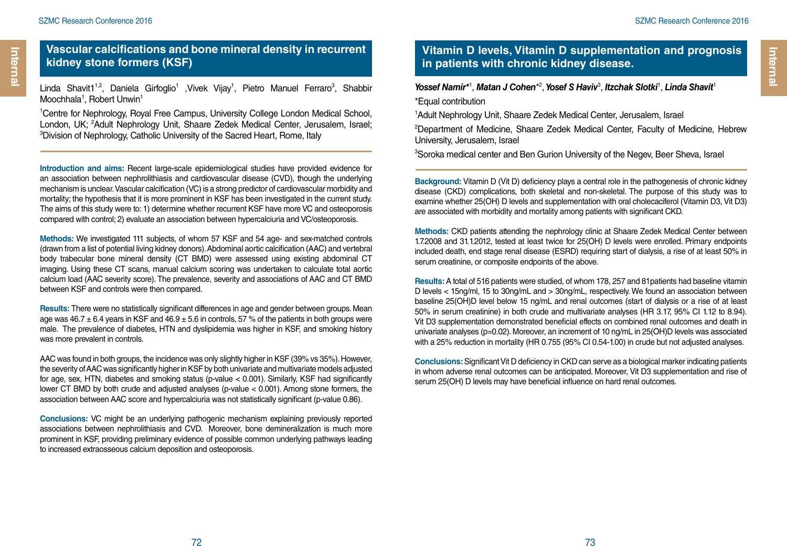Linda Shavit1<sup>1,2</sup>, Daniela Girfoglio<sup>1</sup> ,Vivek Vijay<sup>1</sup>, Pietro Manuel Ferraro<sup>3</sup>, Shabbir Moochhala<sup>1</sup>, Robert Unwin<sup>1</sup>

1 Centre for Nephrology, Royal Free Campus, University College London Medical School, London, UK; <sup>2</sup>Adult Nephrology Unit, Shaare Zedek Medical Center, Jerusalem, Israel;<br><sup>3</sup>Division of Nephrology Catholic University of the Sacred Heart, Bome, Italy <sup>3</sup> Division of Nephrology, Catholic University of the Sacred Heart, Rome, Italy

**Introduction and aims:** Recent large-scale epidemiological studies have provided evidence for an association between nephrolithiasis and cardiovascular disease (CVD), though the underlying mechanism is unclear. Vascular calcification (VC) is a strong predictor of cardiovascular morbidity and mortality; the hypothesis that it is more prominent in KSF has been investigated in the current study. The aims of this study were to: 1) determine whether recurrent KSF have more VC and osteoporosis compared with control; 2) evaluate an association between hypercalciuria and VC/osteoporosis.

**Methods:** We investigated 111 subjects, of whom 57 KSF and 54 age- and sex-matched controls (drawn from a list of potential living kidney donors). Abdominal aortic calcification (AAC) and vertebral body trabecular bone mineral density (CT BMD) were assessed using existing abdominal CT imaging. Using these CT scans, manual calcium scoring was undertaken to calculate total aortic calcium load (AAC severity score). The prevalence, severity and associations of AAC and CT BMD between KSF and controls were then compared.

**Results:** There were no statistically significant differences in age and gender between groups. Mean age was  $46.7 \pm 6.4$  years in KSF and  $46.9 \pm 5.6$  in controls, 57 % of the patients in both groups were male. The prevalence of diabetes, HTN and dyslipidemia was higher in KSF, and smoking history was more prevalent in controls.

AAC was found in both groups, the incidence was only slightly higher in KSF (39% vs 35%). However, the severity of AAC was significantly higher in KSF by both univariate and multivariate models adjusted for age, sex, HTN, diabetes and smoking status (p-value < 0.001). Similarly, KSF had significantly lower CT BMD by both crude and adjusted analyses (p-value < 0.001). Among stone formers, the association between AAC score and hypercalciuria was not statistically significant (p-value 0.86).

**Conclusions:** VC might be an underlying pathogenic mechanism explaining previously reported associations between nephrolithiasis and CVD. Moreover, bone demineralization is much more prominent in KSF, providing preliminary evidence of possible common underlying pathways leading to increased extraosseous calcium deposition and osteoporosis.

## **Vitamin D levels, Vitamin D supplementation and prognosis in patients with chronic kidney disease.**

Yossef Namir\*<sup>1</sup>, Matan J Cohen\*<sup>2</sup>, Yosef S Haviv<sup>3</sup>, Itzchak Slotki<sup>1</sup>, Linda Shavit<sup>1</sup> \*Equal contribution

1 Adult Nephrology Unit, Shaare Zedek Medical Center, Jerusalem, Israel

2 Department of Medicine, Shaare Zedek Medical Center, Faculty of Medicine, Hebrew University, Jerusalem, Israel

3 Soroka medical center and Ben Gurion University of the Negev, Beer Sheva, Israel

**Background:** Vitamin D (Vit D) deficiency plays a central role in the pathogenesis of chronic kidney disease (CKD) complications, both skeletal and non-skeletal. The purpose of this study was to examine whether 25(OH) D levels and supplementation with oral cholecaciferol (Vitamin D3, Vit D3) are associated with morbidity and mortality among patients with significant CKD.

**Methods:** CKD patients attending the nephrology clinic at Shaare Zedek Medical Center between 1.7.2008 and 31.1.2012, tested at least twice for 25(OH) D levels were enrolled. Primary endpoints included death, end stage renal disease (ESRD) requiring start of dialysis, a rise of at least 50% in serum creatinine, or composite endpoints of the above.

**Results:** A total of 516 patients were studied, of whom 178, 257 and 81patients had baseline vitamin D levels < 15ng/ml, 15 to 30ng/mL and > 30ng/mL, respectively. We found an association between baseline 25(OH)D level below 15 ng/mL and renal outcomes (start of dialysis or a rise of at least 50% in serum creatinine) in both crude and multivariate analyses (HR 3.17, 95% CI 1.12 to 8.94). Vit D3 supplementation demonstrated beneficial effects on combined renal outcomes and death in univariate analyses (p=0.02). Moreover, an increment of 10 ng/mL in 25(OH)D levels was associated with a 25% reduction in mortality (HR 0.755 (95% CI 0.54-1.00) in crude but not adjusted analyses.

**Conclusions:** Significant Vit D deficiency in CKD can serve as a biological marker indicating patients in whom adverse renal outcomes can be anticipated. Moreover, Vit D3 supplementation and rise of serum 25(OH) D levels may have beneficial influence on hard renal outcomes.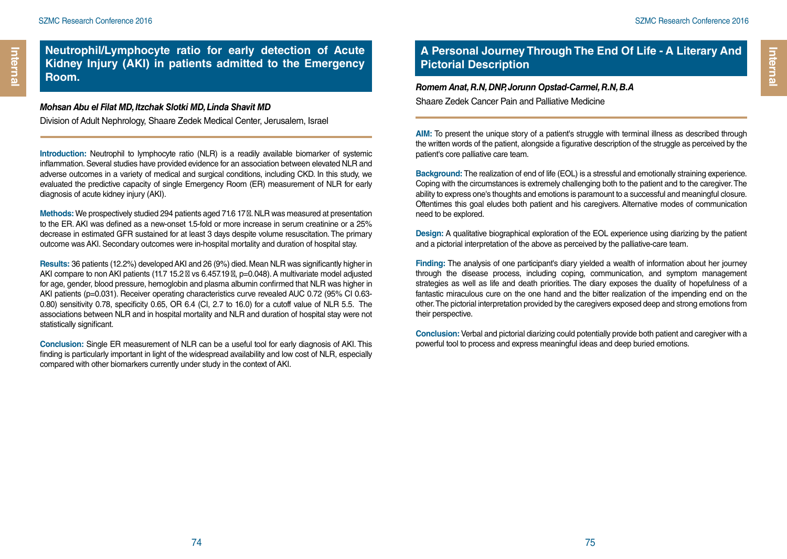**Neutrophil/Lymphocyte ratio for early detection of Acute Kidney Injury (AKI) in patients admitted to the Emergency Room.**

#### *Mohsan Abu el Filat MD, Itzchak Slotki MD, Linda Shavit MD*

Division of Adult Nephrology, Shaare Zedek Medical Center, Jerusalem, Israel

Introduction: Neutrophil to lymphocyte ratio (NLR) is a readily available biomarker of systemic inflammation. Several studies have provided evidence for an association between elevated NLR and adverse outcomes in a variety of medical and surgical conditions, including CKD. In this study, we evaluated the predictive capacity of single Emergency Room (ER) measurement of NLR for early diagnosis of acute kidney injury (AKI).

**Methods:** We prospectively studied 294 patients aged 71.6 17 . NLR was measured at presentation to the ER. AKI was defined as a new-onset 1.5-fold or more increase in serum creatinine or a 25% decrease in estimated GFR sustained for at least 3 days despite volume resuscitation. The primary outcome was AKI. Secondary outcomes were in-hospital mortality and duration of hospital stay.

**Results:** 36 patients (12.2%) developed AKI and 26 (9%) died. Mean NLR was significantly higher in AKI compare to non AKI patients (11.7 15.2 vs 6.457.19 , p=0.048). A multivariate model adjusted for age, gender, blood pressure, hemoglobin and plasma albumin confirmed that NLR was higher in AKI patients (p=0.031). Receiver operating characteristics curve revealed AUC 0.72 (95% CI 0.63- 0.80) sensitivity 0.78, specificity 0.65, OR 6.4 (CI, 2.7 to 16.0) for a cutoff value of NLR 5.5. The associations between NLR and in hospital mortality and NLR and duration of hospital stay were not statistically significant.

**Conclusion:** Single ER measurement of NLR can be a useful tool for early diagnosis of AKI. This finding is particularly important in light of the widespread availability and low cost of NLR, especially compared with other biomarkers currently under study in the context of AKI.

## **A Personal Journey Through The End Of Life - A Literary And Pictorial Description**

## *Romem Anat, R.N, DNP, Jorunn Opstad-Carmel, R.N, B.A*

Shaare Zedek Cancer Pain and Palliative Medicine

AIM: To present the unique story of a patient's struggle with terminal illness as described through the written words of the patient, alongside a figurative description of the struggle as perceived by the patient's core palliative care team.

**Background:** The realization of end of life (EOL) is a stressful and emotionally straining experience. Coping with the circumstances is extremely challenging both to the patient and to the caregiver. The ability to express one's thoughts and emotions is paramount to a successful and meaningful closure. Oftentimes this goal eludes both patient and his caregivers. Alternative modes of communication need to be explored.

**Design:** A qualitative biographical exploration of the EOL experience using diarizing by the patient and a pictorial interpretation of the above as perceived by the palliative-care team.

**Finding:** The analysis of one participant's diary yielded a wealth of information about her journey through the disease process, including coping, communication, and symptom management strategies as well as life and death priorities. The diary exposes the duality of hopefulness of a fantastic miraculous cure on the one hand and the bitter realization of the impending end on the other. The pictorial interpretation provided by the caregivers exposed deep and strong emotions from their perspective.

**Conclusion:** Verbal and pictorial diarizing could potentially provide both patient and caregiver with a powerful tool to process and express meaningful ideas and deep buried emotions.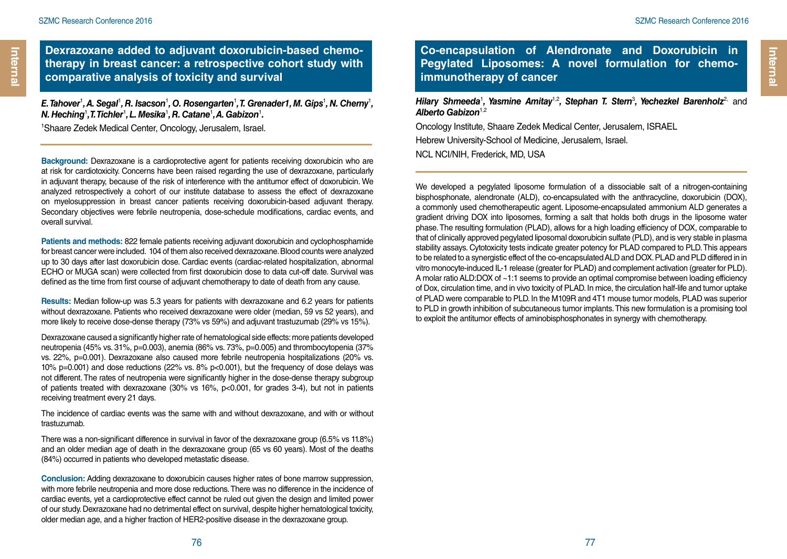Internal

**Dexrazoxane added to adjuvant doxorubicin-based chemotherapy in breast cancer: a retrospective cohort study with comparative analysis of toxicity and survival**

*E.* Tahover<sup>1</sup>, A. Segal<sup>1</sup>, R. Isacson<sup>1</sup>, O. Rosengarten<sup>1</sup>, T. Grenader1, M. Gips<sup>1</sup>, N. Cherny<sup>1</sup>, *N. Heching*<sup>1</sup> *, T. Tichler*<sup>1</sup> *, L. Mesika*<sup>1</sup> *, R. Catane*<sup>1</sup> *, A. Gabizon*<sup>1</sup> *.*

1 Shaare Zedek Medical Center, Oncology, Jerusalem, Israel.

**Background:** Dexrazoxane is a cardioprotective agent for patients receiving doxorubicin who are at risk for cardiotoxicity. Concerns have been raised regarding the use of dexrazoxane, particularly in adjuvant therapy, because of the risk of interference with the antitumor effect of doxorubicin. We analyzed retrospectively a cohort of our institute database to assess the effect of dexrazoxane on myelosuppression in breast cancer patients receiving doxorubicin-based adjuvant therapy. Secondary objectives were febrile neutropenia, dose-schedule modifications, cardiac events, and overall survival.

**Patients and methods:** 822 female patients receiving adjuvant doxorubicin and cyclophosphamide for breast cancer were included. 104 of them also received dexrazoxane. Blood counts were analyzed up to 30 days after last doxorubicin dose. Cardiac events (cardiac-related hospitalization, abnormal ECHO or MUGA scan) were collected from first doxorubicin dose to data cut-off date. Survival was defined as the time from first course of adjuvant chemotherapy to date of death from any cause.

**Results:** Median follow-up was 5.3 years for patients with dexrazoxane and 6.2 years for patients without dexrazoxane. Patients who received dexrazoxane were older (median, 59 vs 52 years), and more likely to receive dose-dense therapy (73% vs 59%) and adjuvant trastuzumab (29% vs 15%).

Dexrazoxane caused a significantly higher rate of hematological side effects: more patients developed neutropenia (45% vs. 31%, p=0.003), anemia (86% vs. 73%, p=0.005) and thrombocytopenia (37% vs. 22%, p=0.001). Dexrazoxane also caused more febrile neutropenia hospitalizations (20% vs. 10% p=0.001) and dose reductions (22% vs. 8% p<0.001), but the frequency of dose delays was not different. The rates of neutropenia were significantly higher in the dose-dense therapy subgroup of patients treated with dexrazoxane (30% vs 16%, p<0.001, for grades 3-4), but not in patients receiving treatment every 21 days.

The incidence of cardiac events was the same with and without dexrazoxane, and with or without trastuzumab.

There was a non-significant difference in survival in favor of the dexrazoxane group (6.5% vs 11.8%) and an older median age of death in the dexrazoxane group (65 vs 60 years). Most of the deaths (84%) occurred in patients who developed metastatic disease.

**Conclusion:** Adding dexrazoxane to doxorubicin causes higher rates of bone marrow suppression, with more febrile neutropenia and more dose reductions. There was no difference in the incidence of cardiac events, yet a cardioprotective effect cannot be ruled out given the design and limited power of our study. Dexrazoxane had no detrimental effect on survival, despite higher hematological toxicity, older median age, and a higher fraction of HER2-positive disease in the dexrazoxane group.

**Co-encapsulation of Alendronate and Doxorubicin in Pegylated Liposomes: A novel formulation for chemoimmunotherapy of cancer**

*Hilary Shmeeda<sup>1</sup>, Yasmine Amitay<sup>1,2</sup>, Stephan T. Stern<sup>3</sup>, Yechezkel Barenholz<sup>2,</sup> and Alberto Gabizon*1,2

Oncology Institute, Shaare Zedek Medical Center, Jerusalem, ISRAEL Hebrew University-School of Medicine, Jerusalem, Israel.

NCL NCI/NIH, Frederick, MD, USA

We developed a pegylated liposome formulation of a dissociable salt of a nitrogen-containing bisphosphonate, alendronate (ALD), co-encapsulated with the anthracycline, doxorubicin (DOX), a commonly used chemotherapeutic agent. Liposome-encapsulated ammonium ALD generates a gradient driving DOX into liposomes, forming a salt that holds both drugs in the liposome water phase. The resulting formulation (PLAD), allows for a high loading efficiency of DOX, comparable to that of clinically approved pegylated liposomal doxorubicin sulfate (PLD), and is very stable in plasma stability assays. Cytotoxicity tests indicate greater potency for PLAD compared to PLD. This appears to be related to a synergistic effect of the co-encapsulated ALD and DOX. PLAD and PLD differed in in vitro monocyte-induced IL-1 release (greater for PLAD) and complement activation (greater for PLD). A molar ratio ALD:DOX of ~1:1 seems to provide an optimal compromise between loading efficiency of Dox, circulation time, and in vivo toxicity of PLAD. In mice, the circulation half-life and tumor uptake of PLAD were comparable to PLD. In the M109R and 4T1 mouse tumor models, PLAD was superior to PLD in growth inhibition of subcutaneous tumor implants. This new formulation is a promising tool to exploit the antitumor effects of aminobisphosphonates in synergy with chemotherapy.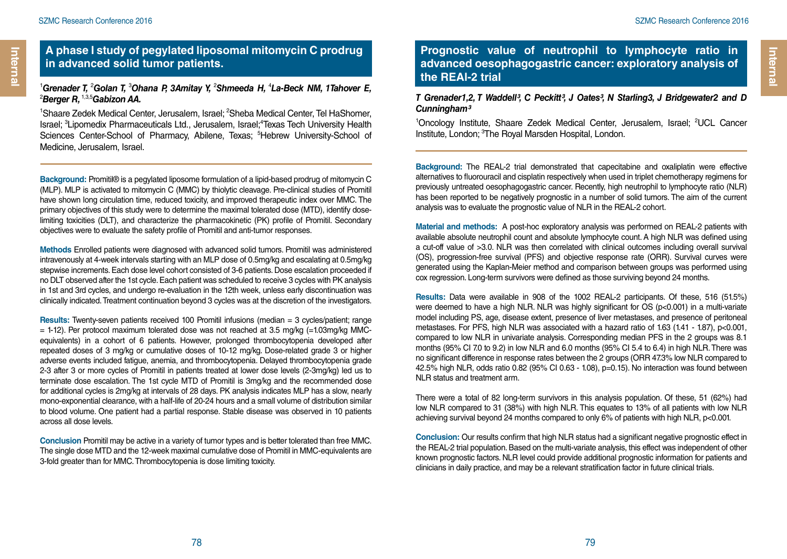Internal

#### **A phase I study of pegylated liposomal mitomycin C prodrug in advanced solid tumor patients.**

#### <sup>1</sup>Grenader T, <sup>2</sup>Golan T, <sup>3</sup>Ohana P, 3Amitay Y, <sup>2</sup>Shmeeda H, <sup>4</sup>La-Beck NM, 1Tahover E, 2 *Berger R,* 1,3,5*Gabizon AA.*

<sup>1</sup>Shaare Zedek Medical Center, Jerusalem, Israel; <sup>2</sup>Sheba Medical Center, Tel HaShomer, Israel; <sup>3</sup>Lipomedix Pharmaceuticals Ltd., Jerusalem, Israel;<sup>4</sup>Texas Tech University Health Sciences Center-School of Pharmacy, Abilene, Texas; <sup>5</sup>Hebrew University-School of Medicine, Jerusalem, Israel.

**Background:** Promitil® is a pegylated liposome formulation of a lipid-based prodrug of mitomycin C (MLP). MLP is activated to mitomycin C (MMC) by thiolytic cleavage. Pre-clinical studies of Promitil have shown long circulation time, reduced toxicity, and improved therapeutic index over MMC. The primary objectives of this study were to determine the maximal tolerated dose (MTD), identify doselimiting toxicities (DLT), and characterize the pharmacokinetic (PK) profile of Promitil. Secondary objectives were to evaluate the safety profile of Promitil and anti-tumor responses.

**Methods** Enrolled patients were diagnosed with advanced solid tumors. Promitil was administered intravenously at 4-week intervals starting with an MLP dose of 0.5mg/kg and escalating at 0.5mg/kg stepwise increments. Each dose level cohort consisted of 3-6 patients. Dose escalation proceeded if no DLT observed after the 1st cycle. Each patient was scheduled to receive 3 cycles with PK analysis in 1st and 3rd cycles, and undergo re-evaluation in the 12th week, unless early discontinuation was clinically indicated. Treatment continuation beyond 3 cycles was at the discretion of the investigators.

**Results:** Twenty-seven patients received 100 Promitil infusions (median = 3 cycles/patient; range  $=$  1-12). Per protocol maximum tolerated dose was not reached at 3.5 mg/kg (=1.03mg/kg MMCequivalents) in a cohort of 6 patients. However, prolonged thrombocytopenia developed after repeated doses of 3 mg/kg or cumulative doses of 10-12 mg/kg. Dose-related grade 3 or higher adverse events included fatigue, anemia, and thrombocytopenia. Delayed thrombocytopenia grade 2-3 after 3 or more cycles of Promitil in patients treated at lower dose levels (2-3mg/kg) led us to terminate dose escalation. The 1st cycle MTD of Promitil is 3mg/kg and the recommended dose for additional cycles is 2mg/kg at intervals of 28 days. PK analysis indicates MLP has a slow, nearly mono-exponential clearance, with a half-life of 20-24 hours and a small volume of distribution similar to blood volume. One patient had a partial response. Stable disease was observed in 10 patients across all dose levels.

**Conclusion** Promitil may be active in a variety of tumor types and is better tolerated than free MMC. The single dose MTD and the 12-week maximal cumulative dose of Promitil in MMC-equivalents are 3-fold greater than for MMC. Thrombocytopenia is dose limiting toxicity.

## **Prognostic value of neutrophil to lymphocyte ratio in advanced oesophagogastric cancer: exploratory analysis of the REAl-2 trial**

#### *T* Grenader1,2, *T* Waddell<sup>3</sup>, C Peckitt<sup>3</sup>, J Oates<sup>3</sup>, N Starling3, J Bridgewater2 and D *Cunningham³*

<sup>1</sup>Oncology Institute, Shaare Zedek Medical Center, Jerusalem, Israel; <sup>2</sup>UCL Cancer Institute, London; <sup>3</sup>The Royal Marsden Hospital, London.

**Background:** The REAL-2 trial demonstrated that capecitabine and oxaliplatin were effective alternatives to fluorouracil and cisplatin respectively when used in triplet chemotherapy regimens for previously untreated oesophagogastric cancer. Recently, high neutrophil to lymphocyte ratio (NLR) has been reported to be negatively prognostic in a number of solid tumors. The aim of the current analysis was to evaluate the prognostic value of NLR in the REAL-2 cohort.

**Material and methods:** A post-hoc exploratory analysis was performed on REAL-2 patients with available absolute neutrophil count and absolute lymphocyte count. A high NLR was defined using a cut-off value of >3.0. NLR was then correlated with clinical outcomes including overall survival (OS), progression-free survival (PFS) and objective response rate (ORR). Survival curves were generated using the Kaplan-Meier method and comparison between groups was performed using cox regression. Long-term survivors were defined as those surviving beyond 24 months.

**Results:** Data were available in 908 of the 1002 REAL-2 participants. Of these, 516 (51.5%) were deemed to have a high NLR. NLR was highly significant for OS (p<0.001) in a multi-variate model including PS, age, disease extent, presence of liver metastases, and presence of peritoneal metastases. For PFS, high NLR was associated with a hazard ratio of 1.63 (1.41 - 1.87), p<0.001, compared to low NLR in univariate analysis. Corresponding median PFS in the 2 groups was 8.1 months (95% CI 7.0 to 9.2) in low NLR and 6.0 months (95% CI 5.4 to 6.4) in high NLR. There was no significant difference in response rates between the 2 groups (ORR 47.3% low NLR compared to 42.5% high NLR, odds ratio 0.82 (95% CI 0.63 - 1.08), p=0.15). No interaction was found between NLR status and treatment arm.

There were a total of 82 long-term survivors in this analysis population. Of these, 51 (62%) had low NLR compared to 31 (38%) with high NLR. This equates to 13% of all patients with low NLR achieving survival beyond 24 months compared to only 6% of patients with high NLR, p<0.001.

**Conclusion:** Our results confirm that high NLR status had a significant negative prognostic effect in the REAL-2 trial population. Based on the multi-variate analysis, this effect was independent of other known prognostic factors. NLR level could provide additional prognostic information for patients and clinicians in daily practice, and may be a relevant stratification factor in future clinical trials.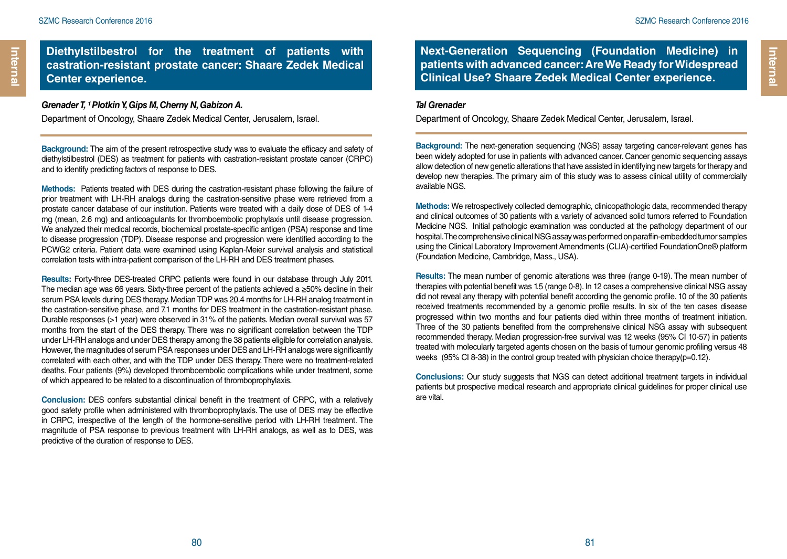Internal

#### **Diethylstilbestrol for the treatment of patients with castration-resistant prostate cancer: Shaare Zedek Medical Center experience.**

#### *Grenader T. <sup>1</sup> Plotkin Y. Gips M. Cherny N. Gabizon A.*

Department of Oncology, Shaare Zedek Medical Center, Jerusalem, Israel.

**Background:** The aim of the present retrospective study was to evaluate the efficacy and safety of diethylstilbestrol (DES) as treatment for patients with castration-resistant prostate cancer (CRPC) and to identify predicting factors of response to DES.

**Methods:** Patients treated with DES during the castration-resistant phase following the failure of prior treatment with LH-RH analogs during the castration-sensitive phase were retrieved from a prostate cancer database of our institution. Patients were treated with a daily dose of DES of 1-4 mg (mean, 2.6 mg) and anticoagulants for thromboembolic prophylaxis until disease progression. We analyzed their medical records, biochemical prostate-specific antigen (PSA) response and time to disease progression (TDP). Disease response and progression were identified according to the PCWG2 criteria. Patient data were examined using Kaplan-Meier survival analysis and statistical correlation tests with intra-patient comparison of the LH-RH and DES treatment phases.

**Results:** Forty-three DES-treated CRPC patients were found in our database through July 2011. The median age was 66 years. Sixty-three percent of the patients achieved a  $\geq$ 50% decline in their serum PSA levels during DES therapy. Median TDP was 20.4 months for LH-RH analog treatment in the castration-sensitive phase, and 7.1 months for DES treatment in the castration-resistant phase. Durable responses (>1 year) were observed in 31% of the patients. Median overall survival was 57 months from the start of the DES therapy. There was no significant correlation between the TDP under LH-RH analogs and under DES therapy among the 38 patients eligible for correlation analysis. However, the magnitudes of serum PSA responses under DES and LH-RH analogs were significantly correlated with each other, and with the TDP under DES therapy. There were no treatment-related deaths. Four patients (9%) developed thromboembolic complications while under treatment, some of which appeared to be related to a discontinuation of thromboprophylaxis.

**Conclusion:** DES confers substantial clinical benefit in the treatment of CRPC, with a relatively good safety profile when administered with thromboprophylaxis. The use of DES may be effective in CRPC, irrespective of the length of the hormone-sensitive period with LH-RH treatment. The magnitude of PSA response to previous treatment with LH-RH analogs, as well as to DES, was predictive of the duration of response to DES.

**Next-Generation Sequencing (Foundation Medicine) in patients with advanced cancer: Are We Ready for Widespread Clinical Use? Shaare Zedek Medical Center experience.**

#### *Tal Grenader*

Department of Oncology, Shaare Zedek Medical Center, Jerusalem, Israel.

**Background:** The next-generation sequencing (NGS) assay targeting cancer-relevant genes has been widely adopted for use in patients with advanced cancer. Cancer genomic sequencing assays allow detection of new genetic alterations that have assisted in identifying new targets for therapy and develop new therapies. The primary aim of this study was to assess clinical utility of commercially available NGS.

**Methods:** We retrospectively collected demographic, clinicopathologic data, recommended therapy and clinical outcomes of 30 patients with a variety of advanced solid tumors referred to Foundation Medicine NGS. Initial pathologic examination was conducted at the pathology department of our hospital. The comprehensive clinical NSG assay was performed on paraffin-embedded tumor samples using the Clinical Laboratory Improvement Amendments (CLIA)-certified FoundationOne® platform (Foundation Medicine, Cambridge, Mass., USA).

**Results:** The mean number of genomic alterations was three (range 0-19). The mean number of therapies with potential benefit was 1.5 (range 0-8). In 12 cases a comprehensive clinical NSG assay did not reveal any therapy with potential benefit according the genomic profile. 10 of the 30 patients received treatments recommended by a genomic profile results. In six of the ten cases disease progressed within two months and four patients died within three months of treatment initiation. Three of the 30 patients benefited from the comprehensive clinical NSG assay with subsequent recommended therapy. Median progression-free survival was 12 weeks (95% CI 10-57) in patients treated with molecularly targeted agents chosen on the basis of tumour genomic profiling versus 48 weeks (95% CI 8-38) in the control group treated with physician choice therapy(p=0.12).

**Conclusions:** Our study suggests that NGS can detect additional treatment targets in individual patients but prospective medical research and appropriate clinical guidelines for proper clinical use are vital.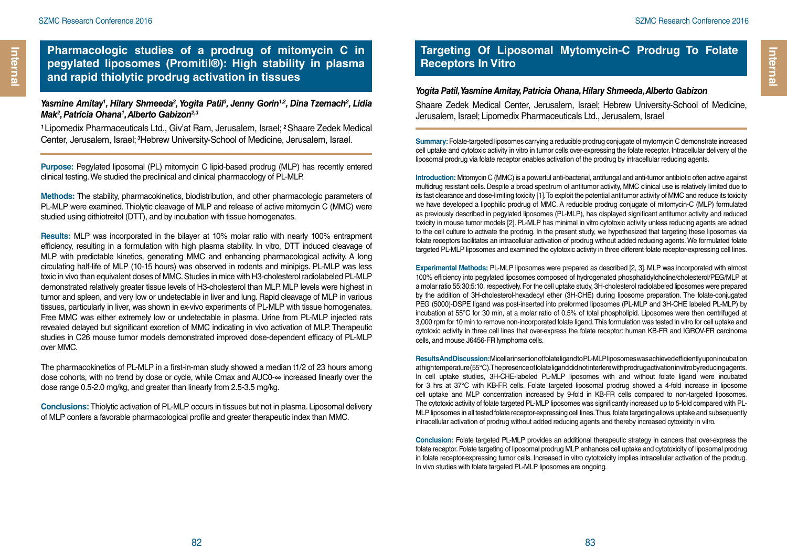**Pharmacologic studies of a prodrug of mitomycin C in pegylated liposomes (Promitil®): High stability in plasma and rapid thiolytic prodrug activation in tissues**

#### *Yasmine Amitay1 , Hilary Shmeeda2 , Yogita Patil3 , Jenny Gorin1,2, Dina Tzemach2 , Lidia Mak2 , Patricia Ohana1 , Alberto Gabizon2,3*

*<sup>1</sup>*Lipomedix Pharmaceuticals Ltd., Giv'at Ram, Jerusalem, Israel; *<sup>2</sup>*Shaare Zedek Medical Center, Jerusalem, Israel;*<sup>3</sup>*Hebrew University-School of Medicine, Jerusalem, Israel.

**Purpose:** Pegylated liposomal (PL) mitomycin C lipid-based prodrug (MLP) has recently entered clinical testing. We studied the preclinical and clinical pharmacology of PL-MLP.

**Methods:** The stability, pharmacokinetics, biodistribution, and other pharmacologic parameters of PL-MLP were examined. Thiolytic cleavage of MLP and release of active mitomycin C (MMC) were studied using dithiotreitol (DTT), and by incubation with tissue homogenates.

**Results:** MLP was incorporated in the bilayer at 10% molar ratio with nearly 100% entrapment efficiency, resulting in a formulation with high plasma stability. In vitro, DTT induced cleavage of MLP with predictable kinetics, generating MMC and enhancing pharmacological activity. A long circulating half-life of MLP (10-15 hours) was observed in rodents and minipigs. PL-MLP was less toxic in vivo than equivalent doses of MMC. Studies in mice with H3-cholesterol radiolabeled PL-MLP demonstrated relatively greater tissue levels of H3-cholesterol than MLP. MLP levels were highest in tumor and spleen, and very low or undetectable in liver and lung. Rapid cleavage of MLP in various tissues, particularly in liver, was shown in ex-vivo experiments of PL-MLP with tissue homogenates. Free MMC was either extremely low or undetectable in plasma. Urine from PL-MLP injected rats revealed delayed but significant excretion of MMC indicating in vivo activation of MLP. Therapeutic studies in C26 mouse tumor models demonstrated improved dose-dependent efficacy of PL-MLP over MMC.

The pharmacokinetics of PL-MLP in a first-in-man study showed a median t1/2 of 23 hours among dose cohorts, with no trend by dose or cycle, while Cmax and AUC0-∞ increased linearly over the dose range 0.5-2.0 mg/kg, and greater than linearly from 2.5-3.5 mg/kg.

**Conclusions:** Thiolytic activation of PL-MLP occurs in tissues but not in plasma. Liposomal delivery of MLP confers a favorable pharmacological profile and greater therapeutic index than MMC.

## **Targeting Of Liposomal Mytomycin-C Prodrug To Folate Receptors In Vitro**

#### *Yogita Patil, Yasmine Amitay, Patricia Ohana, Hilary Shmeeda, Alberto Gabizon*

Shaare Zedek Medical Center, Jerusalem, Israel; Hebrew University-School of Medicine, Jerusalem, Israel; Lipomedix Pharmaceuticals Ltd., Jerusalem, Israel

**Summary:** Folate-targeted liposomes carrying a reducible prodrug conjugate of mytomycin C demonstrate increased cell uptake and cytotoxic activity in vitro in tumor cells over-expressing the folate receptor. Intracellular delivery of the liposomal prodrug via folate receptor enables activation of the prodrug by intracellular reducing agents.

**Introduction:** Mitomycin C (MMC) is a powerful anti-bacterial, antifungal and anti-tumor antibiotic often active against multidrug resistant cells. Despite a broad spectrum of antitumor activity, MMC clinical use is relatively limited due to its fast clearance and dose-limiting toxicity [1]. To exploit the potential antitumor activity of MMC and reduce its toxicity we have developed a lipophilic prodrug of MMC. A reducible prodrug conjugate of mitomycin-C (MLP) formulated as previously described in pegylated liposomes (PL-MLP), has displayed significant antitumor activity and reduced toxicity in mouse tumor models [2]. PL-MLP has minimal in vitro cytotoxic activity unless reducing agents are added to the cell culture to activate the prodrug. In the present study, we hypothesized that targeting these liposomes via folate receptors facilitates an intracellular activation of prodrug without added reducing agents. We formulated folate targeted PL-MLP liposomes and examined the cytotoxic activity in three different folate receptor-expressing cell lines.

**Experimental Methods:** PL-MLP liposomes were prepared as described [2, 3]. MLP was incorporated with almost 100% efficiency into pegylated liposomes composed of hydrogenated phosphatidylcholine/cholesterol/PEG/MLP at a molar ratio 55:30:5:10, respectively. For the cell uptake study, 3H-cholesterol radiolabeled liposomes were prepared by the addition of 3H-cholesterol-hexadecyl ether (3H-CHE) during liposome preparation. The folate-conjugated PEG (5000)-DSPE ligand was post-inserted into preformed liposomes (PL-MLP and 3H-CHE labeled PL-MLP) by incubation at 55°C for 30 min, at a molar ratio of 0.5% of total phospholipid. Liposomes were then centrifuged at 3,000 rpm for 10 min to remove non-incorporated folate ligand. This formulation was tested in vitro for cell uptake and cytotoxic activity in three cell lines that over-express the folate receptor: human KB-FR and IGROV-FR carcinoma cells, and mouse J6456-FR lymphoma cells.

**Results And Discussion: Micellar insertion of folate ligand to PL-MLP liposomes was achieved efficiently upon incubation** at high temperature (55°C). The presence of folate ligand did not interfere with prodrug activation in vitro by reducing agents. In cell uptake studies, 3H-CHE-labeled PL-MLP liposomes with and without folate ligand were incubated for 3 hrs at 37°C with KB-FR cells. Folate targeted liposomal prodrug showed a 4-fold increase in liposome cell uptake and MLP concentration increased by 9-fold in KB-FR cells compared to non-targeted liposomes. The cytotoxic activity of folate targeted PL-MLP liposomes was significantly increased up to 5-fold compared with PL-MLP liposomes in all tested folate receptor-expressing cell lines. Thus, folate targeting allows uptake and subsequently intracellular activation of prodrug without added reducing agents and thereby increased cytoxicity in vitro.

**Conclusion:** Folate targeted PL-MLP provides an additional therapeutic strategy in cancers that over-express the folate receptor. Folate targeting of liposomal prodrug MLP enhances cell uptake and cytotoxicity of liposomal prodrug in folate receptor-expressing tumor cells. Increased in vitro cytotoxicity implies intracellular activation of the prodrug. In vivo studies with folate targeted PL-MLP liposomes are ongoing.

**Internal** 

Internal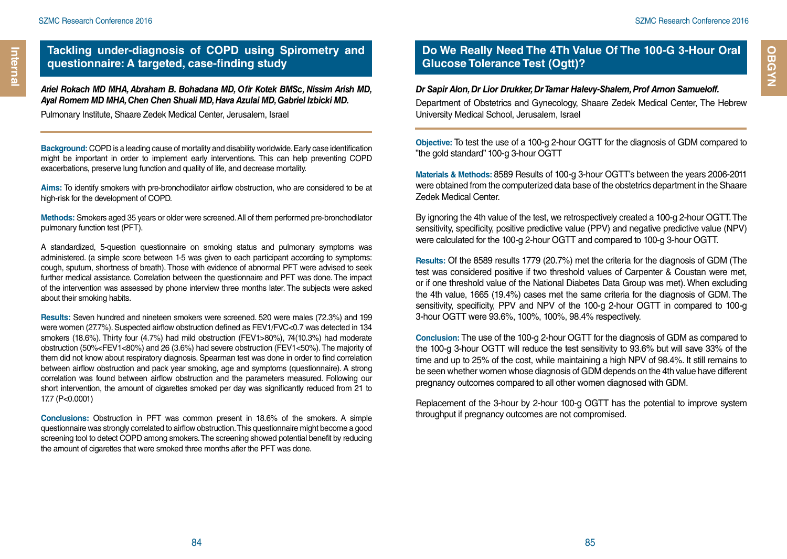*Ariel Rokach MD MHA, Abraham B. Bohadana MD, Ofir Kotek BMSc, Nissim Arish MD, Ayal Romem MD MHA, Chen Chen Shuali MD, Hava Azulai MD, Gabriel Izbicki MD.* 

Pulmonary Institute, Shaare Zedek Medical Center, Jerusalem, Israel

**Background:** COPD is a leading cause of mortality and disability worldwide. Early case identification might be important in order to implement early interventions. This can help preventing COPD exacerbations, preserve lung function and quality of life, and decrease mortality.

**Aims:** To identify smokers with pre-bronchodilator airflow obstruction, who are considered to be at high-risk for the development of COPD.

**Methods:** Smokers aged 35 years or older were screened. All of them performed pre-bronchodilator pulmonary function test (PFT).

A standardized, 5-question questionnaire on smoking status and pulmonary symptoms was administered. (a simple score between 1-5 was given to each participant according to symptoms: cough, sputum, shortness of breath). Those with evidence of abnormal PFT were advised to seek further medical assistance. Correlation between the questionnaire and PFT was done. The impact of the intervention was assessed by phone interview three months later. The subjects were asked about their smoking habits.

**Results:** Seven hundred and nineteen smokers were screened. 520 were males (72.3%) and 199 were women (27.7%). Suspected airflow obstruction defined as FEV1/FVC<0.7 was detected in 134 smokers (18.6%). Thirty four (4.7%) had mild obstruction (FEV1>80%), 74(10.3%) had moderate obstruction (50%<FEV1<80%) and 26 (3.6%) had severe obstruction (FEV1<50%). The majority of them did not know about respiratory diagnosis. Spearman test was done in order to find correlation between airflow obstruction and pack year smoking, age and symptoms (questionnaire). A strong correlation was found between airflow obstruction and the parameters measured. Following our short intervention, the amount of cigarettes smoked per day was significantly reduced from 21 to 17.7 (P<0.0001)

**Conclusions:** Obstruction in PFT was common present in 18.6% of the smokers. A simple questionnaire was strongly correlated to airflow obstruction. This questionnaire might become a good screening tool to detect COPD among smokers. The screening showed potential benefit by reducing the amount of cigarettes that were smoked three months after the PFT was done.

## **Do We Really Need The 4Th Value Of The 100-G 3-Hour Oral Glucose Tolerance Test (Ogtt)?**

#### *Dr Sapir Alon, Dr Lior Drukker, Dr Tamar Halevy-Shalem, Prof Arnon Samueloff.*

Department of Obstetrics and Gynecology, Shaare Zedek Medical Center, The Hebrew University Medical School, Jerusalem, Israel

**Objective:** To test the use of a 100-g 2-hour OGTT for the diagnosis of GDM compared to "the gold standard" 100-g 3-hour OGTT

**Materials & Methods:** 8589 Results of 100-g 3-hour OGTT's between the years 2006-2011 were obtained from the computerized data base of the obstetrics department in the Shaare Zedek Medical Center.

By ignoring the 4th value of the test, we retrospectively created a 100-g 2-hour OGTT. The sensitivity, specificity, positive predictive value (PPV) and negative predictive value (NPV) were calculated for the 100-g 2-hour OGTT and compared to 100-g 3-hour OGTT.

**Results:** Of the 8589 results 1779 (20.7%) met the criteria for the diagnosis of GDM (The test was considered positive if two threshold values of Carpenter & Coustan were met, or if one threshold value of the National Diabetes Data Group was met). When excluding the 4th value, 1665 (19.4%) cases met the same criteria for the diagnosis of GDM. The sensitivity, specificity, PPV and NPV of the 100-g 2-hour OGTT in compared to 100-g 3-hour OGTT were 93.6%, 100%, 100%, 98.4% respectively.

**Conclusion:** The use of the 100-g 2-hour OGTT for the diagnosis of GDM as compared to the 100-g 3-hour OGTT will reduce the test sensitivity to 93.6% but will save 33% of the time and up to 25% of the cost, while maintaining a high NPV of 98.4%. It still remains to be seen whether women whose diagnosis of GDM depends on the 4th value have different pregnancy outcomes compared to all other women diagnosed with GDM.

Replacement of the 3-hour by 2-hour 100-g OGTT has the potential to improve system throughput if pregnancy outcomes are not compromised.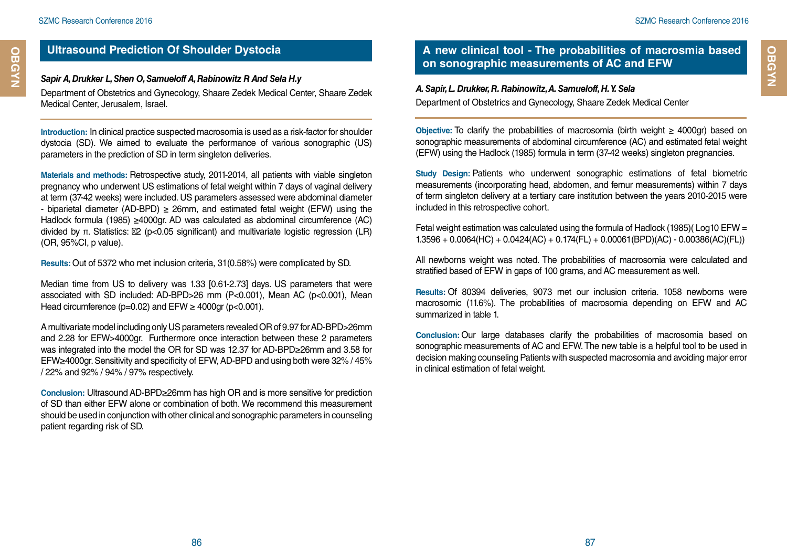## **Ultrasound Prediction Of Shoulder Dystocia**

#### *Sapir A, Drukker L, Shen O, Samueloff A, Rabinowitz R And Sela H.y*

Department of Obstetrics and Gynecology, Shaare Zedek Medical Center, Shaare Zedek Medical Center, Jerusalem, Israel.

**Introduction:** In clinical practice suspected macrosomia is used as a risk-factor for shoulder dystocia (SD). We aimed to evaluate the performance of various sonographic (US) parameters in the prediction of SD in term singleton deliveries.

**Materials and methods:** Retrospective study, 2011-2014, all patients with viable singleton pregnancy who underwent US estimations of fetal weight within 7 days of vaginal delivery at term (37-42 weeks) were included. US parameters assessed were abdominal diameter - biparietal diameter (AD-BPD) ≥ 26mm, and estimated fetal weight (EFW) using the Hadlock formula (1985) ≥4000gr. AD was calculated as abdominal circumference (AC) divided by π. Statistics: 2 ( $p$ <0.05 significant) and multivariate logistic regression (LR) (OR, 95%CI, p value).

**Results:** Out of 5372 who met inclusion criteria, 31(0.58%) were complicated by SD.

Median time from US to delivery was 1.33 [0.61-2.73] days. US parameters that were associated with SD included: AD-BPD>26 mm (P<0.001), Mean AC (p<0.001), Mean Head circumference ( $p=0.02$ ) and EFW  $\geq$  4000gr ( $p<0.001$ ).

A multivariate model including only US parameters revealed OR of 9.97 for AD-BPD>26mm and 2.28 for EFW>4000gr. Furthermore once interaction between these 2 parameters was integrated into the model the OR for SD was 12.37 for AD-BPD≥26mm and 3.58 for EFW≥4000gr. Sensitivity and specificity of EFW, AD-BPD and using both were 32% / 45% / 22% and 92% / 94% / 97% respectively.

**Conclusion:** Ultrasound AD-BPD≥26mm has high OR and is more sensitive for prediction of SD than either EFW alone or combination of both. We recommend this measurement should be used in conjunction with other clinical and sonographic parameters in counseling patient regarding risk of SD.

## **A new clinical tool - The probabilities of macrosmia based on sonographic measurements of AC and EFW**

#### *A. Sapir, L. Drukker, R. Rabinowitz, A. Samueloff, H. Y. Sela*  Department of Obstetrics and Gynecology, Shaare Zedek Medical Center

**Objective:** To clarify the probabilities of macrosomia (birth weight ≥ 4000gr) based on sonographic measurements of abdominal circumference (AC) and estimated fetal weight (EFW) using the Hadlock (1985) formula in term (37-42 weeks) singleton pregnancies.

**Study Design:** Patients who underwent sonographic estimations of fetal biometric measurements (incorporating head, abdomen, and femur measurements) within 7 days of term singleton delivery at a tertiary care institution between the years 2010-2015 were included in this retrospective cohort.

Fetal weight estimation was calculated using the formula of Hadlock (1985)(Log10 EFW = 1.3596 + 0.0064(HC) + 0.0424(AC) + 0.174(FL) + 0.00061(BPD)(AC) - 0.00386(AC)(FL))

All newborns weight was noted. The probabilities of macrosomia were calculated and stratified based of EFW in gaps of 100 grams, and AC measurement as well.

**Results:** Of 80394 deliveries, 9073 met our inclusion criteria. 1058 newborns were macrosomic (11.6%). The probabilities of macrosomia depending on EFW and AC summarized in table 1.

**Conclusion:** Our large databases clarify the probabilities of macrosomia based on sonographic measurements of AC and EFW. The new table is a helpful tool to be used in decision making counseling Patients with suspected macrosomia and avoiding major error in clinical estimation of fetal weight.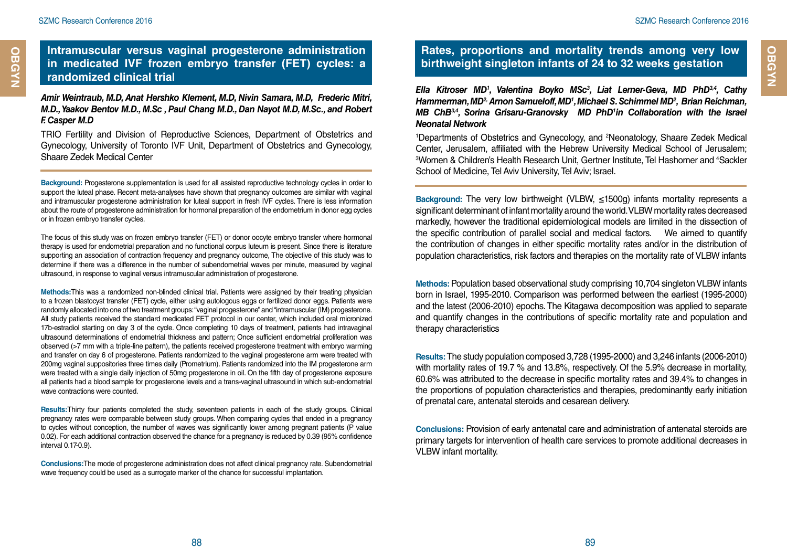#### **Intramuscular versus vaginal progesterone administration in medicated IVF frozen embryo transfer (FET) cycles: a randomized clinical trial**

*Amir Weintraub, M.D, Anat Hershko Klement, M.D, Nivin Samara, M.D, Frederic Mitri, M.D., Yaakov Bentov M.D., M.Sc , Paul Chang M.D., Dan Nayot M.D, M.Sc., and Robert F. Casper M.D*

TRIO Fertility and Division of Reproductive Sciences, Department of Obstetrics and Gynecology, University of Toronto IVF Unit, Department of Obstetrics and Gynecology, Shaare Zedek Medical Center

**Background:** Progesterone supplementation is used for all assisted reproductive technology cycles in order to support the luteal phase. Recent meta-analyses have shown that pregnancy outcomes are similar with vaginal and intramuscular progesterone administration for luteal support in fresh IVF cycles. There is less information about the route of progesterone administration for hormonal preparation of the endometrium in donor egg cycles or in frozen embryo transfer cycles.

The focus of this study was on frozen embryo transfer (FET) or donor oocyte embryo transfer where hormonal therapy is used for endometrial preparation and no functional corpus luteum is present. Since there is literature supporting an association of contraction frequency and pregnancy outcome, The objective of this study was to determine if there was a difference in the number of subendometrial waves per minute, measured by vaginal ultrasound, in response to vaginal versus intramuscular administration of progesterone.

**Methods:**This was a randomized non-blinded clinical trial. Patients were assigned by their treating physician to a frozen blastocyst transfer (FET) cycle, either using autologous eggs or fertilized donor eggs. Patients were randomly allocated into one of two treatment groups: "vaginal progesterone" and "intramuscular (IM) progesterone. All study patients received the standard medicated FET protocol in our center, which included oral micronized 17b-estradiol starting on day 3 of the cycle. Once completing 10 days of treatment, patients had intravaginal ultrasound determinations of endometrial thickness and pattern; Once sufficient endometrial proliferation was observed (>7 mm with a triple-line pattern), the patients received progesterone treatment with embryo warming and transfer on day 6 of progesterone. Patients randomized to the vaginal progesterone arm were treated with 200mg vaginal suppositories three times daily (Prometrium). Patients randomized into the IM progesterone arm were treated with a single daily injection of 50mg progesterone in oil. On the fifth day of progesterone exposure all patients had a blood sample for progesterone levels and a trans-vaginal ultrasound in which sub-endometrial wave contractions were counted.

**Results:**Thirty four patients completed the study, seventeen patients in each of the study groups. Clinical pregnancy rates were comparable between study groups. When comparing cycles that ended in a pregnancy to cycles without conception, the number of waves was significantly lower among pregnant patients (P value 0.02). For each additional contraction observed the chance for a pregnancy is reduced by 0.39 (95% confidence interval 0.17-0.9).

**Conclusions:**The mode of progesterone administration does not affect clinical pregnancy rate. Subendometrial wave frequency could be used as a surrogate marker of the chance for successful implantation.

## **Rates, proportions and mortality trends among very low birthweight singleton infants of 24 to 32 weeks gestation**

*Ella Kitroser MD1 , Valentina Boyko MSc3 , Liat Lerner-Geva, MD PhD3,4, Cathy Hammerman, MD2, Arnon Samueloff, MD1 , Michael S. Schimmel MD2 , Brian Reichman, MB ChB3,4, Sorina Grisaru-Granovsky MD PhD1 in Collaboration with the Israel Neonatal Network* 

1 Departments of Obstetrics and Gynecology, and 2 Neonatology, Shaare Zedek Medical Center, Jerusalem, affiliated with the Hebrew University Medical School of Jerusalem; <sup>3</sup>Women & Children's Health Research Unit, Gertner Institute, Tel Hashomer and <sup>4</sup>Sackler School of Medicine, Tel Aviv University, Tel Aviv; Israel.

**Background:** The very low birthweight (VLBW, ≤1500g) infants mortality represents a significant determinant of infant mortality around the world. VLBW mortality rates decreased markedly, however the traditional epidemiological models are limited in the dissection of the specific contribution of parallel social and medical factors. We aimed to quantify the contribution of changes in either specific mortality rates and/or in the distribution of population characteristics, risk factors and therapies on the mortality rate of VLBW infants

**Methods:** Population based observational study comprising 10,704 singleton VLBW infants born in Israel, 1995-2010. Comparison was performed between the earliest (1995-2000) and the latest (2006-2010) epochs. The Kitagawa decomposition was applied to separate and quantify changes in the contributions of specific mortality rate and population and therapy characteristics

**Results:** The study population composed 3,728 (1995-2000) and 3,246 infants (2006-2010) with mortality rates of 19.7 % and 13.8%, respectively. Of the 5.9% decrease in mortality, 60.6% was attributed to the decrease in specific mortality rates and 39.4% to changes in the proportions of population characteristics and therapies, predominantly early initiation of prenatal care, antenatal steroids and cesarean delivery.

**Conclusions:** Provision of early antenatal care and administration of antenatal steroids are primary targets for intervention of health care services to promote additional decreases in VLBW infant mortality.

**OBGYN Cardiology**

OBGYN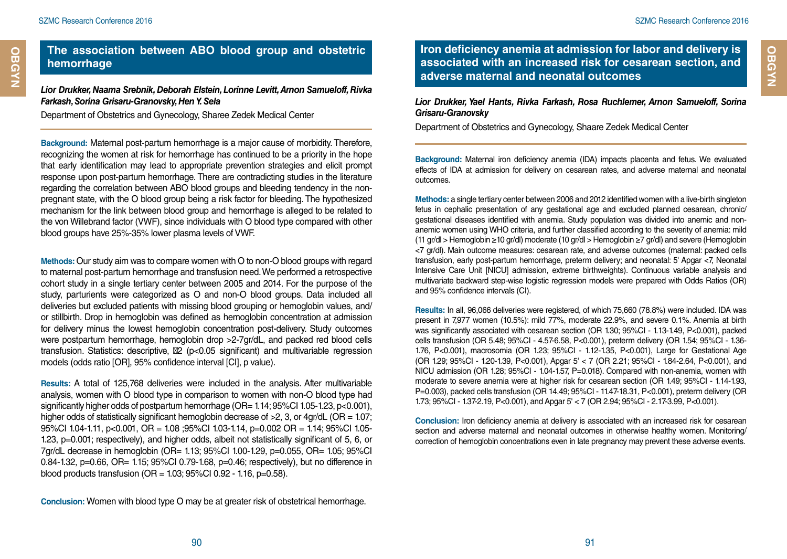## **The association between ABO blood group and obstetric hemorrhage**

*Lior Drukker, Naama Srebnik, Deborah Elstein, Lorinne Levitt, Arnon Samueloff, Rivka Farkash, Sorina Grisaru-Granovsky, Hen Y. Sela*

Department of Obstetrics and Gynecology, Sharee Zedek Medical Center

**Background:** Maternal post-partum hemorrhage is a major cause of morbidity. Therefore, recognizing the women at risk for hemorrhage has continued to be a priority in the hope that early identification may lead to appropriate prevention strategies and elicit prompt response upon post-partum hemorrhage. There are contradicting studies in the literature regarding the correlation between ABO blood groups and bleeding tendency in the nonpregnant state, with the O blood group being a risk factor for bleeding. The hypothesized mechanism for the link between blood group and hemorrhage is alleged to be related to the von Willebrand factor (VWF), since individuals with O blood type compared with other blood groups have 25%-35% lower plasma levels of VWF.

**Methods:** Our study aim was to compare women with O to non-O blood groups with regard to maternal post-partum hemorrhage and transfusion need. We performed a retrospective cohort study in a single tertiary center between 2005 and 2014. For the purpose of the study, parturients were categorized as O and non-O blood groups. Data included all deliveries but excluded patients with missing blood grouping or hemoglobin values, and/ or stillbirth. Drop in hemoglobin was defined as hemoglobin concentration at admission for delivery minus the lowest hemoglobin concentration post-delivery. Study outcomes were postpartum hemorrhage, hemoglobin drop >2-7gr/dL, and packed red blood cells transfusion. Statistics: descriptive, 2 (p<0.05 significant) and multivariable regression models (odds ratio [OR], 95% confidence interval [CI], p value).

**Results:** A total of 125,768 deliveries were included in the analysis. After multivariable analysis, women with O blood type in comparison to women with non-O blood type had significantly higher odds of postpartum hemorrhage (OR= 1.14; 95%CI 1.05-1.23, p<0.001), higher odds of statistically significant hemoglobin decrease of  $>2$ , 3, or 4gr/dL (OR = 1.07; 95%CI 1.04-1.11, p<0.001, OR = 1.08 ;95%CI 1.03-1.14, p=0.002 OR = 1.14; 95%CI 1.05- 1.23, p=0.001; respectively), and higher odds, albeit not statistically significant of 5, 6, or 7gr/dL decrease in hemoglobin (OR= 1.13; 95%CI 1.00-1.29, p=0.055, OR= 1.05; 95%CI 0.84-1.32, p=0.66, OR= 1.15; 95%CI 0.79-1.68, p=0.46; respectively), but no difference in blood products transfusion ( $OR = 1.03$ ;  $95\%CI$  0.92 - 1.16,  $p=0.58$ ).

**Conclusion:** Women with blood type O may be at greater risk of obstetrical hemorrhage.

**Iron deficiency anemia at admission for labor and delivery is associated with an increased risk for cesarean section, and adverse maternal and neonatal outcomes**

*Lior Drukker, Yael Hants, Rivka Farkash, Rosa Ruchlemer, Arnon Samueloff, Sorina Grisaru-Granovsky*

Department of Obstetrics and Gynecology, Shaare Zedek Medical Center

**Background:** Maternal iron deficiency anemia (IDA) impacts placenta and fetus. We evaluated effects of IDA at admission for delivery on cesarean rates, and adverse maternal and neonatal outcomes.

**Methods:** a single tertiary center between 2006 and 2012 identified women with a live-birth singleton fetus in cephalic presentation of any gestational age and excluded planned cesarean, chronic/ gestational diseases identified with anemia. Study population was divided into anemic and nonanemic women using WHO criteria, and further classified according to the severity of anemia: mild (11 gr/dl > Hemoglobin ≥10 gr/dl) moderate (10 gr/dl > Hemoglobin ≥7 gr/dl) and severe (Hemoglobin <7 gr/dl). Main outcome measures: cesarean rate, and adverse outcomes (maternal: packed cells transfusion, early post-partum hemorrhage, preterm delivery; and neonatal: 5' Apgar <7, Neonatal Intensive Care Unit [NICU] admission, extreme birthweights). Continuous variable analysis and multivariate backward step-wise logistic regression models were prepared with Odds Ratios (OR) and 95% confidence intervals (CI).

**Results:** In all, 96,066 deliveries were registered, of which 75,660 (78.8%) were included. IDA was present in 7,977 women (10.5%): mild 77%, moderate 22.9%, and severe 0.1%. Anemia at birth was significantly associated with cesarean section (OR 1.30; 95%CI - 1.13-1.49, P<0.001), packed cells transfusion (OR 5.48; 95%CI - 4.57-6.58, P<0.001), preterm delivery (OR 1.54; 95%CI - 1.36- 1.76, P<0.001), macrosomia (OR 1.23; 95%CI - 1.12-1.35, P<0.001), Large for Gestational Age (OR 1.29; 95%CI - 1.20-1.39, P<0.001), Apgar 5' < 7 (OR 2.21; 95%CI - 1.84-2.64, P<0.001), and NICU admission (OR 1.28; 95%CI - 1.04-1.57, P=0.018). Compared with non-anemia, women with moderate to severe anemia were at higher risk for cesarean section (OR 1.49; 95%CI - 1.14-1.93, P=0.003), packed cells transfusion (OR 14.49; 95%CI - 11.47-18.31, P<0.001), preterm delivery (OR 1.73; 95%CI - 1.37-2.19, P<0.001), and Apgar 5' < 7 (OR 2.94; 95%CI - 2.17-3.99, P<0.001).

**Conclusion:** Iron deficiency anemia at delivery is associated with an increased risk for cesarean section and adverse maternal and neonatal outcomes in otherwise healthy women. Monitoring/ correction of hemoglobin concentrations even in late pregnancy may prevent these adverse events. **OBGYN Cardiology**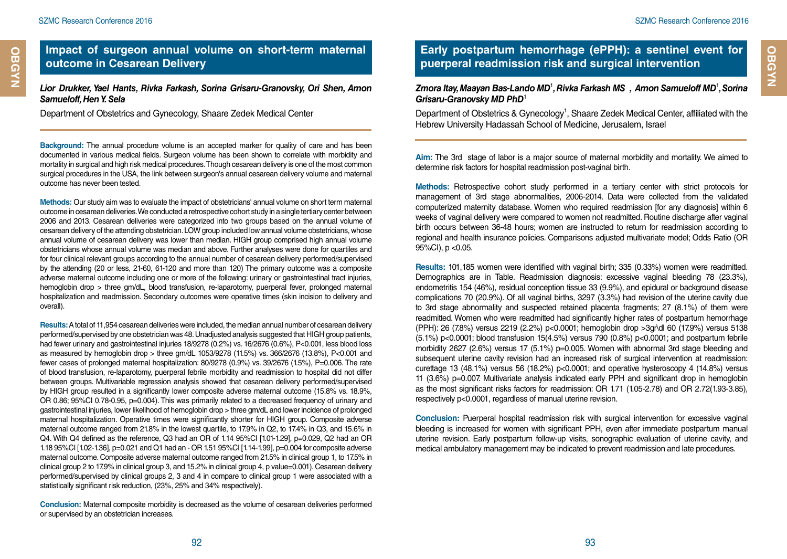**OBGYN**

*Lior Drukker, Yael Hants, Rivka Farkash, Sorina Grisaru-Granovsky, Ori Shen, Arnon Samueloff, Hen Y. Sela*

Department of Obstetrics and Gynecology, Shaare Zedek Medical Center

**Background:** The annual procedure volume is an accepted marker for quality of care and has been documented in various medical fields. Surgeon volume has been shown to correlate with morbidity and mortality in surgical and high risk medical procedures. Though cesarean delivery is one of the most common surgical procedures in the USA, the link between surgeon's annual cesarean delivery volume and maternal outcome has never been tested.

**Methods:** Our study aim was to evaluate the impact of obstetricians' annual volume on short term maternal outcome in cesarean deliveries. We conducted a retrospective cohort study in a single tertiary center between 2006 and 2013. Cesarean deliveries were categorized into two groups based on the annual volume of cesarean delivery of the attending obstetrician. LOW group included low annual volume obstetricians, whose annual volume of cesarean delivery was lower than median. HIGH group comprised high annual volume obstetricians whose annual volume was median and above. Further analyses were done for quartiles and for four clinical relevant groups according to the annual number of cesarean delivery performed/supervised by the attending (20 or less, 21-60, 61-120 and more than 120) The primary outcome was a composite adverse maternal outcome including one or more of the following: urinary or gastrointestinal tract injuries, hemoglobin drop > three gm/dL, blood transfusion, re-laparotomy, puerperal fever, prolonged maternal hospitalization and readmission. Secondary outcomes were operative times (skin incision to delivery and overall).

**Results:** A total of 11,954 cesarean deliveries were included, the median annual number of cesarean delivery performed/supervised by one obstetrician was 48. Unadjusted analysis suggested that HIGH group patients, had fewer urinary and gastrointestinal injuries 18/9278 (0.2%) vs. 16/2676 (0.6%), P<0.001, less blood loss as measured by hemoglobin drop > three gm/dL 1053/9278 (11.5%) vs. 366/2676 (13.8%), P<0.001 and fewer cases of prolonged maternal hospitalization: 80/9278 (0.9%) vs. 39/2676 (1.5%), P=0.006. The rate of blood transfusion, re-laparotomy, puerperal febrile morbidity and readmission to hospital did not differ between groups. Multivariable regression analysis showed that cesarean delivery performed/supervised by HIGH group resulted in a significantly lower composite adverse maternal outcome (15.8% vs. 18.9%, OR 0.86; 95%CI 0.78-0.95, p=0.004). This was primarily related to a decreased frequency of urinary and gastrointestinal injuries, lower likelihood of hemoglobin drop > three gm/dL and lower incidence of prolonged maternal hospitalization. Operative times were significantly shorter for HIGH group. Composite adverse maternal outcome ranged from 21.8% in the lowest quartile, to 17.9% in Q2, to 17.4% in Q3, and 15.6% in Q4. With Q4 defined as the reference, Q3 had an OR of 1.14 95%CI [1.01-1.29], p=0.029, Q2 had an OR 1.18 95%CI [1.02-1.36], p=0.021 and Q1 had an - OR 1.51 95%CI [1.14-1.99], p=0.004 for composite adverse maternal outcome. Composite adverse maternal outcome ranged from 21.5% in clinical group 1, to 17.5% in clinical group 2 to 17.9% in clinical group 3, and 15.2% in clinical group 4, p value=0.001). Cesarean delivery performed/supervised by clinical groups 2, 3 and 4 in compare to clinical group 1 were associated with a statistically significant risk reduction, (23%, 25% and 34% respectively).

**Conclusion:** Maternal composite morbidity is decreased as the volume of cesarean deliveries performed or supervised by an obstetrician increases.

## **Early postpartum hemorrhage (ePPH): a sentinel event for puerperal readmission risk and surgical intervention**

#### *Zmora Itay, Maayan Bas-Lando MD*<sup>1</sup> *, Rivka Farkash MS , Arnon Samueloff MD*<sup>1</sup> *, Sorina Grisaru-Granovsky MD PhD*<sup>1</sup>

Department of Obstetrics & Gynecology<sup>1</sup>, Shaare Zedek Medical Center, affiliated with the Hebrew University Hadassah School of Medicine, Jerusalem, Israel

**Aim:** The 3rd stage of labor is a major source of maternal morbidity and mortality. We aimed to determine risk factors for hospital readmission post-vaginal birth.

**Methods:** Retrospective cohort study performed in a tertiary center with strict protocols for management of 3rd stage abnormalities, 2006-2014. Data were collected from the validated computerized maternity database. Women who required readmission [for any diagnosis] within 6 weeks of vaginal delivery were compared to women not readmitted. Routine discharge after vaginal birth occurs between 36-48 hours; women are instructed to return for readmission according to regional and health insurance policies. Comparisons adjusted multivariate model; Odds Ratio (OR 95%CI), p <0.05.

**Results:** 101,185 women were identified with vaginal birth; 335 (0.33%) women were readmitted. Demographics are in Table. Readmission diagnosis: excessive vaginal bleeding 78 (23.3%), endometritis 154 (46%), residual conception tissue 33 (9.9%), and epidural or background disease complications 70 (20.9%). Of all vaginal births, 3297 (3.3%) had revision of the uterine cavity due to 3rd stage abnormality and suspected retained placenta fragments; 27 (8.1%) of them were readmitted. Women who were readmitted had significantly higher rates of postpartum hemorrhage (PPH): 26 (7.8%) versus 2219 (2.2%) p<0.0001; hemoglobin drop >3gr\dl 60 (17.9%) versus 5138 (5.1%) p<0.0001; blood transfusion 15(4.5%) versus 790 (0.8%) p<0.0001; and postpartum febrile morbidity 2627 (2.6%) versus 17 (5.1%) p=0.005. Women with abnormal 3rd stage bleeding and subsequent uterine cavity revision had an increased risk of surgical intervention at readmission: curettage 13 (48.1%) versus 56 (18.2%)  $p<0.0001$ ; and operative hysteroscopy 4 (14.8%) versus 11 (3.6%) p=0.007. Multivariate analysis indicated early PPH and significant drop in hemoglobin as the most significant risks factors for readmission: OR 1.71 (1.05-2.78) and OR 2.72(1.93-3.85), respectively p<0.0001, regardless of manual uterine revision.

**Conclusion:** Puerperal hospital readmission risk with surgical intervention for excessive vaginal bleeding is increased for women with significant PPH, even after immediate postpartum manual uterine revision. Early postpartum follow-up visits, sonographic evaluation of uterine cavity, and medical ambulatory management may be indicated to prevent readmission and late procedures.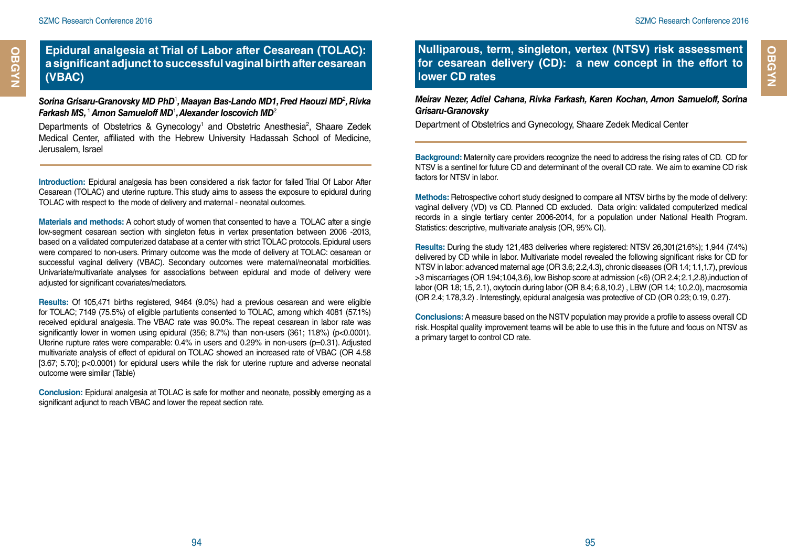**OBGYN Cardiology**

**OBGYN** 

#### **Epidural analgesia at Trial of Labor after Cesarean (TOLAC): a significant adjunct to successful vaginal birth after cesarean (VBAC)**

#### *Sorina Grisaru-Granovsky MD PhD*<sup>1</sup> *, Maayan Bas-Lando MD1, Fred Haouzi MD*<sup>2</sup> *, Rivka Farkash MS,* <sup>1</sup>*Arnon Samueloff MD*<sup>1</sup> *, Alexander Ioscovich MD*<sup>2</sup>

Departments of Obstetrics & Gynecology<sup>1</sup> and Obstetric Anesthesia<sup>2</sup>, Shaare Zedek Medical Center, affiliated with the Hebrew University Hadassah School of Medicine, Jerusalem, Israel

**Introduction:** Epidural analgesia has been considered a risk factor for failed Trial Of Labor After Cesarean (TOLAC) and uterine rupture. This study aims to assess the exposure to epidural during TOLAC with respect to the mode of delivery and maternal - neonatal outcomes.

**Materials and methods:** A cohort study of women that consented to have a TOLAC after a single low-segment cesarean section with singleton fetus in vertex presentation between 2006 -2013, based on a validated computerized database at a center with strict TOLAC protocols. Epidural users were compared to non-users. Primary outcome was the mode of delivery at TOLAC: cesarean or successful vaginal delivery (VBAC). Secondary outcomes were maternal/neonatal morbidities. Univariate/multivariate analyses for associations between epidural and mode of delivery were adjusted for significant covariates/mediators.

**Results:** Of 105,471 births registered, 9464 (9.0%) had a previous cesarean and were eligible for TOLAC; 7149 (75.5%) of eligible partutients consented to TOLAC, among which 4081 (57.1%) received epidural analgesia. The VBAC rate was 90.0%. The repeat cesarean in labor rate was significantly lower in women using epidural  $(356; 8.7%)$  than non-users  $(361; 11.8%)$  (p<0.0001). Uterine rupture rates were comparable: 0.4% in users and 0.29% in non-users (p=0.31). Adjusted multivariate analysis of effect of epidural on TOLAC showed an increased rate of VBAC (OR 4.58 [3.67; 5.70]; p<0.0001) for epidural users while the risk for uterine rupture and adverse neonatal outcome were similar (Table)

**Conclusion:** Epidural analgesia at TOLAC is safe for mother and neonate, possibly emerging as a significant adjunct to reach VBAC and lower the repeat section rate.

**Nulliparous, term, singleton, vertex (NTSV) risk assessment for cesarean delivery (CD): a new concept in the effort to lower CD rates**

*Meirav Nezer, Adiel Cahana, Rivka Farkash, Karen Kochan, Arnon Samueloff, Sorina Grisaru-Granovsky*

Department of Obstetrics and Gynecology, Shaare Zedek Medical Center

**Background:** Maternity care providers recognize the need to address the rising rates of CD. CD for NTSV is a sentinel for future CD and determinant of the overall CD rate. We aim to examine CD risk factors for NTSV in labor.

**Methods:** Retrospective cohort study designed to compare all NTSV births by the mode of delivery: vaginal delivery (VD) vs CD. Planned CD excluded. Data origin: validated computerized medical records in a single tertiary center 2006-2014, for a population under National Health Program. Statistics: descriptive, multivariate analysis (OR, 95% CI).

**Results:** During the study 121,483 deliveries where registered: NTSV 26,301(21.6%); 1,944 (7.4%) delivered by CD while in labor. Multivariate model revealed the following significant risks for CD for NTSV in labor: advanced maternal age (OR 3.6; 2.2,4.3), chronic diseases (OR 1.4; 1.1,1.7), previous >3 miscarriages (OR 1.94;1.04,3.6), low Bishop score at admission (<6) (OR 2.4; 2.1,2.8),induction of labor (OR 1.8; 1.5, 2.1), oxytocin during labor (OR 8.4; 6.8,10.2) , LBW (OR 1.4; 1.0,2.0), macrosomia (OR 2.4; 1.78,3.2) . Interestingly, epidural analgesia was protective of CD (OR 0.23; 0.19, 0.27).

**Conclusions:** A measure based on the NSTV population may provide a profile to assess overall CD risk. Hospital quality improvement teams will be able to use this in the future and focus on NTSV as a primary target to control CD rate.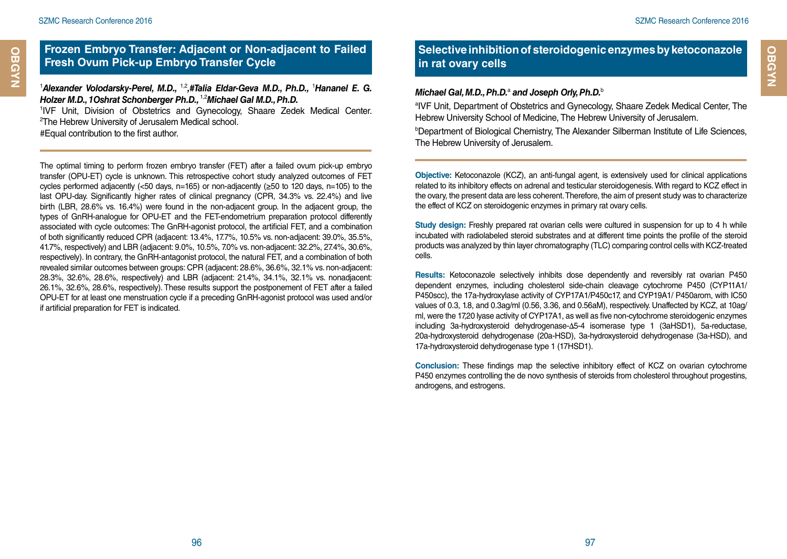**OBGYN Cardiology**

**OBGYN** 

## **Frozen Embryo Transfer: Adjacent or Non-adjacent to Failed Fresh Ovum Pick-up Embryo Transfer Cycle**

<sup>1</sup> Alexander Volodarsky-Perel, M.D., <sup>1,2</sup>,#Talia Eldar-Geva M.D., Ph.D., <sup>1</sup> Hananel E. G. *Holzer M.D., 1Oshrat Schonberger Ph.D.,* 1,2*Michael Gal M.D., Ph.D.*

1 IVF Unit, Division of Obstetrics and Gynecology, Shaare Zedek Medical Center. 2 The Hebrew University of Jerusalem Medical school.

#Equal contribution to the first author.

The optimal timing to perform frozen embryo transfer (FET) after a failed ovum pick-up embryo transfer (OPU-ET) cycle is unknown. This retrospective cohort study analyzed outcomes of FET cycles performed adjacently (<50 days, n=165) or non-adjacently (≥50 to 120 days, n=105) to the last OPU-day. Significantly higher rates of clinical pregnancy (CPR, 34.3% vs. 22.4%) and live birth (LBR, 28.6% vs. 16.4%) were found in the non-adjacent group. In the adjacent group, the types of GnRH-analogue for OPU-ET and the FET-endometrium preparation protocol differently associated with cycle outcomes: The GnRH-agonist protocol, the artificial FET, and a combination of both significantly reduced CPR (adjacent: 13.4%, 17.7%, 10.5% vs. non-adjacent: 39.0%, 35.5%, 41.7%, respectively) and LBR (adjacent: 9.0%, 10.5%, 7.0% vs. non-adjacent: 32.2%, 27.4%, 30.6%, respectively). In contrary, the GnRH-antagonist protocol, the natural FET, and a combination of both revealed similar outcomes between groups: CPR (adjacent: 28.6%, 36.6%, 32.1% vs. non-adjacent: 28.3%, 32.6%, 28.6%, respectively) and LBR (adjacent: 21.4%, 34.1%, 32.1% vs. nonadjacent: 26.1%, 32.6%, 28.6%, respectively). These results support the postponement of FET after a failed OPU-ET for at least one menstruation cycle if a preceding GnRH-agonist protocol was used and/or if artificial preparation for FET is indicated.

## **Selective inhibition of steroidogenic enzymes by ketoconazole in rat ovary cells**

#### Michael Gal, M.D., Ph.D.<sup>a</sup> and Joseph Orly, Ph.D.<sup>b</sup>

a IVF Unit, Department of Obstetrics and Gynecology, Shaare Zedek Medical Center, The Hebrew University School of Medicine, The Hebrew University of Jerusalem.

b Department of Biological Chemistry, The Alexander Silberman Institute of Life Sciences, The Hebrew University of Jerusalem.

**Objective:** Ketoconazole (KCZ), an anti-fungal agent, is extensively used for clinical applications related to its inhibitory effects on adrenal and testicular steroidogenesis. With regard to KCZ effect in the ovary, the present data are less coherent. Therefore, the aim of present study was to characterize the effect of KCZ on steroidogenic enzymes in primary rat ovary cells.

**Study design:** Freshly prepared rat ovarian cells were cultured in suspension for up to 4 h while incubated with radiolabeled steroid substrates and at different time points the profile of the steroid products was analyzed by thin layer chromatography (TLC) comparing control cells with KCZ-treated cells.

**Results:** Ketoconazole selectively inhibits dose dependently and reversibly rat ovarian P450 dependent enzymes, including cholesterol side-chain cleavage cytochrome P450 (CYP11A1/ P450scc), the 17a-hydroxylase activity of CYP17A1/P450c17, and CYP19A1/ P450arom, with IC50 values of 0.3, 1.8, and 0.3ag/ml (0.56, 3.36, and 0.56aM), respectively. Unaffected by KCZ, at 10ag/ ml, were the 17,20 lyase activity of CYP17A1, as well as five non-cytochrome steroidogenic enzymes including 3a-hydroxysteroid dehydrogenase-Δ5-4 isomerase type 1 (3aHSD1), 5a-reductase, 20a-hydroxysteroid dehydrogenase (20a-HSD), 3a-hydroxysteroid dehydrogenase (3a-HSD), and 17a-hydroxysteroid dehydrogenase type 1 (17HSD1).

**Conclusion:** These findings map the selective inhibitory effect of KCZ on ovarian cytochrome P450 enzymes controlling the de novo synthesis of steroids from cholesterol throughout progestins, androgens, and estrogens.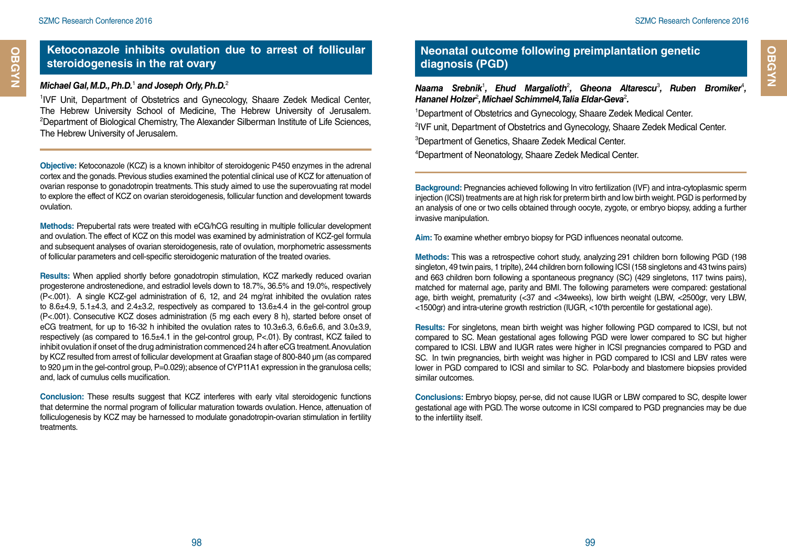**OBGYN**

## **Ketoconazole inhibits ovulation due to arrest of follicular steroidogenesis in the rat ovary**

#### *Michael Gal, M.D., Ph.D.*<sup>1</sup>  *and Joseph Orly, Ph.D.*<sup>2</sup>

1 IVF Unit, Department of Obstetrics and Gynecology, Shaare Zedek Medical Center, The Hebrew University School of Medicine, The Hebrew University of Jerusalem. 2 Department of Biological Chemistry, The Alexander Silberman Institute of Life Sciences, The Hebrew University of Jerusalem.

**Objective:** Ketoconazole (KCZ) is a known inhibitor of steroidogenic P450 enzymes in the adrenal cortex and the gonads. Previous studies examined the potential clinical use of KCZ for attenuation of ovarian response to gonadotropin treatments. This study aimed to use the superovuating rat model to explore the effect of KCZ on ovarian steroidogenesis, follicular function and development towards ovulation.

**Methods:** Prepubertal rats were treated with eCG/hCG resulting in multiple follicular development and ovulation. The effect of KCZ on this model was examined by administration of KCZ-gel formula and subsequent analyses of ovarian steroidogenesis, rate of ovulation, morphometric assessments of follicular parameters and cell-specific steroidogenic maturation of the treated ovaries.

**Results:** When applied shortly before gonadotropin stimulation, KCZ markedly reduced ovarian progesterone androstenedione, and estradiol levels down to 18.7%, 36.5% and 19.0%, respectively (P<.001). A single KCZ-gel administration of 6, 12, and 24 mg/rat inhibited the ovulation rates to  $8.6\pm4.9$ ,  $5.1\pm4.3$ , and  $2.4\pm3.2$ , respectively as compared to  $13.6\pm4.4$  in the gel-control group (P<.001). Consecutive KCZ doses administration (5 mg each every 8 h), started before onset of eCG treatment, for up to 16-32 h inhibited the ovulation rates to  $10.3\pm6.3$ ,  $6.6\pm6.6$ , and  $3.0\pm3.9$ . respectively (as compared to 16.5±4.1 in the gel-control group, P<.01). By contrast, KCZ failed to inhibit ovulation if onset of the drug administration commenced 24 h after eCG treatment. Anovulation by KCZ resulted from arrest of follicular development at Graafian stage of 800-840 µm (as compared to 920 um in the gel-control group, P=0.029); absence of CYP11A1 expression in the granulosa cells; and, lack of cumulus cells mucification.

**Conclusion:** These results suggest that KCZ interferes with early vital steroidogenic functions that determine the normal program of follicular maturation towards ovulation. Hence, attenuation of folliculogenesis by KCZ may be harnessed to modulate gonadotropin-ovarian stimulation in fertility treatments.

## **Neonatal outcome following preimplantation genetic diagnosis (PGD)**

Naama Srebnik<sup>1</sup>, Ehud Margalioth<sup>2</sup>, Gheona Altarescu<sup>3</sup>, Ruben Bromiker<sup>4</sup>, *Hananel Holzer<sup>2</sup>, Michael Schimmel4, Talia Eldar-Geva<sup>2</sup>.* 

1 Department of Obstetrics and Gynecology, Shaare Zedek Medical Center.

2 IVF unit, Department of Obstetrics and Gynecology, Shaare Zedek Medical Center.

3 Department of Genetics, Shaare Zedek Medical Center.

4 Department of Neonatology, Shaare Zedek Medical Center.

**Background:** Pregnancies achieved following In vitro fertilization (IVF) and intra-cytoplasmic sperm injection (ICSI) treatments are at high risk for preterm birth and low birth weight. PGD is performed by an analysis of one or two cells obtained through oocyte, zygote, or embryo biopsy, adding a further invasive manipulation.

**Aim:** To examine whether embryo biopsy for PGD influences neonatal outcome.

**Methods:** This was a retrospective cohort study, analyzing 291 children born following PGD (198 singleton, 49 twin pairs, 1 triplte), 244 children born following ICSI (158 singletons and 43 twins pairs) and 663 children born following a spontaneous pregnancy (SC) (429 singletons, 117 twins pairs), matched for maternal age, parity and BMI. The following parameters were compared: gestational age, birth weight, prematurity (<37 and <34weeks), low birth weight (LBW, <2500gr, very LBW, <1500gr) and intra-uterine growth restriction (IUGR, <10'th percentile for gestational age).

**Results:** For singletons, mean birth weight was higher following PGD compared to ICSI, but not compared to SC. Mean gestational ages following PGD were lower compared to SC but higher compared to ICSI. LBW and IUGR rates were higher in ICSI pregnancies compared to PGD and SC. In twin pregnancies, birth weight was higher in PGD compared to ICSI and LBV rates were lower in PGD compared to ICSI and similar to SC. Polar-body and blastomere biopsies provided similar outcomes.

**Conclusions:** Embryo biopsy, per-se, did not cause IUGR or LBW compared to SC, despite lower gestational age with PGD. The worse outcome in ICSI compared to PGD pregnancies may be due to the infertility itself.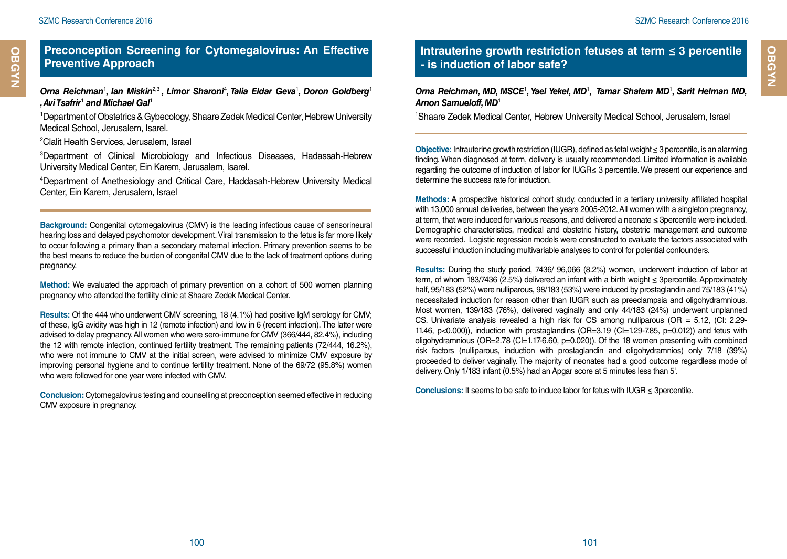*, Avi Tsafrir*<sup>1</sup>  *and Michael Gal*<sup>1</sup>

# Orna Reichman<sup>1</sup>, Ian Miskin<sup>2,3</sup>, Limor Sharoni<sup>4</sup>, Talia Eldar Geva<sup>1</sup>, Doron Goldberg<sup>1</sup>

1 Department of Obstetrics & Gybecology, Shaare Zedek Medical Center, Hebrew University Medical School, Jerusalem, Isarel.

2 Clalit Health Services, Jerusalem, Israel

3 Department of Clinical Microbiology and Infectious Diseases, Hadassah-Hebrew University Medical Center, Ein Karem, Jerusalem, Isarel.

4 Department of Anethesiology and Critical Care, Haddasah-Hebrew University Medical Center, Ein Karem, Jerusalem, Israel

**Background:** Congenital cytomegalovirus (CMV) is the leading infectious cause of sensorineural hearing loss and delayed psychomotor development. Viral transmission to the fetus is far more likely to occur following a primary than a secondary maternal infection. Primary prevention seems to be the best means to reduce the burden of congenital CMV due to the lack of treatment options during pregnancy.

**Method:** We evaluated the approach of primary prevention on a cohort of 500 women planning pregnancy who attended the fertility clinic at Shaare Zedek Medical Center.

**Results:** Of the 444 who underwent CMV screening, 18 (4.1%) had positive IgM serology for CMV; of these, IgG avidity was high in 12 (remote infection) and low in 6 (recent infection). The latter were advised to delay pregnancy. All women who were sero-immune for CMV (366/444, 82.4%), including the 12 with remote infection, continued fertility treatment. The remaining patients (72/444, 16.2%), who were not immune to CMV at the initial screen, were advised to minimize CMV exposure by improving personal hygiene and to continue fertility treatment. None of the 69/72 (95.8%) women who were followed for one year were infected with CMV.

**Conclusion:** Cytomegalovirus testing and counselling at preconception seemed effective in reducing CMV exposure in pregnancy.

## **Intrauterine growth restriction fetuses at term ≤ 3 percentile - is induction of labor safe?**

#### Orna Reichman, MD, MSCE<sup>1</sup>, Yael Yekel, MD<sup>1</sup>, Tamar Shalem MD<sup>1</sup>, Sarit Helman MD, *Arnon Samueloff, MD*<sup>1</sup>

1 Shaare Zedek Medical Center, Hebrew University Medical School, Jerusalem, Israel

**Objective:** Intrauterine growth restriction (IUGR), defined as fetal weight ≤ 3 percentile, is an alarming finding. When diagnosed at term, delivery is usually recommended. Limited information is available regarding the outcome of induction of labor for IUGR≤ 3 percentile. We present our experience and determine the success rate for induction.

**Methods:** A prospective historical cohort study, conducted in a tertiary university affiliated hospital with 13,000 annual deliveries, between the years 2005-2012. All women with a singleton pregnancy, at term, that were induced for various reasons, and delivered a neonate ≤ 3percentile were included. Demographic characteristics, medical and obstetric history, obstetric management and outcome were recorded. Logistic regression models were constructed to evaluate the factors associated with successful induction including multivariable analyses to control for potential confounders.

**Results:** During the study period, 7436/ 96,066 (8.2%) women, underwent induction of labor at term, of whom 183/7436 (2.5%) delivered an infant with a birth weight ≤ 3percentile. Approximately half, 95/183 (52%) were nulliparous, 98/183 (53%) were induced by prostaglandin and 75/183 (41%) necessitated induction for reason other than IUGR such as preeclampsia and oligohydramnious. Most women, 139/183 (76%), delivered vaginally and only 44/183 (24%) underwent unplanned CS. Univariate analysis revealed a high risk for CS among nulliparous  $(OR = 5.12, (Cl: 2.29$ 11.46,  $p<0.000$ )), induction with prostaglandins (OR=3.19 (CI=1.29-7.85,  $p=0.012$ )) and fetus with oligohydramnious (OR=2.78 (CI=1.17-6.60, p=0.020)). Of the 18 women presenting with combined risk factors (nulliparous, induction with prostaglandin and oligohydramnios) only 7/18 (39%) proceeded to deliver vaginally. The majority of neonates had a good outcome regardless mode of delivery. Only 1/183 infant (0.5%) had an Apgar score at 5 minutes less than 5'.

**Conclusions:** It seems to be safe to induce labor for fetus with IUGR ≤ 3percentile.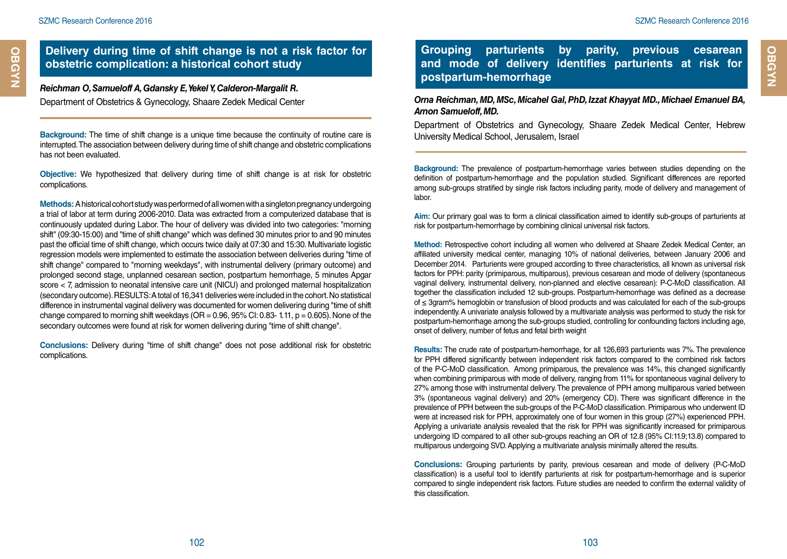**OBGYN Cardiology**

OBGYN

#### **Delivery during time of shift change is not a risk factor for obstetric complication: a historical cohort study**

#### *Reichman O, Samueloff A, Gdansky E, Yekel Y, Calderon-Margalit R.*

Department of Obstetrics & Gynecology, Shaare Zedek Medical Center

**Background:** The time of shift change is a unique time because the continuity of routine care is interrupted. The association between delivery during time of shift change and obstetric complications has not been evaluated.

**Objective:** We hypothesized that delivery during time of shift change is at risk for obstetric complications.

**Methods:** A historical cohort study was performed of all women with a singleton pregnancy undergoing a trial of labor at term during 2006-2010. Data was extracted from a computerized database that is continuously updated during Labor. The hour of delivery was divided into two categories: "morning shift" (09:30-15:00) and "time of shift change" which was defined 30 minutes prior to and 90 minutes past the official time of shift change, which occurs twice daily at 07:30 and 15:30. Multivariate logistic regression models were implemented to estimate the association between deliveries during "time of shift change" compared to "morning weekdays", with instrumental delivery (primary outcome) and prolonged second stage, unplanned cesarean section, postpartum hemorrhage, 5 minutes Apgar score < 7, admission to neonatal intensive care unit (NICU) and prolonged maternal hospitalization (secondary outcome). RESULTS: A total of 16,341 deliveries were included in the cohort. No statistical difference in instrumental vaginal delivery was documented for women delivering during "time of shift change compared to morning shift weekdays ( $OR = 0.96$ ,  $95\%$  CI: 0.83- 1.11,  $p = 0.605$ ). None of the secondary outcomes were found at risk for women delivering during "time of shift change".

**Conclusions:** Delivery during "time of shift change" does not pose additional risk for obstetric complications.

**Grouping parturients by parity, previous cesarean and mode of delivery identifies parturients at risk for postpartum-hemorrhage**

*Orna Reichman, MD, MSc, Micahel Gal, PhD, Izzat Khayyat MD., Michael Emanuel BA, Arnon Samueloff, MD.*

Department of Obstetrics and Gynecology, Shaare Zedek Medical Center, Hebrew University Medical School, Jerusalem, Israel

**Background:** The prevalence of postpartum-hemorrhage varies between studies depending on the definition of postpartum-hemorrhage and the population studied. Significant differences are reported among sub-groups stratified by single risk factors including parity, mode of delivery and management of labor.

**Aim:** Our primary goal was to form a clinical classification aimed to identify sub-groups of parturients at risk for postpartum-hemorrhage by combining clinical universal risk factors.

**Method:** Retrospective cohort including all women who delivered at Shaare Zedek Medical Center, an affiliated university medical center, managing 10% of national deliveries, between January 2006 and December 2014. Parturients were grouped according to three characteristics, all known as universal risk factors for PPH: parity (primiparous, multiparous), previous cesarean and mode of delivery (spontaneous vaginal delivery, instrumental delivery, non-planned and elective cesarean): P-C-MoD classification. All together the classification included 12 sub-groups. Postpartum-hemorrhage was defined as a decrease of ≤ 3gram% hemoglobin or transfusion of blood products and was calculated for each of the sub-groups independently. A univariate analysis followed by a multivariate analysis was performed to study the risk for postpartum-hemorrhage among the sub-groups studied, controlling for confounding factors including age, onset of delivery, number of fetus and fetal birth weight

**Results:** The crude rate of postpartum-hemorrhage, for all 126,693 parturients was 7%. The prevalence for PPH differed significantly between independent risk factors compared to the combined risk factors of the P-C-MoD classification. Among primiparous, the prevalence was 14%, this changed significantly when combining primiparous with mode of delivery, ranging from 11% for spontaneous vaginal delivery to 27% among those with instrumental delivery. The prevalence of PPH among multiparous varied between 3% (spontaneous vaginal delivery) and 20% (emergency CD). There was significant difference in the prevalence of PPH between the sub-groups of the P-C-MoD classification. Primiparous who underwent ID were at increased risk for PPH, approximately one of four women in this group (27%) experienced PPH. Applying a univariate analysis revealed that the risk for PPH was significantly increased for primiparous undergoing ID compared to all other sub-groups reaching an OR of 12.8 (95% CI:11.9;13.8) compared to multiparous undergoing SVD. Applying a multivariate analysis minimally altered the results.

**Conclusions:** Grouping parturients by parity, previous cesarean and mode of delivery (P-C-MoD classification) is a useful tool to identify parturients at risk for postpartum-hemorrhage and is superior compared to single independent risk factors. Future studies are needed to confirm the external validity of this classification.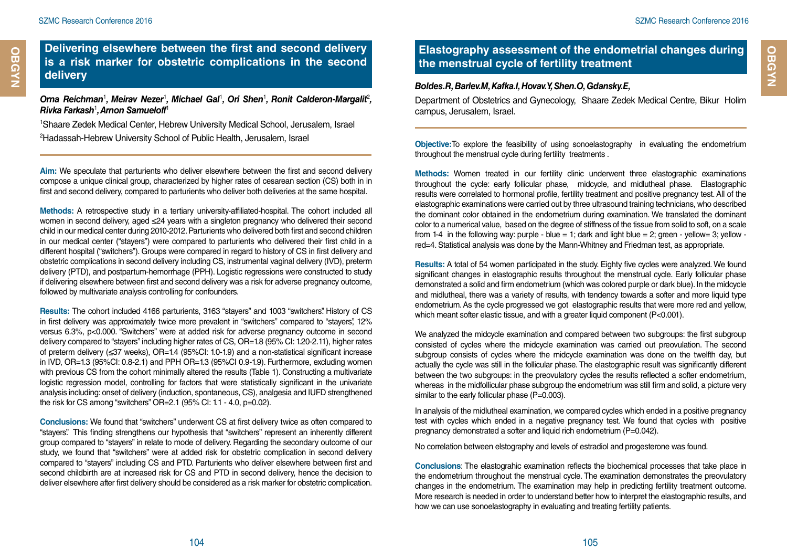## **Delivering elsewhere between the first and second delivery is a risk marker for obstetric complications in the second delivery**

Orna Reichman<sup>1</sup>, Meirav Nezer<sup>1</sup>, Michael Gal<sup>1</sup>, Ori Shen<sup>1</sup>, Ronit Calderon-Margalit<sup>2</sup>, *Rivka Farkash*<sup>1</sup> *, Arnon Samueloff*<sup>1</sup>

1 Shaare Zedek Medical Center, Hebrew University Medical School, Jerusalem, Israel 2 Hadassah-Hebrew University School of Public Health, Jerusalem, Israel

**Aim:** We speculate that parturients who deliver elsewhere between the first and second delivery compose a unique clinical group, characterized by higher rates of cesarean section (CS) both in in first and second delivery, compared to parturients who deliver both deliveries at the same hospital.

**Methods:** A retrospective study in a tertiary university-affiliated-hospital. The cohort included all women in second delivery, aged ≤24 years with a singleton pregnancy who delivered their second child in our medical center during 2010-2012. Parturients who delivered both first and second children in our medical center ("stayers") were compared to parturients who delivered their first child in a different hospital ("switchers"). Groups were compared in regard to history of CS in first delivery and obstetric complications in second delivery including CS, instrumental vaginal delivery (IVD), preterm delivery (PTD), and postpartum-hemorrhage (PPH). Logistic regressions were constructed to study if delivering elsewhere between first and second delivery was a risk for adverse pregnancy outcome, followed by multivariate analysis controlling for confounders.

**Results:** The cohort included 4166 parturients, 3163 "stayers" and 1003 "switchers". History of CS in first delivery was approximately twice more prevalent in "switchers" compared to "stayers", 12% versus 6.3%, p<0.000. "Switchers" were at added risk for adverse pregnancy outcome in second delivery compared to "stayers" including higher rates of CS, OR=1.8 (95% CI: 1.20-2.11), higher rates of preterm delivery (≤37 weeks), OR=1.4 (95%CI: 1.0-1.9) and a non-statistical significant increase in IVD, OR=1.3 (95%CI: 0.8-2.1) and PPH OR=1.3 (95%CI 0.9-1.9). Furthermore, excluding women with previous CS from the cohort minimally altered the results (Table 1). Constructing a multivariate logistic regression model, controlling for factors that were statistically significant in the univariate analysis including: onset of delivery (induction, spontaneous, CS), analgesia and IUFD strengthened the risk for CS among "switchers" OR=2.1 (95% CI: 1.1 - 4.0, p=0.02).

**Conclusions:** We found that "switchers" underwent CS at first delivery twice as often compared to "stayers". This finding strengthens our hypothesis that "switchers" represent an inherently different group compared to "stayers" in relate to mode of delivery. Regarding the secondary outcome of our study, we found that "switchers" were at added risk for obstetric complication in second delivery compared to "stayers" including CS and PTD. Parturients who deliver elsewhere between first and second childbirth are at increased risk for CS and PTD in second delivery, hence the decision to deliver elsewhere after first delivery should be considered as a risk marker for obstetric complication.

## **Elastography assessment of the endometrial changes during the menstrual cycle of fertility treatment**

#### *Boldes.R, Barlev.M, Kafka.I, Hovav.Y, Shen.O, Gdansky.E,*

Department of Obstetrics and Gynecology, Shaare Zedek Medical Centre, Bikur Holim campus, Jerusalem, Israel.

**Objective:**To explore the feasibility of using sonoelastography in evaluating the endometrium throughout the menstrual cycle during fertility treatments .

**Methods:** Women treated in our fertility clinic underwent three elastographic examinations throughout the cycle: early follicular phase, midcycle, and midlutheal phase. Elastographic results were correlated to hormonal profile, fertility treatment and positive pregnancy test. All of the elastographic examinations were carried out by three ultrasound training technicians, who described the dominant color obtained in the endometrium during examination. We translated the dominant color to a numerical value, based on the degree of stiffness of the tissue from solid to soft, on a scale from 1-4 in the following way: purple - blue = 1; dark and light blue = 2; green - yellow= 3; yellow red=4. Statistical analysis was done by the Mann-Whitney and Friedman test, as appropriate.

**Results:** A total of 54 women participated in the study. Eighty five cycles were analyzed. We found significant changes in elastographic results throughout the menstrual cycle. Early follicular phase demonstrated a solid and firm endometrium (which was colored purple or dark blue). In the midcycle and midlutheal, there was a variety of results, with tendency towards a softer and more liquid type endometrium. As the cycle progressed we got elastographic results that were more red and yellow, which meant softer elastic tissue, and with a greater liquid component (P<0.001).

We analyzed the midcycle examination and compared between two subgroups: the first subgroup consisted of cycles where the midcycle examination was carried out preovulation. The second subgroup consists of cycles where the midcycle examination was done on the twelfth day, but actually the cycle was still in the follicular phase. The elastographic result was significantly different between the two subgroups: in the preovulatory cycles the results reflected a softer endometrium, whereas in the midfollicular phase subgroup the endometrium was still firm and solid, a picture very similar to the early follicular phase (P=0.003).

In analysis of the midlutheal examination, we compared cycles which ended in a positive pregnancy test with cycles which ended in a negative pregnancy test. We found that cycles with positive pregnancy demonstrated a softer and liquid rich endometrium (P=0.042).

No correlation between elstography and levels of estradiol and progesterone was found.

**Conclusions**: The elastograhic examination reflects the biochemical processes that take place in the endometrium throughout the menstrual cycle. The examination demonstrates the preovulatory changes in the endometrium. The examination may help in predicting fertility treatment outcome. More research is needed in order to understand better how to interpret the elastographic results, and how we can use sonoelastography in evaluating and treating fertility patients.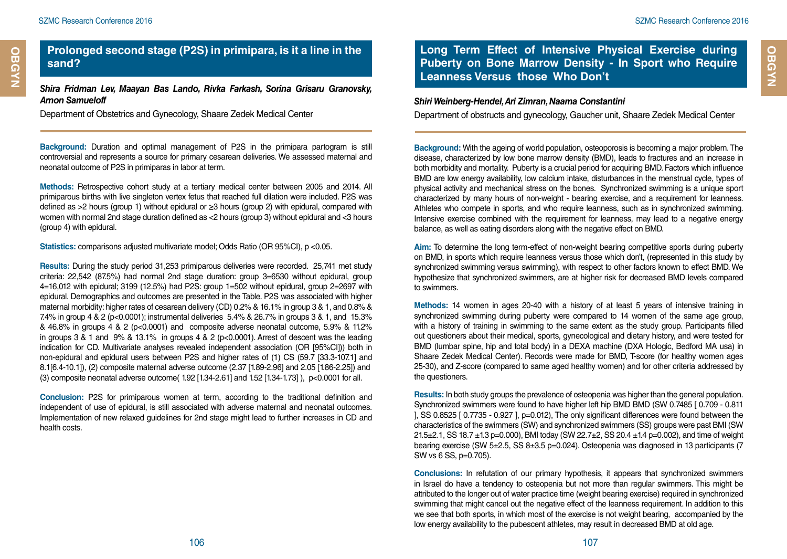## **Prolonged second stage (P2S) in primipara, is it a line in the sand?**

*Shira Fridman Lev, Maayan Bas Lando, Rivka Farkash, Sorina Grisaru Granovsky, Arnon Samueloff* 

Department of Obstetrics and Gynecology, Shaare Zedek Medical Center

**Background:** Duration and optimal management of P2S in the primipara partogram is still controversial and represents a source for primary cesarean deliveries. We assessed maternal and neonatal outcome of P2S in primiparas in labor at term.

**Methods:** Retrospective cohort study at a tertiary medical center between 2005 and 2014. All primiparous births with live singleton vertex fetus that reached full dilation were included. P2S was defined as >2 hours (group 1) without epidural or ≥3 hours (group 2) with epidural, compared with women with normal 2nd stage duration defined as <2 hours (group 3) without epidural and <3 hours (group 4) with epidural.

**Statistics:** comparisons adjusted multivariate model; Odds Ratio (OR 95%CI), p <0.05.

**Results:** During the study period 31,253 primiparous deliveries were recorded. 25,741 met study criteria: 22,542 (87.5%) had normal 2nd stage duration: group 3=6530 without epidural, group 4=16,012 with epidural; 3199 (12.5%) had P2S: group 1=502 without epidural, group 2=2697 with epidural. Demographics and outcomes are presented in the Table. P2S was associated with higher maternal morbidity: higher rates of cesarean delivery (CD) 0.2% & 16.1% in group 3 & 1, and 0.8% & 7.4% in group 4 & 2 (p<0.0001); instrumental deliveries 5.4% & 26.7% in groups 3 & 1, and 15.3% & 46.8% in groups 4 & 2 (p<0.0001) and composite adverse neonatal outcome, 5.9% & 11.2% in groups  $3 \& 1$  and  $9\% \& 13.1\%$  in groups  $4 \& 2$  (p<0.0001). Arrest of descent was the leading indication for CD. Multivariate analyses revealed independent association (OR [95%CI])) both in non-epidural and epidural users between P2S and higher rates of (1) CS (59.7 [33.3-107.1] and 8.1[6.4-10.1]), (2) composite maternal adverse outcome (2.37 [1.89-2.96] and 2.05 [1.86-2.25]) and (3) composite neonatal adverse outcome( 1.92 [1.34-2.61] and 1.52 [1.34-1.73] ), p<0.0001 for all.

**Conclusion:** P2S for primiparous women at term, according to the traditional definition and independent of use of epidural, is still associated with adverse maternal and neonatal outcomes. Implementation of new relaxed guidelines for 2nd stage might lead to further increases in CD and health costs.

**Long Term Effect of Intensive Physical Exercise during Puberty on Bone Marrow Density - In Sport who Require Leanness Versus those Who Don't**

#### *Shiri Weinberg-Hendel, Ari Zimran, Naama Constantini*

Department of obstructs and gynecology, Gaucher unit, Shaare Zedek Medical Center

**Background:** With the ageing of world population, osteoporosis is becoming a major problem. The disease, characterized by low bone marrow density (BMD), leads to fractures and an increase in both morbidity and mortality. Puberty is a crucial period for acquiring BMD. Factors which influence BMD are low energy availability, low calcium intake, disturbances in the menstrual cycle, types of physical activity and mechanical stress on the bones. Synchronized swimming is a unique sport characterized by many hours of non-weight - bearing exercise, and a requirement for leanness. Athletes who compete in sports, and who require leanness, such as in synchronized swimming. Intensive exercise combined with the requirement for leanness, may lead to a negative energy balance, as well as eating disorders along with the negative effect on BMD.

**Aim:** To determine the long term-effect of non-weight bearing competitive sports during puberty on BMD, in sports which require leanness versus those which don't, (represented in this study by synchronized swimming versus swimming), with respect to other factors known to effect BMD. We hypothesize that synchronized swimmers, are at higher risk for decreased BMD levels compared to swimmers.

**Methods:** 14 women in ages 20-40 with a history of at least 5 years of intensive training in synchronized swimming during puberty were compared to 14 women of the same age group, with a history of training in swimming to the same extent as the study group. Participants filled out questioners about their medical, sports, gynecological and dietary history, and were tested for BMD (lumbar spine, hip and total body) in a DEXA machine (DXA Hologic, Bedford MA usa) in Shaare Zedek Medical Center). Records were made for BMD, T-score (for healthy women ages 25-30), and Z-score (compared to same aged healthy women) and for other criteria addressed by the questioners.

**Results:** In both study groups the prevalence of osteopenia was higher than the general population. Synchronized swimmers were found to have higher left hip BMD BMD (SW 0.7485 [ 0.709 - 0.811 ], SS 0.8525 [ 0.7735 - 0.927 ], p=0.012), The only significant differences were found between the characteristics of the swimmers (SW) and synchronized swimmers (SS) groups were past BMI (SW 21.5 $\pm$ 2.1, SS 18.7  $\pm$ 1.3 p=0.000), BMI today (SW 22.7 $\pm$ 2, SS 20.4  $\pm$ 1.4 p=0.002), and time of weight bearing exercise (SW 5±2.5, SS 8±3.5 p=0.024). Osteopenia was diagnosed in 13 participants (7 SW vs 6 SS, p=0.705).

**Conclusions:** In refutation of our primary hypothesis, it appears that synchronized swimmers in Israel do have a tendency to osteopenia but not more than regular swimmers. This might be attributed to the longer out of water practice time (weight bearing exercise) required in synchronized swimming that might cancel out the negative effect of the leanness requirement. In addition to this we see that both sports, in which most of the exercise is not weight bearing, accompanied by the low energy availability to the pubescent athletes, may result in decreased BMD at old age.

**OBGYN Cardiology**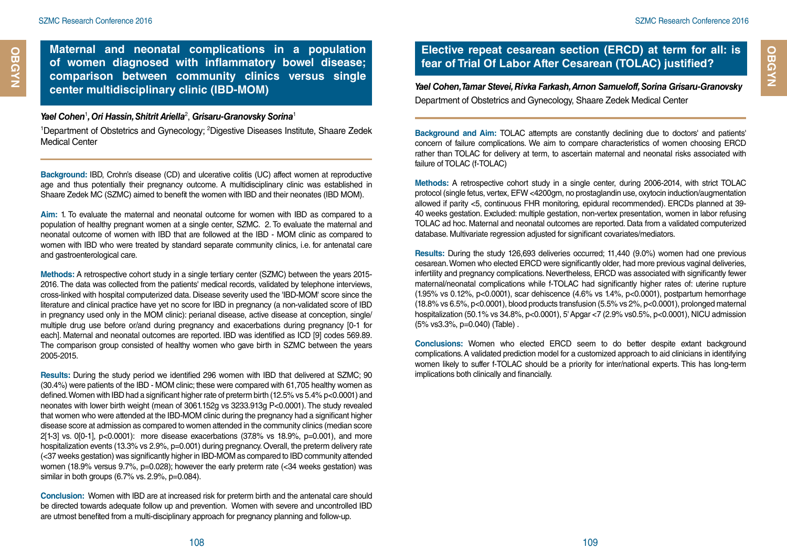**OBGYN Cardiology**

**OBGYN** 

**Maternal and neonatal complications in a population of women diagnosed with inflammatory bowel disease; comparison between community clinics versus single center multidisciplinary clinic (IBD-MOM)**

#### *Yael Cohen*<sup>1</sup> *, Ori Hassin, Shitrit Ariella*<sup>2</sup> , *Grisaru-Granovsky Sorina*<sup>1</sup>

<sup>1</sup>Department of Obstetrics and Gynecology; <sup>2</sup>Digestive Diseases Institute, Shaare Zedek Medical Center

**Background:** IBD, Crohn's disease (CD) and ulcerative colitis (UC) affect women at reproductive age and thus potentially their pregnancy outcome. A multidisciplinary clinic was established in Shaare Zedek MC (SZMC) aimed to benefit the women with IBD and their neonates (IBD MOM).

**Aim:** 1. To evaluate the maternal and neonatal outcome for women with IBD as compared to a population of healthy pregnant women at a single center, SZMC. 2. To evaluate the maternal and neonatal outcome of women with IBD that are followed at the IBD - MOM clinic as compared to women with IBD who were treated by standard separate community clinics, i.e. for antenatal care and gastroenterological care.

**Methods:** A retrospective cohort study in a single tertiary center (SZMC) between the years 2015- 2016. The data was collected from the patients' medical records, validated by telephone interviews, cross-linked with hospital computerized data. Disease severity used the 'IBD-MOM' score since the literature and clinical practice have yet no score for IBD in pregnancy (a non-validated score of IBD in pregnancy used only in the MOM clinic): perianal disease, active disease at conception, single/ multiple drug use before or/and during pregnancy and exacerbations during pregnancy [0-1 for each]. Maternal and neonatal outcomes are reported. IBD was identified as ICD [9] codes 569.89. The comparison group consisted of healthy women who gave birth in SZMC between the years 2005-2015.

**Results:** During the study period we identified 296 women with IBD that delivered at SZMC; 90 (30.4%) were patients of the IBD - MOM clinic; these were compared with 61,705 healthy women as defined. Women with IBD had a significant higher rate of preterm birth (12.5% vs 5.4% p<0.0001) and neonates with lower birth weight (mean of 3061.152g vs 3233.913g P<0.0001). The study revealed that women who were attended at the IBD-MOM clinic during the pregnancy had a significant higher disease score at admission as compared to women attended in the community clinics (median score 2[1-3] vs. 0[0-1], p<0.0001): more disease exacerbations (37.8% vs 18.9%, p=0.001), and more hospitalization events (13.3% vs 2.9%, p=0.001) during pregnancy. Overall, the preterm delivery rate (<37 weeks gestation) was significantly higher in IBD-MOM as compared to IBD community attended women (18.9% versus 9.7%, p=0.028); however the early preterm rate (<34 weeks gestation) was similar in both groups (6.7% vs. 2.9%, p=0.084).

**Conclusion:** Women with IBD are at increased risk for preterm birth and the antenatal care should be directed towards adequate follow up and prevention. Women with severe and uncontrolled IBD are utmost benefited from a multi-disciplinary approach for pregnancy planning and follow-up.

## **Elective repeat cesarean section (ERCD) at term for all: is fear of Trial Of Labor After Cesarean (TOLAC) justified?**

*Yael Cohen, Tamar Stevei, Rivka Farkash, Arnon Samueloff, Sorina Grisaru-Granovsky*  Department of Obstetrics and Gynecology, Shaare Zedek Medical Center

**Background and Aim:** TOLAC attempts are constantly declining due to doctors' and patients' concern of failure complications. We aim to compare characteristics of women choosing ERCD rather than TOLAC for delivery at term, to ascertain maternal and neonatal risks associated with failure of TOLAC (f-TOLAC)

**Methods:** A retrospective cohort study in a single center, during 2006-2014, with strict TOLAC protocol (single fetus, vertex, EFW <4200gm, no prostaglandin use, oxytocin induction/augmentation allowed if parity <5, continuous FHR monitoring, epidural recommended). ERCDs planned at 39- 40 weeks gestation. Excluded: multiple gestation, non-vertex presentation, women in labor refusing TOLAC ad hoc. Maternal and neonatal outcomes are reported. Data from a validated computerized database. Multivariate regression adjusted for significant covariates/mediators.

**Results:** During the study 126,693 deliveries occurred; 11,440 (9.0%) women had one previous cesarean. Women who elected ERCD were significantly older, had more previous vaginal deliveries, infertility and pregnancy complications. Nevertheless, ERCD was associated with significantly fewer maternal/neonatal complications while f-TOLAC had significantly higher rates of: uterine rupture (1.95% vs 0.12%, p<0.0001), scar dehiscence (4.6% vs 1.4%, p<0.0001), postpartum hemorrhage (18.8% vs 6.5%, p<0.0001), blood products transfusion (5.5% vs 2%, p<0.0001), prolonged maternal hospitalization (50.1% vs 34.8%, p<0.0001), 5' Apgar <7 (2.9% vs0.5%, p<0.0001), NICU admission (5% vs3.3%, p=0.040) (Table) .

**Conclusions:** Women who elected ERCD seem to do better despite extant background complications. A validated prediction model for a customized approach to aid clinicians in identifying women likely to suffer f-TOLAC should be a priority for inter/national experts. This has long-term implications both clinically and financially.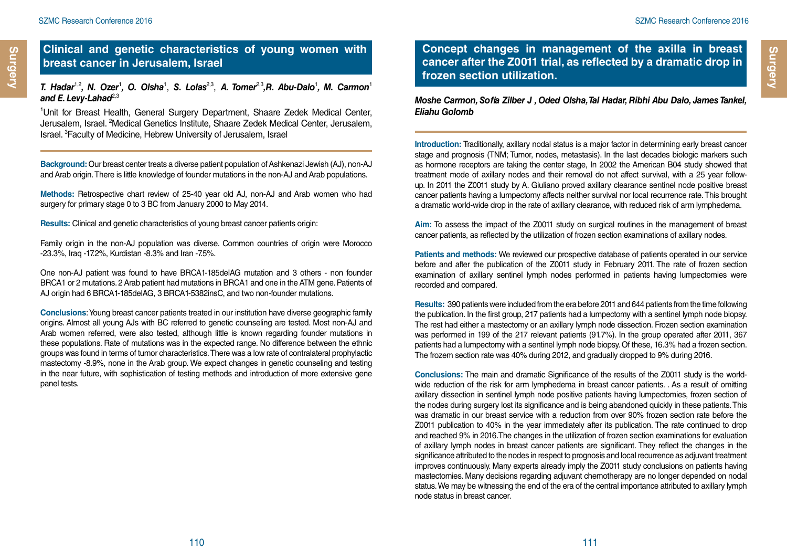#### **Clinical and genetic characteristics of young women with breast cancer in Jerusalem, Israel**

*T. Hadar*1,2*, N. Ozer*<sup>1</sup> *, O. Olsha*<sup>1</sup> , *S. Lolas*2,3, *A. Tomer*2,3*,R. Abu-Dalo*<sup>1</sup> *, M. Carmon*<sup>1</sup> and E. Levy-Lahad<sup>2,3</sup>

1 Unit for Breast Health, General Surgery Department, Shaare Zedek Medical Center, Jerusalem, Israel. <sup>2</sup>Medical Genetics Institute, Shaare Zedek Medical Center, Jerusalem, Israel. 3 Faculty of Medicine, Hebrew University of Jerusalem, Israel

**Background:** Our breast center treats a diverse patient population of Ashkenazi Jewish (AJ), non-AJ and Arab origin. There is little knowledge of founder mutations in the non-AJ and Arab populations.

**Methods:** Retrospective chart review of 25-40 year old AJ, non-AJ and Arab women who had surgery for primary stage 0 to 3 BC from January 2000 to May 2014.

**Results:** Clinical and genetic characteristics of young breast cancer patients origin:

Family origin in the non-AJ population was diverse. Common countries of origin were Morocco -23.3%, Iraq -17.2%, Kurdistan -8.3% and Iran -7.5%.

One non-AJ patient was found to have BRCA1-185delAG mutation and 3 others - non founder BRCA1 or 2 mutations. 2 Arab patient had mutations in BRCA1 and one in the ATM gene. Patients of AJ origin had 6 BRCA1-185delAG, 3 BRCA1-5382insC, and two non-founder mutations.

**Conclusions**: Young breast cancer patients treated in our institution have diverse geographic family origins. Almost all young AJs with BC referred to genetic counseling are tested. Most non-AJ and Arab women referred, were also tested, although little is known regarding founder mutations in these populations. Rate of mutations was in the expected range. No difference between the ethnic groups was found in terms of tumor characteristics. There was a low rate of contralateral prophylactic mastectomy -8.9%, none in the Arab group. We expect changes in genetic counseling and testing in the near future, with sophistication of testing methods and introduction of more extensive gene panel tests.

**Concept changes in management of the axilla in breast cancer after the Z0011 trial, as reflected by a dramatic drop in frozen section utilization.**

*Moshe Carmon, Sofia Zilber J , Oded Olsha, Tal Hadar, Ribhi Abu Dalo, James Tankel, Eliahu Golomb*

**Introduction:** Traditionally, axillary nodal status is a major factor in determining early breast cancer stage and prognosis (TNM; Tumor, nodes, metastasis). In the last decades biologic markers such as hormone receptors are taking the center stage, In 2002 the American B04 study showed that treatment mode of axillary nodes and their removal do not affect survival, with a 25 year followup. In 2011 the Z0011 study by A. Giuliano proved axillary clearance sentinel node positive breast cancer patients having a lumpectomy affects neither survival nor local recurrence rate. This brought a dramatic world-wide drop in the rate of axillary clearance, with reduced risk of arm lymphedema.

**Aim:** To assess the impact of the Z0011 study on surgical routines in the management of breast cancer patients, as reflected by the utilization of frozen section examinations of axillary nodes.

**Patients and methods:** We reviewed our prospective database of patients operated in our service before and after the publication of the Z0011 study in February 2011. The rate of frozen section examination of axillary sentinel lymph nodes performed in patients having lumpectomies were recorded and compared.

**Results:** 390 patients were included from the era before 2011 and 644 patients from the time following the publication. In the first group, 217 patients had a lumpectomy with a sentinel lymph node biopsy. The rest had either a mastectomy or an axillary lymph node dissection. Frozen section examination was performed in 199 of the 217 relevant patients (91.7%). In the group operated after 2011, 367 patients had a lumpectomy with a sentinel lymph node biopsy. Of these, 16.3% had a frozen section. The frozem section rate was 40% during 2012, and gradually dropped to 9% during 2016.

**Conclusions:** The main and dramatic Significance of the results of the Z0011 study is the worldwide reduction of the risk for arm lymphedema in breast cancer patients. . As a result of omitting axillary dissection in sentinel lymph node positive patients having lumpectomies, frozen section of the nodes during surgery lost its significance and is being abandoned quickly in these patients. This was dramatic in our breast service with a reduction from over 90% frozen section rate before the Z0011 publication to 40% in the year immediately after its publication. The rate continued to drop and reached 9% in 2016.The changes in the utilization of frozen section examinations for evaluation of axillary lymph nodes in breast cancer patients are significant. They reflect the changes in the significance attributed to the nodes in respect to prognosis and local recurrence as adjuvant treatment improves continuously. Many experts already imply the Z0011 study conclusions on patients having mastectomies. Many decisions regarding adjuvant chemotherapy are no longer depended on nodal status. We may be witnessing the end of the era of the central importance attributed to axillary lymph node status in breast cancer.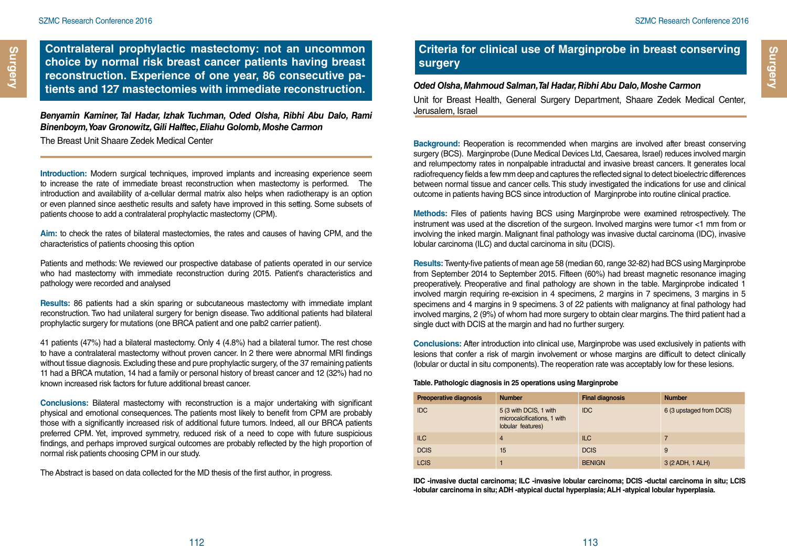**Contralateral prophylactic mastectomy: not an uncommon choice by normal risk breast cancer patients having breast reconstruction. Experience of one year, 86 consecutive patients and 127 mastectomies with immediate reconstruction.**

#### *Benyamin Kaminer, Tal Hadar, Izhak Tuchman, Oded Olsha, Ribhi Abu Dalo, Rami Binenboym, Yoav Gronowitz, Gili Halftec, Eliahu Golomb, Moshe Carmon*

The Breast Unit Shaare Zedek Medical Center

**Introduction:** Modern surgical techniques, improved implants and increasing experience seem to increase the rate of immediate breast reconstruction when mastectomy is performed. The introduction and availability of a-cellular dermal matrix also helps when radiotherapy is an option or even planned since aesthetic results and safety have improved in this setting. Some subsets of patients choose to add a contralateral prophylactic mastectomy (CPM).

**Aim:** to check the rates of bilateral mastectomies, the rates and causes of having CPM, and the characteristics of patients choosing this option

Patients and methods: We reviewed our prospective database of patients operated in our service who had mastectomy with immediate reconstruction during 2015. Patient's characteristics and pathology were recorded and analysed

**Results:** 86 patients had a skin sparing or subcutaneous mastectomy with immediate implant reconstruction. Two had unilateral surgery for benign disease. Two additional patients had bilateral prophylactic surgery for mutations (one BRCA patient and one palb2 carrier patient).

41 patients (47%) had a bilateral mastectomy. Only 4 (4.8%) had a bilateral tumor. The rest chose to have a contralateral mastectomy without proven cancer. In 2 there were abnormal MRI findings without tissue diagnosis. Excluding these and pure prophylactic surgery, of the 37 remaining patients 11 had a BRCA mutation, 14 had a family or personal history of breast cancer and 12 (32%) had no known increased risk factors for future additional breast cancer.

**Conclusions:** Bilateral mastectomy with reconstruction is a major undertaking with significant physical and emotional consequences. The patients most likely to benefit from CPM are probably those with a significantly increased risk of additional future tumors. Indeed, all our BRCA patients preferred CPM. Yet, improved symmetry, reduced risk of a need to cope with future suspicious findings, and perhaps improved surgical outcomes are probably reflected by the high proportion of normal risk patients choosing CPM in our study.

The Abstract is based on data collected for the MD thesis of the first author, in progress.

## **Criteria for clinical use of Marginprobe in breast conserving surgery**

#### *Oded Olsha, Mahmoud Salman, Tal Hadar, Ribhi Abu Dalo, Moshe Carmon*

Unit for Breast Health, General Surgery Department, Shaare Zedek Medical Center, Jerusalem, Israel

**Background:** Reoperation is recommended when margins are involved after breast conserving surgery (BCS). Marginprobe (Dune Medical Devices Ltd, Caesarea, Israel) reduces involved margin and relumpectomy rates in nonpalpable intraductal and invasive breast cancers. It generates local radiofrequency fields a few mm deep and captures the reflected signal to detect bioelectric differences between normal tissue and cancer cells. This study investigated the indications for use and clinical outcome in patients having BCS since introduction of Marginprobe into routine clinical practice.

**Methods:** Files of patients having BCS using Marginprobe were examined retrospectively. The instrument was used at the discretion of the surgeon. Involved margins were tumor <1 mm from or involving the inked margin. Malignant final pathology was invasive ductal carcinoma (IDC), invasive lobular carcinoma (ILC) and ductal carcinoma in situ (DCIS).

**Results:** Twenty-five patients of mean age 58 (median 60, range 32-82) had BCS using Marginprobe from September 2014 to September 2015. Fifteen (60%) had breast magnetic resonance imaging preoperatively. Preoperative and final pathology are shown in the table. Marginprobe indicated 1 involved margin requiring re-excision in 4 specimens, 2 margins in 7 specimens, 3 margins in 5 specimens and 4 margins in 9 specimens. 3 of 22 patients with malignancy at final pathology had involved margins, 2 (9%) of whom had more surgery to obtain clear margins. The third patient had a single duct with DCIS at the margin and had no further surgery.

**Conclusions:** After introduction into clinical use, Marginprobe was used exclusively in patients with lesions that confer a risk of margin involvement or whose margins are difficult to detect clinically (lobular or ductal in situ components). The reoperation rate was acceptably low for these lesions.

#### **Table. Pathologic diagnosis in 25 operations using Marginprobe**

| <b>Preoperative diagnosis</b> | <b>Number</b>                                                              | <b>Final diagnosis</b> | <b>Number</b>            |
|-------------------------------|----------------------------------------------------------------------------|------------------------|--------------------------|
| <b>IDC</b>                    | 5 (3 with DCIS, 1 with<br>microcalcifications, 1 with<br>lobular features) | <b>IDC</b>             | 6 (3 upstaged from DCIS) |
| <b>ILC</b>                    | 4                                                                          | <b>ILC</b>             | 7                        |
| <b>DCIS</b>                   | 15                                                                         | <b>DCIS</b>            | 9                        |
| <b>LCIS</b>                   |                                                                            | <b>BENIGN</b>          | 3 (2 ADH, 1 ALH)         |

**IDC -invasive ductal carcinoma; ILC -invasive lobular carcinoma; DCIS -ductal carcinoma in situ; LCIS -lobular carcinoma in situ; ADH -atypical ductal hyperplasia; ALH -atypical lobular hyperplasia.**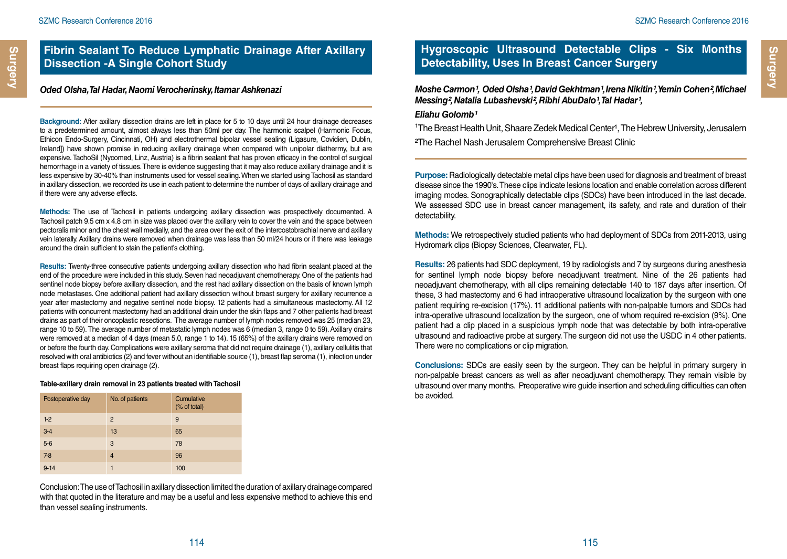## **Fibrin Sealant To Reduce Lymphatic Drainage After Axillary Dissection -A Single Cohort Study**

#### *Oded Olsha, Tal Hadar, Naomi Verocherinsky, Itamar Ashkenazi*

**Background:** After axillary dissection drains are left in place for 5 to 10 days until 24 hour drainage decreases to a predetermined amount, almost always less than 50ml per day. The harmonic scalpel (Harmonic Focus, Ethicon Endo-Surgery, Cincinnati, OH) and electrothermal bipolar vessel sealing (Ligasure, Covidien, Dublin, Ireland]) have shown promise in reducing axillary drainage when compared with unipolar diathermy, but are expensive. TachoSil (Nycomed, Linz, Austria) is a fibrin sealant that has proven efficacy in the control of surgical hemorrhage in a variety of tissues. There is evidence suggesting that it may also reduce axillary drainage and it is less expensive by 30-40% than instruments used for vessel sealing. When we started using Tachosil as standard in axillary dissection, we recorded its use in each patient to determine the number of days of axillary drainage and if there were any adverse effects.

**Methods:** The use of Tachosil in patients undergoing axillary dissection was prospectively documented. A Tachosil patch 9.5 cm x 4.8 cm in size was placed over the axillary vein to cover the vein and the space between pectoralis minor and the chest wall medially, and the area over the exit of the intercostobrachial nerve and axillary vein laterally. Axillary drains were removed when drainage was less than 50 ml/24 hours or if there was leakage around the drain sufficient to stain the patient's clothing.

**Results:** Twenty-three consecutive patients undergoing axillary dissection who had fibrin sealant placed at the end of the procedure were included in this study. Seven had neoadjuvant chemotherapy. One of the patients had sentinel node biopsy before axillary dissection, and the rest had axillary dissection on the basis of known lymph node metastases. One additional patient had axillary dissection without breast surgery for axillary recurrence a year after mastectomy and negative sentinel node biopsy. 12 patients had a simultaneous mastectomy. All 12 patients with concurrent mastectomy had an additional drain under the skin flaps and 7 other patients had breast drains as part of their oncoplastic resections. The average number of lymph nodes removed was 25 (median 23, range 10 to 59). The average number of metastatic lymph nodes was 6 (median 3, range 0 to 59). Axillary drains were removed at a median of 4 days (mean 5.0, range 1 to 14). 15 (65%) of the axillary drains were removed on or before the fourth day. Complications were axillary seroma that did not require drainage (1), axillary cellulitis that resolved with oral antibiotics (2) and fever without an identifiable source (1), breast flap seroma (1), infection under breast flaps requiring open drainage (2).

#### **Table-axillary drain removal in 23 patients treated with Tachosil**

| Postoperative day | No. of patients | Cumulative<br>(% of total) |
|-------------------|-----------------|----------------------------|
| $1-2$             | 2               | 9                          |
| $3-4$             | 13              | 65                         |
| $5-6$             | 3               | 78                         |
| $7-8$             | $\overline{4}$  | 96                         |
| $9 - 14$          |                 | 100                        |

Conclusion: The use of Tachosil in axillary dissection limited the duration of axillary drainage compared with that quoted in the literature and may be a useful and less expensive method to achieve this end than vessel sealing instruments.

## **Hygroscopic Ultrasound Detectable Clips - Six Months Detectability, Uses In Breast Cancer Surgery**

*Moshe Carmon<sup>1</sup>, Oded Olsha<sup>1</sup>, David Gekhtman<sup>1</sup>, Irena Nikitin<sup>1</sup>, Yemin Cohen<sup>2</sup>, Michael Messing<sup>2</sup>, Natalia Lubashevski<sup>2</sup>, Ribhi AbuDalo<sup>1</sup>, Tal Hadar<sup>1</sup>,* 

#### *Eliahu Golomb¹*

<sup>1</sup>The Breast Health Unit, Shaare Zedek Medical Center<sup>1</sup>, The Hebrew University, Jerusalem ²The Rachel Nash Jerusalem Comprehensive Breast Clinic

**Purpose:** Radiologically detectable metal clips have been used for diagnosis and treatment of breast disease since the 1990's. These clips indicate lesions location and enable correlation across different imaging modes. Sonographically detectable clips (SDCs) have been introduced in the last decade. We assessed SDC use in breast cancer management, its safety, and rate and duration of their detectability.

**Methods:** We retrospectively studied patients who had deployment of SDCs from 2011-2013, using Hydromark clips (Biopsy Sciences, Clearwater, FL).

**Results:** 26 patients had SDC deployment, 19 by radiologists and 7 by surgeons during anesthesia for sentinel lymph node biopsy before neoadjuvant treatment. Nine of the 26 patients had neoadjuvant chemotherapy, with all clips remaining detectable 140 to 187 days after insertion. Of these, 3 had mastectomy and 6 had intraoperative ultrasound localization by the surgeon with one patient requiring re-excision (17%). 11 additional patients with non-palpable tumors and SDCs had intra-operative ultrasound localization by the surgeon, one of whom required re-excision (9%). One patient had a clip placed in a suspicious lymph node that was detectable by both intra-operative ultrasound and radioactive probe at surgery. The surgeon did not use the USDC in 4 other patients. There were no complications or clip migration.

**Conclusions:** SDCs are easily seen by the surgeon. They can be helpful in primary surgery in non-palpable breast cancers as well as after neoadjuvant chemotherapy. They remain visible by ultrasound over many months. Preoperative wire guide insertion and scheduling difficulties can often be avoided.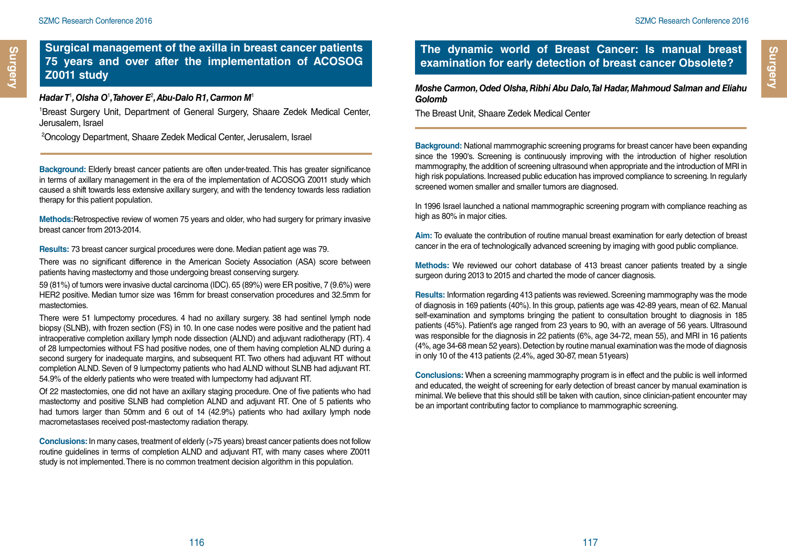### **Surgical management of the axilla in breast cancer patients 75 years and over after the implementation of ACOSOG Z0011 study**

#### *Hadar T*<sup>1</sup> *, Olsha O*<sup>1</sup> *, Tahover E*<sup>2</sup> *, Abu-Dalo R1, Carmon M*<sup>1</sup>

1 Breast Surgery Unit, Department of General Surgery, Shaare Zedek Medical Center, Jerusalem, Israel

2 Oncology Department, Shaare Zedek Medical Center, Jerusalem, Israel

**Background:** Elderly breast cancer patients are often under-treated. This has greater significance in terms of axillary management in the era of the implementation of ACOSOG Z0011 study which caused a shift towards less extensive axillary surgery, and with the tendency towards less radiation therapy for this patient population.

**Methods:**Retrospective review of women 75 years and older, who had surgery for primary invasive breast cancer from 2013-2014.

**Results:** 73 breast cancer surgical procedures were done. Median patient age was 79.

There was no significant difference in the American Society Association (ASA) score between patients having mastectomy and those undergoing breast conserving surgery.

59 (81%) of tumors were invasive ductal carcinoma (IDC). 65 (89%) were ER positive, 7 (9.6%) were HER2 positive. Median tumor size was 16mm for breast conservation procedures and 32.5mm for mastectomies.

There were 51 lumpectomy procedures. 4 had no axillary surgery. 38 had sentinel lymph node biopsy (SLNB), with frozen section (FS) in 10. In one case nodes were positive and the patient had intraoperative completion axillary lymph node dissection (ALND) and adjuvant radiotherapy (RT). 4 of 28 lumpectomies without FS had positive nodes, one of them having completion ALND during a second surgery for inadequate margins, and subsequent RT. Two others had adjuvant RT without completion ALND. Seven of 9 lumpectomy patients who had ALND without SLNB had adjuvant RT. 54.9% of the elderly patients who were treated with lumpectomy had adjuvant RT.

Of 22 mastectomies, one did not have an axillary staging procedure. One of five patients who had mastectomy and positive SLNB had completion ALND and adjuvant RT. One of 5 patients who had tumors larger than 50mm and 6 out of 14 (42.9%) patients who had axillary lymph node macrometastases received post-mastectomy radiation therapy.

**Conclusions:** In many cases, treatment of elderly (>75 years) breast cancer patients does not follow routine guidelines in terms of completion ALND and adjuvant RT, with many cases where Z0011 study is not implemented. There is no common treatment decision algorithm in this population.

## **The dynamic world of Breast Cancer: Is manual breast examination for early detection of breast cancer Obsolete?**

*Moshe Carmon, Oded Olsha, Ribhi Abu Dalo, Tal Hadar, Mahmoud Salman and Eliahu Golomb*

The Breast Unit, Shaare Zedek Medical Center

**Background:** National mammographic screening programs for breast cancer have been expanding since the 1990's. Screening is continuously improving with the introduction of higher resolution mammography, the addition of screening ultrasound when appropriate and the introduction of MRI in high risk populations. Increased public education has improved compliance to screening. In regularly screened women smaller and smaller tumors are diagnosed.

In 1996 Israel launched a national mammographic screening program with compliance reaching as high as 80% in major cities.

**Aim:** To evaluate the contribution of routine manual breast examination for early detection of breast cancer in the era of technologically advanced screening by imaging with good public compliance.

**Methods:** We reviewed our cohort database of 413 breast cancer patients treated by a single surgeon during 2013 to 2015 and charted the mode of cancer diagnosis.

**Results:** Information regarding 413 patients was reviewed. Screening mammography was the mode of diagnosis in 169 patients (40%). In this group, patients age was 42-89 years, mean of 62. Manual self-examination and symptoms bringing the patient to consultation brought to diagnosis in 185 patients (45%). Patient's age ranged from 23 years to 90, with an average of 56 years. Ultrasound was responsible for the diagnosis in 22 patients (6%, age 34-72, mean 55), and MRI in 16 patients (4%, age 34-68 mean 52 years). Detection by routine manual examination was the mode of diagnosis in only 10 of the 413 patients (2.4%, aged 30-87, mean 51years)

**Conclusions:** When a screening mammography program is in effect and the public is well informed and educated, the weight of screening for early detection of breast cancer by manual examination is minimal. We believe that this should still be taken with caution, since clinician-patient encounter may be an important contributing factor to compliance to mammographic screening.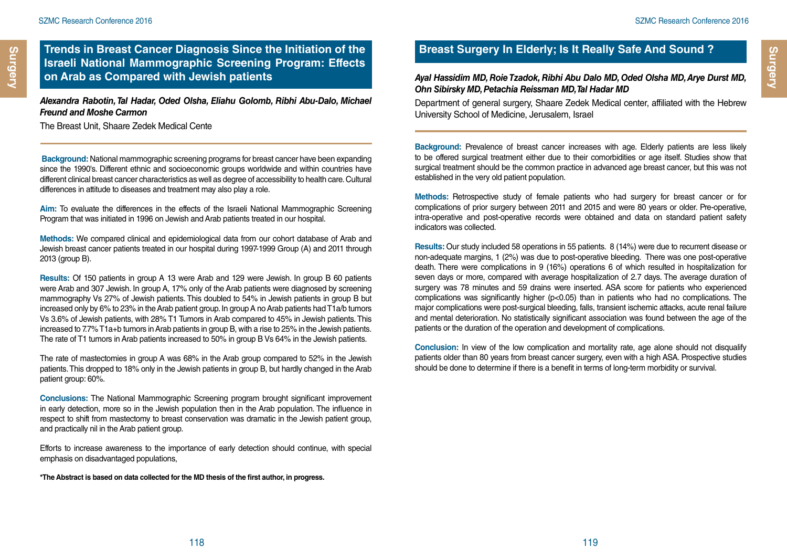## **Trends in Breast Cancer Diagnosis Since the Initiation of the Israeli National Mammographic Screening Program: Effects**

*Alexandra Rabotin, Tal Hadar, Oded Olsha, Eliahu Golomb, Ribhi Abu-Dalo, Michael Freund and Moshe Carmon* 

The Breast Unit, Shaare Zedek Medical Cente

 **Background:** National mammographic screening programs for breast cancer have been expanding since the 1990's. Different ethnic and socioeconomic groups worldwide and within countries have different clinical breast cancer characteristics as well as degree of accessibility to health care. Cultural differences in attitude to diseases and treatment may also play a role.

**Aim:** To evaluate the differences in the effects of the Israeli National Mammographic Screening Program that was initiated in 1996 on Jewish and Arab patients treated in our hospital.

**Methods:** We compared clinical and epidemiological data from our cohort database of Arab and Jewish breast cancer patients treated in our hospital during 1997-1999 Group (A) and 2011 through 2013 (group B).

**Results:** Of 150 patients in group A 13 were Arab and 129 were Jewish. In group B 60 patients were Arab and 307 Jewish. In group A, 17% only of the Arab patients were diagnosed by screening mammography Vs 27% of Jewish patients. This doubled to 54% in Jewish patients in group B but increased only by 6% to 23% in the Arab patient group. In group A no Arab patients had T1a/b tumors Vs 3.6% of Jewish patients, with 28% T1 Tumors in Arab compared to 45% in Jewish patients. This increased to 7.7% T1a+b tumors in Arab patients in group B, with a rise to 25% in the Jewish patients. The rate of T1 tumors in Arab patients increased to 50% in group B Vs 64% in the Jewish patients.

The rate of mastectomies in group A was 68% in the Arab group compared to 52% in the Jewish patients. This dropped to 18% only in the Jewish patients in group B, but hardly changed in the Arab patient group: 60%.

**Conclusions:** The National Mammographic Screening program brought significant improvement in early detection, more so in the Jewish population then in the Arab population. The influence in respect to shift from mastectomy to breast conservation was dramatic in the Jewish patient group, and practically nil in the Arab patient group.

Efforts to increase awareness to the importance of early detection should continue, with special emphasis on disadvantaged populations,

**\*The Abstract is based on data collected for the MD thesis of the first author, in progress.**

## **Breast Surgery In Elderly; Is It Really Safe And Sound ?**

**on Arab as Compared with Jewish patients** *Ayal Hassidim MD, Roie Tzadok, Ribhi Abu Dalo MD, Oded Olsha MD, Arye Durst MD, Ohn Sibirsky MD, Petachia Reissman MD, Tal Hadar MD*

Department of general surgery, Shaare Zedek Medical center, affiliated with the Hebrew University School of Medicine, Jerusalem, Israel

**Background:** Prevalence of breast cancer increases with age. Elderly patients are less likely to be offered surgical treatment either due to their comorbidities or age itself. Studies show that surgical treatment should be the common practice in advanced age breast cancer, but this was not established in the very old patient population.

**Methods:** Retrospective study of female patients who had surgery for breast cancer or for complications of prior surgery between 2011 and 2015 and were 80 years or older. Pre-operative, intra-operative and post-operative records were obtained and data on standard patient safety indicators was collected.

**Results:** Our study included 58 operations in 55 patients. 8 (14%) were due to recurrent disease or non-adequate margins, 1 (2%) was due to post-operative bleeding. There was one post-operative death. There were complications in 9 (16%) operations 6 of which resulted in hospitalization for seven days or more, compared with average hospitalization of 2.7 days. The average duration of surgery was 78 minutes and 59 drains were inserted. ASA score for patients who experienced complications was significantly higher (p<0.05) than in patients who had no complications. The major complications were post-surgical bleeding, falls, transient ischemic attacks, acute renal failure and mental deterioration. No statistically significant association was found between the age of the patients or the duration of the operation and development of complications.

**Conclusion:** In view of the low complication and mortality rate, age alone should not disqualify patients older than 80 years from breast cancer surgery, even with a high ASA. Prospective studies should be done to determine if there is a benefit in terms of long-term morbidity or survival.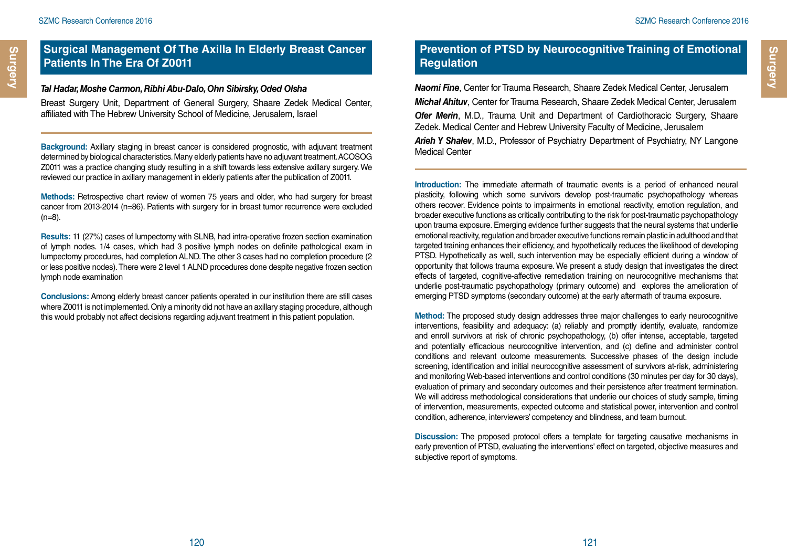#### *Tal Hadar, Moshe Carmon, Ribhi Abu-Dalo, Ohn Sibirsky, Oded Olsha*

Breast Surgery Unit, Department of General Surgery, Shaare Zedek Medical Center, affiliated with The Hebrew University School of Medicine, Jerusalem, Israel

**Background:** Axillary staging in breast cancer is considered prognostic, with adjuvant treatment determined by biological characteristics. Many elderly patients have no adjuvant treatment. ACOSOG Z0011 was a practice changing study resulting in a shift towards less extensive axillary surgery. We reviewed our practice in axillary management in elderly patients after the publication of Z0011.

**Methods:** Retrospective chart review of women 75 years and older, who had surgery for breast cancer from 2013-2014 (n=86). Patients with surgery for in breast tumor recurrence were excluded  $(n=8)$ .

**Results:** 11 (27%) cases of lumpectomy with SLNB, had intra-operative frozen section examination of lymph nodes. 1/4 cases, which had 3 positive lymph nodes on definite pathological exam in lumpectomy procedures, had completion ALND. The other 3 cases had no completion procedure (2 or less positive nodes). There were 2 level 1 ALND procedures done despite negative frozen section lymph node examination

**Conclusions:** Among elderly breast cancer patients operated in our institution there are still cases where Z0011 is not implemented. Only a minority did not have an axillary staging procedure, although this would probably not affect decisions regarding adjuvant treatment in this patient population.

## **Prevention of PTSD by Neurocognitive Training of Emotional Regulation**

*Naomi Fine*, Center for Trauma Research, Shaare Zedek Medical Center, Jerusalem *Michal Ahituv*, Center for Trauma Research, Shaare Zedek Medical Center, Jerusalem *Ofer Merin*, M.D., Trauma Unit and Department of Cardiothoracic Surgery, Shaare Zedek. Medical Center and Hebrew University Faculty of Medicine, Jerusalem

*Arieh Y Shalev*, M.D., Professor of Psychiatry Department of Psychiatry, NY Langone Medical Center

**Introduction:** The immediate aftermath of traumatic events is a period of enhanced neural plasticity, following which some survivors develop post-traumatic psychopathology whereas others recover. Evidence points to impairments in emotional reactivity, emotion regulation, and broader executive functions as critically contributing to the risk for post-traumatic psychopathology upon trauma exposure. Emerging evidence further suggests that the neural systems that underlie emotional reactivity, regulation and broader executive functions remain plastic in adulthood and that targeted training enhances their efficiency, and hypothetically reduces the likelihood of developing PTSD. Hypothetically as well, such intervention may be especially efficient during a window of opportunity that follows trauma exposure. We present a study design that investigates the direct effects of targeted, cognitive-affective remediation training on neurocognitive mechanisms that underlie post-traumatic psychopathology (primary outcome) and explores the amelioration of emerging PTSD symptoms (secondary outcome) at the early aftermath of trauma exposure.

**Method:** The proposed study design addresses three major challenges to early neurocognitive interventions, feasibility and adequacy: (a) reliably and promptly identify, evaluate, randomize and enroll survivors at risk of chronic psychopathology, (b) offer intense, acceptable, targeted and potentially efficacious neurocognitive intervention, and (c) define and administer control conditions and relevant outcome measurements. Successive phases of the design include screening, identification and initial neurocognitive assessment of survivors at-risk, administering and monitoring Web-based interventions and control conditions (30 minutes per day for 30 days), evaluation of primary and secondary outcomes and their persistence after treatment termination. We will address methodological considerations that underlie our choices of study sample, timing of intervention, measurements, expected outcome and statistical power, intervention and control condition, adherence, interviewers' competency and blindness, and team burnout.

**Discussion:** The proposed protocol offers a template for targeting causative mechanisms in early prevention of PTSD, evaluating the interventions' effect on targeted, objective measures and subjective report of symptoms.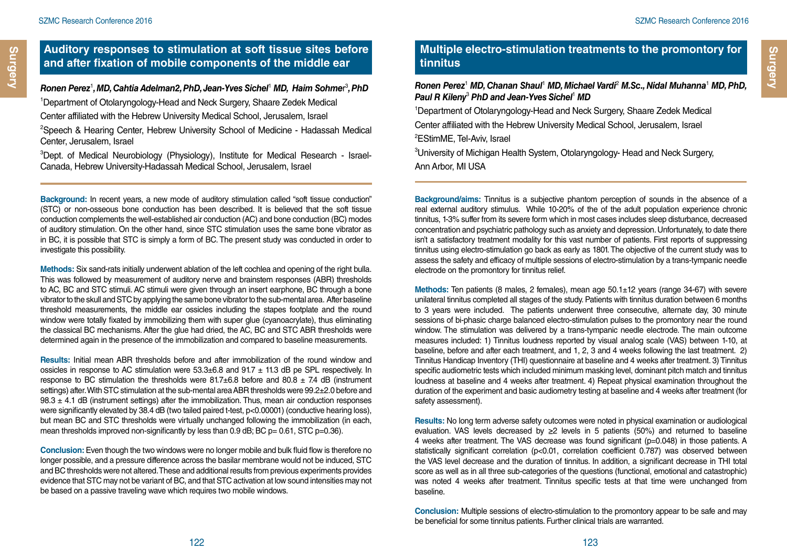## **Auditory responses to stimulation at soft tissue sites before and after fixation of mobile components of the middle ear**

*Ronen Perez*<sup>1</sup> *, MD, Cahtia Adelman2, PhD, Jean-Yves Sichel*<sup>1</sup> *MD, Haim Sohme*r 3 *, PhD*

1 Department of Otolaryngology-Head and Neck Surgery, Shaare Zedek Medical

Center affiliated with the Hebrew University Medical School, Jerusalem, Israel

2 Speech & Hearing Center, Hebrew University School of Medicine - Hadassah Medical Center, Jerusalem, Israel

3 Dept. of Medical Neurobiology (Physiology), Institute for Medical Research - Israel-Canada, Hebrew University-Hadassah Medical School, Jerusalem, Israel

**Background:** In recent years, a new mode of auditory stimulation called "soft tissue conduction" (STC) or non-osseous bone conduction has been described. It is believed that the soft tissue conduction complements the well-established air conduction (AC) and bone conduction (BC) modes of auditory stimulation. On the other hand, since STC stimulation uses the same bone vibrator as in BC, it is possible that STC is simply a form of BC. The present study was conducted in order to investigate this possibility.

**Methods:** Six sand-rats initially underwent ablation of the left cochlea and opening of the right bulla. This was followed by measurement of auditory nerve and brainstem responses (ABR) thresholds to AC, BC and STC stimuli. AC stimuli were given through an insert earphone, BC through a bone vibrator to the skull and STC by applying the same bone vibrator to the sub-mental area. After baseline threshold measurements, the middle ear ossicles including the stapes footplate and the round window were totally fixated by immobilizing them with super glue (cyanoacrylate), thus eliminating the classical BC mechanisms. After the glue had dried, the AC, BC and STC ABR thresholds were determined again in the presence of the immobilization and compared to baseline measurements.

**Results:** Initial mean ABR thresholds before and after immobilization of the round window and ossicles in response to AC stimulation were  $53.3\pm6.8$  and  $91.7 \pm 11.3$  dB pe SPL respectively. In response to BC stimulation the thresholds were  $81.7\pm6.8$  before and  $80.8 \pm 7.4$  dB (instrument settings) after. With STC stimulation at the sub-mental area ABR thresholds were 99.2±2.0 before and  $98.3 \pm 4.1$  dB (instrument settings) after the immobilization. Thus, mean air conduction responses were significantly elevated by 38.4 dB (two tailed paired t-test, p<0.00001) (conductive hearing loss), but mean BC and STC thresholds were virtually unchanged following the immobilization (in each, mean thresholds improved non-significantly by less than  $0.9$  dB; BC  $p = 0.61$ , STC  $p=0.36$ ).

**Conclusion:** Even though the two windows were no longer mobile and bulk fluid flow is therefore no longer possible, and a pressure difference across the basilar membrane would not be induced, STC and BC thresholds were not altered. These and additional results from previous experiments provides evidence that STC may not be variant of BC, and that STC activation at low sound intensities may not be based on a passive traveling wave which requires two mobile windows.

## **Multiple electro-stimulation treatments to the promontory for tinnitus**

Ronen Perez<sup>1</sup> MD, Chanan Shaul<sup>1</sup> MD, Michael Vardi<sup>2</sup> M.Sc., Nidal Muhanna<sup>1</sup> MD, PhD, *Paul R Kileny*<sup>3</sup>  *PhD and Jean-Yves Sichel*<sup>1</sup>  *MD*

1 Department of Otolaryngology-Head and Neck Surgery, Shaare Zedek Medical Center affiliated with the Hebrew University Medical School, Jerusalem, Israel 2 EStimME, Tel-Aviv, Israel

3 University of Michigan Health System, Otolaryngology- Head and Neck Surgery, Ann Arbor, MI USA

**Background/aims:** Tinnitus is a subjective phantom perception of sounds in the absence of a real external auditory stimulus. While 10-20% of the of the adult population experience chronic tinnitus, 1-3% suffer from its severe form which in most cases includes sleep disturbance, decreased concentration and psychiatric pathology such as anxiety and depression. Unfortunately, to date there isn't a satisfactory treatment modality for this vast number of patients. First reports of suppressing tinnitus using electro-stimulation go back as early as 1801. The objective of the current study was to assess the safety and efficacy of multiple sessions of electro-stimulation by a trans-tympanic needle electrode on the promontory for tinnitus relief.

**Methods:** Ten patients (8 males, 2 females), mean age 50.1±12 years (range 34-67) with severe unilateral tinnitus completed all stages of the study. Patients with tinnitus duration between 6 months to 3 years were included. The patients underwent three consecutive, alternate day, 30 minute sessions of bi-phasic charge balanced electro-stimulation pulses to the promontory near the round window. The stimulation was delivered by a trans-tympanic needle electrode. The main outcome measures included: 1) Tinnitus loudness reported by visual analog scale (VAS) between 1-10, at baseline, before and after each treatment, and 1, 2, 3 and 4 weeks following the last treatment. 2) Tinnitus Handicap Inventory (THI) questionnaire at baseline and 4 weeks after treatment. 3) Tinnitus specific audiometric tests which included minimum masking level, dominant pitch match and tinnitus loudness at baseline and 4 weeks after treatment. 4) Repeat physical examination throughout the duration of the experiment and basic audiometry testing at baseline and 4 weeks after treatment (for safety assessment).

**Results:** No long term adverse safety outcomes were noted in physical examination or audiological evaluation. VAS levels decreased by  $\geq 2$  levels in 5 patients (50%) and returned to baseline 4 weeks after treatment. The VAS decrease was found significant (p=0.048) in those patients. A statistically significant correlation (p<0.01, correlation coefficient 0.787) was observed between the VAS level decrease and the duration of tinnitus. In addition, a significant decrease in THI total score as well as in all three sub-categories of the questions (functional, emotional and catastrophic) was noted 4 weeks after treatment. Tinnitus specific tests at that time were unchanged from baseline.

**Conclusion:** Multiple sessions of electro-stimulation to the promontory appear to be safe and may be beneficial for some tinnitus patients. Further clinical trials are warranted.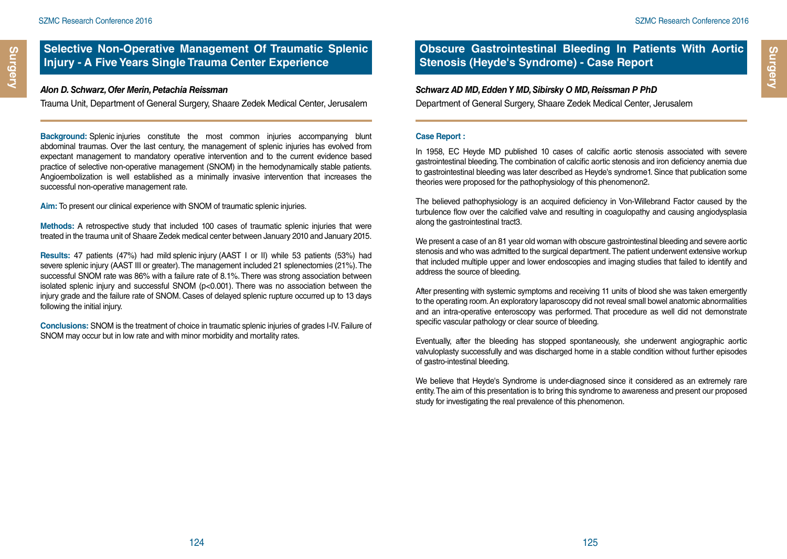#### **Selective Non-Operative Management Of Traumatic Splenic Injury - A Five Years Single Trauma Center Experience**

#### *Alon D. Schwarz, Ofer Merin, Petachia Reissman*

Trauma Unit, Department of General Surgery, Shaare Zedek Medical Center, Jerusalem

**Background:** Splenic injuries constitute the most common injuries accompanying blunt abdominal traumas. Over the last century, the management of splenic injuries has evolved from expectant management to mandatory operative intervention and to the current evidence based practice of selective non-operative management (SNOM) in the hemodynamically stable patients. Angioembolization is well established as a minimally invasive intervention that increases the successful non-operative management rate.

**Aim:** To present our clinical experience with SNOM of traumatic splenic injuries.

**Methods:** A retrospective study that included 100 cases of traumatic splenic injuries that were treated in the trauma unit of Shaare Zedek medical center between January 2010 and January 2015.

**Results:** 47 patients (47%) had mild splenic injury (AAST I or II) while 53 patients (53%) had severe splenic injury (AAST III or greater). The management included 21 splenectomies (21%). The successful SNOM rate was 86% with a failure rate of 8.1%. There was strong association between isolated splenic injury and successful SNOM (p<0.001). There was no association between the injury grade and the failure rate of SNOM. Cases of delayed splenic rupture occurred up to 13 days following the initial injury.

**Conclusions:** SNOM is the treatment of choice in traumatic splenic injuries of grades I-IV. Failure of SNOM may occur but in low rate and with minor morbidity and mortality rates.

## **Obscure Gastrointestinal Bleeding In Patients With Aortic Stenosis (Heyde's Syndrome) - Case Report**

#### *Schwarz AD MD, Edden Y MD, Sibirsky O MD, Reissman P PhD*

Department of General Surgery, Shaare Zedek Medical Center, Jerusalem

#### **Case Report :**

In 1958, EC Heyde MD published 10 cases of calcific aortic stenosis associated with severe gastrointestinal bleeding. The combination of calcific aortic stenosis and iron deficiency anemia due to gastrointestinal bleeding was later described as Heyde's syndrome1. Since that publication some theories were proposed for the pathophysiology of this phenomenon2.

The believed pathophysiology is an acquired deficiency in Von-Willebrand Factor caused by the turbulence flow over the calcified valve and resulting in coagulopathy and causing angiodysplasia along the gastrointestinal tract3.

We present a case of an 81 year old woman with obscure gastrointestinal bleeding and severe aortic stenosis and who was admitted to the surgical department. The patient underwent extensive workup that included multiple upper and lower endoscopies and imaging studies that failed to identify and address the source of bleeding.

After presenting with systemic symptoms and receiving 11 units of blood she was taken emergently to the operating room. An exploratory laparoscopy did not reveal small bowel anatomic abnormalities and an intra-operative enteroscopy was performed. That procedure as well did not demonstrate specific vascular pathology or clear source of bleeding.

Eventually, after the bleeding has stopped spontaneously, she underwent angiographic aortic valvuloplasty successfully and was discharged home in a stable condition without further episodes of gastro-intestinal bleeding.

We believe that Heyde's Syndrome is under-diagnosed since it considered as an extremely rare entity. The aim of this presentation is to bring this syndrome to awareness and present our proposed study for investigating the real prevalence of this phenomenon.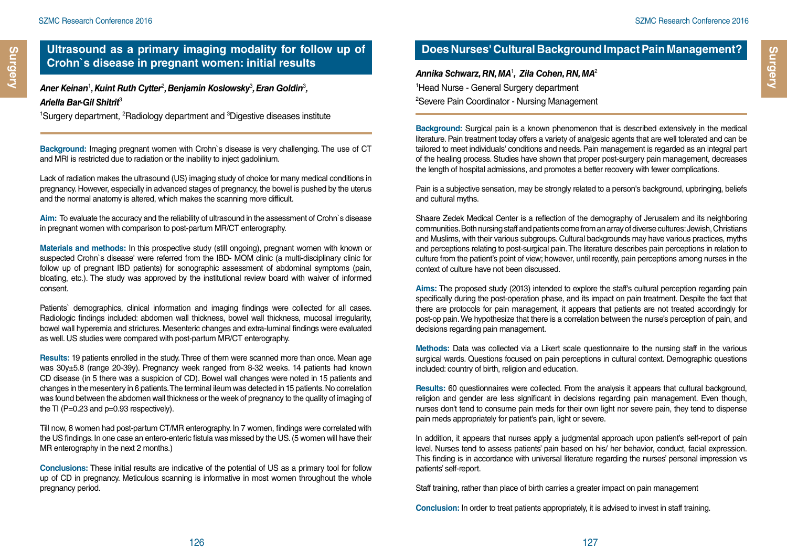*Aner Keinan*<sup>1</sup> *, Kuint Ruth Cytter*<sup>2</sup> *, Benjamin Koslowsky*<sup>3</sup> *, Eran Goldin*<sup>3</sup> *, Ariella Bar-Gil Shitrit*<sup>3</sup> 

<sup>1</sup>Surgery department, <sup>2</sup>Radiology department and <sup>3</sup>Digestive diseases institute

**Background:** Imaging pregnant women with Crohn`s disease is very challenging. The use of CT and MRI is restricted due to radiation or the inability to inject gadolinium.

Lack of radiation makes the ultrasound (US) imaging study of choice for many medical conditions in pregnancy. However, especially in advanced stages of pregnancy, the bowel is pushed by the uterus and the normal anatomy is altered, which makes the scanning more difficult.

**Aim:** To evaluate the accuracy and the reliability of ultrasound in the assessment of Crohn`s disease in pregnant women with comparison to post-partum MR/CT enterography.

**Materials and methods:** In this prospective study (still ongoing), pregnant women with known or suspected Crohn`s disease' were referred from the IBD- MOM clinic (a multi-disciplinary clinic for follow up of pregnant IBD patients) for sonographic assessment of abdominal symptoms (pain, bloating, etc.). The study was approved by the institutional review board with waiver of informed consent.

Patients` demographics, clinical information and imaging findings were collected for all cases. Radiologic findings included: abdomen wall thickness, bowel wall thickness, mucosal irregularity, bowel wall hyperemia and strictures. Mesenteric changes and extra-luminal findings were evaluated as well. US studies were compared with post-partum MR/CT enterography.

**Results:** 19 patients enrolled in the study. Three of them were scanned more than once. Mean age was 30y±5.8 (range 20-39y). Pregnancy week ranged from 8-32 weeks. 14 patients had known CD disease (in 5 there was a suspicion of CD). Bowel wall changes were noted in 15 patients and changes in the mesentery in 6 patients. The terminal ileum was detected in 15 patients. No correlation was found between the abdomen wall thickness or the week of pregnancy to the quality of imaging of the TI (P=0.23 and p=0.93 respectively).

Till now, 8 women had post-partum CT/MR enterography. In 7 women, findings were correlated with the US findings. In one case an entero-enteric fistula was missed by the US. (5 women will have their MR enterography in the next 2 months.)

**Conclusions:** These initial results are indicative of the potential of US as a primary tool for follow up of CD in pregnancy. Meticulous scanning is informative in most women throughout the whole pregnancy period.

## **Does Nurses' Cultural Background Impact Pain Management?**

*Annika Schwarz, RN, MA*<sup>1</sup> *, Zila Cohen, RN, MA*<sup>2</sup> 1 Head Nurse - General Surgery department 2 Severe Pain Coordinator - Nursing Management

**Background:** Surgical pain is a known phenomenon that is described extensively in the medical literature. Pain treatment today offers a variety of analgesic agents that are well tolerated and can be tailored to meet individuals' conditions and needs. Pain management is regarded as an integral part of the healing process. Studies have shown that proper post-surgery pain management, decreases the length of hospital admissions, and promotes a better recovery with fewer complications.

Pain is a subjective sensation, may be strongly related to a person's background, upbringing, beliefs and cultural myths.

Shaare Zedek Medical Center is a reflection of the demography of Jerusalem and its neighboring communities. Both nursing staff and patients come from an array of diverse cultures: Jewish, Christians and Muslims, with their various subgroups. Cultural backgrounds may have various practices, myths and perceptions relating to post-surgical pain. The literature describes pain perceptions in relation to culture from the patient's point of view; however, until recently, pain perceptions among nurses in the context of culture have not been discussed.

**Aims:** The proposed study (2013) intended to explore the staff's cultural perception regarding pain specifically during the post-operation phase, and its impact on pain treatment. Despite the fact that there are protocols for pain management, it appears that patients are not treated accordingly for post-op pain. We hypothesize that there is a correlation between the nurse's perception of pain, and decisions regarding pain management.

**Methods:** Data was collected via a Likert scale questionnaire to the nursing staff in the various surgical wards. Questions focused on pain perceptions in cultural context. Demographic questions included: country of birth, religion and education.

**Results:** 60 questionnaires were collected. From the analysis it appears that cultural background, religion and gender are less significant in decisions regarding pain management. Even though, nurses don't tend to consume pain meds for their own light nor severe pain, they tend to dispense pain meds appropriately for patient's pain, light or severe.

In addition, it appears that nurses apply a judgmental approach upon patient's self-report of pain level. Nurses tend to assess patients' pain based on his/ her behavior, conduct, facial expression. This finding is in accordance with universal literature regarding the nurses' personal impression vs patients' self-report.

Staff training, rather than place of birth carries a greater impact on pain management

**Conclusion:** In order to treat patients appropriately, it is advised to invest in staff training.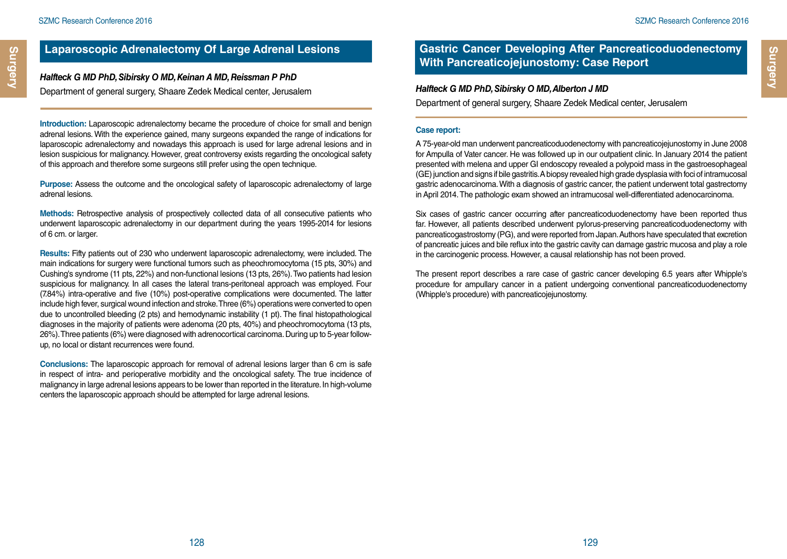## **Laparoscopic Adrenalectomy Of Large Adrenal Lesions**

*Halfteck G MD PhD, Sibirsky O MD, Keinan A MD, Reissman P PhD* Department of general surgery, Shaare Zedek Medical center, Jerusalem

**Introduction:** Laparoscopic adrenalectomy became the procedure of choice for small and benign adrenal lesions. With the experience gained, many surgeons expanded the range of indications for laparoscopic adrenalectomy and nowadays this approach is used for large adrenal lesions and in lesion suspicious for malignancy. However, great controversy exists regarding the oncological safety of this approach and therefore some surgeons still prefer using the open technique.

**Purpose:** Assess the outcome and the oncological safety of laparoscopic adrenalectomy of large adrenal lesions.

**Methods:** Retrospective analysis of prospectively collected data of all consecutive patients who underwent laparoscopic adrenalectomy in our department during the years 1995-2014 for lesions of 6 cm. or larger.

**Results:** Fifty patients out of 230 who underwent laparoscopic adrenalectomy, were included. The main indications for surgery were functional tumors such as pheochromocytoma (15 pts, 30%) and Cushing's syndrome (11 pts, 22%) and non-functional lesions (13 pts, 26%). Two patients had lesion suspicious for malignancy. In all cases the lateral trans-peritoneal approach was employed. Four (7.84%) intra-operative and five (10%) post-operative complications were documented. The latter include high fever, surgical wound infection and stroke. Three (6%) operations were converted to open due to uncontrolled bleeding (2 pts) and hemodynamic instability (1 pt). The final histopathological diagnoses in the majority of patients were adenoma (20 pts, 40%) and pheochromocytoma (13 pts, 26%). Three patients (6%) were diagnosed with adrenocortical carcinoma. During up to 5-year followup, no local or distant recurrences were found.

**Conclusions:** The laparoscopic approach for removal of adrenal lesions larger than 6 cm is safe in respect of intra- and perioperative morbidity and the oncological safety. The true incidence of malignancy in large adrenal lesions appears to be lower than reported in the literature. In high-volume centers the laparoscopic approach should be attempted for large adrenal lesions.

#### **Gastric Cancer Developing After Pancreaticoduodenectomy With Pancreaticojejunostomy: Case Report**

#### *Halfteck G MD PhD, Sibirsky O MD, Alberton J MD*

Department of general surgery, Shaare Zedek Medical center, Jerusalem

#### **Case report:**

A 75-year-old man underwent pancreaticoduodenectomy with pancreaticojejunostomy in June 2008 for Ampulla of Vater cancer. He was followed up in our outpatient clinic. In January 2014 the patient presented with melena and upper GI endoscopy revealed a polypoid mass in the gastroesophageal (GE) junction and signs if bile gastritis. A biopsy revealed high grade dysplasia with foci of intramucosal gastric adenocarcinoma. With a diagnosis of gastric cancer, the patient underwent total gastrectomy in April 2014. The pathologic exam showed an intramucosal well-differentiated adenocarcinoma.

Six cases of gastric cancer occurring after pancreaticoduodenectomy have been reported thus far. However, all patients described underwent pylorus-preserving pancreaticoduodenectomy with pancreaticogastrostomy (PG), and were reported from Japan. Authors have speculated that excretion of pancreatic juices and bile reflux into the gastric cavity can damage gastric mucosa and play a role in the carcinogenic process. However, a causal relationship has not been proved.

The present report describes a rare case of gastric cancer developing 6.5 years after Whipple's procedure for ampullary cancer in a patient undergoing conventional pancreaticoduodenectomy (Whipple's procedure) with pancreaticojejunostomy.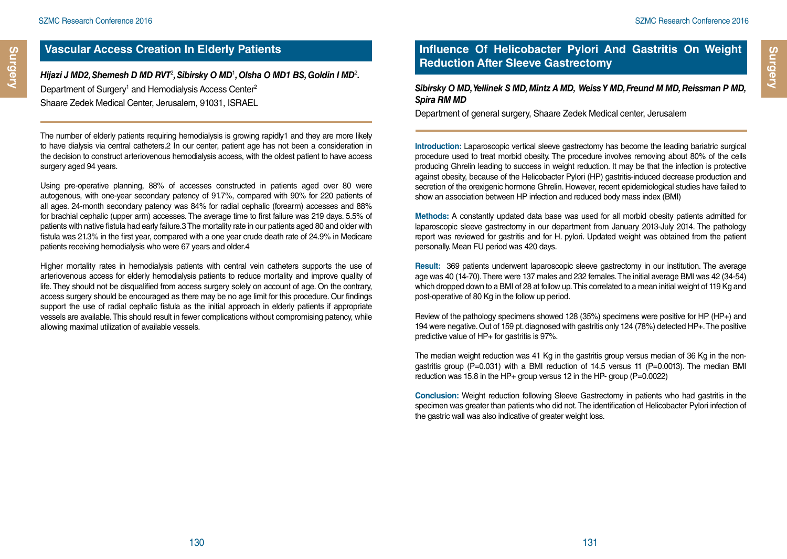## **Vascular Access Creation In Elderly Patients**

Hijazi J MD2, Shemesh D MD RVT<sup>2</sup>, Sibirsky O MD<sup>1</sup>, Olsha O MD1 BS, Goldin I MD<sup>2</sup>. Department of Surgery<sup>1</sup> and Hemodialysis Access Center<sup>2</sup> Shaare Zedek Medical Center, Jerusalem, 91031, ISRAEL

The number of elderly patients requiring hemodialysis is growing rapidly1 and they are more likely to have dialysis via central catheters.2 In our center, patient age has not been a consideration in the decision to construct arteriovenous hemodialysis access, with the oldest patient to have access surgery aged 94 years.

Using pre-operative planning, 88% of accesses constructed in patients aged over 80 were autogenous, with one-year secondary patency of 91.7%, compared with 90% for 220 patients of all ages. 24-month secondary patency was 84% for radial cephalic (forearm) accesses and 88% for brachial cephalic (upper arm) accesses. The average time to first failure was 219 days. 5.5% of patients with native fistula had early failure.3 The mortality rate in our patients aged 80 and older with fistula was 21.3% in the first year, compared with a one year crude death rate of 24.9% in Medicare patients receiving hemodialysis who were 67 years and older.4

Higher mortality rates in hemodialysis patients with central vein catheters supports the use of arteriovenous access for elderly hemodialysis patients to reduce mortality and improve quality of life. They should not be disqualified from access surgery solely on account of age. On the contrary, access surgery should be encouraged as there may be no age limit for this procedure. Our findings support the use of radial cephalic fistula as the initial approach in elderly patients if appropriate vessels are available. This should result in fewer complications without compromising patency, while allowing maximal utilization of available vessels.

## **Influence Of Helicobacter Pylori And Gastritis On Weight Reduction After Sleeve Gastrectomy**

#### *Sibirsky O MD, Yellinek S MD, Mintz A MD, Weiss Y MD, Freund M MD, Reissman P MD, Spira RM MD*

Department of general surgery, Shaare Zedek Medical center, Jerusalem

**Introduction:** Laparoscopic vertical sleeve gastrectomy has become the leading bariatric surgical procedure used to treat morbid obesity. The procedure involves removing about 80% of the cells producing Ghrelin leading to success in weight reduction. It may be that the infection is protective against obesity, because of the Helicobacter Pylori (HP) gastritis-induced decrease production and secretion of the orexigenic hormone Ghrelin. However, recent epidemiological studies have failed to show an association between HP infection and reduced body mass index (BMI)

**Methods:** A constantly updated data base was used for all morbid obesity patients admitted for laparoscopic sleeve gastrectomy in our department from January 2013-July 2014. The pathology report was reviewed for gastritis and for H. pylori. Updated weight was obtained from the patient personally. Mean FU period was 420 days.

**Result:** 369 patients underwent laparoscopic sleeve gastrectomy in our institution. The average age was 40 (14-70). There were 137 males and 232 females. The initial average BMI was 42 (34-54) which dropped down to a BMI of 28 at follow up. This correlated to a mean initial weight of 119 Kg and post-operative of 80 Kg in the follow up period.

Review of the pathology specimens showed 128 (35%) specimens were positive for HP (HP+) and 194 were negative. Out of 159 pt. diagnosed with gastritis only 124 (78%) detected HP+. The positive predictive value of HP+ for gastritis is 97%.

The median weight reduction was 41 Kg in the gastritis group versus median of 36 Kg in the nongastritis group ( $P=0.031$ ) with a BMI reduction of 14.5 versus 11 ( $P=0.0013$ ). The median BMI reduction was 15.8 in the HP+ group versus 12 in the HP- group (P=0.0022)

**Conclusion:** Weight reduction following Sleeve Gastrectomy in patients who had gastritis in the specimen was greater than patients who did not. The identification of Helicobacter Pylori infection of the gastric wall was also indicative of greater weight loss.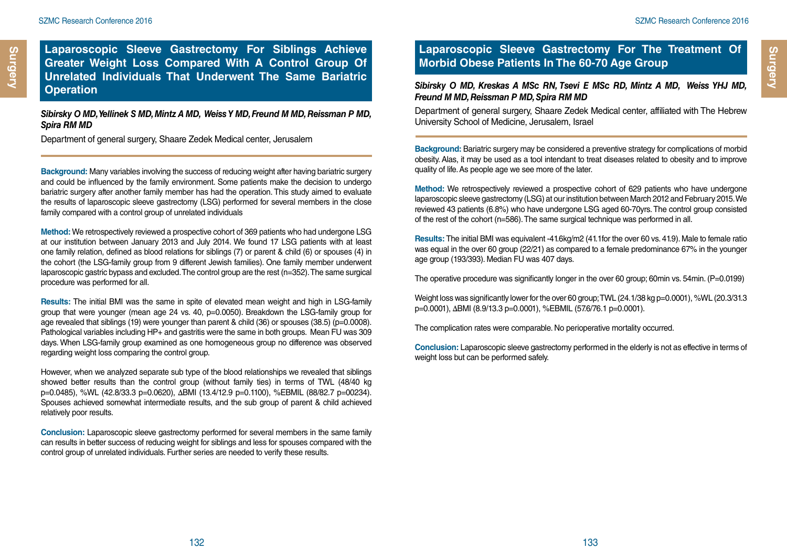**Laparoscopic Sleeve Gastrectomy For Siblings Achieve Greater Weight Loss Compared With A Control Group Of Unrelated Individuals That Underwent The Same Bariatric Operation**

#### *Sibirsky O MD, Yellinek S MD, Mintz A MD, Weiss Y MD, Freund M MD, Reissman P MD, Spira RM MD*

Department of general surgery, Shaare Zedek Medical center, Jerusalem

**Background:** Many variables involving the success of reducing weight after having bariatric surgery and could be influenced by the family environment. Some patients make the decision to undergo bariatric surgery after another family member has had the operation. This study aimed to evaluate the results of laparoscopic sleeve gastrectomy (LSG) performed for several members in the close family compared with a control group of unrelated individuals

**Method:** We retrospectively reviewed a prospective cohort of 369 patients who had undergone LSG at our institution between January 2013 and July 2014. We found 17 LSG patients with at least one family relation, defined as blood relations for siblings (7) or parent & child (6) or spouses (4) in the cohort (the LSG-family group from 9 different Jewish families). One family member underwent laparoscopic gastric bypass and excluded. The control group are the rest (n=352). The same surgical procedure was performed for all.

**Results:** The initial BMI was the same in spite of elevated mean weight and high in LSG-family group that were younger (mean age 24 vs. 40, p=0.0050). Breakdown the LSG-family group for age revealed that siblings (19) were younger than parent & child (36) or spouses (38.5) (p=0.0008). Pathological variables including HP+ and gastritis were the same in both groups. Mean FU was 309 days. When LSG-family group examined as one homogeneous group no difference was observed regarding weight loss comparing the control group.

However, when we analyzed separate sub type of the blood relationships we revealed that siblings showed better results than the control group (without family ties) in terms of TWL (48/40 kg p=0.0485), %WL (42.8/33.3 p=0.0620), ΔBMI (13.4/12.9 p=0.1100), %EBMIL (88/82.7 p=00234). Spouses achieved somewhat intermediate results, and the sub group of parent & child achieved relatively poor results.

**Conclusion:** Laparoscopic sleeve gastrectomy performed for several members in the same family can results in better success of reducing weight for siblings and less for spouses compared with the control group of unrelated individuals. Further series are needed to verify these results.

#### **Laparoscopic Sleeve Gastrectomy For The Treatment Of Morbid Obese Patients In The 60-70 Age Group**

*Sibirsky O MD, Kreskas A MSc RN, Tsevi E MSc RD, Mintz A MD, Weiss YHJ MD, Freund M MD, Reissman P MD, Spira RM MD*

Department of general surgery, Shaare Zedek Medical center, affiliated with The Hebrew University School of Medicine, Jerusalem, Israel

**Background:** Bariatric surgery may be considered a preventive strategy for complications of morbid obesity. Alas, it may be used as a tool intendant to treat diseases related to obesity and to improve quality of life. As people age we see more of the later.

**Method:** We retrospectively reviewed a prospective cohort of 629 patients who have undergone laparoscopic sleeve gastrectomy (LSG) at our institution between March 2012 and February 2015. We reviewed 43 patients (6.8%) who have undergone LSG aged 60-70yrs. The control group consisted of the rest of the cohort (n=586). The same surgical technique was performed in all.

**Results:** The initial BMI was equivalent -41.6kg/m2 (41.1for the over 60 vs. 41.9). Male to female ratio was equal in the over 60 group (22/21) as compared to a female predominance 67% in the younger age group (193/393). Median FU was 407 days.

The operative procedure was significantly longer in the over 60 group; 60min vs. 54min. (P=0.0199)

Weight loss was significantly lower for the over 60 group; TWL (24.1/38 kg p=0.0001), %WL (20.3/31.3 p=0.0001), ΔBMI (8.9/13.3 p=0.0001), %EBMIL (57.6/76.1 p=0.0001).

The complication rates were comparable. No perioperative mortality occurred.

**Conclusion:** Laparoscopic sleeve gastrectomy performed in the elderly is not as effective in terms of weight loss but can be performed safely.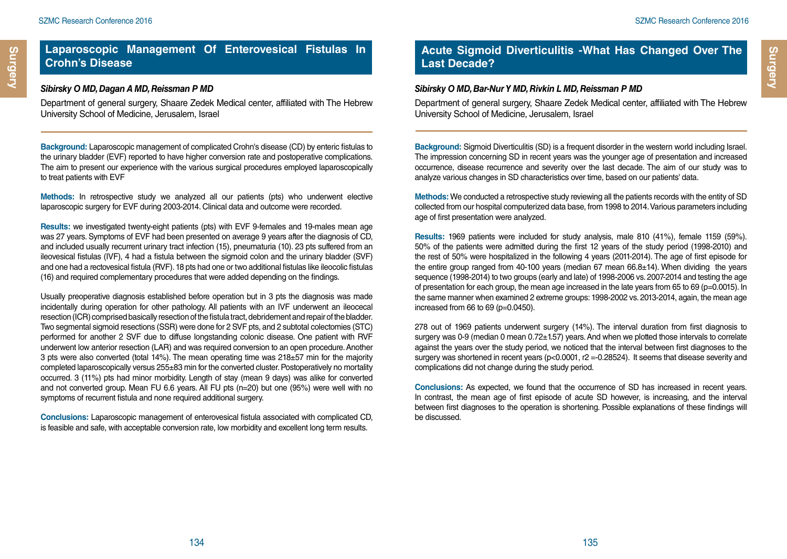#### *Sibirsky O MD, Dagan A MD, Reissman P MD*

Department of general surgery, Shaare Zedek Medical center, affiliated with The Hebrew University School of Medicine, Jerusalem, Israel

**Background:** Laparoscopic management of complicated Crohn's disease (CD) by enteric fistulas to the urinary bladder (EVF) reported to have higher conversion rate and postoperative complications. The aim to present our experience with the various surgical procedures employed laparoscopically to treat patients with EVF

**Methods:** In retrospective study we analyzed all our patients (pts) who underwent elective laparoscopic surgery for EVF during 2003-2014. Clinical data and outcome were recorded.

**Results:** we investigated twenty-eight patients (pts) with EVF 9-females and 19-males mean age was 27 years. Symptoms of EVF had been presented on average 9 years after the diagnosis of CD, and included usually recurrent urinary tract infection (15), pneumaturia (10). 23 pts suffered from an ileovesical fistulas (IVF), 4 had a fistula between the sigmoid colon and the urinary bladder (SVF) and one had a rectovesical fistula (RVF). 18 pts had one or two additional fistulas like ileocolic fistulas (16) and required complementary procedures that were added depending on the findings.

Usually preoperative diagnosis established before operation but in 3 pts the diagnosis was made incidentally during operation for other pathology. All patients with an IVF underwent an ileocecal resection (ICR) comprised basically resection of the fistula tract, debridement and repair of the bladder. Two segmental sigmoid resections (SSR) were done for 2 SVF pts, and 2 subtotal colectomies (STC) performed for another 2 SVF due to diffuse longstanding colonic disease. One patient with RVF underwent low anterior resection (LAR) and was required conversion to an open procedure. Another 3 pts were also converted (total  $14\%$ ). The mean operating time was  $218\pm57$  min for the majority completed laparoscopically versus 255±83 min for the converted cluster. Postoperatively no mortality occurred. 3 (11%) pts had minor morbidity. Length of stay (mean 9 days) was alike for converted and not converted group. Mean FU 6.6 years. All FU pts (n=20) but one (95%) were well with no symptoms of recurrent fistula and none required additional surgery.

**Conclusions:** Laparoscopic management of enterovesical fistula associated with complicated CD, is feasible and safe, with acceptable conversion rate, low morbidity and excellent long term results.

## **Acute Sigmoid Diverticulitis -What Has Changed Over The Last Decade?**

#### *Sibirsky O MD, Bar-Nur Y MD, Rivkin L MD, Reissman P MD*

Department of general surgery, Shaare Zedek Medical center, affiliated with The Hebrew University School of Medicine, Jerusalem, Israel

**Background:** Sigmoid Diverticulitis (SD) is a frequent disorder in the western world including Israel. The impression concerning SD in recent years was the younger age of presentation and increased occurrence, disease recurrence and severity over the last decade. The aim of our study was to analyze various changes in SD characteristics over time, based on our patients' data.

**Methods:** We conducted a retrospective study reviewing all the patients records with the entity of SD collected from our hospital computerized data base, from 1998 to 2014. Various parameters including age of first presentation were analyzed.

**Results:** 1969 patients were included for study analysis, male 810 (41%), female 1159 (59%). 50% of the patients were admitted during the first 12 years of the study period (1998-2010) and the rest of 50% were hospitalized in the following 4 years (2011-2014). The age of first episode for the entire group ranged from 40-100 years (median 67 mean 66.8±14). When dividing the years sequence (1998-2014) to two groups (early and late) of 1998-2006 vs. 2007-2014 and testing the age of presentation for each group, the mean age increased in the late years from 65 to 69 (p=0.0015). In the same manner when examined 2 extreme groups: 1998-2002 vs. 2013-2014, again, the mean age increased from 66 to 69 (p=0.0450).

278 out of 1969 patients underwent surgery (14%). The interval duration from first diagnosis to surgery was 0-9 (median 0 mean 0.72±1.57) years. And when we plotted those intervals to correlate against the years over the study period, we noticed that the interval between first diagnoses to the surgery was shortened in recent years (p<0.0001, r2 =-0.28524). It seems that disease severity and complications did not change during the study period.

**Conclusions:** As expected, we found that the occurrence of SD has increased in recent years. In contrast, the mean age of first episode of acute SD however, is increasing, and the interval between first diagnoses to the operation is shortening. Possible explanations of these findings will be discussed.

**Surgery**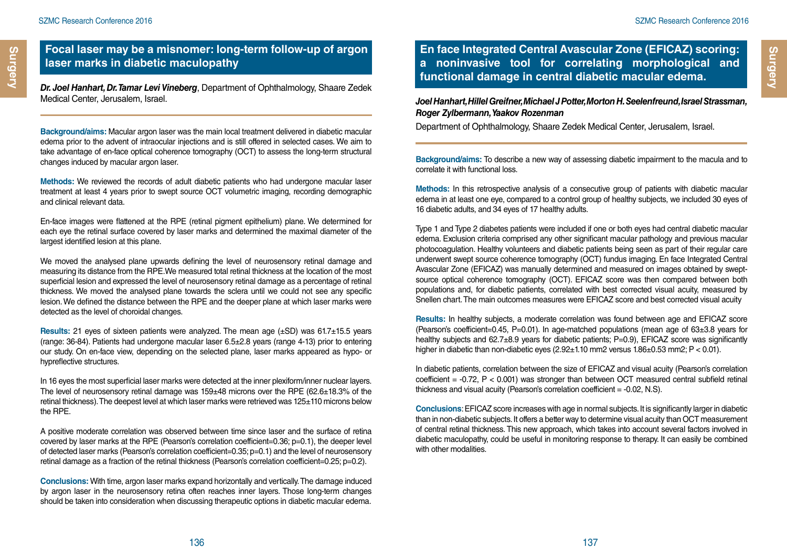## **Focal laser may be a misnomer: long-term follow-up of argon laser marks in diabetic maculopathy**

*Dr. Joel Hanhart, Dr. Tamar Levi Vineberg*, Department of Ophthalmology, Shaare Zedek Medical Center, Jerusalem, Israel.

**Background/aims:** Macular argon laser was the main local treatment delivered in diabetic macular edema prior to the advent of intraocular injections and is still offered in selected cases. We aim to take advantage of en-face optical coherence tomography (OCT) to assess the long-term structural changes induced by macular argon laser.

**Methods:** We reviewed the records of adult diabetic patients who had undergone macular laser treatment at least 4 years prior to swept source OCT volumetric imaging, recording demographic and clinical relevant data.

En-face images were flattened at the RPE (retinal pigment epithelium) plane. We determined for each eye the retinal surface covered by laser marks and determined the maximal diameter of the largest identified lesion at this plane.

We moved the analysed plane upwards defining the level of neurosensory retinal damage and measuring its distance from the RPE.We measured total retinal thickness at the location of the most superficial lesion and expressed the level of neurosensory retinal damage as a percentage of retinal thickness. We moved the analysed plane towards the sclera until we could not see any specific lesion. We defined the distance between the RPE and the deeper plane at which laser marks were detected as the level of choroidal changes.

**Results:** 21 eyes of sixteen patients were analyzed. The mean age (±SD) was 61.7±15.5 years (range: 36-84). Patients had undergone macular laser 6.5±2.8 years (range 4-13) prior to entering our study. On en-face view, depending on the selected plane, laser marks appeared as hypo- or hypreflective structures.

In 16 eyes the most superficial laser marks were detected at the inner plexiform/inner nuclear layers. The level of neurosensory retinal damage was  $159±48$  microns over the RPE (62.6 $±18.3%$  of the retinal thickness). The deepest level at which laser marks were retrieved was 125±110 microns below the RPE.

A positive moderate correlation was observed between time since laser and the surface of retina covered by laser marks at the RPE (Pearson's correlation coefficient=0.36; p=0.1), the deeper level of detected laser marks (Pearson's correlation coefficient=0.35; p=0.1) and the level of neurosensory retinal damage as a fraction of the retinal thickness (Pearson's correlation coefficient=0.25; p=0.2).

**Conclusions:** With time, argon laser marks expand horizontally and vertically. The damage induced by argon laser in the neurosensory retina often reaches inner layers. Those long-term changes should be taken into consideration when discussing therapeutic options in diabetic macular edema.

## **En face Integrated Central Avascular Zone (EFICAZ) scoring: a noninvasive tool for correlating morphological and functional damage in central diabetic macular edema.**

*Joel Hanhart, Hillel Greifner, Michael J Potter, Morton H. Seelenfreund, Israel Strassman, Roger Zylbermann, Yaakov Rozenman*

Department of Ophthalmology, Shaare Zedek Medical Center, Jerusalem, Israel.

**Background/aims:** To describe a new way of assessing diabetic impairment to the macula and to correlate it with functional loss.

**Methods:** In this retrospective analysis of a consecutive group of patients with diabetic macular edema in at least one eye, compared to a control group of healthy subjects, we included 30 eyes of 16 diabetic adults, and 34 eyes of 17 healthy adults.

Type 1 and Type 2 diabetes patients were included if one or both eyes had central diabetic macular edema. Exclusion criteria comprised any other significant macular pathology and previous macular photocoagulation. Healthy volunteers and diabetic patients being seen as part of their regular care underwent swept source coherence tomography (OCT) fundus imaging. En face Integrated Central Avascular Zone (EFICAZ) was manually determined and measured on images obtained by sweptsource optical coherence tomography (OCT). EFICAZ score was then compared between both populations and, for diabetic patients, correlated with best corrected visual acuity, measured by Snellen chart. The main outcomes measures were EFICAZ score and best corrected visual acuity

**Results:** In healthy subjects, a moderate correlation was found between age and EFICAZ score (Pearson's coefficient=0.45, P=0.01). In age-matched populations (mean age of 63±3.8 years for healthy subjects and 62.7 $\pm$ 8.9 years for diabetic patients; P=0.9), EFICAZ score was significantly higher in diabetic than non-diabetic eyes  $(2.92\pm1.10$  mm2 versus  $1.86\pm0.53$  mm2; P < 0.01).

In diabetic patients, correlation between the size of EFICAZ and visual acuity (Pearson's correlation coefficient  $= -0.72$ ,  $P < 0.001$ ) was stronger than between OCT measured central subfield retinal thickness and visual acuity (Pearson's correlation coefficient = -0.02, N.S).

**Conclusions**: EFICAZ score increases with age in normal subjects. It is significantly larger in diabetic than in non-diabetic subjects. It offers a better way to determine visual acuity than OCT measurement of central retinal thickness. This new approach, which takes into account several factors involved in diabetic maculopathy, could be useful in monitoring response to therapy. It can easily be combined with other modalities.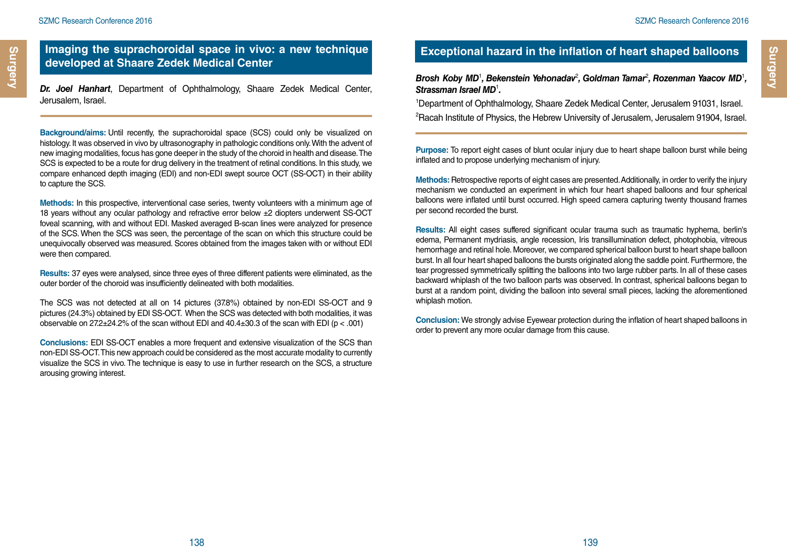#### **Imaging the suprachoroidal space in vivo: a new technique developed at Shaare Zedek Medical Center**

*Dr. Joel Hanhart*, Department of Ophthalmology, Shaare Zedek Medical Center, Jerusalem, Israel.

**Background/aims:** Until recently, the suprachoroidal space (SCS) could only be visualized on histology. It was observed in vivo by ultrasonography in pathologic conditions only. With the advent of new imaging modalities, focus has gone deeper in the study of the choroid in health and disease. The SCS is expected to be a route for drug delivery in the treatment of retinal conditions. In this study, we compare enhanced depth imaging (EDI) and non-EDI swept source OCT (SS-OCT) in their ability to capture the SCS.

**Methods:** In this prospective, interventional case series, twenty volunteers with a minimum age of 18 years without any ocular pathology and refractive error below ±2 diopters underwent SS-OCT foveal scanning, with and without EDI. Masked averaged B-scan lines were analyzed for presence of the SCS. When the SCS was seen, the percentage of the scan on which this structure could be unequivocally observed was measured. Scores obtained from the images taken with or without EDI were then compared.

**Results:** 37 eyes were analysed, since three eyes of three different patients were eliminated, as the outer border of the choroid was insufficiently delineated with both modalities.

The SCS was not detected at all on 14 pictures (37.8%) obtained by non-EDI SS-OCT and 9 pictures (24.3%) obtained by EDI SS-OCT. When the SCS was detected with both modalities, it was observable on  $27.2\pm 24.2\%$  of the scan without EDI and  $40.4\pm 30.3$  of the scan with EDI (p < .001)

**Conclusions:** EDI SS-OCT enables a more frequent and extensive visualization of the SCS than non-EDI SS-OCT. This new approach could be considered as the most accurate modality to currently visualize the SCS in vivo. The technique is easy to use in further research on the SCS, a structure arousing growing interest.

## **Exceptional hazard in the inflation of heart shaped balloons**

Brosh Koby MD<sup>1</sup>, Bekenstein Yehonadav<sup>2</sup>, Goldman Tamar<sup>2</sup>, Rozenman Yaacov MD<sup>1</sup>, *Strassman Israel MD*<sup>1</sup> *.*

1 Department of Ophthalmology, Shaare Zedek Medical Center, Jerusalem 91031, Israel. 2 Racah Institute of Physics, the Hebrew University of Jerusalem, Jerusalem 91904, Israel.

**Purpose:** To report eight cases of blunt ocular injury due to heart shape balloon burst while being inflated and to propose underlying mechanism of injury.

**Methods:** Retrospective reports of eight cases are presented. Additionally, in order to verify the injury mechanism we conducted an experiment in which four heart shaped balloons and four spherical balloons were inflated until burst occurred. High speed camera capturing twenty thousand frames per second recorded the burst.

**Results:** All eight cases suffered significant ocular trauma such as traumatic hyphema, berlin's edema, Permanent mydriasis, angle recession, Iris transillumination defect, photophobia, vitreous hemorrhage and retinal hole. Moreover, we compared spherical balloon burst to heart shape balloon burst. In all four heart shaped balloons the bursts originated along the saddle point. Furthermore, the tear progressed symmetrically splitting the balloons into two large rubber parts. In all of these cases backward whiplash of the two balloon parts was observed. In contrast, spherical balloons began to burst at a random point, dividing the balloon into several small pieces, lacking the aforementioned whiplash motion.

**Conclusion:** We strongly advise Eyewear protection during the inflation of heart shaped balloons in order to prevent any more ocular damage from this cause.

**Surgery**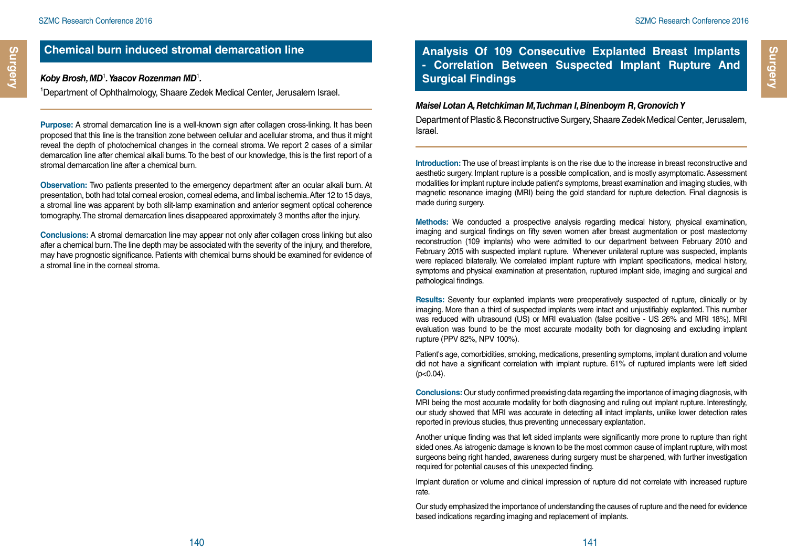## **Chemical burn induced stromal demarcation line**

#### *Koby Brosh, MD* **Surgical Findings** <sup>1</sup> *. Yaacov Rozenman MD*<sup>1</sup> *.*

1 Department of Ophthalmology, Shaare Zedek Medical Center, Jerusalem Israel.

**Purpose:** A stromal demarcation line is a well-known sign after collagen cross-linking. It has been proposed that this line is the transition zone between cellular and acellular stroma, and thus it might reveal the depth of photochemical changes in the corneal stroma. We report 2 cases of a similar demarcation line after chemical alkali burns. To the best of our knowledge, this is the first report of a stromal demarcation line after a chemical burn.

**Observation:** Two patients presented to the emergency department after an ocular alkali burn. At presentation, both had total corneal erosion, corneal edema, and limbal ischemia. After 12 to 15 days, a stromal line was apparent by both slit-lamp examination and anterior segment optical coherence tomography. The stromal demarcation lines disappeared approximately 3 months after the injury.

**Conclusions:** A stromal demarcation line may appear not only after collagen cross linking but also after a chemical burn. The line depth may be associated with the severity of the injury, and therefore, may have prognostic significance. Patients with chemical burns should be examined for evidence of a stromal line in the corneal stroma.

## **Analysis Of 109 Consecutive Explanted Breast Implants - Correlation Between Suspected Implant Rupture And**

#### *Maisel Lotan A, Retchkiman M, Tuchman I, Binenboym R, Gronovich Y*

Department of Plastic & Reconstructive Surgery, Shaare Zedek Medical Center, Jerusalem, Israel.

**Introduction:** The use of breast implants is on the rise due to the increase in breast reconstructive and aesthetic surgery. Implant rupture is a possible complication, and is mostly asymptomatic. Assessment modalities for implant rupture include patient's symptoms, breast examination and imaging studies, with magnetic resonance imaging (MRI) being the gold standard for rupture detection. Final diagnosis is made during surgery.

**Methods:** We conducted a prospective analysis regarding medical history, physical examination, imaging and surgical findings on fifty seven women after breast augmentation or post mastectomy reconstruction (109 implants) who were admitted to our department between February 2010 and February 2015 with suspected implant rupture. Whenever unilateral rupture was suspected, implants were replaced bilaterally. We correlated implant rupture with implant specifications, medical history, symptoms and physical examination at presentation, ruptured implant side, imaging and surgical and pathological findings.

**Results:** Seventy four explanted implants were preoperatively suspected of rupture, clinically or by imaging. More than a third of suspected implants were intact and unjustifiably explanted. This number was reduced with ultrasound (US) or MRI evaluation (false positive - US 26% and MRI 18%). MRI evaluation was found to be the most accurate modality both for diagnosing and excluding implant rupture (PPV 82%, NPV 100%).

Patient's age, comorbidities, smoking, medications, presenting symptoms, implant duration and volume did not have a significant correlation with implant rupture. 61% of ruptured implants were left sided  $(p<0.04)$ .

**Conclusions:** Our study confirmed preexisting data regarding the importance of imaging diagnosis, with MRI being the most accurate modality for both diagnosing and ruling out implant rupture. Interestingly, our study showed that MRI was accurate in detecting all intact implants, unlike lower detection rates reported in previous studies, thus preventing unnecessary explantation.

Another unique finding was that left sided implants were significantly more prone to rupture than right sided ones. As iatrogenic damage is known to be the most common cause of implant rupture, with most surgeons being right handed, awareness during surgery must be sharpened, with further investigation required for potential causes of this unexpected finding.

Implant duration or volume and clinical impression of rupture did not correlate with increased rupture rate.

Our study emphasized the importance of understanding the causes of rupture and the need for evidence based indications regarding imaging and replacement of implants.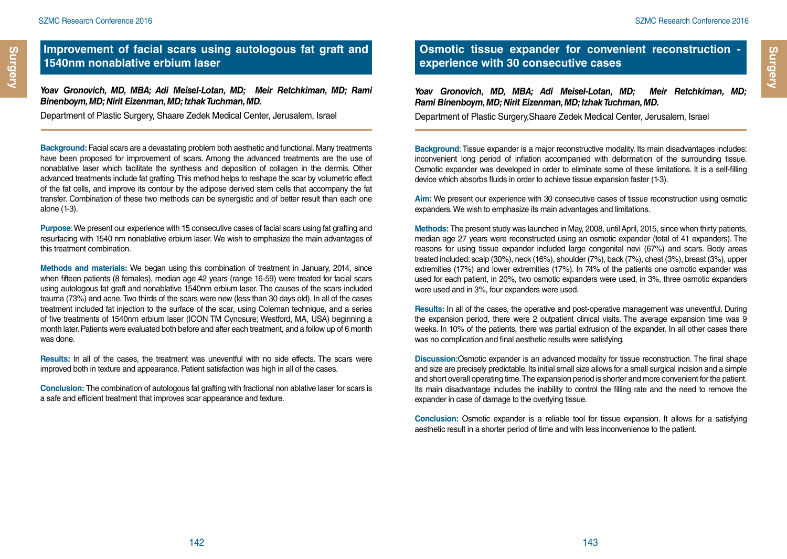#### **Improvement of facial scars using autologous fat graft and 1540nm nonablative erbium laser**

*Yoav Gronovich, MD, MBA; Adi Meisel-Lotan, MD; Meir Retchkiman, MD; Rami Binenboym, MD; Nirit Eizenman, MD; Izhak Tuchman, MD.*

Department of Plastic Surgery, Shaare Zedek Medical Center, Jerusalem, Israel

**Background:** Facial scars are a devastating problem both aesthetic and functional. Many treatments have been proposed for improvement of scars. Among the advanced treatments are the use of nonablative laser which facilitate the synthesis and deposition of collagen in the dermis. Other advanced treatments include fat grafting. This method helps to reshape the scar by volumetric effect of the fat cells, and improve its contour by the adipose derived stem cells that accompany the fat transfer. Combination of these two methods can be synergistic and of better result than each one alone (1-3).

**Purpose**: We present our experience with 15 consecutive cases of facial scars using fat grafting and resurfacing with 1540 nm nonablative erbium laser. We wish to emphasize the main advantages of this treatment combination.

**Methods and materials:** We began using this combination of treatment in January, 2014, since when fifteen patients (8 females), median age 42 years (range 16-59) were treated for facial scars using autologous fat graft and nonablative 1540nm erbium laser. The causes of the scars included trauma (73%) and acne. Two thirds of the scars were new (less than 30 days old). In all of the cases treatment included fat injection to the surface of the scar, using Coleman technique, and a series of five treatments of 1540nm erbium laser (ICON TM Cynosure; Westford, MA, USA) beginning a month later. Patients were evaluated both before and after each treatment, and a follow up of 6 month was done.

**Results:** In all of the cases, the treatment was uneventful with no side effects. The scars were improved both in texture and appearance. Patient satisfaction was high in all of the cases.

**Conclusion:** The combination of autologous fat grafting with fractional non ablative laser for scars is a safe and efficient treatment that improves scar appearance and texture.

## **Osmotic tissue expander for convenient reconstruction experience with 30 consecutive cases**

*Yoav Gronovich, MD, MBA; Adi Meisel-Lotan, MD; Meir Retchkiman, MD; Rami Binenboym, MD; Nirit Eizenman, MD; Izhak Tuchman, MD.*

Department of Plastic Surgery,Shaare Zedek Medical Center, Jerusalem, Israel

**Background**: Tissue expander is a major reconstructive modality. Its main disadvantages includes: inconvenient long period of inflation accompanied with deformation of the surrounding tissue. Osmotic expander was developed in order to eliminate some of these limitations. It is a self-filling device which absorbs fluids in order to achieve tissue expansion faster (1-3).

**Aim:** We present our experience with 30 consecutive cases of tissue reconstruction using osmotic expanders. We wish to emphasize its main advantages and limitations.

**Methods:** The present study was launched in May, 2008, until April, 2015, since when thirty patients, median age 27 years were reconstructed using an osmotic expander (total of 41 expanders). The reasons for using tissue expander included large congenital nevi (67%) and scars. Body areas treated included: scalp (30%), neck (16%), shoulder (7%), back (7%), chest (3%), breast (3%), upper extremities (17%) and lower extremities (17%). In 74% of the patients one osmotic expander was used for each patient, in 20%, two osmotic expanders were used, in 3%, three osmotic expanders were used and in 3%, four expanders were used.

**Results:** In all of the cases, the operative and post-operative management was uneventful. During the expansion period, there were 2 outpatient clinical visits. The average expansion time was 9 weeks. In 10% of the patients, there was partial extrusion of the expander. In all other cases there was no complication and final aesthetic results were satisfying.

**Discussion:**Osmotic expander is an advanced modality for tissue reconstruction. The final shape and size are precisely predictable. Its initial small size allows for a small surgical incision and a simple and short overall operating time. The expansion period is shorter and more convenient for the patient. Its main disadvantage includes the inability to control the filling rate and the need to remove the expander in case of damage to the overlying tissue.

**Conclusion:** Osmotic expander is a reliable tool for tissue expansion. It allows for a satisfying aesthetic result in a shorter period of time and with less inconvenience to the patient.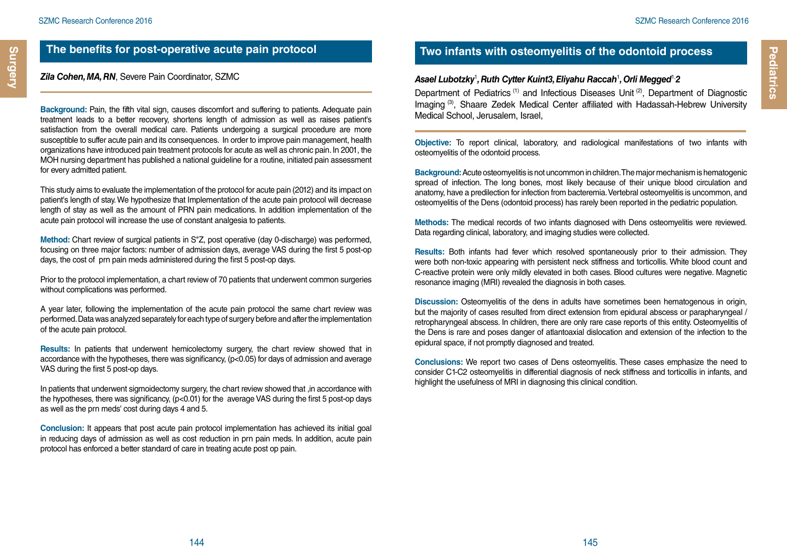**Surgery**

#### *Zila Cohen, MA, RN*, Severe Pain Coordinator, SZMC

**Background:** Pain, the fifth vital sign, causes discomfort and suffering to patients. Adequate pain treatment leads to a better recovery, shortens length of admission as well as raises patient's satisfaction from the overall medical care. Patients undergoing a surgical procedure are more susceptible to suffer acute pain and its consequences. In order to improve pain management, health organizations have introduced pain treatment protocols for acute as well as chronic pain. In 2001, the MOH nursing department has published a national guideline for a routine, initiated pain assessment for every admitted patient.

This study aims to evaluate the implementation of the protocol for acute pain (2012) and its impact on patient's length of stay. We hypothesize that Implementation of the acute pain protocol will decrease length of stay as well as the amount of PRN pain medications. In addition implementation of the acute pain protocol will increase the use of constant analgesia to patients.

**Method:** Chart review of surgical patients in S"Z, post operative (day 0-discharge) was performed, focusing on three major factors: number of admission days, average VAS during the first 5 post-op days, the cost of prn pain meds administered during the first 5 post-op days.

Prior to the protocol implementation, a chart review of 70 patients that underwent common surgeries without complications was performed.

A year later, following the implementation of the acute pain protocol the same chart review was performed. Data was analyzed separately for each type of surgery before and after the implementation of the acute pain protocol.

**Results:** In patients that underwent hemicolectomy surgery, the chart review showed that in accordance with the hypotheses, there was significancy,  $(p<0.05)$  for days of admission and average VAS during the first 5 post-op days.

In patients that underwent sigmoidectomy surgery, the chart review showed that ,in accordance with the hypotheses, there was significancy, (p<0.01) for the average VAS during the first 5 post-op days as well as the prn meds' cost during days 4 and 5.

**Conclusion:** It appears that post acute pain protocol implementation has achieved its initial goal in reducing days of admission as well as cost reduction in prn pain meds. In addition, acute pain protocol has enforced a better standard of care in treating acute post op pain.

## **Two infants with osteomyelitis of the odontoid process**

#### *Asael Lubotzky*<sup>1</sup> *, Ruth Cytter Kuint3, Eliyahu Raccah*<sup>1</sup> *, Orli Megged*1,*2*

Department of Pediatrics<sup>(1)</sup> and Infectious Diseases Unit<sup>(2)</sup>, Department of Diagnostic Imaging (3), Shaare Zedek Medical Center affiliated with Hadassah-Hebrew University Medical School, Jerusalem, Israel,

**Objective:** To report clinical, laboratory, and radiological manifestations of two infants with osteomyelitis of the odontoid process.

**Background:** Acute osteomyelitis is not uncommon in children. The major mechanism is hematogenic spread of infection. The long bones, most likely because of their unique blood circulation and anatomy, have a predilection for infection from bacteremia. Vertebral osteomyelitis is uncommon, and osteomyelitis of the Dens (odontoid process) has rarely been reported in the pediatric population.

**Methods:** The medical records of two infants diagnosed with Dens osteomyelitis were reviewed. Data regarding clinical, laboratory, and imaging studies were collected.

**Results:** Both infants had fever which resolved spontaneously prior to their admission. They were both non-toxic appearing with persistent neck stiffness and torticollis. White blood count and C-reactive protein were only mildly elevated in both cases. Blood cultures were negative. Magnetic resonance imaging (MRI) revealed the diagnosis in both cases.

**Discussion:** Osteomyelitis of the dens in adults have sometimes been hematogenous in origin, but the majority of cases resulted from direct extension from epidural abscess or parapharyngeal / retropharyngeal abscess. In children, there are only rare case reports of this entity. Osteomyelitis of the Dens is rare and poses danger of atlantoaxial dislocation and extension of the infection to the epidural space, if not promptly diagnosed and treated.

**Conclusions:** We report two cases of Dens osteomyelitis. These cases emphasize the need to consider C1-C2 osteomyelitis in differential diagnosis of neck stiffness and torticollis in infants, and highlight the usefulness of MRI in diagnosing this clinical condition.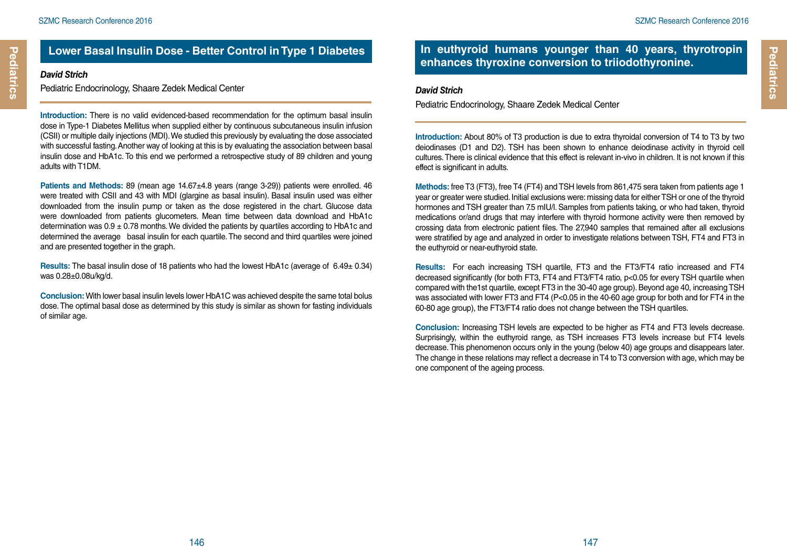## **Lower Basal Insulin Dose - Better Control in Type 1 Diabetes**

#### *David Strich*

Pediatric Endocrinology, Shaare Zedek Medical Center

**Introduction:** There is no valid evidenced-based recommendation for the optimum basal insulin dose in Type-1 Diabetes Mellitus when supplied either by continuous subcutaneous insulin infusion (CSII) or multiple daily injections (MDI). We studied this previously by evaluating the dose associated with successful fasting. Another way of looking at this is by evaluating the association between basal insulin dose and HbA1c. To this end we performed a retrospective study of 89 children and young adults with T1DM.

**Patients and Methods:** 89 (mean age 14.67±4.8 years (range 3-29)) patients were enrolled. 46 were treated with CSII and 43 with MDI (glargine as basal insulin). Basal insulin used was either downloaded from the insulin pump or taken as the dose registered in the chart. Glucose data were downloaded from patients glucometers. Mean time between data download and HbA1c determination was  $0.9 \pm 0.78$  months. We divided the patients by quartiles according to HbA1c and determined the average basal insulin for each quartile. The second and third quartiles were joined and are presented together in the graph.

**Results:** The basal insulin dose of 18 patients who had the lowest HbA1c (average of 6.49± 0.34) was 0.28±0.08u/kg/d.

**Conclusion:** With lower basal insulin levels lower HbA1C was achieved despite the same total bolus dose. The optimal basal dose as determined by this study is similar as shown for fasting individuals of similar age.

#### **In euthyroid humans younger than 40 years, thyrotropin enhances thyroxine conversion to triiodothyronine.**

#### *David Strich*

Pediatric Endocrinology, Shaare Zedek Medical Center

**Introduction:** About 80% of T3 production is due to extra thyroidal conversion of T4 to T3 by two deiodinases (D1 and D2). TSH has been shown to enhance deiodinase activity in thyroid cell cultures. There is clinical evidence that this effect is relevant in-vivo in children. It is not known if this effect is significant in adults.

**Methods:** free T3 (FT3), free T4 (FT4) and TSH levels from 861,475 sera taken from patients age 1 year or greater were studied. Initial exclusions were: missing data for either TSH or one of the thyroid hormones and TSH greater than 7.5 mIU/l. Samples from patients taking, or who had taken, thyroid medications or/and drugs that may interfere with thyroid hormone activity were then removed by crossing data from electronic patient files. The 27,940 samples that remained after all exclusions were stratified by age and analyzed in order to investigate relations between TSH, FT4 and FT3 in the euthyroid or near-euthyroid state.

**Results:** For each increasing TSH quartile, FT3 and the FT3/FT4 ratio increased and FT4 decreased significantly (for both FT3, FT4 and FT3/FT4 ratio, p<0.05 for every TSH quartile when compared with the1st quartile, except FT3 in the 30-40 age group). Beyond age 40, increasing TSH was associated with lower FT3 and FT4 (P<0.05 in the 40-60 age group for both and for FT4 in the 60-80 age group), the FT3/FT4 ratio does not change between the TSH quartiles.

**Conclusion:** Increasing TSH levels are expected to be higher as FT4 and FT3 levels decrease. Surprisingly, within the euthyroid range, as TSH increases FT3 levels increase but FT4 levels decrease. This phenomenon occurs only in the young (below 40) age groups and disappears later. The change in these relations may reflect a decrease in T4 to T3 conversion with age, which may be one component of the ageing process.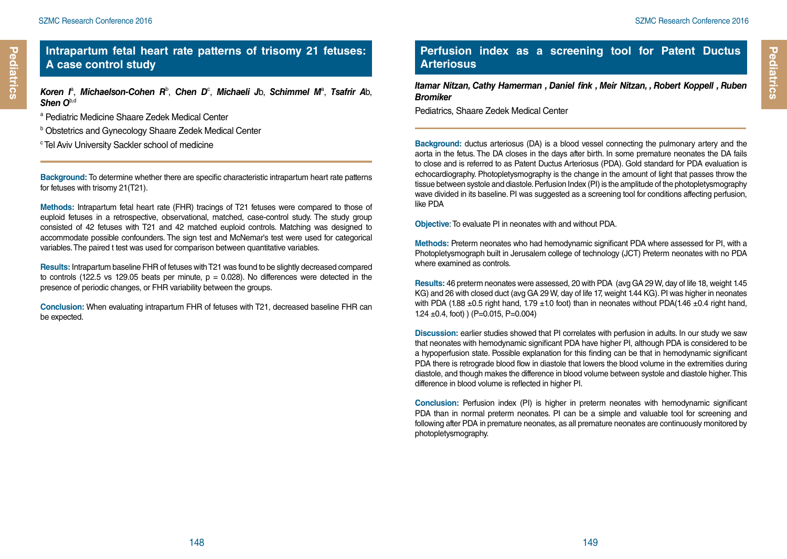#### **Intrapartum fetal heart rate patterns of trisomy 21 fetuses: A case control study**

*Koren I*<sup>a</sup> , *Michaelson-Cohen R*<sup>b</sup> , *Chen D*<sup>c</sup> , *Michaeli J*b, *Schimmel M*<sup>a</sup> , *Tsafrir A*b, *Shen O*b,d

- a Pediatric Medicine Shaare Zedek Medical Center
- b Obstetrics and Gynecology Shaare Zedek Medical Center
- <sup>c</sup> Tel Aviv University Sackler school of medicine

**Background:** To determine whether there are specific characteristic intrapartum heart rate patterns for fetuses with trisomy 21(T21).

**Methods:** Intrapartum fetal heart rate (FHR) tracings of T21 fetuses were compared to those of euploid fetuses in a retrospective, observational, matched, case-control study. The study group consisted of 42 fetuses with T21 and 42 matched euploid controls. Matching was designed to accommodate possible confounders. The sign test and McNemar's test were used for categorical variables. The paired t test was used for comparison between quantitative variables.

**Results:** Intrapartum baseline FHR of fetuses with T21 was found to be slightly decreased compared to controls (122.5 vs 129.05 beats per minute,  $p = 0.028$ ). No differences were detected in the presence of periodic changes, or FHR variability between the groups.

**Conclusion:** When evaluating intrapartum FHR of fetuses with T21, decreased baseline FHR can be expected.

## **Perfusion index as a screening tool for Patent Ductus Arteriosus**

*Itamar Nitzan, Cathy Hamerman , Daniel fink , Meir Nitzan, , Robert Koppell , Ruben Bromiker* 

Pediatrics, Shaare Zedek Medical Center

**Background:** ductus arteriosus (DA) is a blood vessel connecting the pulmonary artery and the aorta in the fetus. The DA closes in the days after birth. In some premature neonates the DA fails to close and is referred to as Patent Ductus Arteriosus (PDA). Gold standard for PDA evaluation is echocardiography. Photopletysmography is the change in the amount of light that passes throw the tissue between systole and diastole. Perfusion Index (PI) is the amplitude of the photopletysmography wave divided in its baseline. PI was suggested as a screening tool for conditions affecting perfusion, like PDA

**Objective**: To evaluate PI in neonates with and without PDA.

**Methods:** Preterm neonates who had hemodynamic significant PDA where assessed for PI, with a Photopletysmograph built in Jerusalem college of technology (JCT) Preterm neonates with no PDA where examined as controls.

**Results:** 46 preterm neonates were assessed, 20 with PDA (avg GA 29 W, day of life 18, weight 1.45 KG) and 26 with closed duct (avg GA 29 W, day of life 17, weight 1.44 KG). PI was higher in neonates with PDA (1.88  $\pm$ 0.5 right hand, 1.79  $\pm$ 1.0 foot) than in neonates without PDA(1.46  $\pm$ 0.4 right hand, 1.24  $\pm$ 0.4, foot) ) (P=0.015, P=0.004)

**Discussion:** earlier studies showed that PI correlates with perfusion in adults. In our study we saw that neonates with hemodynamic significant PDA have higher PI, although PDA is considered to be a hypoperfusion state. Possible explanation for this finding can be that in hemodynamic significant PDA there is retrograde blood flow in diastole that lowers the blood volume in the extremities during diastole, and though makes the difference in blood volume between systole and diastole higher. This difference in blood volume is reflected in higher PI.

**Conclusion:** Perfusion index (PI) is higher in preterm neonates with hemodynamic significant PDA than in normal preterm neonates. PI can be a simple and valuable tool for screening and following after PDA in premature neonates, as all premature neonates are continuously monitored by photopletysmography.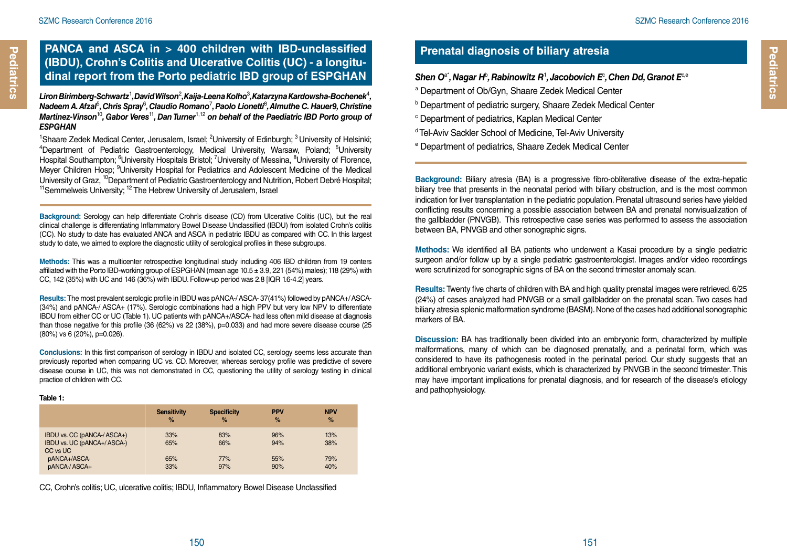## **PANCA and ASCA in > 400 children with IBD-unclassified (IBDU), Crohn's Colitis and Ulcerative Colitis (UC) - a longitudinal report from the Porto pediatric IBD group of ESPGHAN**

*Liron Birimberg-Schwartz*<sup>1</sup> *, David Wilson*<sup>2</sup> *, Kaija-Leena Kolho*<sup>3</sup> *, Katarzyna Kardowsha-Bochenek*<sup>4</sup> *,*   $\bm{\mathsf{N}}$ adeem A. Afzal $^{\mathsf{S}},$  Chris Spray $^{\mathsf{S}},$  Claudio Romano<sup>7</sup>, Paolo Lionetti $^{\mathsf{S}},$  Almuthe C. Hauer9, Christine *Martinez-Vinson*<sup>10</sup>*, Gabor Veres*<sup>11</sup>*, Dan Turner*1,12 *on behalf of the Paediatric IBD Porto group of ESPGHAN*

<sup>1</sup>Shaare Zedek Medical Center, Jerusalem, Israel; <sup>2</sup>University of Edinburgh; <sup>3</sup> University of Helsinki;<br><sup>4</sup>Denartment of Pediatric Gastroenterology, Medical University, Warsaw, Poland: <sup>5</sup>University Department of Pediatric Gastroenterology, Medical University, Warsaw, Poland; <sup>5</sup>University Hospital Southampton; <sup>6</sup>University Hospitals Bristol; <sup>7</sup>University of Messina, <sup>8</sup>University of Florence, Meyer Children Hosp; <sup>9</sup>University Hospital for Pediatrics and Adolescent Medicine of the Medical University of Graz, <sup>10</sup>Department of Pediatric Gastroenterology and Nutrition, Robert Debré Hospital;<br><sup>11</sup>Semmelweis University: <sup>12</sup> The Hebrew University of Jerusalem, Israel

**Background:** Serology can help differentiate Crohn's disease (CD) from Ulcerative Colitis (UC), but the real clinical challenge is differentiating Inflammatory Bowel Disease Unclassified (IBDU) from isolated Crohn's colitis (CC). No study to date has evaluated ANCA and ASCA in pediatric IBDU as compared with CC. In this largest study to date, we aimed to explore the diagnostic utility of serological profiles in these subgroups.

**Methods:** This was a multicenter retrospective longitudinal study including 406 IBD children from 19 centers affiliated with the Porto IBD-working group of ESPGHAN (mean age 10.5 ± 3.9, 221 (54%) males); 118 (29%) with CC, 142 (35%) with UC and 146 (36%) with IBDU. Follow-up period was 2.8 [IQR 1.6-4.2] years.

**Results:** The most prevalent serologic profile in IBDU was pANCA-/ ASCA- 37(41%) followed by pANCA+/ ASCA- (34%) and pANCA-/ ASCA+ (17%). Serologic combinations had a high PPV but very low NPV to differentiate IBDU from either CC or UC (Table 1). UC patients with pANCA+/ASCA- had less often mild disease at diagnosis than those negative for this profile (36 (62%) vs 22 (38%), p=0.033) and had more severe disease course (25 (80%) vs 6 (20%), p=0.026).

**Conclusions:** In this first comparison of serology in IBDU and isolated CC, serology seems less accurate than previously reported when comparing UC vs. CD. Moreover, whereas serology profile was predictive of severe disease course in UC, this was not demonstrated in CC, questioning the utility of serology testing in clinical practice of children with CC.

#### **Table 1:**

|                                                                        | <b>Sensitivity</b> | <b>Specificity</b> | <b>PPV</b> | <b>NPV</b> |
|------------------------------------------------------------------------|--------------------|--------------------|------------|------------|
|                                                                        | $\%$               | $\%$               | $\%$       | %          |
| IBDU vs. CC (pANCA-/ ASCA+)<br>IBDU vs. UC (pANCA+/ ASCA-)<br>CC vs UC | 33%<br>65%         | 83%<br>66%         | 96%<br>94% | 13%<br>38% |
| pANCA+/ASCA-                                                           | 65%                | 77%                | 55%        | 79%        |
| pANCA-/ASCA+                                                           | 33%                | 97%                | 90%        | 40%        |

CC, Crohn's colitis; UC, ulcerative colitis; IBDU, Inflammatory Bowel Disease Unclassified

## **Prenatal diagnosis of biliary atresia**

#### $\mathsf{S}$ hen O<sup>a•</sup>, Nagar H<sup>b</sup>, Rabinowitz R<sup>1</sup>, Jacobovich E<sup>c</sup>, Chen Dd, Granot E<sup>c,e</sup>

- a Department of Ob/Gyn, Shaare Zedek Medical Center
- b Department of pediatric surgery, Shaare Zedek Medical Center
- c Department of pediatrics, Kaplan Medical Center
- d Tel-Aviv Sackler School of Medicine, Tel-Aviv University
- e Department of pediatrics, Shaare Zedek Medical Center

**Background:** Biliary atresia (BA) is a progressive fibro-obliterative disease of the extra-hepatic biliary tree that presents in the neonatal period with biliary obstruction, and is the most common indication for liver transplantation in the pediatric population. Prenatal ultrasound series have yielded conflicting results concerning a possible association between BA and prenatal nonvisualization of the gallbladder (PNVGB). This retrospective case series was performed to assess the association between BA, PNVGB and other sonographic signs.

**Methods:** We identified all BA patients who underwent a Kasai procedure by a single pediatric surgeon and/or follow up by a single pediatric gastroenterologist. Images and/or video recordings were scrutinized for sonographic signs of BA on the second trimester anomaly scan.

**Results:** Twenty five charts of children with BA and high quality prenatal images were retrieved. 6/25 (24%) of cases analyzed had PNVGB or a small gallbladder on the prenatal scan. Two cases had biliary atresia splenic malformation syndrome (BASM). None of the cases had additional sonographic markers of BA.

**Discussion:** BA has traditionally been divided into an embryonic form, characterized by multiple malformations, many of which can be diagnosed prenatally, and a perinatal form, which was considered to have its pathogenesis rooted in the perinatal period. Our study suggests that an additional embryonic variant exists, which is characterized by PNVGB in the second trimester. This may have important implications for prenatal diagnosis, and for research of the disease's etiology and pathophysiology.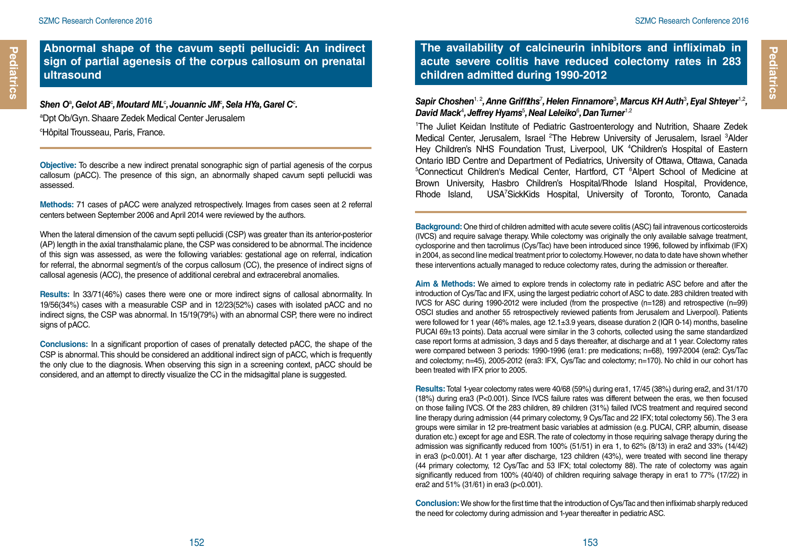#### **Abnormal shape of the cavum septi pellucidi: An indirect sign of partial agenesis of the corpus callosum on prenatal ultrasound**

Shen Oª, Gelot ABº, Moutard MLº, Jouannic JMº, Sela HYa, Garel Cº. a Dpt Ob/Gyn. Shaare Zedek Medical Center Jerusalem c Hôpital Trousseau, Paris, France.

**Objective:** To describe a new indirect prenatal sonographic sign of partial agenesis of the corpus callosum (pACC). The presence of this sign, an abnormally shaped cavum septi pellucidi was assessed.

**Methods:** 71 cases of pACC were analyzed retrospectively. Images from cases seen at 2 referral centers between September 2006 and April 2014 were reviewed by the authors.

When the lateral dimension of the cavum septi pellucidi (CSP) was greater than its anterior-posterior (AP) length in the axial transthalamic plane, the CSP was considered to be abnormal. The incidence of this sign was assessed, as were the following variables: gestational age on referral, indication for referral, the abnormal segment/s of the corpus callosum (CC), the presence of indirect signs of callosal agenesis (ACC), the presence of additional cerebral and extracerebral anomalies.

**Results:** In 33/71(46%) cases there were one or more indirect signs of callosal abnormality. In 19/56(34%) cases with a measurable CSP and in 12/23(52%) cases with isolated pACC and no indirect signs, the CSP was abnormal. In 15/19(79%) with an abnormal CSP, there were no indirect signs of pACC.

**Conclusions:** In a significant proportion of cases of prenatally detected pACC, the shape of the CSP is abnormal. This should be considered an additional indirect sign of pACC, which is frequently the only clue to the diagnosis. When observing this sign in a screening context, pACC should be considered, and an attempt to directly visualize the CC in the midsagittal plane is suggested.

**The availability of calcineurin inhibitors and infliximab in acute severe colitis have reduced colectomy rates in 283 children admitted during 1990-2012**

Sapir Choshen<sup>1, 2</sup>, Anne Griffiths<sup>7</sup>, Helen Finnamore<sup>3</sup>, Marcus KH Auth<sup>3</sup>, Eyal Shteyer<sup>1,2</sup>, *David Mack*<sup>4</sup> *, Jeffrey Hyams*<sup>5</sup> *, Neal Leleiko*<sup>6</sup> *, Dan Turner*1,2

<sup>1</sup>The Juliet Keidan Institute of Pediatric Gastroenterology and Nutrition, Shaare Zedek Medical Center, Jerusalem, Israel <sup>2</sup>The Hebrew University of Jerusalem, Israel <sup>3</sup>Alder Hey Children's NHS Foundation Trust, Liverpool, UK <sup>4</sup>Children's Hospital of Eastern Ontario IBD Centre and Department of Pediatrics, University of Ottawa, Ottawa, Canada <sup>5</sup>Connecticut Children's Medical Center, Hartford, CT <sup>6</sup>Alpert School of Medicine at Brown University, Hasbro Children's Hospital/Rhode Island Hospital, Providence, Rhode Island, USA<sup>7</sup>SickKids Hospital, University of Toronto, Toronto, Canada

**Background:** One third of children admitted with acute severe colitis (ASC) fail intravenous corticosteroids (IVCS) and require salvage therapy. While colectomy was originally the only available salvage treatment, cyclosporine and then tacrolimus (Cys/Tac) have been introduced since 1996, followed by infliximab (IFX) in 2004, as second line medical treatment prior to colectomy. However, no data to date have shown whether these interventions actually managed to reduce colectomy rates, during the admission or thereafter.

**Aim & Methods:** We aimed to explore trends in colectomy rate in pediatric ASC before and after the introduction of Cys/Tac and IFX, using the largest pediatric cohort of ASC to date. 283 children treated with IVCS for ASC during 1990-2012 were included (from the prospective (n=128) and retrospective (n=99) OSCI studies and another 55 retrospectively reviewed patients from Jerusalem and Liverpool). Patients were followed for 1 year (46% males, age 12.1±3.9 years, disease duration 2 (IQR 0-14) months, baseline PUCAI 69±13 points). Data accrual were similar in the 3 cohorts, collected using the same standardized case report forms at admission, 3 days and 5 days thereafter, at discharge and at 1 year. Colectomy rates were compared between 3 periods: 1990-1996 (era1: pre medications; n=68), 1997-2004 (era2: Cys/Tac and colectomy; n=45), 2005-2012 (era3: IFX, Cys/Tac and colectomy; n=170). No child in our cohort has been treated with IFX prior to 2005.

**Results:** Total 1-year colectomy rates were 40/68 (59%) during era1, 17/45 (38%) during era2, and 31/170 (18%) during era3 (P<0.001). Since IVCS failure rates was different between the eras, we then focused on those failing IVCS. Of the 283 children, 89 children (31%) failed IVCS treatment and required second line therapy during admission (44 primary colectomy, 9 Cys/Tac and 22 IFX; total colectomy 56). The 3 era groups were similar in 12 pre-treatment basic variables at admission (e.g. PUCAI, CRP, albumin, disease duration etc.) except for age and ESR. The rate of colectomy in those requiring salvage therapy during the admission was significantly reduced from 100% (51/51) in era 1, to 62% (8/13) in era2 and 33% (14/42) in era3 (p<0.001). At 1 year after discharge, 123 children (43%), were treated with second line therapy (44 primary colectomy, 12 Cys/Tac and 53 IFX; total colectomy 88). The rate of colectomy was again significantly reduced from 100% (40/40) of children requiring salvage therapy in era1 to 77% (17/22) in era2 and 51% (31/61) in era3 (p<0.001).

**Conclusion:** We show for the first time that the introduction of Cys/Tac and then infliximab sharply reduced the need for colectomy during admission and 1-year thereafter in pediatric ASC.

**Pediatrics**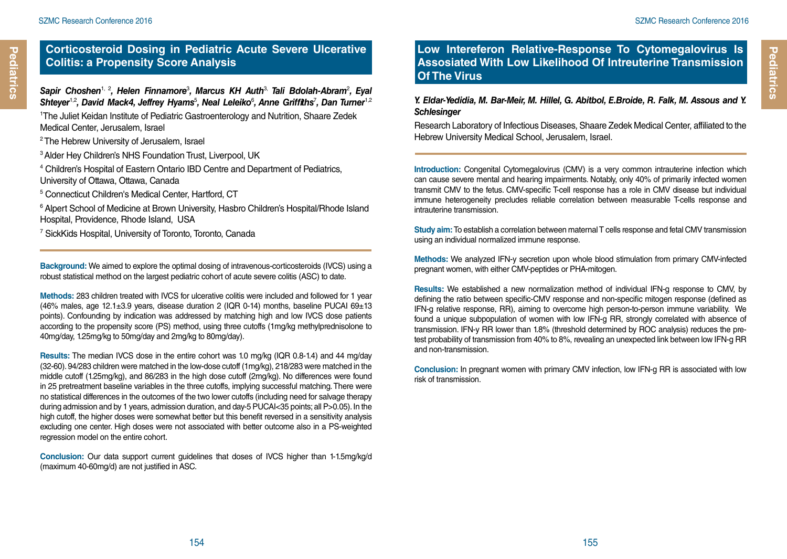#### **Corticosteroid Dosing in Pediatric Acute Severe Ulcerative Colitis: a Propensity Score Analysis**

Sapir Choshen<sup>1, 2</sup>, Helen Finnamore<sup>3</sup>, Marcus KH Auth<sup>3,</sup> Tali Bdolah-Abram<sup>2</sup>, Eyal Shteyer<sup>1,2</sup>, David Mack4, Jeffrey Hyams<sup>5</sup>, Neal Leleiko<sup>6</sup>, Anne Griffiths<sup>7</sup>, Dan Turner<sup>1,2</sup>

<sup>1</sup>The Juliet Keidan Institute of Pediatric Gastroenterology and Nutrition, Shaare Zedek Medical Center, Jerusalem, Israel

- <sup>2</sup> The Hebrew University of Jerusalem, Israel
- <sup>3</sup> Alder Hey Children's NHS Foundation Trust, Liverpool, UK
- <sup>4</sup> Children's Hospital of Eastern Ontario IBD Centre and Department of Pediatrics, University of Ottawa, Ottawa, Canada
- 5 Connecticut Children's Medical Center, Hartford, CT

<sup>6</sup> Alpert School of Medicine at Brown University, Hasbro Children's Hospital/Rhode Island Hospital, Providence, Rhode Island, USA

7 SickKids Hospital, University of Toronto, Toronto, Canada

**Background:** We aimed to explore the optimal dosing of intravenous-corticosteroids (IVCS) using a robust statistical method on the largest pediatric cohort of acute severe colitis (ASC) to date.

**Methods:** 283 children treated with IVCS for ulcerative colitis were included and followed for 1 year (46% males, age 12.1 $\pm$ 3.9 years, disease duration 2 (IQR 0-14) months, baseline PUCAI 69 $\pm$ 13 points). Confounding by indication was addressed by matching high and low IVCS dose patients according to the propensity score (PS) method, using three cutoffs (1mg/kg methylprednisolone to 40mg/day, 1.25mg/kg to 50mg/day and 2mg/kg to 80mg/day).

**Results:** The median IVCS dose in the entire cohort was 1.0 mg/kg (IQR 0.8-1.4) and 44 mg/day (32-60). 94/283 children were matched in the low-dose cutoff (1mg/kg), 218/283 were matched in the middle cutoff (1.25mg/kg), and 86/283 in the high dose cutoff (2mg/kg). No differences were found in 25 pretreatment baseline variables in the three cutoffs, implying successful matching. There were no statistical differences in the outcomes of the two lower cutoffs (including need for salvage therapy during admission and by 1 years, admission duration, and day-5 PUCAI<35 points; all P>0.05). In the high cutoff, the higher doses were somewhat better but this benefit reversed in a sensitivity analysis excluding one center. High doses were not associated with better outcome also in a PS-weighted regression model on the entire cohort.

**Conclusion:** Our data support current guidelines that doses of IVCS higher than 1-1.5mg/kg/d (maximum 40-60mg/d) are not justified in ASC.

## **Low Intereferon Relative-Response To Cytomegalovirus Is Assosiated With Low Likelihood Of Intreuterine Transmission Of The Virus**

#### *Y. Eldar-Yedidia, M. Bar-Meir, M. Hillel, G. Abitbol, E.Broide, R. Falk, M. Assous and Y. Schlesinger*

Research Laboratory of Infectious Diseases, Shaare Zedek Medical Center, affiliated to the Hebrew University Medical School, Jerusalem, Israel.

**Introduction:** Congenital Cytomegalovirus (CMV) is a very common intrauterine infection which can cause severe mental and hearing impairments. Notably, only 40% of primarily infected women transmit CMV to the fetus. CMV-specific T-cell response has a role in CMV disease but individual immune heterogeneity precludes reliable correlation between measurable T-cells response and intrauterine transmission.

**Study aim:** To establish a correlation between maternal T cells response and fetal CMV transmission using an individual normalized immune response.

**Methods:** We analyzed IFN-y secretion upon whole blood stimulation from primary CMV-infected pregnant women, with either CMV-peptides or PHA-mitogen.

**Results:** We established a new normalization method of individual IFN-g response to CMV, by defining the ratio between specific-CMV response and non-specific mitogen response (defined as IFN-g relative response, RR), aiming to overcome high person-to-person immune variability. We found a unique subpopulation of women with low IFN-g RR, strongly correlated with absence of transmission. IFN-y RR lower than 1.8% (threshold determined by ROC analysis) reduces the pretest probability of transmission from 40% to 8%, revealing an unexpected link between low IFN-g RR and non-transmission.

**Conclusion:** In pregnant women with primary CMV infection, low IFN-g RR is associated with low risk of transmission.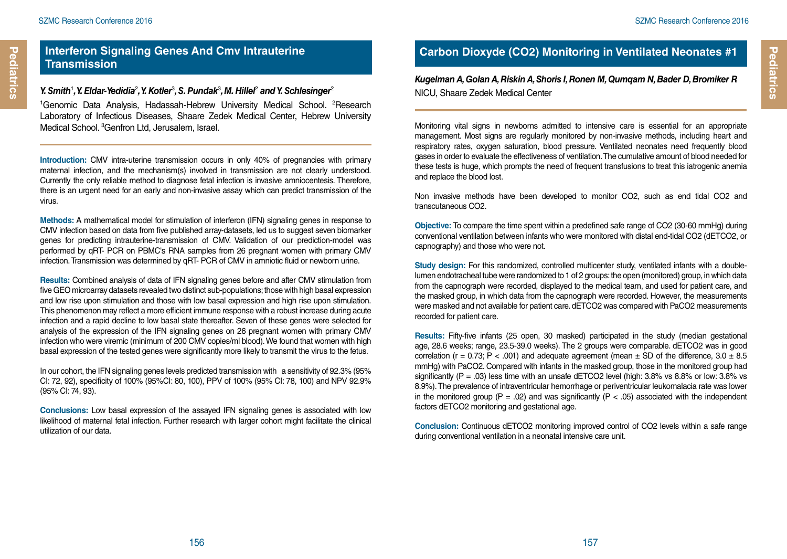#### **Interferon Signaling Genes And Cmv Intrauterine Transmission**

#### Y. Smith<sup>1</sup>, Y. Eldar-Yedidia<sup>2</sup>, Y. Kotler<sup>3</sup>, S. Pundak<sup>3</sup>, M. Hillel<sup>2</sup> and Y. Schlesinger<sup>2</sup>

<sup>1</sup>Genomic Data Analysis, Hadassah-Hebrew University Medical School. <sup>2</sup>Research Laboratory of Infectious Diseases, Shaare Zedek Medical Center, Hebrew University Medical School. <sup>3</sup>Genfron Ltd, Jerusalem, Israel.

**Introduction:** CMV intra-uterine transmission occurs in only 40% of pregnancies with primary maternal infection, and the mechanism(s) involved in transmission are not clearly understood. Currently the only reliable method to diagnose fetal infection is invasive amniocentesis. Therefore, there is an urgent need for an early and non-invasive assay which can predict transmission of the virus.

**Methods:** A mathematical model for stimulation of interferon (IFN) signaling genes in response to CMV infection based on data from five published array-datasets, led us to suggest seven biomarker genes for predicting intrauterine-transmission of CMV. Validation of our prediction-model was performed by qRT- PCR on PBMC's RNA samples from 26 pregnant women with primary CMV infection. Transmission was determined by qRT- PCR of CMV in amniotic fluid or newborn urine.

**Results:** Combined analysis of data of IFN signaling genes before and after CMV stimulation from five GEO microarray datasets revealed two distinct sub-populations; those with high basal expression and low rise upon stimulation and those with low basal expression and high rise upon stimulation. This phenomenon may reflect a more efficient immune response with a robust increase during acute infection and a rapid decline to low basal state thereafter. Seven of these genes were selected for analysis of the expression of the IFN signaling genes on 26 pregnant women with primary CMV infection who were viremic (minimum of 200 CMV copies/ml blood). We found that women with high basal expression of the tested genes were significantly more likely to transmit the virus to the fetus.

In our cohort, the IFN signaling genes levels predicted transmission with a sensitivity of 92.3% (95% CI: 72, 92), specificity of 100% (95%CI: 80, 100), PPV of 100% (95% CI: 78, 100) and NPV 92.9% (95% CI: 74, 93).

**Conclusions:** Low basal expression of the assayed IFN signaling genes is associated with low likelihood of maternal fetal infection. Further research with larger cohort might facilitate the clinical utilization of our data.

## **Carbon Dioxyde (CO2) Monitoring in Ventilated Neonates #1**

*Kugelman A, Golan A, Riskin A, Shoris I, Ronen M, Qumqam N, Bader D, Bromiker R* NICU, Shaare Zedek Medical Center

Monitoring vital signs in newborns admitted to intensive care is essential for an appropriate management. Most signs are regularly monitored by non-invasive methods, including heart and respiratory rates, oxygen saturation, blood pressure. Ventilated neonates need frequently blood gases in order to evaluate the effectiveness of ventilation. The cumulative amount of blood needed for these tests is huge, which prompts the need of frequent transfusions to treat this iatrogenic anemia and replace the blood lost.

Non invasive methods have been developed to monitor CO2, such as end tidal CO2 and transcutaneous CO2.

**Objective:** To compare the time spent within a predefined safe range of CO2 (30-60 mmHg) during conventional ventilation between infants who were monitored with distal end-tidal CO2 (dETCO2, or capnography) and those who were not.

**Study design:** For this randomized, controlled multicenter study, ventilated infants with a doublelumen endotracheal tube were randomized to 1 of 2 groups: the open (monitored) group, in which data from the capnograph were recorded, displayed to the medical team, and used for patient care, and the masked group, in which data from the capnograph were recorded. However, the measurements were masked and not available for patient care. dETCO2 was compared with PaCO2 measurements recorded for patient care.

**Results:** Fifty-five infants (25 open, 30 masked) participated in the study (median gestational age, 28.6 weeks; range, 23.5-39.0 weeks). The 2 groups were comparable. dETCO2 was in good correlation (r = 0.73; P < .001) and adequate agreement (mean  $\pm$  SD of the difference, 3.0  $\pm$  8.5 mmHg) with PaCO2. Compared with infants in the masked group, those in the monitored group had significantly (P = .03) less time with an unsafe dETCO2 level (high:  $3.8\%$  vs  $8.8\%$  or low:  $3.8\%$  vs 8.9%). The prevalence of intraventricular hemorrhage or periventricular leukomalacia rate was lower in the monitored group (P = .02) and was significantly (P < .05) associated with the independent factors dETCO2 monitoring and gestational age.

**Conclusion:** Continuous dETCO2 monitoring improved control of CO2 levels within a safe range during conventional ventilation in a neonatal intensive care unit.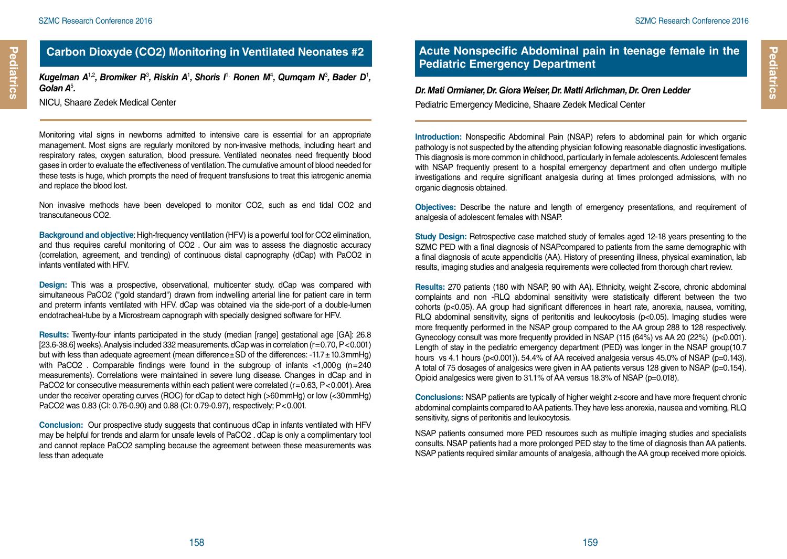**Pediatrics**

Pediatrics

## **Carbon Dioxyde (CO2) Monitoring in Ventilated Neonates #2**

Kugelman A<sup>1,2</sup>, Bromiker R<sup>3</sup>, Riskin A<sup>1</sup>, Shoris I<sup>1,</sup> Ronen M<sup>4</sup>, Qumqam N<sup>3</sup>, Bader D<sup>1</sup>, *Golan A*<sup>5</sup> *.* 

NICU, Shaare Zedek Medical Center

Monitoring vital signs in newborns admitted to intensive care is essential for an appropriate management. Most signs are regularly monitored by non-invasive methods, including heart and respiratory rates, oxygen saturation, blood pressure. Ventilated neonates need frequently blood gases in order to evaluate the effectiveness of ventilation. The cumulative amount of blood needed for these tests is huge, which prompts the need of frequent transfusions to treat this iatrogenic anemia and replace the blood lost.

Non invasive methods have been developed to monitor CO2, such as end tidal CO2 and transcutaneous CO2.

**Background and objective**: High-frequency ventilation (HFV) is a powerful tool for CO2 elimination, and thus requires careful monitoring of CO2 . Our aim was to assess the diagnostic accuracy (correlation, agreement, and trending) of continuous distal capnography (dCap) with PaCO2 in infants ventilated with HFV.

**Design:** This was a prospective, observational, multicenter study. dCap was compared with simultaneous PaCO2 ("gold standard") drawn from indwelling arterial line for patient care in term and preterm infants ventilated with HFV. dCap was obtained via the side-port of a double-lumen endotracheal-tube by a Microstream capnograph with specially designed software for HFV.

**Results:** Twenty-four infants participated in the study (median [range] gestational age [GA]: 26.8 [23.6-38.6] weeks). Analysis included 332 measurements. dCap was in correlation (r=0.70, P<0.001) but with less than adequate agreement (mean difference $\pm$ SD of the differences: -11.7 $\pm$ 10.3mmHg) with PaCO2 . Comparable findings were found in the subgroup of infants <1,000g (n=240 measurements). Correlations were maintained in severe lung disease. Changes in dCap and in PaCO2 for consecutive measurements within each patient were correlated (r=0.63, P<0.001). Area under the receiver operating curves (ROC) for dCap to detect high (>60mmHg) or low (<30mmHg) PaCO2 was 0.83 (CI: 0.76-0.90) and 0.88 (CI: 0.79-0.97), respectively; P<0.001.

**Conclusion:** Our prospective study suggests that continuous dCap in infants ventilated with HFV may be helpful for trends and alarm for unsafe levels of PaCO2 . dCap is only a complimentary tool and cannot replace PaCO2 sampling because the agreement between these measurements was less than adequate

## **Acute Nonspecific Abdominal pain in teenage female in the Pediatric Emergency Department**

#### *Dr. Mati Ormianer, Dr. Giora Weiser, Dr. Matti Arlichman, Dr. Oren Ledder* Pediatric Emergency Medicine, Shaare Zedek Medical Center

**Introduction:** Nonspecific Abdominal Pain (NSAP) refers to abdominal pain for which organic pathology is not suspected by the attending physician following reasonable diagnostic investigations. This diagnosis is more common in childhood, particularly in female adolescents. Adolescent females with NSAP frequently present to a hospital emergency department and often undergo multiple investigations and require significant analgesia during at times prolonged admissions, with no organic diagnosis obtained.

**Objectives:** Describe the nature and length of emergency presentations, and requirement of analgesia of adolescent females with NSAP.

**Study Design:** Retrospective case matched study of females aged 12-18 years presenting to the SZMC PED with a final diagnosis of NSAPcompared to patients from the same demographic with a final diagnosis of acute appendicitis (AA). History of presenting illness, physical examination, lab results, imaging studies and analgesia requirements were collected from thorough chart review.

**Results:** 270 patients (180 with NSAP, 90 with AA). Ethnicity, weight Z-score, chronic abdominal complaints and non -RLQ abdominal sensitivity were statistically different between the two cohorts (p<0.05). AA group had significant differences in heart rate, anorexia, nausea, vomiting, RLQ abdominal sensitivity, signs of peritonitis and leukocytosis (p<0.05). Imaging studies were more frequently performed in the NSAP group compared to the AA group 288 to 128 respectively. Gynecology consult was more frequently provided in NSAP (115 (64%) vs AA 20 (22%) (p<0.001). Length of stay in the pediatric emergency department (PED) was longer in the NSAP group(10.7 hours vs 4.1 hours (p<0.001)). 54.4% of AA received analgesia versus 45.0% of NSAP (p=0.143). A total of 75 dosages of analgesics were given in AA patients versus 128 given to NSAP (p=0.154). Opioid analgesics were given to 31.1% of AA versus 18.3% of NSAP (p=0.018).

**Conclusions:** NSAP patients are typically of higher weight z-score and have more frequent chronic abdominal complaints compared to AA patients. They have less anorexia, nausea and vomiting, RLQ sensitivity, signs of peritonitis and leukocytosis.

NSAP patients consumed more PED resources such as multiple imaging studies and specialists consults. NSAP patients had a more prolonged PED stay to the time of diagnosis than AA patients. NSAP patients required similar amounts of analgesia, although the AA group received more opioids.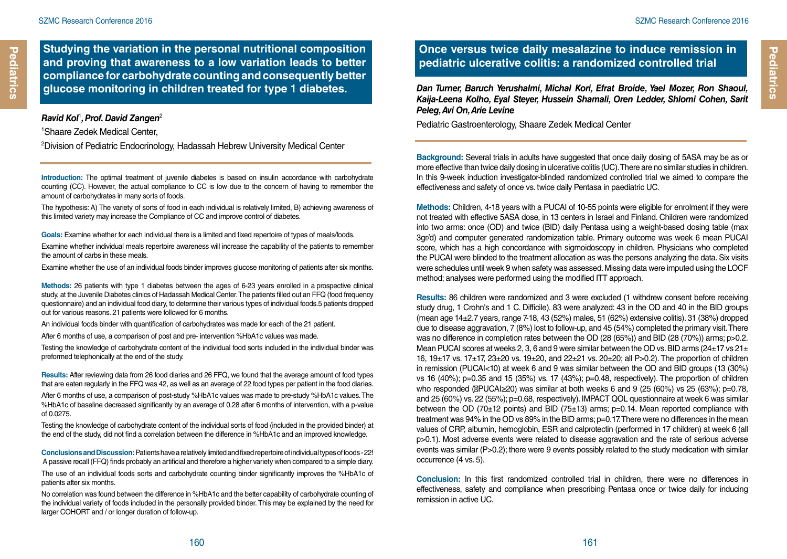**Pediatrics**

Pediatrics

**Studying the variation in the personal nutritional composition and proving that awareness to a low variation leads to better compliance for carbohydrate counting and consequently better glucose monitoring in children treated for type 1 diabetes.**

#### *Ravid Kol*<sup>1</sup> *, Prof. David Zangen*<sup>2</sup>

1 Shaare Zedek Medical Center,

2 Division of Pediatric Endocrinology, Hadassah Hebrew University Medical Center

**Introduction:** The optimal treatment of juvenile diabetes is based on insulin accordance with carbohydrate counting (CC). However, the actual compliance to CC is low due to the concern of having to remember the amount of carbohydrates in many sorts of foods.

The hypothesis: A) The variety of sorts of food in each individual is relatively limited, B) achieving awareness of this limited variety may increase the Compliance of CC and improve control of diabetes.

**Goals:** Examine whether for each individual there is a limited and fixed repertoire of types of meals/foods.

Examine whether individual meals repertoire awareness will increase the capability of the patients to remember the amount of carbs in these meals.

Examine whether the use of an individual foods binder improves glucose monitoring of patients after six months.

**Methods:** 26 patients with type 1 diabetes between the ages of 6-23 years enrolled in a prospective clinical study, at the Juvenile Diabetes clinics of Hadassah Medical Center. The patients filled out an FFQ (food frequency questionnaire) and an individual food diary, to determine their various types of individual foods.5 patients dropped out for various reasons. 21 patients were followed for 6 months.

An individual foods binder with quantification of carbohydrates was made for each of the 21 patient.

After 6 months of use, a comparison of post and pre- intervention %HbA1c values was made.

Testing the knowledge of carbohydrate content of the individual food sorts included in the individual binder was preformed telephonically at the end of the study.

**Results:** After reviewing data from 26 food diaries and 26 FFQ, we found that the average amount of food types that are eaten regularly in the FFQ was 42, as well as an average of 22 food types per patient in the food diaries. After 6 months of use, a comparison of post-study %HbA1c values was made to pre-study %HbA1c values. The %HbA1c of baseline decreased significantly by an average of 0.28 after 6 months of intervention, with a p-value of 0.0275.

Testing the knowledge of carbohydrate content of the individual sorts of food (included in the provided binder) at the end of the study, did not find a correlation between the difference in %HbA1c and an improved knowledge.

**Conclusions and Discussion:** Patients have a relatively limited and fixed repertoire of individual types of foods - 22! A passive recall (FFQ) finds probably an artificial and therefore a higher variety when compared to a simple diary.

The use of an individual foods sorts and carbohydrate counting binder significantly improves the %HbA1c of patients after six months.

No correlation was found between the difference in %HbA1c and the better capability of carbohydrate counting of the individual variety of foods included in the personally provided binder. This may be explained by the need for larger COHORT and / or longer duration of follow-up.

### **Once versus twice daily mesalazine to induce remission in pediatric ulcerative colitis: a randomized controlled trial**

*Dan Turner, Baruch Yerushalmi, Michal Kori, Efrat Broide, Yael Mozer, Ron Shaoul, Kaija-Leena Kolho, Eyal Steyer, Hussein Shamali, Oren Ledder, Shlomi Cohen, Sarit Peleg, Avi On, Arie Levine* 

Pediatric Gastroenterology, Shaare Zedek Medical Center

**Background:** Several trials in adults have suggested that once daily dosing of 5ASA may be as or more effective than twice daily dosing in ulcerative colitis (UC). There are no similar studies in children. In this 9-week induction investigator-blinded randomized controlled trial we aimed to compare the effectiveness and safety of once vs. twice daily Pentasa in paediatric UC.

**Methods:** Children, 4-18 years with a PUCAI of 10-55 points were eligible for enrolment if they were not treated with effective 5ASA dose, in 13 centers in Israel and Finland. Children were randomized into two arms: once (OD) and twice (BID) daily Pentasa using a weight-based dosing table (max 3gr/d) and computer generated randomization table. Primary outcome was week 6 mean PUCAI score, which has a high concordance with sigmoidoscopy in children. Physicians who completed the PUCAI were blinded to the treatment allocation as was the persons analyzing the data. Six visits were schedules until week 9 when safety was assessed. Missing data were imputed using the LOCF method; analyses were performed using the modified ITT approach.

**Results:** 86 children were randomized and 3 were excluded (1 withdrew consent before receiving study drug, 1 Crohn's and 1 C. Difficile). 83 were analyzed: 43 in the OD and 40 in the BID groups (mean age 14±2.7 years, range 7-18, 43 (52%) males, 51 (62%) extensive colitis). 31 (38%) dropped due to disease aggravation, 7 (8%) lost to follow-up, and 45 (54%) completed the primary visit. There was no difference in completion rates between the OD (28 (65%)) and BID (28 (70%)) arms; p>0.2. Mean PUCAI scores at weeks 2, 3, 6 and 9 were similar between the OD vs. BID arms (24 $\pm$ 17 vs 21 $\pm$ 16, 19±17 vs. 17±17, 23±20 vs. 19±20, and 22±21 vs. 20±20; all P>0.2). The proportion of children in remission (PUCAI<10) at week 6 and 9 was similar between the OD and BID groups (13 (30%) vs 16 (40%); p=0.35 and 15 (35%) vs. 17 (43%); p=0.48, respectively). The proportion of children who responded ( PUCAI≥20) was similar at both weeks 6 and 9 (25 (60%) vs 25 (63%); p=0.78. and 25 (60%) vs. 22 (55%); p=0.68, respectively). IMPACT QOL questionnaire at week 6 was similar between the OD (70 $\pm$ 12 points) and BID (75 $\pm$ 13) arms; p=0.14. Mean reported compliance with treatment was 94% in the OD vs 89% in the BID arms; p=0.17. There were no differences in the mean values of CRP, albumin, hemoglobin, ESR and calprotectin (performed in 17 children) at week 6 (all p>0.1). Most adverse events were related to disease aggravation and the rate of serious adverse events was similar (P>0.2); there were 9 events possibly related to the study medication with similar occurrence (4 vs. 5).

**Conclusion:** In this first randomized controlled trial in children, there were no differences in effectiveness, safety and compliance when prescribing Pentasa once or twice daily for inducing remission in active UC.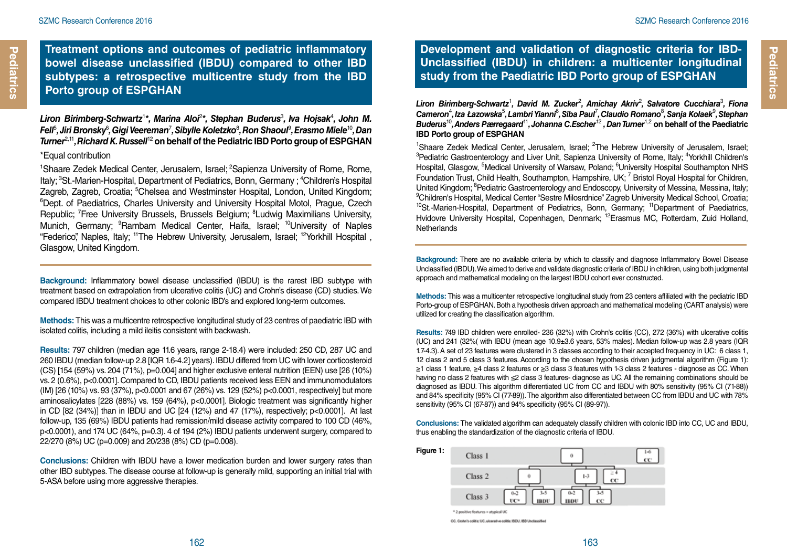## **Treatment options and outcomes of pediatric inflammatory bowel disease unclassified (IBDU) compared to other IBD subtypes: a retrospective multicentre study from the IBD Porto group of ESPGHAN**

Liron Birimberg-Schwartz<sup>1\*</sup>, Marina Aloi<sup>2\*</sup>, Stephan Buderus<sup>3</sup>, Iva Hojsak<sup>4</sup>, John M.  $F$ ell $^5$ , Jiri Bronsky $^6$ , Gigi Veereman<sup>7</sup>, Sibylle Koletzko $^8$ , Ron Shaoul $^9$ , Erasmo Miele $^{10}$ , Dan  $^8$ *Turner*2,11*, Richard K. Russell*<sup>12</sup> **on behalf of the Pediatric IBD Porto group of ESPGHAN** \*Equal contribution

<sup>1</sup>Shaare Zedek Medical Center, Jerusalem, Israel; <sup>2</sup>Sapienza University of Rome, Rome, Italy; <sup>3</sup>St.-Marien-Hospital, Department of Pediatrics, Bonn, Germany ; <sup>4</sup>Children's Hospital Zagreb, Zagreb, Croatia; <sup>5</sup>Chelsea and Westminster Hospital, London, United Kingdom; Zagreb, Zagreb, Croatia; °Chelsea and Westminster Hospital, London, United Kingdom;<br>°Dept. of Paediatrics, Charles University and University Hospital Motol, Prague, Czech Republic; <sup>7</sup> Free University Brussels, Brussels Belgium; <sup>8</sup> Ludwig Maximilians University, Munich, Germany; <sup>9</sup>Rambam Medical Center, Haifa, Israel; <sup>10</sup>University of Naples "Federico", Naples, Italy; 11The Hebrew University, Jerusalem, Israel; 12Yorkhill Hospital , Glasgow, United Kingdom.

**Background:** Inflammatory bowel disease unclassified (IBDU) is the rarest IBD subtype with treatment based on extrapolation from ulcerative colitis (UC) and Crohn's disease (CD) studies. We compared IBDU treatment choices to other colonic IBD's and explored long-term outcomes.

**Methods:** This was a multicentre retrospective longitudinal study of 23 centres of paediatric IBD with isolated colitis, including a mild ileitis consistent with backwash.

**Results:** 797 children (median age 11.6 years, range 2-18.4) were included: 250 CD, 287 UC and 260 IBDU (median follow-up 2.8 [IQR 1.6-4.2] years). IBDU differed from UC with lower corticosteroid (CS) [154 (59%) vs. 204 (71%), p=0.004] and higher exclusive enteral nutrition (EEN) use [26 (10%) vs. 2 (0.6%), p<0.0001]. Compared to CD, IBDU patients received less EEN and immunomodulators (IM) [26 (10%) vs. 93 (37%), p<0.0001 and 67 (26%) vs. 129 (52%) p<0.0001, respectively] but more aminosalicylates [228 (88%) vs. 159 (64%), p<0.0001]. Biologic treatment was significantly higher in CD  $[82 (34%)]$  than in IBDU and UC  $[24 (12%)$  and  $47 (17%)$ , respectively; p<0.0001]. At last follow-up, 135 (69%) IBDU patients had remission/mild disease activity compared to 100 CD (46%, p<0.0001), and 174 UC (64%, p=0.3). 4 of 194 (2%) IBDU patients underwent surgery, compared to 22/270 (8%) UC (p=0.009) and 20/238 (8%) CD (p=0.008).

**Conclusions:** Children with IBDU have a lower medication burden and lower surgery rates than other IBD subtypes. The disease course at follow-up is generally mild, supporting an initial trial with 5-ASA before using more aggressive therapies.

**Development and validation of diagnostic criteria for IBD-Unclassified (IBDU) in children: a multicenter longitudinal study from the Paediatric IBD Porto group of ESPGHAN**

Liron Birimberg-Schwartz<sup>1</sup>, David M. Zucker<sup>2</sup>, Amichay Akriv<sup>2</sup>, Salvatore Cucchiara<sup>3</sup>, Fiona  $\bm{\mathsf{C}}$ ameron<sup>4</sup>, Iza Łazowska $^5$ , Lambri Yianni $^6$ , Siba Paul<sup>7</sup>, Claudio Romano $^8$ , Sanja Kolaek $^9$ , Stephan *Buderus*<sup>10</sup>*, Anders Pærregaard*<sup>11</sup>*, Johanna C.Escher*<sup>12</sup> *, Dan Turner*1,2 **on behalf of the Paediatric IBD Porto group of ESPGHAN**

<sup>1</sup>Shaare Zedek Medical Center, Jerusalem, Israel; <sup>2</sup>The Hebrew University of Jerusalem, Israel;<br><sup>3</sup>Pedistric Gestroenterplogy and Liver Unit, Sanjenza University of Borne, Italy: <sup>4</sup>Yorkbill Children's Pediatric Gastroenterology and Liver Unit, Sapienza University of Rome, Italy; <sup>4</sup>Yorkhill Children's Hospital, Glasgow, <sup>5</sup>Medical University of Warsaw, Poland; <sup>6</sup>University Hospital Southampton NHS Foundation Trust, Child Health, Southampton, Hampshire, UK; <sup>7</sup> Bristol Royal Hospital for Children, United Kingdom; <sup>8</sup>Pediatric Gastroenterology and Endoscopy, University of Messina, Messina, Italy;<br><sup>9</sup>Children's Hospital, Medical Center "Sestre Milosrdnice" Zagreb University Medical School, Croatia: <sup>9</sup>Children's Hospital, Medical Center "Sestre Milosrdnice" Zagreb University Medical School, Croatia; <sup>10</sup>St.-Marien-Hospital, Department of Pediatrics, Bonn, Germany; <sup>11</sup>Department of Paediatrics, Hvidovre University Hospital, Copenhagen, Denmark; <sup>12</sup>Erasmus MC, Rotterdam, Zuid Holland, **Netherlands** 

**Background:** There are no available criteria by which to classify and diagnose Inflammatory Bowel Disease Unclassified (IBDU). We aimed to derive and validate diagnostic criteria of IBDU in children, using both judgmental approach and mathematical modeling on the largest IBDU cohort ever constructed.

**Methods:** This was a multicenter retrospective longitudinal study from 23 centers affiliated with the pediatric IBD Porto-group of ESPGHAN. Both a hypothesis driven approach and mathematical modeling (CART analysis) were utilized for creating the classification algorithm.

**Results:** 749 IBD children were enrolled- 236 (32%) with Crohn's colitis (CC), 272 (36%) with ulcerative colitis (UC) and 241 (32%( with IBDU (mean age 10.9±3.6 years, 53% males). Median follow-up was 2.8 years (IQR 1.7-4.3). A set of 23 features were clustered in 3 classes according to their accepted frequency in UC: 6 class 1, 12 class 2 and 5 class 3 features. According to the chosen hypothesis driven judgmental algorithm (Figure 1): ≥1 class 1 feature, ≥4 class 2 features or ≥3 class 3 features with 1-3 class 2 features - diagnose as CC. When having no class 2 features with ≤2 class 3 features- diagnose as UC. All the remaining combinations should be diagnosed as IBDU. This algorithm differentiated UC from CC and IBDU with 80% sensitivity (95% CI (71-88)) and 84% specificity (95% CI (77-89)). The algorithm also differentiated between CC from IBDU and UC with 78% sensitivity (95% CI (67-87)) and 94% specificity (95% CI (89-97)).

**Conclusions:** The validated algorithm can adequately classify children with colonic IBD into CC, UC and IBDU, thus enabling the standardization of the diagnostic criteria of IBDU.



CC: Cashe's colitie UC: strangly a colitie IRDU, IRD Unclassified

**Pediatrics**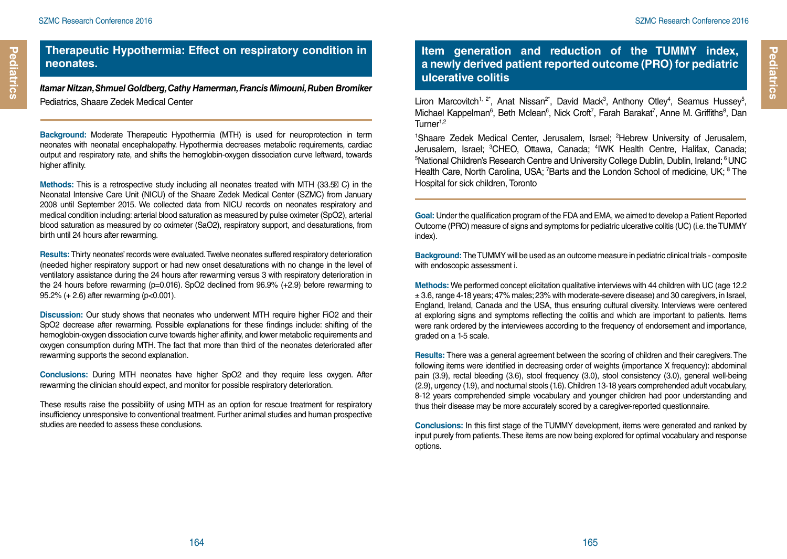#### **Therapeutic Hypothermia: Effect on respiratory condition in neonates.**

*Itamar Nitzan, Shmuel Goldberg, Cathy Hamerman, Francis Mimouni, Ruben Bromiker* Pediatrics, Shaare Zedek Medical Center

**Background:** Moderate Therapeutic Hypothermia (MTH) is used for neuroprotection in term neonates with neonatal encephalopathy. Hypothermia decreases metabolic requirements, cardiac output and respiratory rate, and shifts the hemoglobin-oxygen dissociation curve leftward, towards higher affinity.

**Methods:** This is a retrospective study including all neonates treated with MTH (33.5 C) in the Neonatal Intensive Care Unit (NICU) of the Shaare Zedek Medical Center (SZMC) from January 2008 until September 2015. We collected data from NICU records on neonates respiratory and medical condition including: arterial blood saturation as measured by pulse oximeter (SpO2), arterial blood saturation as measured by co oximeter (SaO2), respiratory support, and desaturations, from birth until 24 hours after rewarming.

**Results:** Thirty neonates' records were evaluated. Twelve neonates suffered respiratory deterioration (needed higher respiratory support or had new onset desaturations with no change in the level of ventilatory assistance during the 24 hours after rewarming versus 3 with respiratory deterioration in the 24 hours before rewarming  $(p=0.016)$ . SpO2 declined from 96.9%  $(+2.9)$  before rewarming to 95.2% (+ 2.6) after rewarming (p<0.001).

**Discussion:** Our study shows that neonates who underwent MTH require higher FiO2 and their SpO2 decrease after rewarming. Possible explanations for these findings include: shifting of the hemoglobin-oxygen dissociation curve towards higher affinity, and lower metabolic requirements and oxygen consumption during MTH. The fact that more than third of the neonates deteriorated after rewarming supports the second explanation.

**Conclusions:** During MTH neonates have higher SpO2 and they require less oxygen. After rewarming the clinician should expect, and monitor for possible respiratory deterioration.

These results raise the possibility of using MTH as an option for rescue treatment for respiratory insufficiency unresponsive to conventional treatment. Further animal studies and human prospective studies are needed to assess these conclusions.

## **Item generation and reduction of the TUMMY index, a newly derived patient reported outcome (PRO) for pediatric ulcerative colitis**

Liron Marcovitch<sup>1, 2\*</sup>, Anat Nissan<sup>2\*</sup>, David Mack<sup>3</sup>, Anthony Otley<sup>4</sup>, Seamus Hussey<sup>5</sup>, Michael Kappelman<sup>6</sup>, Beth Mclean<sup>6</sup>, Nick Croft<sup>7</sup>, Farah Barakat<sup>7</sup>, Anne M. Griffiths<sup>8</sup>, Dan Turner<sup>1,2</sup>

<sup>1</sup>Shaare Zedek Medical Center, Jerusalem, Israel; <sup>2</sup>Hebrew University of Jerusalem, Jerusalem, Israel; <sup>3</sup>CHEO, Ottawa, Canada; <sup>4</sup>IWK Health Centre, Halifax, Canada;<br><sup>5</sup>National Children's Besearch Centre and University College Dublin Dublin Ireland<sup>, 6</sup>UNC. <sup>5</sup>National Children's Research Centre and University College Dublin, Dublin, Ireland; <sup>6</sup> UNC Health Care, North Carolina, USA; <sup>7</sup>Barts and the London School of medicine, UK; <sup>8</sup> The Hospital for sick children, Toronto

**Goal:** Under the qualification program of the FDA and EMA, we aimed to develop a Patient Reported Outcome (PRO) measure of signs and symptoms for pediatric ulcerative colitis (UC) (i.e. the TUMMY index).

**Background:** The TUMMY will be used as an outcome measure in pediatric clinical trials - composite with endoscopic assessment i.

**Methods:** We performed concept elicitation qualitative interviews with 44 children with UC (age 12.2 ± 3.6, range 4-18 years; 47% males; 23% with moderate-severe disease) and 30 caregivers, in Israel, England, Ireland, Canada and the USA, thus ensuring cultural diversity. Interviews were centered at exploring signs and symptoms reflecting the colitis and which are important to patients. Items were rank ordered by the interviewees according to the frequency of endorsement and importance, graded on a 1-5 scale.

**Results:** There was a general agreement between the scoring of children and their caregivers. The following items were identified in decreasing order of weights (importance X frequency): abdominal pain (3.9), rectal bleeding (3.6), stool frequency (3.0), stool consistency (3.0), general well-being (2.9), urgency (1.9), and nocturnal stools (1.6). Children 13-18 years comprehended adult vocabulary, 8-12 years comprehended simple vocabulary and younger children had poor understanding and thus their disease may be more accurately scored by a caregiver-reported questionnaire.

**Conclusions:** In this first stage of the TUMMY development, items were generated and ranked by input purely from patients. These items are now being explored for optimal vocabulary and response options.

**Pediatrics**

Pediatrics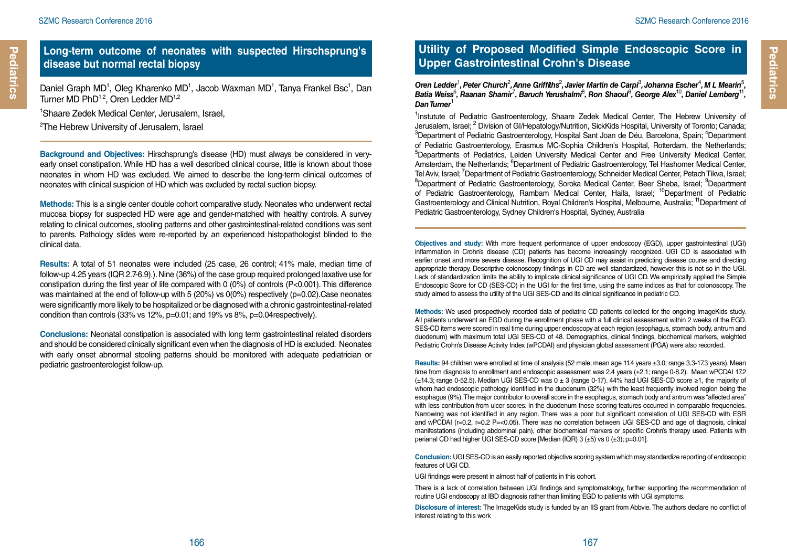### **Long-term outcome of neonates with suspected Hirschsprung's disease but normal rectal biopsy**

Daniel Graph MD<sup>1</sup>, Oleg Kharenko MD<sup>1</sup>, Jacob Waxman MD<sup>1</sup>, Tanya Frankel Bsc<sup>1</sup>, Dan Turner MD PhD<sup>1,2</sup>, Oren Ledder MD<sup>1,2</sup>

1 Shaare Zedek Medical Center, Jerusalem, Israel,

2 The Hebrew University of Jerusalem, Israel

**Background and Objectives:** Hirschsprung's disease (HD) must always be considered in veryearly onset constipation. While HD has a well described clinical course, little is known about those neonates in whom HD was excluded. We aimed to describe the long-term clinical outcomes of neonates with clinical suspicion of HD which was excluded by rectal suction biopsy.

**Methods:** This is a single center double cohort comparative study. Neonates who underwent rectal mucosa biopsy for suspected HD were age and gender-matched with healthy controls. A survey relating to clinical outcomes, stooling patterns and other gastrointestinal-related conditions was sent to parents. Pathology slides were re-reported by an experienced histopathologist blinded to the clinical data.

**Results:** A total of 51 neonates were included (25 case, 26 control; 41% male, median time of follow-up 4.25 years (IQR 2.7-6.9).). Nine (36%) of the case group required prolonged laxative use for constipation during the first year of life compared with 0 (0%) of controls (P<0.001). This difference was maintained at the end of follow-up with 5 (20%) vs  $0(0%)$  respectively (p=0.02).Case neonates were significantly more likely to be hospitalized or be diagnosed with a chronic gastrointestinal-related condition than controls (33% vs 12%, p=0.01; and 19% vs 8%, p=0.04respectively).

**Conclusions:** Neonatal constipation is associated with long term gastrointestinal related disorders and should be considered clinically significant even when the diagnosis of HD is excluded. Neonates with early onset abnormal stooling patterns should be monitored with adequate pediatrician or pediatric gastroenterologist follow-up.

## **Utility of Proposed Modified Simple Endoscopic Score in Upper Gastrointestinal Crohn's Disease**

Oren Ledder<sup>1</sup>, Peter Church<sup>2</sup>, Anne Griffiths<sup>2</sup>, Javier Martin de Carpi<sup>3</sup>, Johanna Escher<sup>4</sup>, M L Mearin<sup>5</sup>, Batia Weiss<sup>6</sup>, Raanan Shamir<sup>7</sup>, Baruch Yerushalmi<sup>8</sup>, Ron Shaoul<sup>9</sup>, George Alex<sup>10</sup>, Daniel Lemberg<sup>11</sup>, *Dan Turner*<sup>1</sup>

<sup>1</sup>Instutute of Pediatric Gastroenterology, Shaare Zedek Medical Center, The Hebrew University of Jerusalem, Israel; <sup>2</sup> Division of GI/Hepatology/Nutrition, SickKids Hospital, University of Toronto; Canada;<br><sup>3</sup>Department of Podiatric Gastropptom/cov. Hospital Sant, Joan de Déu, Barcelona, Spain: <sup>4</sup>Department 'Department of Pediatric Gastroenterology, Hospital Sant Joan de Déu, Barcelona, Spain; <sup>4</sup>Department of Pediatric Gastroenterology, Erasmus MC-Sophia Children's Hospital, Rotterdam, the Netherlands; <sup>5</sup>Departments of Pediatrics, Leiden University Medical Center and Free University Medical Center, Amsterdam, the Netherlands; <sup>6</sup>Department of Pediatric Gastroenterology, Tel Hashomer Medical Center, Tel Aviv, Israel; <sup>7</sup>Department of Pediatric Gastroenterology, Schneider Medical Center, Petach Tikva, Israel;<br><sup>8</sup>Department, of Pediatric Gastroenterology, Serpka Medical Center, Boer, Shoba, Israel; <sup>9</sup>Department 'Department of Pediatric Gastroenterology, Soroka Medical Center, Beer Sheba, Israel; <sup>9</sup>Department of Pediatric Gastroenterology, Rambam Medical Center, Haifa, Israel; <sup>10</sup>Department of Pediatric Gastroenterology and Clinical Nutrition, Royal Children's Hospital, Melbourne, Australia; 11Department of Pediatric Gastroenterology, Sydney Children's Hospital, Sydney, Australia

**Objectives and study:** With more frequent performance of upper endoscopy (EGD), upper gastrointestinal (UGI) inflammation in Crohn's disease (CD) patients has become increasingly recognized. UGI CD is associated with earlier onset and more severe disease. Recognition of UGI CD may assist in predicting disease course and directing appropriate therapy. Descriptive colonoscopy findings in CD are well standardized, however this is not so in the UGI. Lack of standardization limits the ability to implicate clinical significance of UGI CD. We empirically applied the Simple Endoscopic Score for CD (SES-CD) in the UGI for the first time, using the same indices as that for colonoscopy. The study aimed to assess the utility of the UGI SES-CD and its clinical significance in pediatric CD.

**Methods:** We used prospectively recorded data of pediatric CD patients collected for the ongoing ImageKids study. All patients underwent an EGD during the enrollment phase with a full clinical assessment within 2 weeks of the EGD. SES-CD items were scored in real time during upper endoscopy at each region (esophagus, stomach body, antrum and duodenum) with maximum total UGI SES-CD of 48. Demographics, clinical findings, biochemical markers, weighted Pediatric Crohn's Disease Activity Index (wPCDAI) and physician global assessment (PGA) were also recorded.

**Results:** 94 children were enrolled at time of analysis (52 male; mean age 11.4 years ±3.0; range 3.3-17.3 years). Mean time from diagnosis to enrollment and endoscopic assessment was 2.4 years (±2.1; range 0-8.2). Mean wPCDAI 17.2 (±14.3; range 0-52.5). Median UGI SES-CD was 0 ± 3 (range 0-17). 44% had UGI SES-CD score ≥1, the majority of whom had endoscopic pathology identified in the duodenum (32%) with the least frequently involved region being the esophagus (9%). The major contributor to overall score in the esophagus, stomach body and antrum was "affected area" with less contribution from ulcer scores. In the duodenum these scoring features occurred in comparable frequencies. Narrowing was not identified in any region. There was a poor but significant correlation of UGI SES-CD with ESR and wPCDAI (r=0.2, r=0.2 P=<0.05). There was no correlation between UGI SES-CD and age of diagnosis, clinical manifestations (including abdominal pain), other biochemical markers or specific Crohn's therapy used. Patients with perianal CD had higher UGI SES-CD score [Median (IQR) 3 (±5) vs 0 (±3); p=0.01].

**Conclusion:** UGI SES-CD is an easily reported objective scoring system which may standardize reporting of endoscopic features of UGI CD.

UGI findings were present in almost half of patients in this cohort.

There is a lack of correlation between UGI findings and symptomatology, further supporting the recommendation of routine UGI endoscopy at IBD diagnosis rather than limiting EGD to patients with UGI symptoms.

**Disclosure of interest:** The ImageKids study is funded by an IIS grant from Abbvie. The authors declare no conflict of interest relating to this work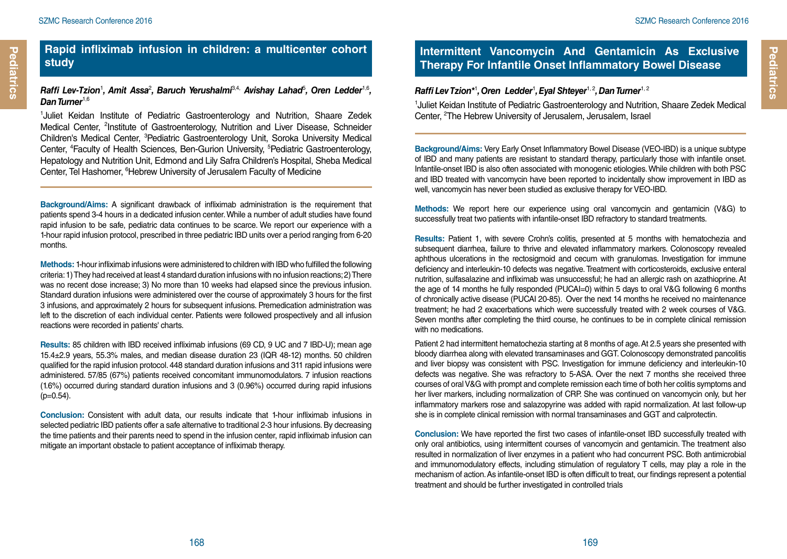## **Rapid infliximab infusion in children: a multicenter cohort study**

#### *Raffi Lev-Tzion*<sup>1</sup> *, Amit Assa*<sup>2</sup> *, Baruch Yerushalmi*3,4, *Avishay Lahad*<sup>5</sup> *, Oren Ledder*1,6*, Dan Turner*1,6

1 Juliet Keidan Institute of Pediatric Gastroenterology and Nutrition, Shaare Zedek Medical Center, <sup>2</sup>Institute of Gastroenterology, Nutrition and Liver Disease, Schneider Children's Medical Center, <sup>3</sup> Pediatric Gastroenterology Unit, Soroka University Medical Center, <sup>4</sup>Faculty of Health Sciences, Ben-Gurion University, <sup>5</sup>Pediatric Gastroenterology, Hepatology and Nutrition Unit, Edmond and Lily Safra Children's Hospital, Sheba Medical Center, Tel Hashomer, <sup>6</sup>Hebrew University of Jerusalem Faculty of Medicine

**Background/Aims:** A significant drawback of infliximab administration is the requirement that patients spend 3-4 hours in a dedicated infusion center. While a number of adult studies have found rapid infusion to be safe, pediatric data continues to be scarce. We report our experience with a 1-hour rapid infusion protocol, prescribed in three pediatric IBD units over a period ranging from 6-20 months.

**Methods:** 1-hour infliximab infusions were administered to children with IBD who fulfilled the following criteria: 1) They had received at least 4 standard duration infusions with no infusion reactions; 2) There was no recent dose increase; 3) No more than 10 weeks had elapsed since the previous infusion. Standard duration infusions were administered over the course of approximately 3 hours for the first 3 infusions, and approximately 2 hours for subsequent infusions. Premedication administration was left to the discretion of each individual center. Patients were followed prospectively and all infusion reactions were recorded in patients' charts.

**Results:** 85 children with IBD received infliximab infusions (69 CD, 9 UC and 7 IBD-U); mean age 15.4±2.9 years, 55.3% males, and median disease duration 23 (IQR 48-12) months. 50 children qualified for the rapid infusion protocol. 448 standard duration infusions and 311 rapid infusions were administered. 57/85 (67%) patients received concomitant immunomodulators. 7 infusion reactions (1.6%) occurred during standard duration infusions and 3 (0.96%) occurred during rapid infusions  $(p=0.54)$ .

**Conclusion:** Consistent with adult data, our results indicate that 1-hour infliximab infusions in selected pediatric IBD patients offer a safe alternative to traditional 2-3 hour infusions. By decreasing the time patients and their parents need to spend in the infusion center, rapid infliximab infusion can mitigate an important obstacle to patient acceptance of infliximab therapy.

## **Intermittent Vancomycin And Gentamicin As Exclusive Therapy For Infantile Onset Inflammatory Bowel Disease**

#### *Raffi Lev Tzion\**<sup>1</sup> *, Oren Ledder*<sup>1</sup> *, Eyal Shteyer*1, 2*, Dan Turner*1, 2

<sup>1</sup>Juliet Keidan Institute of Pediatric Gastroenterology and Nutrition, Shaare Zedek Medical Center, <sup>2</sup>The Hebrew University of Jerusalem, Jerusalem, Israel

**Background/Aims:** Very Early Onset Inflammatory Bowel Disease (VEO-IBD) is a unique subtype of IBD and many patients are resistant to standard therapy, particularly those with infantile onset. Infantile-onset IBD is also often associated with monogenic etiologies. While children with both PSC and IBD treated with vancomycin have been reported to incidentally show improvement in IBD as well, vancomycin has never been studied as exclusive therapy for VEO-IBD.

**Methods:** We report here our experience using oral vancomycin and gentamicin (V&G) to successfully treat two patients with infantile-onset IBD refractory to standard treatments.

**Results:** Patient 1, with severe Crohn's colitis, presented at 5 months with hematochezia and subsequent diarrhea, failure to thrive and elevated inflammatory markers. Colonoscopy revealed aphthous ulcerations in the rectosigmoid and cecum with granulomas. Investigation for immune deficiency and interleukin-10 defects was negative. Treatment with corticosteroids, exclusive enteral nutrition, sulfasalazine and infliximab was unsuccessful; he had an allergic rash on azathioprine. At the age of 14 months he fully responded (PUCAI=0) within 5 days to oral V&G following 6 months of chronically active disease (PUCAI 20-85). Over the next 14 months he received no maintenance treatment; he had 2 exacerbations which were successfully treated with 2 week courses of V&G. Seven months after completing the third course, he continues to be in complete clinical remission with no medications.

Patient 2 had intermittent hematochezia starting at 8 months of age. At 2.5 years she presented with bloody diarrhea along with elevated transaminases and GGT. Colonoscopy demonstrated pancolitis and liver biopsy was consistent with PSC. Investigation for immune deficiency and interleukin-10 defects was negative. She was refractory to 5-ASA. Over the next 7 months she received three courses of oral V&G with prompt and complete remission each time of both her colitis symptoms and her liver markers, including normalization of CRP. She was continued on vancomycin only, but her inflammatory markers rose and salazopyrine was added with rapid normalization. At last follow-up she is in complete clinical remission with normal transaminases and GGT and calprotectin.

**Conclusion:** We have reported the first two cases of infantile-onset IBD successfully treated with only oral antibiotics, using intermittent courses of vancomycin and gentamicin. The treatment also resulted in normalization of liver enzymes in a patient who had concurrent PSC. Both antimicrobial and immunomodulatory effects, including stimulation of regulatory T cells, may play a role in the mechanism of action. As infantile-onset IBD is often difficult to treat, our findings represent a potential treatment and should be further investigated in controlled trials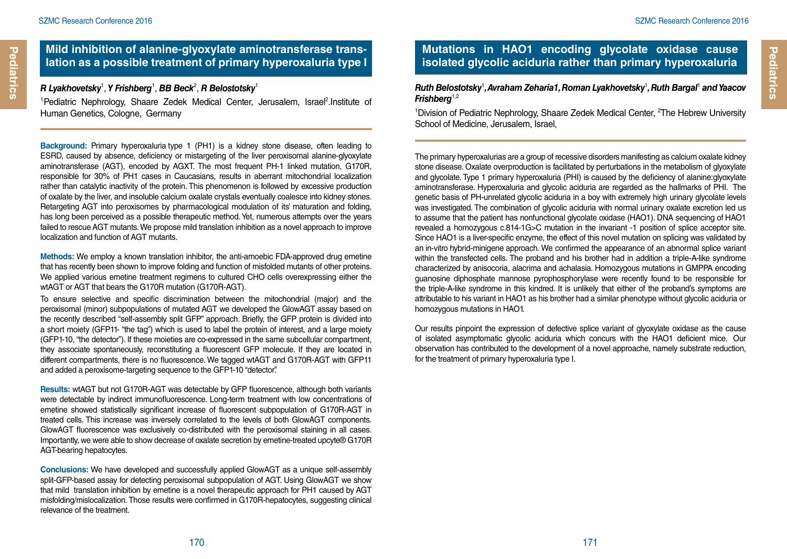#### **Mild inhibition of alanine-glyoxylate aminotransferase translation as a possible treatment of primary hyperoxaluria type I**

#### $\bm{\mathsf{R}}$  Lyakhovetsky<sup>1</sup>, Y Frishberg<sup>1</sup>, BB Beck<sup>2</sup>, R Belostotsky<sup>1</sup>

<sup>1</sup>Pediatric Nephrology, Shaare Zedek Medical Center, Jerusalem, Israel<sup>2</sup>.Institute of Human Genetics, Cologne, Germany

**Background:** Primary hyperoxaluria type 1 (PH1) is a kidney stone disease, often leading to ESRD, caused by absence, deficiency or mistargeting of the liver peroxisomal alanine-glyoxylate aminotransferase (AGT), encoded by AGXT. The most frequent PH-1 linked mutation, G170R, responsible for 30% of PH1 cases in Caucasians, results in aberrant mitochondrial localization rather than catalytic inactivity of the protein. This phenomenon is followed by excessive production of oxalate by the liver, and insoluble calcium oxalate crystals eventually coalesce into kidney stones. Retargeting AGT into peroxisomes by pharmacological modulation of its' maturation and folding, has long been perceived as a possible therapeutic method. Yet, numerous attempts over the years failed to rescue AGT mutants. We propose mild translation inhibition as a novel approach to improve localization and function of AGT mutants.

**Methods:** We employ a known translation inhibitor, the anti-amoebic FDA-approved drug emetine that has recently been shown to improve folding and function of misfolded mutants of other proteins. We applied various emetine treatment regimens to cultured CHO cells overexpressing either the wtAGT or AGT that bears the G170R mutation (G170R-AGT).

To ensure selective and specific discrimination between the mitochondrial (major) and the peroxisomal (minor) subpopulations of mutated AGT we developed the GlowAGT assay based on the recently described "self-assembly split GFP" approach. Briefly, the GFP protein is divided into a short moiety (GFP11- "the tag") which is used to label the protein of interest, and a large moiety (GFP1-10, "the detector"). If these moieties are co-expressed in the same subcellular compartment, they associate spontaneously, reconstituting a fluorescent GFP molecule. If they are located in different compartments, there is no fluorescence. We tagged wtAGT and G170R-AGT with GFP11 and added a peroxisome-targeting sequence to the GFP1-10 "detector".

**Results:** wtAGT but not G170R-AGT was detectable by GFP fluorescence, although both variants were detectable by indirect immunofluorescence. Long-term treatment with low concentrations of emetine showed statistically significant increase of fluorescent subpopulation of G170R-AGT in treated cells. This increase was inversely correlated to the levels of both GlowAGT components. GlowAGT fluorescence was exclusively co-distributed with the peroxisomal staining in all cases. Importantly, we were able to show decrease of oxalate secretion by emetine-treated upcyte® G170R AGT-bearing hepatocytes.

**Conclusions:** We have developed and successfully applied GlowAGT as a unique self-assembly split-GFP-based assay for detecting peroxisomal subpopulation of AGT. Using GlowAGT we show that mild translation inhibition by emetine is a novel therapeutic approach for PH1 caused by AGT misfolding/mislocalization. Those results were confirmed in G170R-hepatocytes, suggesting clinical relevance of the treatment.

## **Mutations in HAO1 encoding glycolate oxidase cause isolated glycolic aciduria rather than primary hyperoxaluria**

*Ruth Belostotsky*<sup>1</sup> *, Avraham Zeharia1, Roman Lyakhovetsky*<sup>1</sup> *, Ruth Bargal*<sup>1</sup>  *and Yaacov Frishberg*1,2

<sup>1</sup>Division of Pediatric Nephrology, Shaare Zedek Medical Center, <sup>2</sup>The Hebrew University School of Medicine, Jerusalem, Israel,

The primary hyperoxalurias are a group of recessive disorders manifesting as calcium oxalate kidney stone disease. Oxalate overproduction is facilitated by perturbations in the metabolism of glyoxylate and glycolate. Type 1 primary hyperoxaluria (PHI) is caused by the deficiency of alanine:glyoxylate aminotransferase. Hyperoxaluria and glycolic aciduria are regarded as the hallmarks of PHI. The genetic basis of PH-unrelated glycolic aciduria in a boy with extremely high urinary glycolate levels was investigated. The combination of glycolic aciduria with normal urinary oxalate excretion led us to assume that the patient has nonfunctional glycolate oxidase (HAO1). DNA sequencing of HAO1 revealed a homozygous c.814-1G>C mutation in the invariant -1 position of splice acceptor site. Since HAO1 is a liver-specific enzyme, the effect of this novel mutation on splicing was validated by an in-vitro hybrid-minigene approach. We confirmed the appearance of an abnormal splice variant within the transfected cells. The proband and his brother had in addition a triple-A-like syndrome characterized by anisocoria, alacrima and achalasia. Homozygous mutations in GMPPA encoding guanosine diphosphate mannose pyrophosphorylase were recently found to be responsible for the triple-A-like syndrome in this kindred. It is unlikely that either of the proband's symptoms are attributable to his variant in HAO1 as his brother had a similar phenotype without glycolic aciduria or homozygous mutations in HAO1.

Our results pinpoint the expression of defective splice variant of glyoxylate oxidase as the cause of isolated asymptomatic glycolic aciduria which concurs with the HAO1 deficient mice. Our observation has contributed to the development of a novel approache, namely substrate reduction, for the treatment of primary hyperoxaluria type I.

**Pediatrics**

Pediatrics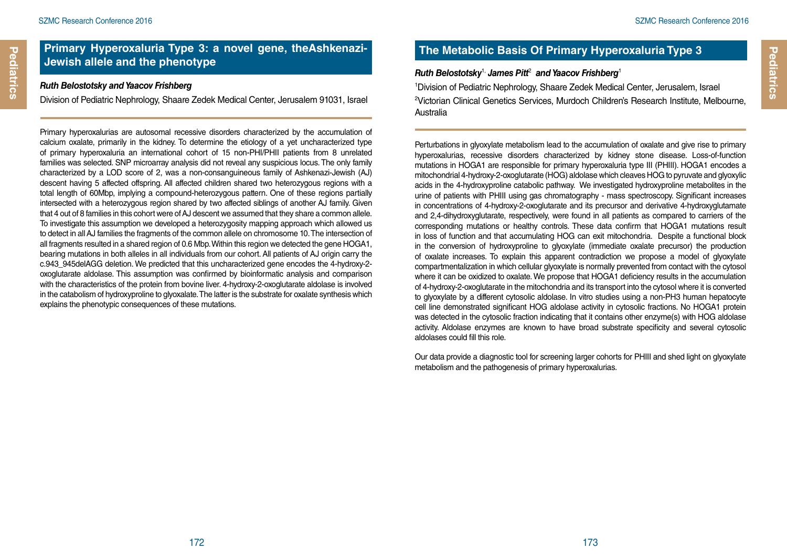**Pediatrics**

Pediatrics

#### **Primary Hyperoxaluria Type 3: a novel gene, theAshkenazi-Jewish allele and the phenotype**

#### *Ruth Belostotsky and Yaacov Frishberg*

Division of Pediatric Nephrology, Shaare Zedek Medical Center, Jerusalem 91031, Israel

Primary hyperoxalurias are autosomal recessive disorders characterized by the accumulation of calcium oxalate, primarily in the kidney. To determine the etiology of a yet uncharacterized type of primary hyperoxaluria an international cohort of 15 non-PHI/PHII patients from 8 unrelated families was selected. SNP microarray analysis did not reveal any suspicious locus. The only family characterized by a LOD score of 2, was a non-consanguineous family of Ashkenazi-Jewish (AJ) descent having 5 affected offspring. All affected children shared two heterozygous regions with a total length of 60Mbp, implying a compound-heterozygous pattern. One of these regions partially intersected with a heterozygous region shared by two affected siblings of another AJ family. Given that 4 out of 8 families in this cohort were of AJ descent we assumed that they share a common allele. To investigate this assumption we developed a heterozygosity mapping approach which allowed us to detect in all AJ families the fragments of the common allele on chromosome 10. The intersection of all fragments resulted in a shared region of 0.6 Mbp. Within this region we detected the gene HOGA1, bearing mutations in both alleles in all individuals from our cohort. All patients of AJ origin carry the c.943\_945delAGG deletion. We predicted that this uncharacterized gene encodes the 4-hydroxy-2 oxoglutarate aldolase. This assumption was confirmed by bioinformatic analysis and comparison with the characteristics of the protein from bovine liver. 4-hydroxy-2-oxoglutarate aldolase is involved in the catabolism of hydroxyproline to glyoxalate. The latter is the substrate for oxalate synthesis which explains the phenotypic consequences of these mutations.

## **The Metabolic Basis Of Primary Hyperoxaluria Type 3**

#### *Ruth Belostotsky*1, *James Pitt*<sup>2</sup>  *and Yaacov Frishberg*<sup>1</sup>

1 Division of Pediatric Nephrology, Shaare Zedek Medical Center, Jerusalem, Israel 2 Victorian Clinical Genetics Services, Murdoch Children's Research Institute, Melbourne, Australia

Perturbations in glyoxylate metabolism lead to the accumulation of oxalate and give rise to primary hyperoxalurias, recessive disorders characterized by kidney stone disease. Loss-of-function mutations in HOGA1 are responsible for primary hyperoxaluria type III (PHIII). HOGA1 encodes a mitochondrial 4-hydroxy-2-oxoglutarate (HOG) aldolase which cleaves HOG to pyruvate and glyoxylic acids in the 4-hydroxyproline catabolic pathway. We investigated hydroxyproline metabolites in the urine of patients with PHIII using gas chromatography - mass spectroscopy. Significant increases in concentrations of 4-hydroxy-2-oxoglutarate and its precursor and derivative 4-hydroxyglutamate and 2,4-dihydroxyglutarate, respectively, were found in all patients as compared to carriers of the corresponding mutations or healthy controls. These data confirm that HOGA1 mutations result in loss of function and that accumulating HOG can exit mitochondria. Despite a functional block in the conversion of hydroxyproline to glyoxylate (immediate oxalate precursor) the production of oxalate increases. To explain this apparent contradiction we propose a model of glyoxylate compartmentalization in which cellular glyoxylate is normally prevented from contact with the cytosol where it can be oxidized to oxalate. We propose that HOGA1 deficiency results in the accumulation of 4-hydroxy-2-oxoglutarate in the mitochondria and its transport into the cytosol where it is converted to glyoxylate by a different cytosolic aldolase. In vitro studies using a non-PH3 human hepatocyte cell line demonstrated significant HOG aldolase activity in cytosolic fractions. No HOGA1 protein was detected in the cytosolic fraction indicating that it contains other enzyme(s) with HOG aldolase activity. Aldolase enzymes are known to have broad substrate specificity and several cytosolic aldolases could fill this role.

Our data provide a diagnostic tool for screening larger cohorts for PHIII and shed light on glyoxylate metabolism and the pathogenesis of primary hyperoxalurias.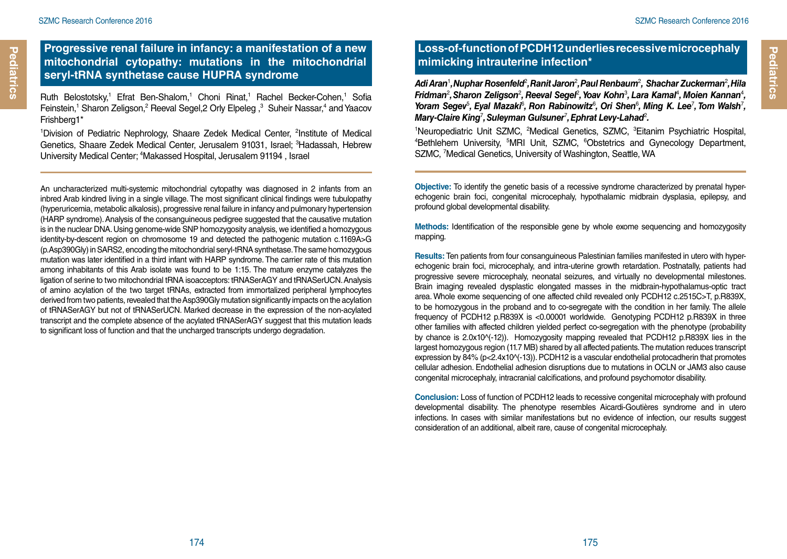### **Progressive renal failure in infancy: a manifestation of a new mitochondrial cytopathy: mutations in the mitochondrial seryl-tRNA synthetase cause HUPRA syndrome**

Ruth Belostotsky,<sup>1</sup> Efrat Ben-Shalom,<sup>1</sup> Choni Rinat,<sup>1</sup> Rachel Becker-Cohen,<sup>1</sup> Sofia Feinstein,<sup>1</sup> Sharon Zeligson,<sup>2</sup> Reeval Segel,2 Orly Elpeleg,<sup>3</sup> Suheir Nassar,<sup>4</sup> and Yaacov Frishberg1\*

<sup>1</sup>Division of Pediatric Nephrology, Shaare Zedek Medical Center, <sup>2</sup>Institute of Medical Genetics, Shaare Zedek Medical Center, Jerusalem 91031, Israel; <sup>3</sup>Hadassah, Hebrew University Medical Center; 4 Makassed Hospital, Jerusalem 91194 , Israel

An uncharacterized multi-systemic mitochondrial cytopathy was diagnosed in 2 infants from an inbred Arab kindred living in a single village. The most significant clinical findings were tubulopathy (hyperuricemia, metabolic alkalosis), progressive renal failure in infancy and pulmonary hypertension (HARP syndrome). Analysis of the consanguineous pedigree suggested that the causative mutation is in the nuclear DNA. Using genome-wide SNP homozygosity analysis, we identified a homozygous identity-by-descent region on chromosome 19 and detected the pathogenic mutation c.1169A>G (p.Asp390Gly) in SARS2, encoding the mitochondrial seryl-tRNA synthetase. The same homozygous mutation was later identified in a third infant with HARP syndrome. The carrier rate of this mutation among inhabitants of this Arab isolate was found to be 1:15. The mature enzyme catalyzes the ligation of serine to two mitochondrial tRNA isoacceptors: tRNASerAGY and tRNASerUCN. Analysis of amino acylation of the two target tRNAs, extracted from immortalized peripheral lymphocytes derived from two patients, revealed that the Asp390Gly mutation significantly impacts on the acylation of tRNASerAGY but not of tRNASerUCN. Marked decrease in the expression of the non-acylated transcript and the complete absence of the acylated tRNASerAGY suggest that this mutation leads to significant loss of function and that the uncharged transcripts undergo degradation.

## **Loss-of-function of PCDH12 underlies recessive microcephaly mimicking intrauterine infection\***

Adi Aran<sup>1</sup>, Nuphar Rosenfeld<sup>2</sup>, Ranit Jaron<sup>2</sup>, Paul Renbaum<sup>2</sup>, Shachar Zuckerman<sup>2</sup>, Hila *Fridman<sup>2</sup>, Sharon Zeligson<sup>2</sup>, Reeval Segel<sup>2</sup>, Yoav Kohn<sup>3</sup>, Lara Kamal<sup>4</sup>, Moien Kannan<sup>4</sup>,* Yoram Segev<sup>5</sup>, Eyal Mazaki<sup>6</sup>, Ron Rabinowitz<sup>6</sup>, Ori Shen<sup>6</sup>, Ming K. Lee<sup>7</sup>, Tom Walsh<sup>7</sup>, Mary-Claire King<sup>7</sup>, Suleyman Gulsuner<sup>7</sup>, Ephrat Levy-Lahad<sup>2</sup>.

<sup>1</sup>Neuropediatric Unit SZMC, <sup>2</sup>Medical Genetics, SZMC, <sup>3</sup>Eitanim Psychiatric Hospital,<br><sup>4</sup>Bethlehem University <sup>5</sup>MBL Unit SZMC, <sup>6</sup>Obstetrics and Gynecology Department Bethlehem University, <sup>5</sup>MRI Unit, SZMC, <sup>6</sup>Obstetrics and Gynecology Department, SZMC, 7 Medical Genetics, University of Washington, Seattle, WA

**Objective:** To identify the genetic basis of a recessive syndrome characterized by prenatal hyperechogenic brain foci, congenital microcephaly, hypothalamic midbrain dysplasia, epilepsy, and profound global developmental disability.

**Methods:** Identification of the responsible gene by whole exome sequencing and homozygosity mapping.

**Results:** Ten patients from four consanguineous Palestinian families manifested in utero with hyperechogenic brain foci, microcephaly, and intra-uterine growth retardation. Postnatally, patients had progressive severe microcephaly, neonatal seizures, and virtually no developmental milestones. Brain imaging revealed dysplastic elongated masses in the midbrain-hypothalamus-optic tract area. Whole exome sequencing of one affected child revealed only PCDH12 c.2515C>T, p.R839X, to be homozygous in the proband and to co-segregate with the condition in her family. The allele frequency of PCDH12 p.R839X is <0.00001 worldwide. Genotyping PCDH12 p.R839X in three other families with affected children yielded perfect co-segregation with the phenotype (probability by chance is 2.0x10 $\vee$ -12)). Homozygosity mapping revealed that PCDH12 p.R839X lies in the largest homozygous region (11.7 MB) shared by all affected patients. The mutation reduces transcript expression by 84% (p<2.4x10^(-13)). PCDH12 is a vascular endothelial protocadherin that promotes cellular adhesion. Endothelial adhesion disruptions due to mutations in OCLN or JAM3 also cause congenital microcephaly, intracranial calcifications, and profound psychomotor disability.

**Conclusion:** Loss of function of PCDH12 leads to recessive congenital microcephaly with profound developmental disability. The phenotype resembles Aicardi-Goutières syndrome and in utero infections. In cases with similar manifestations but no evidence of infection, our results suggest consideration of an additional, albeit rare, cause of congenital microcephaly.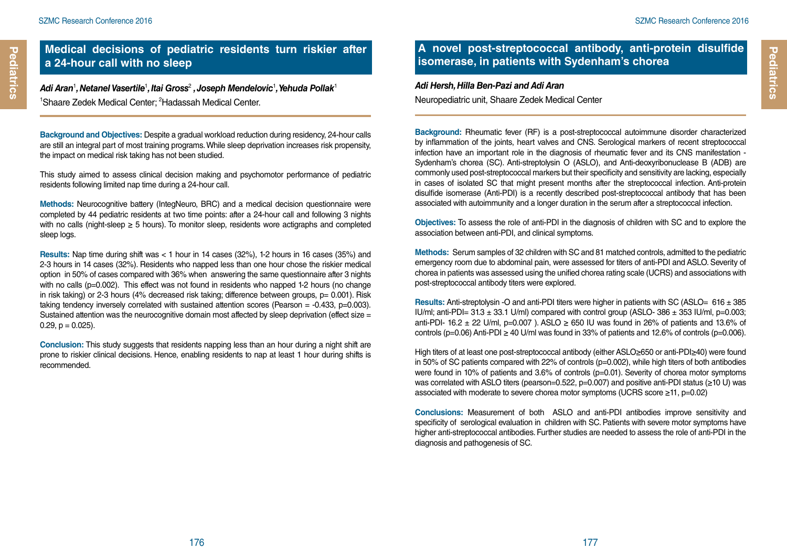# Pediatrics **Pediatrics**

#### **Medical decisions of pediatric residents turn riskier after a 24-hour call with no sleep**

Adi Aran<sup>1</sup>, Netanel Vasertile<sup>1</sup>, Itai Gross<sup>2</sup> , Joseph Mendelovic<sup>1</sup>, Yehuda Pollak<sup>1</sup> <sup>1</sup>Shaare Zedek Medical Center; <sup>2</sup>Hadassah Medical Center.

**Background and Objectives:** Despite a gradual workload reduction during residency, 24-hour calls are still an integral part of most training programs. While sleep deprivation increases risk propensity, the impact on medical risk taking has not been studied.

This study aimed to assess clinical decision making and psychomotor performance of pediatric residents following limited nap time during a 24-hour call.

**Methods:** Neurocognitive battery (IntegNeuro, BRC) and a medical decision questionnaire were completed by 44 pediatric residents at two time points: after a 24-hour call and following 3 nights with no calls (night-sleep  $\geq 5$  hours). To monitor sleep, residents wore actigraphs and completed sleep logs.

**Results:** Nap time during shift was < 1 hour in 14 cases (32%), 1-2 hours in 16 cases (35%) and 2-3 hours in 14 cases (32%). Residents who napped less than one hour chose the riskier medical option in 50% of cases compared with 36% when answering the same questionnaire after 3 nights with no calls (p=0.002). This effect was not found in residents who napped 1-2 hours (no change in risk taking) or 2-3 hours (4% decreased risk taking; difference between groups, p= 0.001). Risk taking tendency inversely correlated with sustained attention scores (Pearson  $=$  -0.433, p=0.003). Sustained attention was the neurocognitive domain most affected by sleep deprivation (effect size =  $0.29$ ,  $p = 0.025$ ).

**Conclusion:** This study suggests that residents napping less than an hour during a night shift are prone to riskier clinical decisions. Hence, enabling residents to nap at least 1 hour during shifts is recommended.

#### **A novel post-streptococcal antibody, anti-protein disulfide isomerase, in patients with Sydenham's chorea**

#### *Adi Hersh, Hilla Ben-Pazi and Adi Aran* Neuropediatric unit, Shaare Zedek Medical Center

**Background:** Rheumatic fever (RF) is a post-streptococcal autoimmune disorder characterized by inflammation of the joints, heart valves and CNS. Serological markers of recent streptococcal infection have an important role in the diagnosis of rheumatic fever and its CNS manifestation - Sydenham's chorea (SC). Anti-streptolysin O (ASLO), and Anti-deoxyribonuclease B (ADB) are commonly used post-streptococcal markers but their specificity and sensitivity are lacking, especially in cases of isolated SC that might present months after the streptococcal infection. Anti-protein disulfide isomerase (Anti-PDI) is a recently described post-streptococcal antibody that has been associated with autoimmunity and a longer duration in the serum after a streptococcal infection.

**Objectives:** To assess the role of anti-PDI in the diagnosis of children with SC and to explore the association between anti-PDI, and clinical symptoms.

**Methods:** Serum samples of 32 children with SC and 81 matched controls, admitted to the pediatric emergency room due to abdominal pain, were assessed for titers of anti-PDI and ASLO. Severity of chorea in patients was assessed using the unified chorea rating scale (UCRS) and associations with post-streptococcal antibody titers were explored.

**Results:** Anti-streptolysin -O and anti-PDI titers were higher in patients with SC (ASLO= 616 ± 385 IU/ml; anti-PDI=  $31.3 \pm 33.1$  U/ml) compared with control group (ASLO-  $386 \pm 353$  IU/ml, p=0.003; anti-PDI- 16.2  $\pm$  22 U/ml, p=0.007 ). ASLO  $\geq$  650 IU was found in 26% of patients and 13.6% of controls (p=0.06) Anti-PDI  $\geq$  40 U/ml was found in 33% of patients and 12.6% of controls (p=0.006).

High titers of at least one post-streptococcal antibody (either ASLO≥650 or anti-PDI≥40) were found in 50% of SC patients compared with 22% of controls (p=0.002), while high titers of both antibodies were found in 10% of patients and 3.6% of controls (p=0.01). Severity of chorea motor symptoms was correlated with ASLO titers (pearson=0.522, p=0.007) and positive anti-PDI status (≥10 U) was associated with moderate to severe chorea motor symptoms (UCRS score ≥11, p=0.02)

**Conclusions:** Measurement of both ASLO and anti-PDI antibodies improve sensitivity and specificity of serological evaluation in children with SC. Patients with severe motor symptoms have higher anti-streptococcal antibodies. Further studies are needed to assess the role of anti-PDI in the diagnosis and pathogenesis of SC.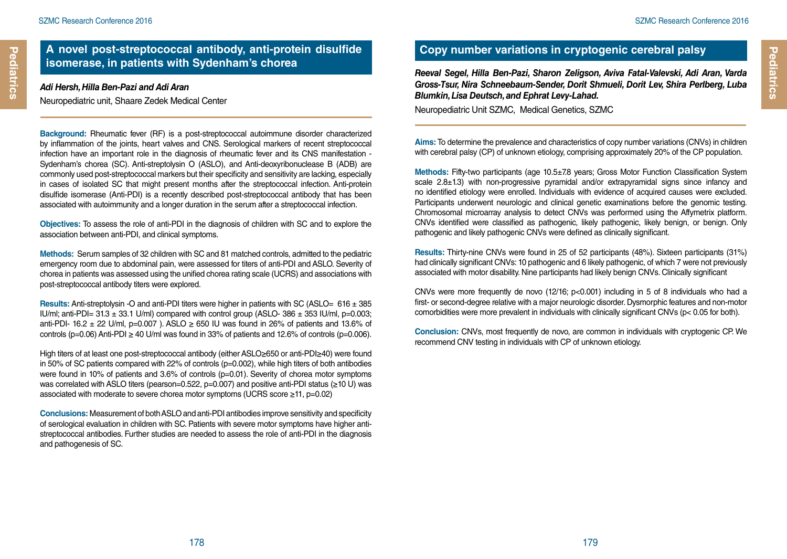## **A novel post-streptococcal antibody, anti-protein disulfide isomerase, in patients with Sydenham's chorea**

#### *Adi Hersh, Hilla Ben-Pazi and Adi Aran*

Neuropediatric unit, Shaare Zedek Medical Center

**Background:** Rheumatic fever (RF) is a post-streptococcal autoimmune disorder characterized by inflammation of the joints, heart valves and CNS. Serological markers of recent streptococcal infection have an important role in the diagnosis of rheumatic fever and its CNS manifestation - Sydenham's chorea (SC). Anti-streptolysin O (ASLO), and Anti-deoxyribonuclease B (ADB) are commonly used post-streptococcal markers but their specificity and sensitivity are lacking, especially in cases of isolated SC that might present months after the streptococcal infection. Anti-protein disulfide isomerase (Anti-PDI) is a recently described post-streptococcal antibody that has been associated with autoimmunity and a longer duration in the serum after a streptococcal infection.

**Objectives:** To assess the role of anti-PDI in the diagnosis of children with SC and to explore the association between anti-PDI, and clinical symptoms.

**Methods:** Serum samples of 32 children with SC and 81 matched controls, admitted to the pediatric emergency room due to abdominal pain, were assessed for titers of anti-PDI and ASLO. Severity of chorea in patients was assessed using the unified chorea rating scale (UCRS) and associations with post-streptococcal antibody titers were explored.

**Results:** Anti-streptolysin -O and anti-PDI titers were higher in patients with SC (ASLO= 616 ± 385 IU/ml; anti-PDI=  $31.3 \pm 33.1$  U/ml) compared with control group (ASLO-  $386 \pm 353$  IU/ml, p=0.003; anti-PDI- 16.2  $\pm$  22 U/ml, p=0.007 ). ASLO  $\geq$  650 IU was found in 26% of patients and 13.6% of controls (p=0.06) Anti-PDI  $\geq$  40 U/ml was found in 33% of patients and 12.6% of controls (p=0.006).

High titers of at least one post-streptococcal antibody (either ASLO≥650 or anti-PDI≥40) were found in 50% of SC patients compared with 22% of controls (p=0.002), while high titers of both antibodies were found in 10% of patients and 3.6% of controls (p=0.01). Severity of chorea motor symptoms was correlated with ASLO titers (pearson=0.522, p=0.007) and positive anti-PDI status (≥10 U) was associated with moderate to severe chorea motor symptoms (UCRS score ≥11, p=0.02)

**Conclusions:** Measurement of both ASLO and anti-PDI antibodies improve sensitivity and specificity of serological evaluation in children with SC. Patients with severe motor symptoms have higher antistreptococcal antibodies. Further studies are needed to assess the role of anti-PDI in the diagnosis and pathogenesis of SC.

## **Copy number variations in cryptogenic cerebral palsy**

*Reeval Segel, Hilla Ben-Pazi, Sharon Zeligson, Aviva Fatal-Valevski, Adi Aran, Varda Gross-Tsur, Nira Schneebaum-Sender, Dorit Shmueli, Dorit Lev, Shira Perlberg, Luba Blumkin, Lisa Deutsch, and Ephrat Levy-Lahad.* 

Neuropediatric Unit SZMC, Medical Genetics, SZMC

**Aims:** To determine the prevalence and characteristics of copy number variations (CNVs) in children with cerebral palsy (CP) of unknown etiology, comprising approximately 20% of the CP population.

**Methods:** Fifty-two participants (age 10.5±7.8 years; Gross Motor Function Classification System scale 2.8±1.3) with non-progressive pyramidal and/or extrapyramidal signs since infancy and no identified etiology were enrolled. Individuals with evidence of acquired causes were excluded. Participants underwent neurologic and clinical genetic examinations before the genomic testing. Chromosomal microarray analysis to detect CNVs was performed using the Affymetrix platform. CNVs identified were classified as pathogenic, likely pathogenic, likely benign, or benign. Only pathogenic and likely pathogenic CNVs were defined as clinically significant.

**Results:** Thirty-nine CNVs were found in 25 of 52 participants (48%). Sixteen participants (31%) had clinically significant CNVs: 10 pathogenic and 6 likely pathogenic, of which 7 were not previously associated with motor disability. Nine participants had likely benign CNVs. Clinically significant

CNVs were more frequently de novo (12/16; p<0.001) including in 5 of 8 individuals who had a first- or second-degree relative with a major neurologic disorder. Dysmorphic features and non-motor comorbidities were more prevalent in individuals with clinically significant CNVs (p< 0.05 for both).

**Conclusion:** CNVs, most frequently de novo, are common in individuals with cryptogenic CP. We recommend CNV testing in individuals with CP of unknown etiology.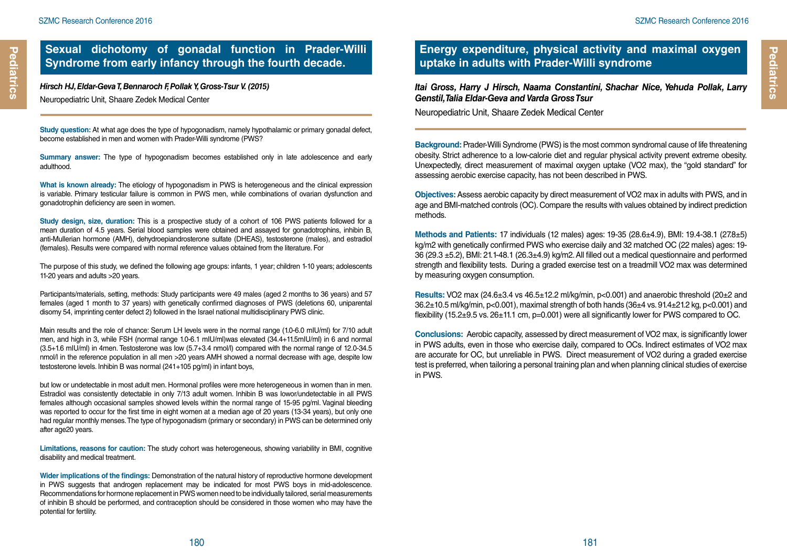**Pediatrics**

Pediatrics

*Hirsch HJ, Eldar-Geva T, Bennaroch F, Pollak Y, Gross-Tsur V. (2015)* Neuropediatric Unit, Shaare Zedek Medical Center

**Study question:** At what age does the type of hypogonadism, namely hypothalamic or primary gonadal defect, become established in men and women with Prader-Willi syndrome (PWS?

**Summary answer:** The type of hypogonadism becomes established only in late adolescence and early adulthood.

**What is known already:** The etiology of hypogonadism in PWS is heterogeneous and the clinical expression is variable. Primary testicular failure is common in PWS men, while combinations of ovarian dysfunction and gonadotrophin deficiency are seen in women.

**Study design, size, duration:** This is a prospective study of a cohort of 106 PWS patients followed for a mean duration of 4.5 years. Serial blood samples were obtained and assayed for gonadotrophins, inhibin B, anti-Mullerian hormone (AMH), dehydroepiandrosterone sulfate (DHEAS), testosterone (males), and estradiol (females). Results were compared with normal reference values obtained from the literature. For

The purpose of this study, we defined the following age groups: infants, 1 year; children 1-10 years; adolescents 11-20 years and adults >20 years.

Participants/materials, setting, methods: Study participants were 49 males (aged 2 months to 36 years) and 57 females (aged 1 month to 37 years) with genetically confirmed diagnoses of PWS (deletions 60, uniparental disomy 54, imprinting center defect 2) followed in the Israel national multidisciplinary PWS clinic.

Main results and the role of chance: Serum LH levels were in the normal range (1.0-6.0 mIU/ml) for 7/10 adult men, and high in 3, while FSH (normal range 1.0-6.1 mIU/ml)was elevated (34.4+11.5mIU/ml) in 6 and normal (3.5+1.6 mIU/ml) in 4men. Testosterone was low (5.7+3.4 nmol/l) compared with the normal range of 12.0-34.5 nmol/l in the reference population in all men >20 years AMH showed a normal decrease with age, despite low testosterone levels. Inhibin B was normal (241+105 pg/ml) in infant boys,

but low or undetectable in most adult men. Hormonal profiles were more heterogeneous in women than in men. Estradiol was consistently detectable in only 7/13 adult women. Inhibin B was lowor/undetectable in all PWS females although occasional samples showed levels within the normal range of 15-95 pg/ml. Vaginal bleeding was reported to occur for the first time in eight women at a median age of 20 years (13-34 years), but only one had regular monthly menses. The type of hypogonadism (primary or secondary) in PWS can be determined only after age20 years.

**Limitations, reasons for caution:** The study cohort was heterogeneous, showing variability in BMI, cognitive disability and medical treatment.

**Wider implications of the findings:** Demonstration of the natural history of reproductive hormone development in PWS suggests that androgen replacement may be indicated for most PWS boys in mid-adolescence. Recommendations for hormone replacement in PWS women need to be individually tailored, serial measurements of inhibin B should be performed, and contraception should be considered in those women who may have the potential for fertility.

#### **Energy expenditure, physical activity and maximal oxygen uptake in adults with Prader-Willi syndrome**

*Itai Gross, Harry J Hirsch, Naama Constantini, Shachar Nice, Yehuda Pollak, Larry Genstil, Talia Eldar-Geva and Varda Gross Tsur*

Neuropediatric Unit, Shaare Zedek Medical Center

**Background:** Prader-Willi Syndrome (PWS) is the most common syndromal cause of life threatening obesity. Strict adherence to a low-calorie diet and regular physical activity prevent extreme obesity. Unexpectedly, direct measurement of maximal oxygen uptake (VO2 max), the "gold standard" for assessing aerobic exercise capacity, has not been described in PWS.

**Objectives:** Assess aerobic capacity by direct measurement of VO2 max in adults with PWS, and in age and BMI-matched controls (OC). Compare the results with values obtained by indirect prediction methods.

**Methods and Patients:** 17 individuals (12 males) ages: 19-35 (28.6±4.9), BMI: 19.4-38.1 (27.8±5) kg/m2 with genetically confirmed PWS who exercise daily and 32 matched OC (22 males) ages: 19- 36 (29.3 ±5.2), BMI: 21.1-48.1 (26.3±4.9) kg/m2. All filled out a medical questionnaire and performed strength and flexibility tests. During a graded exercise test on a treadmill VO2 max was determined by measuring oxygen consumption.

**Results:** VO2 max (24.6±3.4 vs 46.5±12.2 ml/kg/min, p<0.001) and anaerobic threshold (20±2 and 36.2±10.5 ml/kg/min, p<0.001), maximal strength of both hands (36±4 vs. 91.4±21.2 kg, p<0.001) and flexibility (15.2±9.5 vs. 26±11.1 cm, p=0.001) were all significantly lower for PWS compared to OC.

**Conclusions:** Aerobic capacity, assessed by direct measurement of VO2 max, is significantly lower in PWS adults, even in those who exercise daily, compared to OCs. Indirect estimates of VO2 max are accurate for OC, but unreliable in PWS. Direct measurement of VO2 during a graded exercise test is preferred, when tailoring a personal training plan and when planning clinical studies of exercise in PWS.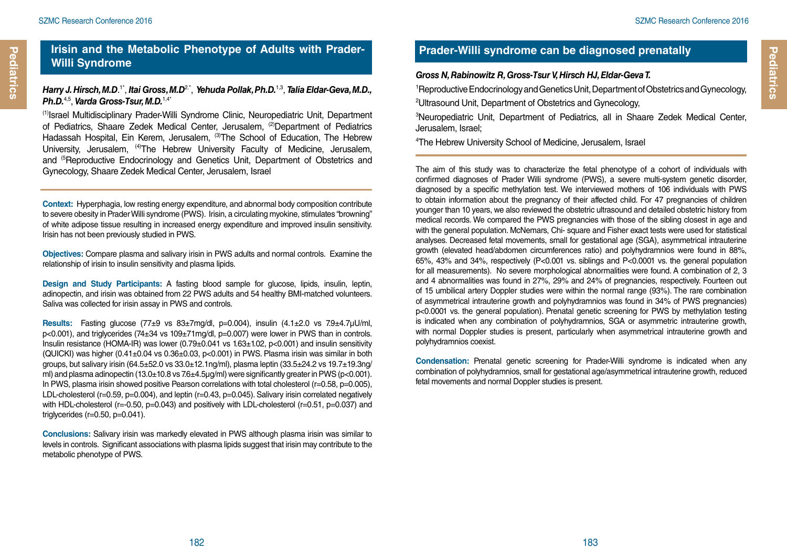#### **Irisin and the Metabolic Phenotype of Adults with Prader-Willi Syndrome**

#### *Harry J. Hirsch, M.D*. 1\*, *Itai Gross, M.D*2.\*, *Yehuda Pollak, Ph.D.*1,3, *Talia Eldar-Geva, M.D., Ph.D.*4,5, *Varda Gross-Tsur, M.D.*1,4\*

(1)Israel Multidisciplinary Prader-Willi Syndrome Clinic, Neuropediatric Unit, Department of Pediatrics, Shaare Zedek Medical Center, Jerusalem, <sup>(2)</sup>Department of Pediatrics Hadassah Hospital, Ein Kerem, Jerusalem, (3)The School of Education. The Hebrew University, Jerusalem, <sup>(4)</sup>The Hebrew University Faculty of Medicine, Jerusalem, and (5Reproductive Endocrinology and Genetics Unit, Department of Obstetrics and Gynecology, Shaare Zedek Medical Center, Jerusalem, Israel

**Context:** Hyperphagia, low resting energy expenditure, and abnormal body composition contribute to severe obesity in Prader Willi syndrome (PWS). Irisin, a circulating myokine, stimulates "browning" of white adipose tissue resulting in increased energy expenditure and improved insulin sensitivity. Irisin has not been previously studied in PWS.

**Objectives:** Compare plasma and salivary irisin in PWS adults and normal controls. Examine the relationship of irisin to insulin sensitivity and plasma lipids.

**Design and Study Participants:** A fasting blood sample for glucose, lipids, insulin, leptin, adinopectin, and irisin was obtained from 22 PWS adults and 54 healthy BMI-matched volunteers. Saliva was collected for irisin assay in PWS and controls.

**Results:** Fasting glucose (77±9 vs 83±7mg/dl, p=0.004), insulin (4.1±2.0 vs 7.9±4.7µU/ml, p<0.001), and triglycerides (74±34 vs 109±71mg/dl, p=0.007) were lower in PWS than in controls. Insulin resistance (HOMA-IR) was lower (0.79±0.041 vs 1.63±1.02, p<0.001) and insulin sensitivity (QUICKI) was higher (0.41±0.04 vs 0.36±0.03, p<0.001) in PWS. Plasma irisin was similar in both groups, but salivary irisin (64.5±52.0 vs 33.0±12.1ng/ml), plasma leptin (33.5±24.2 vs 19.7±19.3ng/ ml) and plasma adinopectin (13.0±10.8 vs 7.6±4.5µg/ml) were significantly greater in PWS (p<0.001). In PWS, plasma irisin showed positive Pearson correlations with total cholesterol (r=0.58, p=0.005), LDL-cholesterol (r=0.59, p=0.004), and leptin (r=0.43, p=0.045). Salivary irisin correlated negatively with HDL-cholesterol (r=-0.50, p=0.043) and positively with LDL-cholesterol (r=0.51, p=0.037) and triglycerides (r=0.50, p=0.041).

**Conclusions:** Salivary irisin was markedly elevated in PWS although plasma irisin was similar to levels in controls. Significant associations with plasma lipids suggest that irisin may contribute to the metabolic phenotype of PWS.

## **Prader-Willi syndrome can be diagnosed prenatally**

#### *Gross N, Rabinowitz R, Gross-Tsur V, Hirsch HJ, Eldar-Geva T.*

1 Reproductive Endocrinology and Genetics Unit, Department of Obstetrics and Gynecology, 2 Ultrasound Unit, Department of Obstetrics and Gynecology,

3 Neuropediatric Unit, Department of Pediatrics, all in Shaare Zedek Medical Center, Jerusalem, Israel;

4 The Hebrew University School of Medicine, Jerusalem, Israel

The aim of this study was to characterize the fetal phenotype of a cohort of individuals with confirmed diagnoses of Prader Willi syndrome (PWS), a severe multi-system genetic disorder, diagnosed by a specific methylation test. We interviewed mothers of 106 individuals with PWS to obtain information about the pregnancy of their affected child. For 47 pregnancies of children younger than 10 years, we also reviewed the obstetric ultrasound and detailed obstetric history from medical records. We compared the PWS pregnancies with those of the sibling closest in age and with the general population. McNemars, Chi- square and Fisher exact tests were used for statistical analyses. Decreased fetal movements, small for gestational age (SGA), asymmetrical intrauterine growth (elevated head/abdomen circumferences ratio) and polyhydramnios were found in 88%, 65%, 43% and 34%, respectively (P<0.001 vs. siblings and P<0.0001 vs. the general population for all measurements). No severe morphological abnormalities were found. A combination of 2, 3 and 4 abnormalities was found in 27%, 29% and 24% of pregnancies, respectively. Fourteen out of 15 umbilical artery Doppler studies were within the normal range (93%). The rare combination of asymmetrical intrauterine growth and polyhydramnios was found in 34% of PWS pregnancies) p<0.0001 vs. the general population). Prenatal genetic screening for PWS by methylation testing is indicated when any combination of polyhydramnios, SGA or asymmetric intrauterine growth, with normal Doppler studies is present, particularly when asymmetrical intrauterine growth and polyhydramnios coexist.

**Condensation:** Prenatal genetic screening for Prader-Willi syndrome is indicated when any combination of polyhydramnios, small for gestational age/asymmetrical intrauterine growth, reduced fetal movements and normal Doppler studies is present.

**Pediatrics**

Pediatrics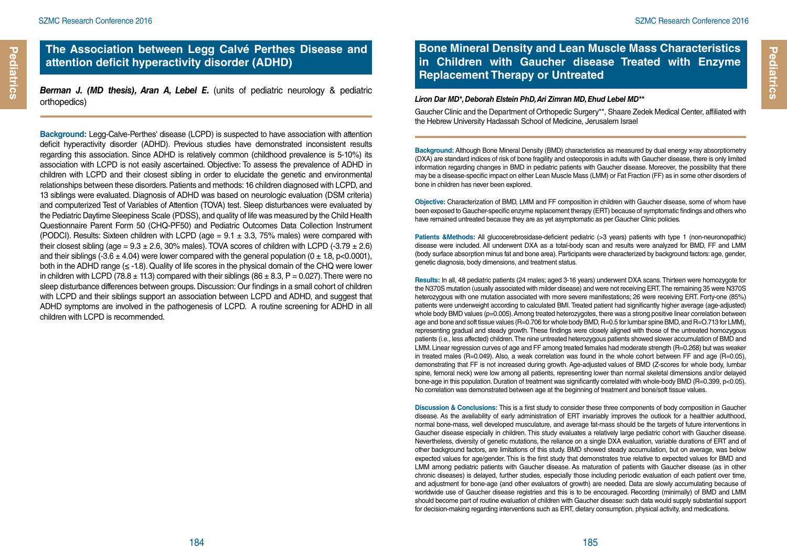#### **The Association between Legg Calvé Perthes Disease and attention deficit hyperactivity disorder (ADHD)**

*Berman J. (MD thesis), Aran A, Lebel E.* (units of pediatric neurology & pediatric orthopedics)

**Background:** Legg-Calve-Perthes' disease (LCPD) is suspected to have association with attention deficit hyperactivity disorder (ADHD). Previous studies have demonstrated inconsistent results regarding this association. Since ADHD is relatively common (childhood prevalence is 5-10%) its association with LCPD is not easily ascertained. Objective: To assess the prevalence of ADHD in children with LCPD and their closest sibling in order to elucidate the genetic and environmental relationships between these disorders. Patients and methods: 16 children diagnosed with LCPD, and 13 siblings were evaluated. Diagnosis of ADHD was based on neurologic evaluation (DSM criteria) and computerized Test of Variables of Attention (TOVA) test. Sleep disturbances were evaluated by the Pediatric Daytime Sleepiness Scale (PDSS), and quality of life was measured by the Child Health Questionnaire Parent Form 50 (CHQ-PF50) and Pediatric Outcomes Data Collection Instrument (PODCI). Results: Sixteen children with LCPD (age  $= 9.1 \pm 3.3$ , 75% males) were compared with their closest sibling (age =  $9.3 \pm 2.6$ , 30% males). TOVA scores of children with LCPD (- $3.79 \pm 2.6$ ) and their siblings (-3.6  $\pm$  4.04) were lower compared with the general population (0  $\pm$  1.8, p<0.0001), both in the ADHD range  $(\leq -1.8)$ . Quality of life scores in the physical domain of the CHQ were lower in children with LCPD (78.8  $\pm$  11.3) compared with their siblings (86  $\pm$  8.3, P = 0.027). There were no sleep disturbance differences between groups. Discussion: Our findings in a small cohort of children with LCPD and their siblings support an association between LCPD and ADHD, and suggest that ADHD symptoms are involved in the pathogenesis of LCPD. A routine screening for ADHD in all children with LCPD is recommended.

## **Bone Mineral Density and Lean Muscle Mass Characteristics in Children with Gaucher disease Treated with Enzyme Replacement Therapy or Untreated**

#### *Liron Dar MD\*, Deborah Elstein PhD, Ari Zimran MD, Ehud Lebel MD\*\**

Gaucher Clinic and the Department of Orthopedic Surgery\*\*, Shaare Zedek Medical Center, affiliated with the Hebrew University Hadassah School of Medicine, Jerusalem Israel

**Background: Although Bone Mineral Density (BMD) characteristics as measured by dual energy x-ray absorptiometry** (DXA) are standard indices of risk of bone fragility and osteoporosis in adults with Gaucher disease, there is only limited information regarding changes in BMD in pediatric patients with Gaucher disease. Moreover, the possibility that there may be a disease-specific impact on either Lean Muscle Mass (LMM) or Fat Fraction (FF) as in some other disorders of bone in children has never been explored.

**Objective:** Characterization of BMD, LMM and FF composition in children with Gaucher disease, some of whom have been exposed to Gaucher-specific enzyme replacement therapy (ERT) because of symptomatic findings and others who have remained untreated because they are as yet asymptomatic as per Gaucher Clinic policies.

**Patients &Methods:** All glucocerebrosidase-deficient pediatric (>3 years) patients with type 1 (non-neuronopathic) disease were included. All underwent DXA as a total-body scan and results were analyzed for BMD, FF and LMM (body surface absorption minus fat and bone area). Participants were characterized by background factors: age, gender, genetic diagnosis, body dimensions, and treatment status.

**Results:** In all, 48 pediatric patients (24 males; aged 3-16 years) underwent DXA scans. Thirteen were homozygote for the N370S mutation (usually associated with milder disease) and were not receiving ERT. The remaining 35 were N370S heterozygous with one mutation associated with more severe manifestations; 26 were receiving ERT. Forty-one (85%) patients were underweight according to calculated BMI. Treated patient had significantly higher average (age-adjusted) whole body BMD values (p=0.005). Among treated heterozygotes, there was a strong positive linear correlation between age and bone and soft tissue values (R=0.706 for whole body BMD, R=0.5 for lumbar spine BMD, and R=0.713 for LMM), representing gradual and steady growth. These findings were closely aligned with those of the untreated homozygous patients (i.e., less affected) children. The nine untreated heterozygous patients showed slower accumulation of BMD and LMM. Linear regression curves of age and FF among treated females had moderate strength (R=0.268) but was weaker in treated males (R=0.049). Also, a weak correlation was found in the whole cohort between FF and age (R=0.05), demonstrating that FF is not increased during growth. Age-adjusted values of BMD (Z-scores for whole body, lumbar spine, femoral neck) were low among all patients, representing lower than normal skeletal dimensions and/or delayed bone-age in this population. Duration of treatment was significantly correlated with whole-body BMD (R=0.399, p<0.05). No correlation was demonstrated between age at the beginning of treatment and bone/soft tissue values.

**Discussion & Conclusions:** This is a first study to consider these three components of body composition in Gaucher disease. As the availability of early administration of ERT invariably improves the outlook for a healthier adulthood, normal bone-mass, well developed musculature, and average fat-mass should be the targets of future interventions in Gaucher disease especially in children. This study evaluates a relatively large pediatric cohort with Gaucher disease. Nevertheless, diversity of genetic mutations, the reliance on a single DXA evaluation, variable durations of ERT and of other background factors, are limitations of this study. BMD showed steady accumulation, but on average, was below expected values for age/gender. This is the first study that demonstrates true relative to expected values for BMD and LMM among pediatric patients with Gaucher disease. As maturation of patients with Gaucher disease (as in other chronic diseases) is delayed, further studies, especially those including periodic evaluation of each patient over time, and adjustment for bone-age (and other evaluators of growth) are needed. Data are slowly accumulating because of worldwide use of Gaucher disease registries and this is to be encouraged. Recording (minimally) of BMD and LMM should become part of routine evaluation of children with Gaucher disease: such data would supply substantial support for decision-making regarding interventions such as ERT, dietary consumption, physical activity, and medications.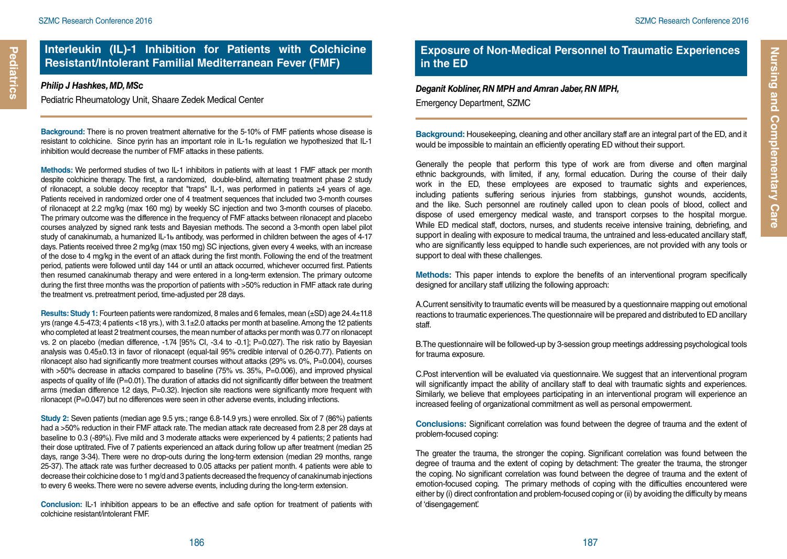#### *Philip J Hashkes, MD, MSc*

**Pediatrics**

Pediatrics

Pediatric Rheumatology Unit, Shaare Zedek Medical Center

**Background:** There is no proven treatment alternative for the 5-10% of FMF patients whose disease is resistant to colchicine. Since pyrin has an important role in IL-1ь regulation we hypothesized that IL-1 inhibition would decrease the number of FMF attacks in these patients.

**Methods:** We performed studies of two IL-1 inhibitors in patients with at least 1 FMF attack per month despite colchicine therapy. The first, a randomized, double-blind, alternating treatment phase 2 study of rilonacept, a soluble decoy receptor that "traps" IL-1, was performed in patients ≥4 years of age. Patients received in randomized order one of 4 treatment sequences that included two 3-month courses of rilonacept at 2.2 mg/kg (max 160 mg) by weekly SC injection and two 3-month courses of placebo. The primary outcome was the difference in the frequency of FMF attacks between rilonacept and placebo courses analyzed by signed rank tests and Bayesian methods. The second a 3-month open label pilot study of canakinumab, a humanized IL-1ь antibody, was performed in children between the ages of 4-17 days. Patients received three 2 mg/kg (max 150 mg) SC injections, given every 4 weeks, with an increase of the dose to 4 mg/kg in the event of an attack during the first month. Following the end of the treatment period, patients were followed until day 144 or until an attack occurred, whichever occurred first. Patients then resumed canakinumab therapy and were entered in a long-term extension. The primary outcome during the first three months was the proportion of patients with >50% reduction in FMF attack rate during the treatment vs. pretreatment period, time-adjusted per 28 days.

**Results: Study 1:** Fourteen patients were randomized, 8 males and 6 females, mean (±SD) age 24.4±11.8 yrs (range 4.5-47.3; 4 patients <18 yrs.), with 3.1±2.0 attacks per month at baseline. Among the 12 patients who completed at least 2 treatment courses, the mean number of attacks per month was 0.77 on rilonacept vs. 2 on placebo (median difference, -1.74 [95% CI, -3.4 to -0.1]; P=0.027). The risk ratio by Bayesian analysis was 0.45±0.13 in favor of rilonacept (equal-tail 95% credible interval of 0.26-0.77). Patients on rilonacept also had significantly more treatment courses without attacks (29% vs. 0%, P=0.004), courses with >50% decrease in attacks compared to baseline (75% vs. 35%, P=0.006), and improved physical aspects of quality of life (P=0.01). The duration of attacks did not significantly differ between the treatment arms (median difference 1.2 days, P=0.32). Injection site reactions were significantly more frequent with rilonacept (P=0.047) but no differences were seen in other adverse events, including infections.

**Study 2:** Seven patients (median age 9.5 yrs.; range 6.8-14.9 yrs.) were enrolled. Six of 7 (86%) patients had a >50% reduction in their FMF attack rate. The median attack rate decreased from 2.8 per 28 days at baseline to 0.3 (-89%). Five mild and 3 moderate attacks were experienced by 4 patients; 2 patients had their dose uptitrated. Five of 7 patients experienced an attack during follow up after treatment (median 25 days, range 3-34). There were no drop-outs during the long-term extension (median 29 months, range 25-37). The attack rate was further decreased to 0.05 attacks per patient month. 4 patients were able to decrease their colchicine dose to 1 mg/d and 3 patients decreased the frequency of canakinumab injections to every 6 weeks. There were no severe adverse events, including during the long-term extension.

**Conclusion:** IL-1 inhibition appears to be an effective and safe option for treatment of patients with colchicine resistant/intolerant FMF.

## **Exposure of Non-Medical Personnel to Traumatic Experiences in the ED**

*Deganit Kobliner, RN MPH and Amran Jaber, RN MPH,* Emergency Department, SZMC

**Background:** Housekeeping, cleaning and other ancillary staff are an integral part of the ED, and it would be impossible to maintain an efficiently operating ED without their support.

Generally the people that perform this type of work are from diverse and often marginal ethnic backgrounds, with limited, if any, formal education. During the course of their daily work in the ED, these employees are exposed to traumatic sights and experiences, including patients suffering serious injuries from stabbings, gunshot wounds, accidents, and the like. Such personnel are routinely called upon to clean pools of blood, collect and dispose of used emergency medical waste, and transport corpses to the hospital morgue. While ED medical staff, doctors, nurses, and students receive intensive training, debriefing, and support in dealing with exposure to medical trauma, the untrained and less-educated ancillary staff, who are significantly less equipped to handle such experiences, are not provided with any tools or support to deal with these challenges.

**Methods:** This paper intends to explore the benefits of an interventional program specifically designed for ancillary staff utilizing the following approach:

A.Current sensitivity to traumatic events will be measured by a questionnaire mapping out emotional reactions to traumatic experiences. The questionnaire will be prepared and distributed to ED ancillary staff.

B.The questionnaire will be followed-up by 3-session group meetings addressing psychological tools for trauma exposure.

C.Post intervention will be evaluated via questionnaire. We suggest that an interventional program will significantly impact the ability of ancillary staff to deal with traumatic sights and experiences. Similarly, we believe that employees participating in an interventional program will experience an increased feeling of organizational commitment as well as personal empowerment.

**Conclusions:** Significant correlation was found between the degree of trauma and the extent of problem-focused coping:

The greater the trauma, the stronger the coping. Significant correlation was found between the degree of trauma and the extent of coping by detachment: The greater the trauma, the stronger the coping. No significant correlation was found between the degree of trauma and the extent of emotion-focused coping. The primary methods of coping with the difficulties encountered were either by (i) direct confrontation and problem-focused coping or (ii) by avoiding the difficulty by means of 'disengagement'.

186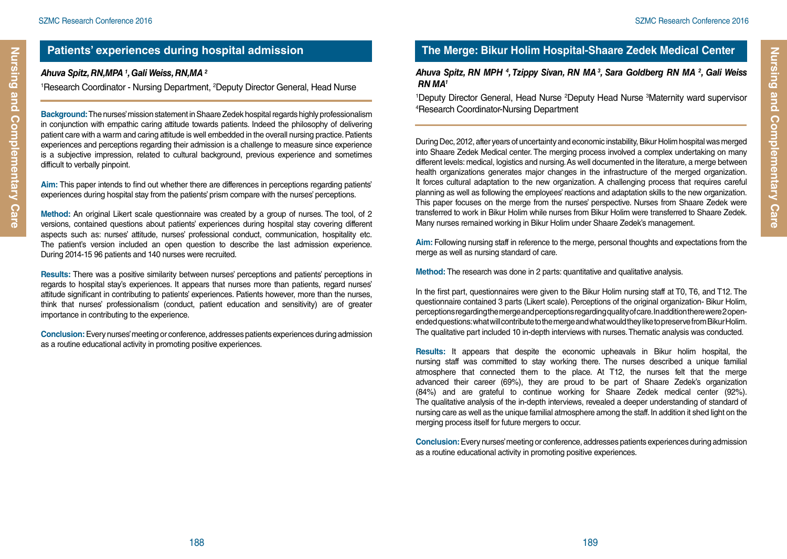Nursing and Complementary Care

#### **Patients' experiences during hospital admission**

#### *Ahuva Spitz, RN,MPA 1 , Gali Weiss, RN,MA 2*

<sup>1</sup>Research Coordinator - Nursing Department, <sup>2</sup>Deputy Director General, Head Nurse

**Background:** The nurses' mission statement in Shaare Zedek hospital regards highly professionalism in conjunction with empathic caring attitude towards patients. Indeed the philosophy of delivering patient care with a warm and caring attitude is well embedded in the overall nursing practice. Patients experiences and perceptions regarding their admission is a challenge to measure since experience is a subjective impression, related to cultural background, previous experience and sometimes difficult to verbally pinpoint.

**Aim:** This paper intends to find out whether there are differences in perceptions regarding patients' experiences during hospital stay from the patients' prism compare with the nurses' perceptions.

**Method:** An original Likert scale questionnaire was created by a group of nurses. The tool, of 2 versions, contained questions about patients' experiences during hospital stay covering different aspects such as: nurses' attitude, nurses' professional conduct, communication, hospitality etc. The patient's version included an open question to describe the last admission experience. During 2014-15 96 patients and 140 nurses were recruited.

**Results:** There was a positive similarity between nurses' perceptions and patients' perceptions in regards to hospital stay's experiences. It appears that nurses more than patients, regard nurses' attitude significant in contributing to patients' experiences. Patients however, more than the nurses, think that nurses' professionalism (conduct, patient education and sensitivity) are of greater importance in contributing to the experience.

**Conclusion:** Every nurses' meeting or conference, addresses patients experiences during admission as a routine educational activity in promoting positive experiences.

## **The Merge: Bikur Holim Hospital-Shaare Zedek Medical Center**

#### *Ahuva Spitz, RN MPH 4 , Tzippy Sivan, RN MA 3, Sara Goldberg RN MA 2 , Gali Weiss RN MA1*

<sup>1</sup>Deputy Director General, Head Nurse <sup>2</sup>Deputy Head Nurse <sup>3</sup>Maternity ward supervisor<br><sup>4</sup>Besearch Coordinator-Nursing Department Research Coordinator-Nursing Department

During Dec, 2012, after years of uncertainty and economic instability, Bikur Holim hospital was merged into Shaare Zedek Medical center. The merging process involved a complex undertaking on many different levels: medical, logistics and nursing. As well documented in the literature, a merge between health organizations generates major changes in the infrastructure of the merged organization. It forces cultural adaptation to the new organization. A challenging process that requires careful planning as well as following the employees' reactions and adaptation skills to the new organization. This paper focuses on the merge from the nurses' perspective. Nurses from Shaare Zedek were transferred to work in Bikur Holim while nurses from Bikur Holim were transferred to Shaare Zedek. Many nurses remained working in Bikur Holim under Shaare Zedek's management.

**Aim:** Following nursing staff in reference to the merge, personal thoughts and expectations from the merge as well as nursing standard of care.

**Method:** The research was done in 2 parts: quantitative and qualitative analysis.

In the first part, questionnaires were given to the Bikur Holim nursing staff at T0, T6, and T12. The questionnaire contained 3 parts (Likert scale). Perceptions of the original organization- Bikur Holim, perceptions regarding the merge and perceptions regarding quality of care. In addition there were 2 openended questions: what will contribute to the merge and what would they like to preserve from Bikur Holim. The qualitative part included 10 in-depth interviews with nurses. Thematic analysis was conducted.

**Results:** It appears that despite the economic upheavals in Bikur holim hospital, the nursing staff was committed to stay working there. The nurses described a unique familial atmosphere that connected them to the place. At T12, the nurses felt that the merge advanced their career (69%), they are proud to be part of Shaare Zedek's organization (84%) and are grateful to continue working for Shaare Zedek medical center (92%). The qualitative analysis of the in-depth interviews, revealed a deeper understanding of standard of nursing care as well as the unique familial atmosphere among the staff. In addition it shed light on the merging process itself for future mergers to occur.

**Conclusion:** Every nurses' meeting or conference, addresses patients experiences during admission as a routine educational activity in promoting positive experiences.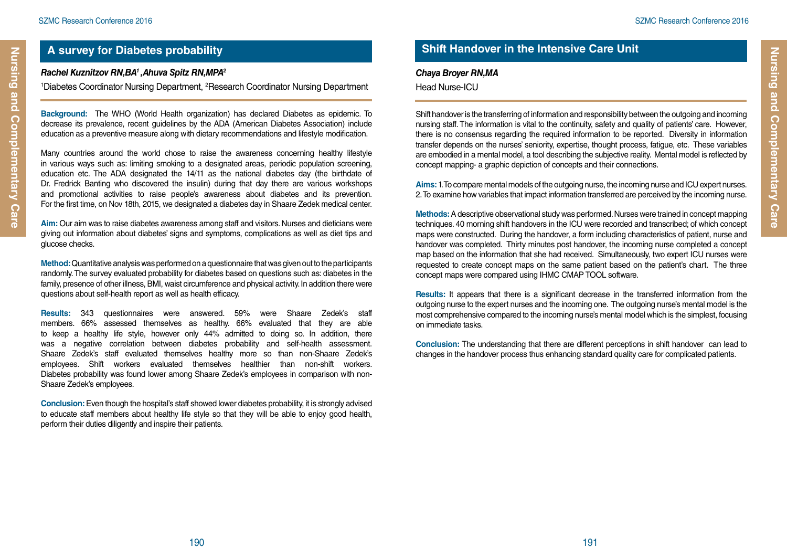## **A survey for Diabetes probability**

#### *Rachel Kuznitzov RN,BA1 ,Ahuva Spitz RN,MPA2*

<sup>1</sup>Diabetes Coordinator Nursing Department, <sup>2</sup>Research Coordinator Nursing Department

**Background:** The WHO (World Health organization) has declared Diabetes as epidemic. To decrease its prevalence, recent guidelines by the ADA (American Diabetes Association) include education as a preventive measure along with dietary recommendations and lifestyle modification.

Many countries around the world chose to raise the awareness concerning healthy lifestyle in various ways such as: limiting smoking to a designated areas, periodic population screening, education etc. The ADA designated the 14/11 as the national diabetes day (the birthdate of Dr. Fredrick Banting who discovered the insulin) during that day there are various workshops and promotional activities to raise people's awareness about diabetes and its prevention. For the first time, on Nov 18th, 2015, we designated a diabetes day in Shaare Zedek medical center.

**Aim:** Our aim was to raise diabetes awareness among staff and visitors. Nurses and dieticians were giving out information about diabetes' signs and symptoms, complications as well as diet tips and glucose checks.

**Method:** Quantitative analysis was performed on a questionnaire that was given out to the participants randomly. The survey evaluated probability for diabetes based on questions such as: diabetes in the family, presence of other illness, BMI, waist circumference and physical activity. In addition there were questions about self-health report as well as health efficacy.

**Results:** 343 questionnaires were answered. 59% were Shaare Zedek's staff members. 66% assessed themselves as healthy. 66% evaluated that they are able to keep a healthy life style, however only 44% admitted to doing so. In addition, there was a negative correlation between diabetes probability and self-health assessment. Shaare Zedek's staff evaluated themselves healthy more so than non-Shaare Zedek's employees. Shift workers evaluated themselves healthier than non-shift workers. Diabetes probability was found lower among Shaare Zedek's employees in comparison with non-Shaare Zedek's employees.

**Conclusion:** Even though the hospital's staff showed lower diabetes probability, it is strongly advised to educate staff members about healthy life style so that they will be able to enjoy good health, perform their duties diligently and inspire their patients.

## **Shift Handover in the Intensive Care Unit**

#### *Chaya Broyer RN,MA*

Head Nurse-ICU

190 191

Shift handover is the transferring of information and responsibility between the outgoing and incoming nursing staff. The information is vital to the continuity, safety and quality of patients' care. However, there is no consensus regarding the required information to be reported. Diversity in information transfer depends on the nurses' seniority, expertise, thought process, fatigue, etc. These variables are embodied in a mental model, a tool describing the subjective reality. Mental model is reflected by concept mapping- a graphic depiction of concepts and their connections.

**Aims:** 1. To compare mental models of the outgoing nurse, the incoming nurse and ICU expert nurses. 2. To examine how variables that impact information transferred are perceived by the incoming nurse.

**Methods:** A descriptive observational study was performed. Nurses were trained in concept mapping techniques. 40 morning shift handovers in the ICU were recorded and transcribed; of which concept maps were constructed. During the handover, a form including characteristics of patient, nurse and handover was completed. Thirty minutes post handover, the incoming nurse completed a concept map based on the information that she had received. Simultaneously, two expert ICU nurses were requested to create concept maps on the same patient based on the patient's chart. The three concept maps were compared using IHMC CMAP TOOL software.

**Results:** It appears that there is a significant decrease in the transferred information from the outgoing nurse to the expert nurses and the incoming one. The outgoing nurse's mental model is the most comprehensive compared to the incoming nurse's mental model which is the simplest, focusing on immediate tasks.

**Conclusion:** The understanding that there are different perceptions in shift handover can lead to changes in the handover process thus enhancing standard quality care for complicated patients.

**Nursing and Complementary Care**

Nursing and Complementary Care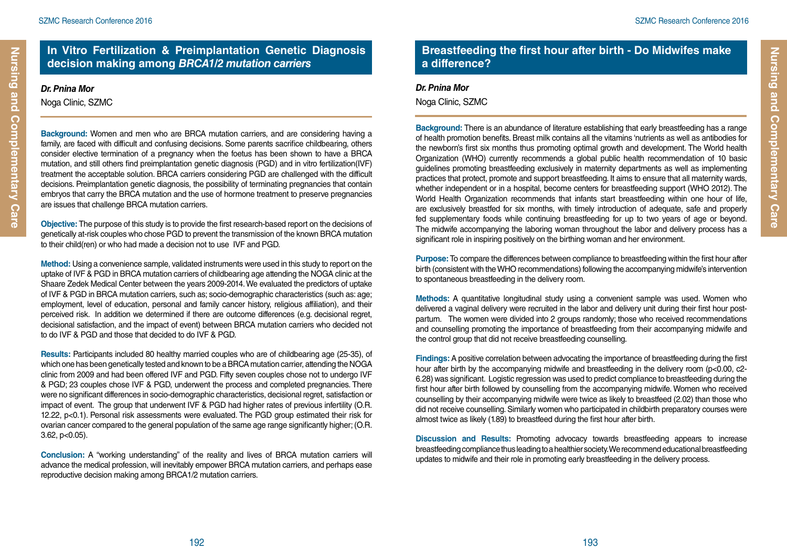## **In Vitro Fertilization & Preimplantation Genetic Diagnosis decision making among** *BRCA1/2 mutation carriers*

## *Dr. Pnina Mor*

**Nursing and Complementary Care**

Nursing and Complementary Care

Noga Clinic, SZMC

**Background:** Women and men who are BRCA mutation carriers, and are considering having a family, are faced with difficult and confusing decisions. Some parents sacrifice childbearing, others consider elective termination of a pregnancy when the foetus has been shown to have a BRCA mutation, and still others find preimplantation genetic diagnosis (PGD) and in vitro fertilization(IVF) treatment the acceptable solution. BRCA carriers considering PGD are challenged with the difficult decisions. Preimplantation genetic diagnosis, the possibility of terminating pregnancies that contain embryos that carry the BRCA mutation and the use of hormone treatment to preserve pregnancies are issues that challenge BRCA mutation carriers.

**Objective:** The purpose of this study is to provide the first research-based report on the decisions of genetically at-risk couples who chose PGD to prevent the transmission of the known BRCA mutation to their child(ren) or who had made a decision not to use IVF and PGD.

**Method:** Using a convenience sample, validated instruments were used in this study to report on the uptake of IVF & PGD in BRCA mutation carriers of childbearing age attending the NOGA clinic at the Shaare Zedek Medical Center between the years 2009-2014. We evaluated the predictors of uptake of IVF & PGD in BRCA mutation carriers, such as; socio-demographic characteristics (such as: age; employment, level of education, personal and family cancer history, religious affiliation), and their perceived risk. In addition we determined if there are outcome differences (e.g. decisional regret, decisional satisfaction, and the impact of event) between BRCA mutation carriers who decided not to do IVF & PGD and those that decided to do IVF & PGD.

**Results:** Participants included 80 healthy married couples who are of childbearing age (25-35), of which one has been genetically tested and known to be a BRCA mutation carrier, attending the NOGA clinic from 2009 and had been offered IVF and PGD. Fifty seven couples chose not to undergo IVF & PGD; 23 couples chose IVF & PGD, underwent the process and completed pregnancies. There were no significant differences in socio-demographic characteristics, decisional regret, satisfaction or impact of event. The group that underwent IVF & PGD had higher rates of previous infertility (O.R. 12.22, p<0.1). Personal risk assessments were evaluated. The PGD group estimated their risk for ovarian cancer compared to the general population of the same age range significantly higher; (O.R. 3.62, p<0.05).

**Conclusion:** A "working understanding" of the reality and lives of BRCA mutation carriers will advance the medical profession, will inevitably empower BRCA mutation carriers, and perhaps ease reproductive decision making among BRCA1/2 mutation carriers.

### **Breastfeeding the first hour after birth - Do Midwifes make a difference?**

#### *Dr. Pnina Mor*

Noga Clinic, SZMC

**Background:** There is an abundance of literature establishing that early breastfeeding has a range of health promotion benefits. Breast milk contains all the vitamins 'nutrients as well as antibodies for the newborn's first six months thus promoting optimal growth and development. The World health Organization (WHO) currently recommends a global public health recommendation of 10 basic guidelines promoting breastfeeding exclusively in maternity departments as well as implementing practices that protect, promote and support breastfeeding. It aims to ensure that all maternity wards, whether independent or in a hospital, become centers for breastfeeding support (WHO 2012). The World Health Organization recommends that infants start breastfeeding within one hour of life, are exclusively breastfed for six months, with timely introduction of adequate, safe and properly fed supplementary foods while continuing breastfeeding for up to two years of age or beyond. The midwife accompanying the laboring woman throughout the labor and delivery process has a significant role in inspiring positively on the birthing woman and her environment.

**Purpose:** To compare the differences between compliance to breastfeeding within the first hour after birth (consistent with the WHO recommendations) following the accompanying midwife's intervention to spontaneous breastfeeding in the delivery room.

**Methods:** A quantitative longitudinal study using a convenient sample was used. Women who delivered a vaginal delivery were recruited in the labor and delivery unit during their first hour postpartum. The women were divided into 2 groups randomly; those who received recommendations and counselling promoting the importance of breastfeeding from their accompanying midwife and the control group that did not receive breastfeeding counselling.

**Findings:** A positive correlation between advocating the importance of breastfeeding during the first hour after birth by the accompanying midwife and breastfeeding in the delivery room (p<0.00, c2-6.28) was significant. Logistic regression was used to predict compliance to breastfeeding during the first hour after birth followed by counselling from the accompanying midwife. Women who received counselling by their accompanying midwife were twice as likely to breastfeed (2.02) than those who did not receive counselling. Similarly women who participated in childbirth preparatory courses were almost twice as likely (1.89) to breastfeed during the first hour after birth.

**Discussion and Results:** Promoting advocacy towards breastfeeding appears to increase breastfeeding compliance thus leading to a healthier society. We recommend educational breastfeeding updates to midwife and their role in promoting early breastfeeding in the delivery process.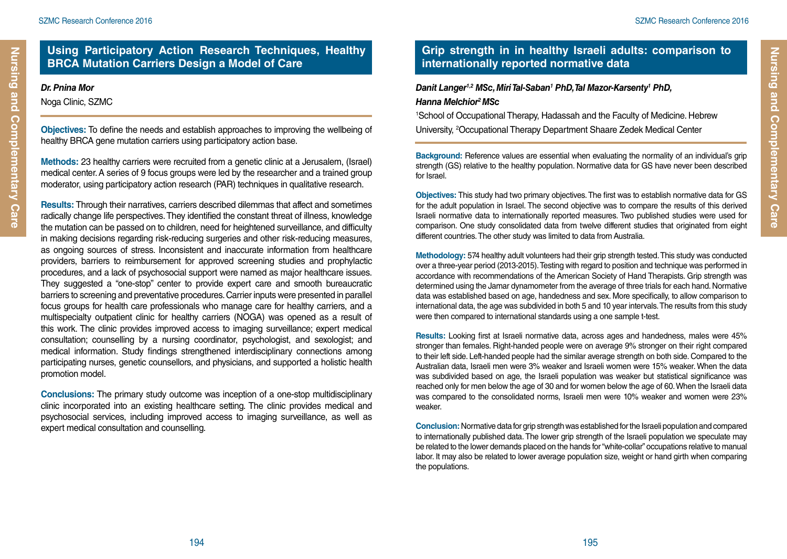Nursing and Complementary Care

## **Using Participatory Action Research Techniques, Healthy BRCA Mutation Carriers Design a Model of Care**

#### *Dr. Pnina Mor*

Noga Clinic, SZMC

**Objectives:** To define the needs and establish approaches to improving the wellbeing of healthy BRCA gene mutation carriers using participatory action base.

**Methods:** 23 healthy carriers were recruited from a genetic clinic at a Jerusalem, (Israel) medical center. A series of 9 focus groups were led by the researcher and a trained group moderator, using participatory action research (PAR) techniques in qualitative research.

**Results:** Through their narratives, carriers described dilemmas that affect and sometimes radically change life perspectives. They identified the constant threat of illness, knowledge the mutation can be passed on to children, need for heightened surveillance, and difficulty in making decisions regarding risk-reducing surgeries and other risk-reducing measures, as ongoing sources of stress. Inconsistent and inaccurate information from healthcare providers, barriers to reimbursement for approved screening studies and prophylactic procedures, and a lack of psychosocial support were named as major healthcare issues. They suggested a "one-stop" center to provide expert care and smooth bureaucratic barriers to screening and preventative procedures. Carrier inputs were presented in parallel focus groups for health care professionals who manage care for healthy carriers, and a multispecialty outpatient clinic for healthy carriers (NOGA) was opened as a result of this work. The clinic provides improved access to imaging surveillance; expert medical consultation; counselling by a nursing coordinator, psychologist, and sexologist; and medical information. Study findings strengthened interdisciplinary connections among participating nurses, genetic counsellors, and physicians, and supported a holistic health promotion model.

**Conclusions:** The primary study outcome was inception of a one-stop multidisciplinary clinic incorporated into an existing healthcare setting. The clinic provides medical and psychosocial services, including improved access to imaging surveillance, as well as expert medical consultation and counselling.

## **Grip strength in in healthy Israeli adults: comparison to internationally reported normative data**

#### *Danit Langer1,2 MSc, Miri Tal-Saban1 PhD, Tal Mazor-Karsenty1 PhD, Hanna Melchior2 MSc*

1 School of Occupational Therapy, Hadassah and the Faculty of Medicine. Hebrew University, 2 Occupational Therapy Department Shaare Zedek Medical Center

**Background:** Reference values are essential when evaluating the normality of an individual's grip strength (GS) relative to the healthy population. Normative data for GS have never been described for Israel.

**Objectives:** This study had two primary objectives. The first was to establish normative data for GS for the adult population in Israel. The second objective was to compare the results of this derived Israeli normative data to internationally reported measures. Two published studies were used for comparison. One study consolidated data from twelve different studies that originated from eight different countries. The other study was limited to data from Australia.

**Methodology:** 574 healthy adult volunteers had their grip strength tested. This study was conducted over a three-year period (2013-2015). Testing with regard to position and technique was performed in accordance with recommendations of the American Society of Hand Therapists. Grip strength was determined using the Jamar dynamometer from the average of three trials for each hand. Normative data was established based on age, handedness and sex. More specifically, to allow comparison to international data, the age was subdivided in both 5 and 10 year intervals. The results from this study were then compared to international standards using a one sample t-test.

**Results:** Looking first at Israeli normative data, across ages and handedness, males were 45% stronger than females. Right-handed people were on average 9% stronger on their right compared to their left side. Left-handed people had the similar average strength on both side. Compared to the Australian data, Israeli men were 3% weaker and Israeli women were 15% weaker. When the data was subdivided based on age, the Israeli population was weaker but statistical significance was reached only for men below the age of 30 and for women below the age of 60. When the Israeli data was compared to the consolidated norms, Israeli men were 10% weaker and women were 23% weaker.

**Conclusion:** Normative data for grip strength was established for the Israeli population and compared to internationally published data. The lower grip strength of the Israeli population we speculate may be related to the lower demands placed on the hands for "white-collar" occupations relative to manual labor. It may also be related to lower average population size, weight or hand girth when comparing the populations.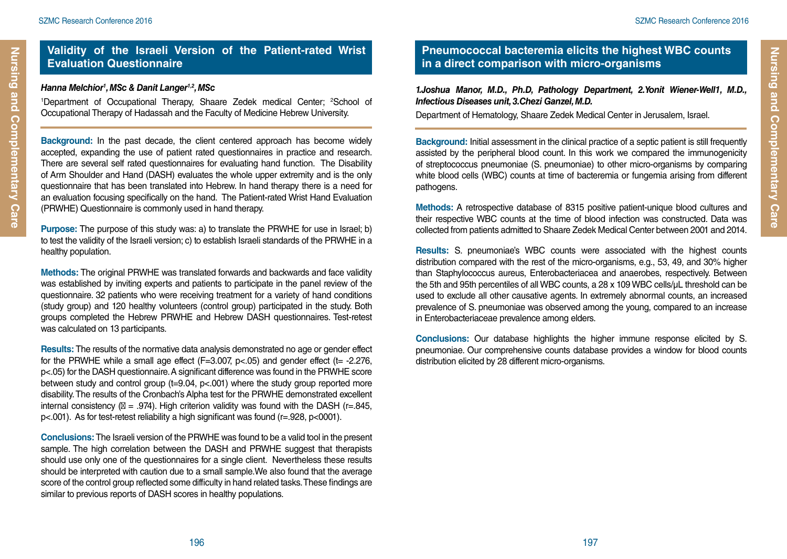Nursing and Complementary Care

#### **Validity of the Israeli Version of the Patient-rated Wrist Evaluation Questionnaire**

#### *Hanna Melchior1 , MSc & Danit Langer1,2, MSc*

<sup>1</sup>Department of Occupational Therapy, Shaare Zedek medical Center; <sup>2</sup>School of Occupational Therapy of Hadassah and the Faculty of Medicine Hebrew University.

**Background:** In the past decade, the client centered approach has become widely accepted, expanding the use of patient rated questionnaires in practice and research. There are several self rated questionnaires for evaluating hand function. The Disability of Arm Shoulder and Hand (DASH) evaluates the whole upper extremity and is the only questionnaire that has been translated into Hebrew. In hand therapy there is a need for an evaluation focusing specifically on the hand. The Patient-rated Wrist Hand Evaluation (PRWHE) Questionnaire is commonly used in hand therapy.

**Purpose:** The purpose of this study was: a) to translate the PRWHE for use in Israel; b) to test the validity of the Israeli version; c) to establish Israeli standards of the PRWHE in a healthy population.

**Methods:** The original PRWHE was translated forwards and backwards and face validity was established by inviting experts and patients to participate in the panel review of the questionnaire. 32 patients who were receiving treatment for a variety of hand conditions (study group) and 120 healthy volunteers (control group) participated in the study. Both groups completed the Hebrew PRWHE and Hebrew DASH questionnaires. Test-retest was calculated on 13 participants.

**Results:** The results of the normative data analysis demonstrated no age or gender effect for the PRWHE while a small age effect  $(F=3.007, p<0.05)$  and gender effect (t= -2.276, p<.05) for the DASH questionnaire. A significant difference was found in the PRWHE score between study and control group (t=9.04, p<.001) where the study group reported more disability. The results of the Cronbach's Alpha test for the PRWHE demonstrated excellent internal consistency ( = .974). High criterion validity was found with the DASH ( $r=0.845$ , p<.001). As for test-retest reliability a high significant was found (r=.928, p<0001).

**Conclusions:** The Israeli version of the PRWHE was found to be a valid tool in the present sample. The high correlation between the DASH and PRWHE suggest that therapists should use only one of the questionnaires for a single client. Nevertheless these results should be interpreted with caution due to a small sample.We also found that the average score of the control group reflected some difficulty in hand related tasks. These findings are similar to previous reports of DASH scores in healthy populations.

## **Pneumococcal bacteremia elicits the highest WBC counts in a direct comparison with micro-organisms**

*1.Joshua Manor, M.D., Ph.D, Pathology Department, 2.Yonit Wiener-Well1, M.D., Infectious Diseases unit, 3.Chezi Ganzel, M.D.*

Department of Hematology, Shaare Zedek Medical Center in Jerusalem, Israel.

**Background:** Initial assessment in the clinical practice of a septic patient is still frequently assisted by the peripheral blood count. In this work we compared the immunogenicity of streptococcus pneumoniae (S. pneumoniae) to other micro-organisms by comparing white blood cells (WBC) counts at time of bacteremia or fungemia arising from different pathogens.

**Methods:** A retrospective database of 8315 positive patient-unique blood cultures and their respective WBC counts at the time of blood infection was constructed. Data was collected from patients admitted to Shaare Zedek Medical Center between 2001 and 2014.

**Results:** S. pneumoniae's WBC counts were associated with the highest counts distribution compared with the rest of the micro-organisms, e.g., 53, 49, and 30% higher than Staphylococcus aureus, Enterobacteriacea and anaerobes, respectively. Between the 5th and 95th percentiles of all WBC counts, a 28 x 109 WBC cells/µL threshold can be used to exclude all other causative agents. In extremely abnormal counts, an increased prevalence of S. pneumoniae was observed among the young, compared to an increase in Enterobacteriaceae prevalence among elders.

**Conclusions:** Our database highlights the higher immune response elicited by S. pneumoniae. Our comprehensive counts database provides a window for blood counts distribution elicited by 28 different micro-organisms.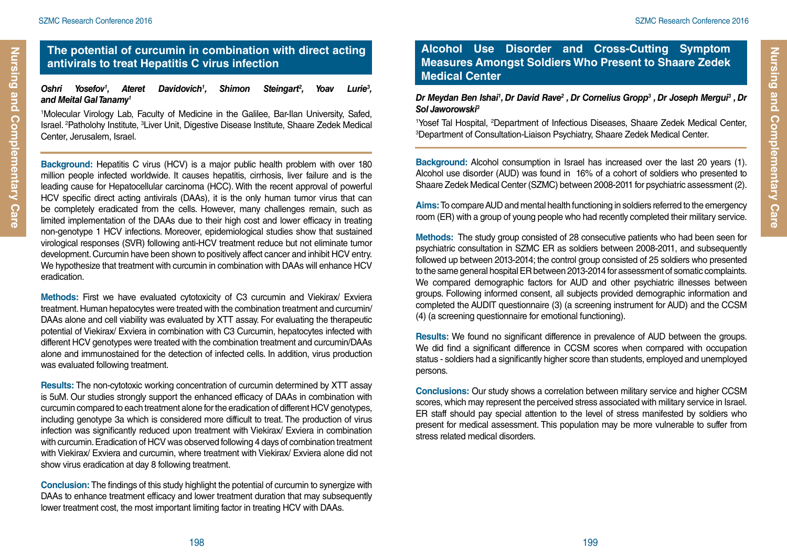Nursing and Complementary Care

#### **The potential of curcumin in combination with direct acting antivirals to treat Hepatitis C virus infection**

#### *Oshri Yosefov1* Davidovich<sup>1</sup>, *, Shimon Steingart2 , Yoav Lurie3 , and Meital Gal Tanamy1*

1 Molecular Virology Lab, Faculty of Medicine in the Galilee, Bar-Ilan University, Safed, Israel. <sup>2</sup>Patholohy Institute, <sup>3</sup>Liver Unit, Digestive Disease Institute, Shaare Zedek Medical Center, Jerusalem, Israel.

**Background:** Hepatitis C virus (HCV) is a major public health problem with over 180 million people infected worldwide. It causes hepatitis, cirrhosis, liver failure and is the leading cause for Hepatocellular carcinoma (HCC). With the recent approval of powerful HCV specific direct acting antivirals (DAAs), it is the only human tumor virus that can be completely eradicated from the cells. However, many challenges remain, such as limited implementation of the DAAs due to their high cost and lower efficacy in treating non-genotype 1 HCV infections. Moreover, epidemiological studies show that sustained virological responses (SVR) following anti-HCV treatment reduce but not eliminate tumor development. Curcumin have been shown to positively affect cancer and inhibit HCV entry. We hypothesize that treatment with curcumin in combination with DAAs will enhance HCV eradication.

**Methods:** First we have evaluated cytotoxicity of C3 curcumin and Viekirax/ Exviera treatment. Human hepatocytes were treated with the combination treatment and curcumin/ DAAs alone and cell viability was evaluated by XTT assay. For evaluating the therapeutic potential of Viekirax/ Exviera in combination with C3 Curcumin, hepatocytes infected with different HCV genotypes were treated with the combination treatment and curcumin/DAAs alone and immunostained for the detection of infected cells. In addition, virus production was evaluated following treatment.

**Results:** The non-cytotoxic working concentration of curcumin determined by XTT assay is 5uM. Our studies strongly support the enhanced efficacy of DAAs in combination with curcumin compared to each treatment alone for the eradication of different HCV genotypes, including genotype 3a which is considered more difficult to treat. The production of virus infection was significantly reduced upon treatment with Viekirax/ Exviera in combination with curcumin. Eradication of HCV was observed following 4 days of combination treatment with Viekirax/ Exviera and curcumin, where treatment with Viekirax/ Exviera alone did not show virus eradication at day 8 following treatment.

**Conclusion:** The findings of this study highlight the potential of curcumin to synergize with DAAs to enhance treatment efficacy and lower treatment duration that may subsequently lower treatment cost, the most important limiting factor in treating HCV with DAAs.

#### **Alcohol Use Disorder and Cross-Cutting Symptom Measures Amongst Soldiers Who Present to Shaare Zedek Medical Center**

#### *Dr Meydan Ben Ishai1 , Dr David Rave2 , Dr Cornelius Gropp3 , Dr Joseph Mergui3 , Dr Sol Jaworowski3*

<sup>1</sup>Yosef Tal Hospital, <sup>2</sup>Department of Infectious Diseases, Shaare Zedek Medical Center,<br><sup>3</sup>Department of Consultation-Liaison Psychiatry Shaare Zedek Medical Center Department of Consultation-Liaison Psychiatry, Shaare Zedek Medical Center.

**Background:** Alcohol consumption in Israel has increased over the last 20 years (1). Alcohol use disorder (AUD) was found in 16% of a cohort of soldiers who presented to Shaare Zedek Medical Center (SZMC) between 2008-2011 for psychiatric assessment (2).

**Aims:** To compare AUD and mental health functioning in soldiers referred to the emergency room (ER) with a group of young people who had recently completed their military service.

**Methods:** The study group consisted of 28 consecutive patients who had been seen for psychiatric consultation in SZMC ER as soldiers between 2008-2011, and subsequently followed up between 2013-2014; the control group consisted of 25 soldiers who presented to the same general hospital ER between 2013-2014 for assessment of somatic complaints. We compared demographic factors for AUD and other psychiatric illnesses between groups. Following informed consent, all subjects provided demographic information and completed the AUDIT questionnaire (3) (a screening instrument for AUD) and the CCSM (4) (a screening questionnaire for emotional functioning).

**Results:** We found no significant difference in prevalence of AUD between the groups. We did find a significant difference in CCSM scores when compared with occupation status - soldiers had a significantly higher score than students, employed and unemployed persons.

**Conclusions:** Our study shows a correlation between military service and higher CCSM scores, which may represent the perceived stress associated with military service in Israel. ER staff should pay special attention to the level of stress manifested by soldiers who present for medical assessment. This population may be more vulnerable to suffer from stress related medical disorders.